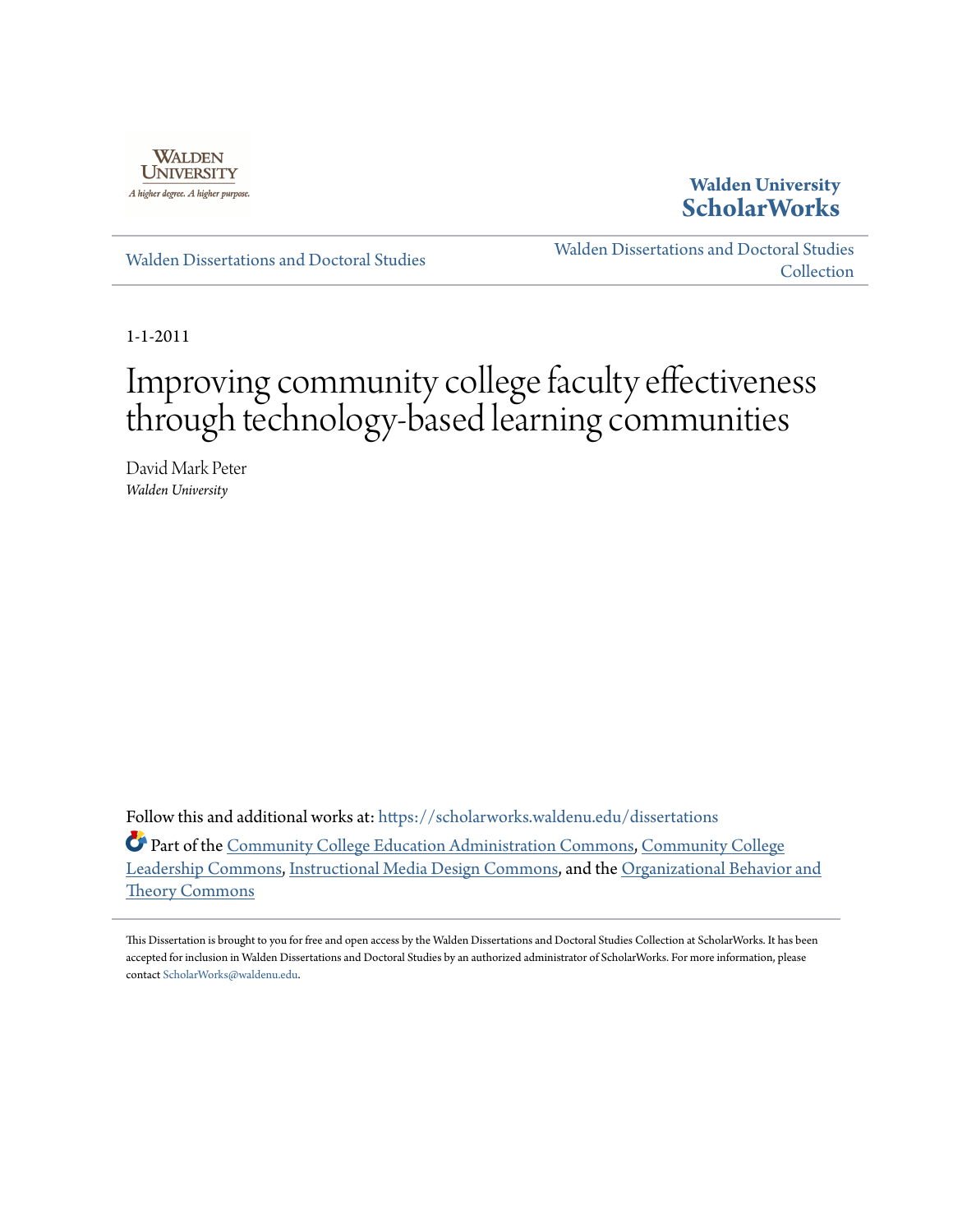

**Walden University [ScholarWorks](https://scholarworks.waldenu.edu?utm_source=scholarworks.waldenu.edu%2Fdissertations%2F1169&utm_medium=PDF&utm_campaign=PDFCoverPages)**

[Walden Dissertations and Doctoral Studies](https://scholarworks.waldenu.edu/dissertations?utm_source=scholarworks.waldenu.edu%2Fdissertations%2F1169&utm_medium=PDF&utm_campaign=PDFCoverPages)

[Walden Dissertations and Doctoral Studies](https://scholarworks.waldenu.edu/dissanddoc?utm_source=scholarworks.waldenu.edu%2Fdissertations%2F1169&utm_medium=PDF&utm_campaign=PDFCoverPages) [Collection](https://scholarworks.waldenu.edu/dissanddoc?utm_source=scholarworks.waldenu.edu%2Fdissertations%2F1169&utm_medium=PDF&utm_campaign=PDFCoverPages)

1-1-2011

# Improving community college faculty effectiveness through technology-based learning communities

David Mark Peter *Walden University*

Follow this and additional works at: [https://scholarworks.waldenu.edu/dissertations](https://scholarworks.waldenu.edu/dissertations?utm_source=scholarworks.waldenu.edu%2Fdissertations%2F1169&utm_medium=PDF&utm_campaign=PDFCoverPages)

Part of the [Community College Education Administration Commons](http://network.bepress.com/hgg/discipline/792?utm_source=scholarworks.waldenu.edu%2Fdissertations%2F1169&utm_medium=PDF&utm_campaign=PDFCoverPages), [Community College](http://network.bepress.com/hgg/discipline/1039?utm_source=scholarworks.waldenu.edu%2Fdissertations%2F1169&utm_medium=PDF&utm_campaign=PDFCoverPages) [Leadership Commons](http://network.bepress.com/hgg/discipline/1039?utm_source=scholarworks.waldenu.edu%2Fdissertations%2F1169&utm_medium=PDF&utm_campaign=PDFCoverPages), [Instructional Media Design Commons,](http://network.bepress.com/hgg/discipline/795?utm_source=scholarworks.waldenu.edu%2Fdissertations%2F1169&utm_medium=PDF&utm_campaign=PDFCoverPages) and the [Organizational Behavior and](http://network.bepress.com/hgg/discipline/639?utm_source=scholarworks.waldenu.edu%2Fdissertations%2F1169&utm_medium=PDF&utm_campaign=PDFCoverPages) [Theory Commons](http://network.bepress.com/hgg/discipline/639?utm_source=scholarworks.waldenu.edu%2Fdissertations%2F1169&utm_medium=PDF&utm_campaign=PDFCoverPages)

This Dissertation is brought to you for free and open access by the Walden Dissertations and Doctoral Studies Collection at ScholarWorks. It has been accepted for inclusion in Walden Dissertations and Doctoral Studies by an authorized administrator of ScholarWorks. For more information, please contact [ScholarWorks@waldenu.edu](mailto:ScholarWorks@waldenu.edu).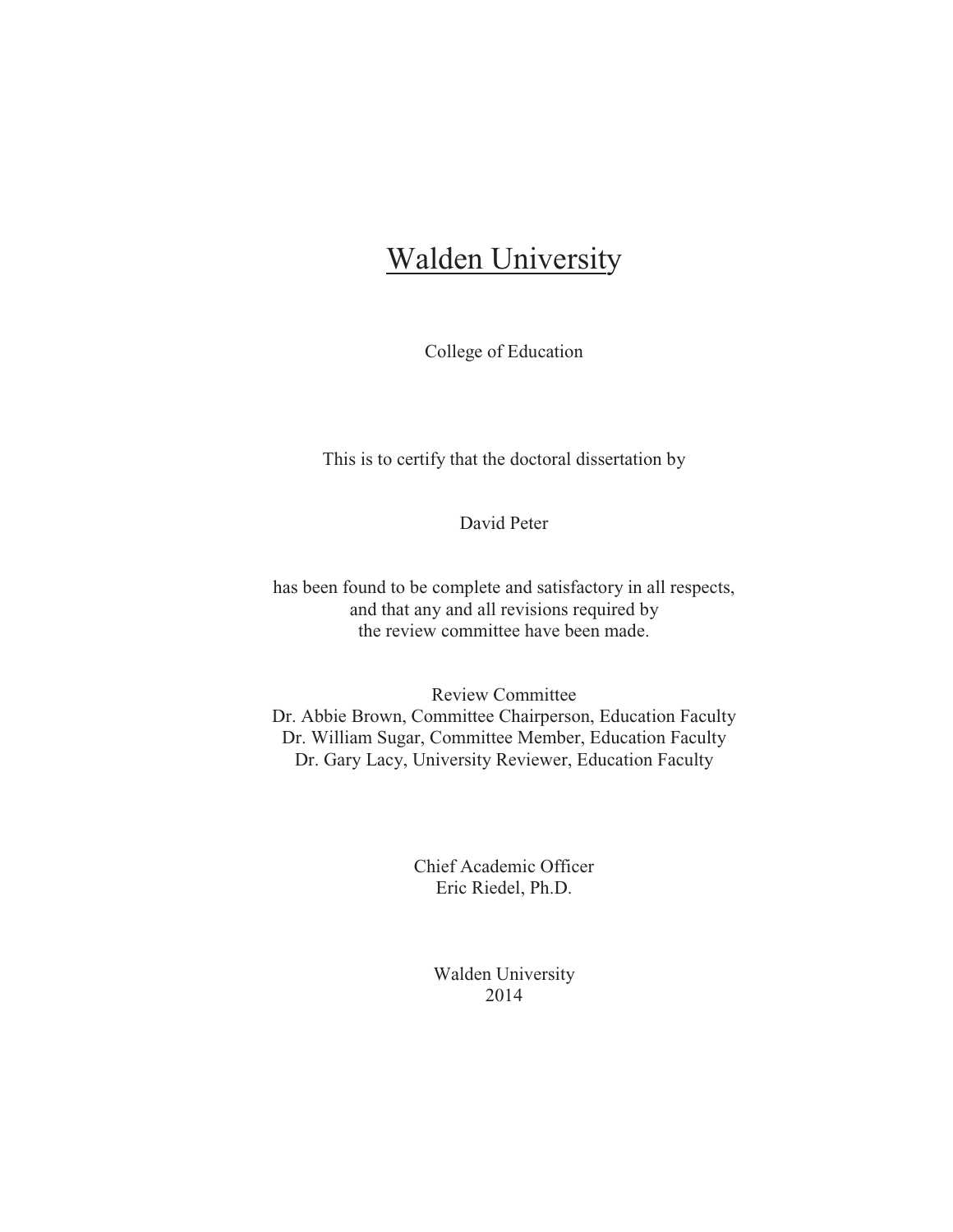## Walden University

College of Education

This is to certify that the doctoral dissertation by

David Peter

has been found to be complete and satisfactory in all respects, and that any and all revisions required by the review committee have been made.

Review Committee Dr. Abbie Brown, Committee Chairperson, Education Faculty Dr. William Sugar, Committee Member, Education Faculty Dr. Gary Lacy, University Reviewer, Education Faculty

> Chief Academic Officer Eric Riedel, Ph.D.

> > Walden University 2014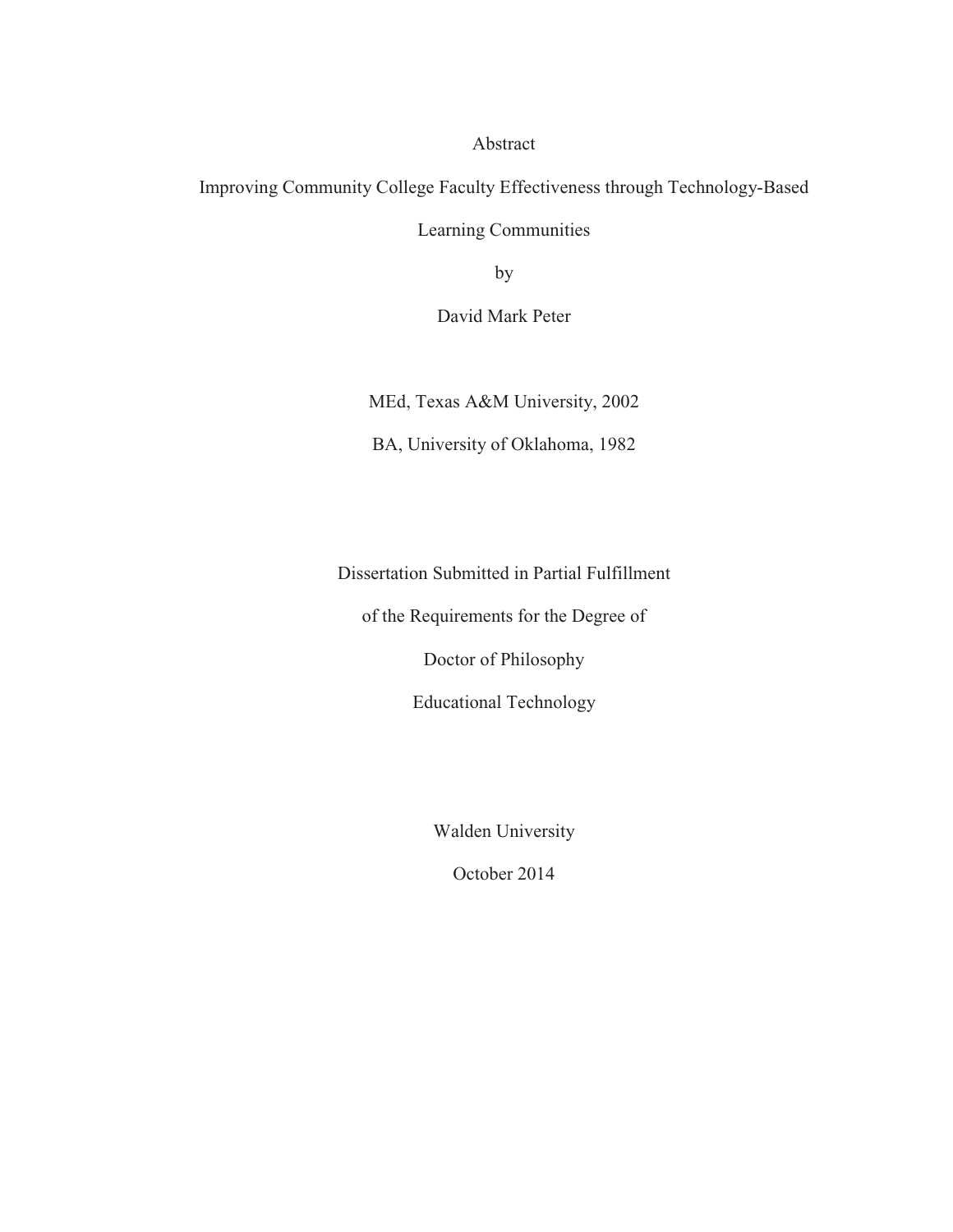Abstract

Improving Community College Faculty Effectiveness through Technology-Based Learning Communities

by

David Mark Peter

MEd, Texas A&M University, 2002

BA, University of Oklahoma, 1982

Dissertation Submitted in Partial Fulfillment

of the Requirements for the Degree of

Doctor of Philosophy

Educational Technology

Walden University

October 2014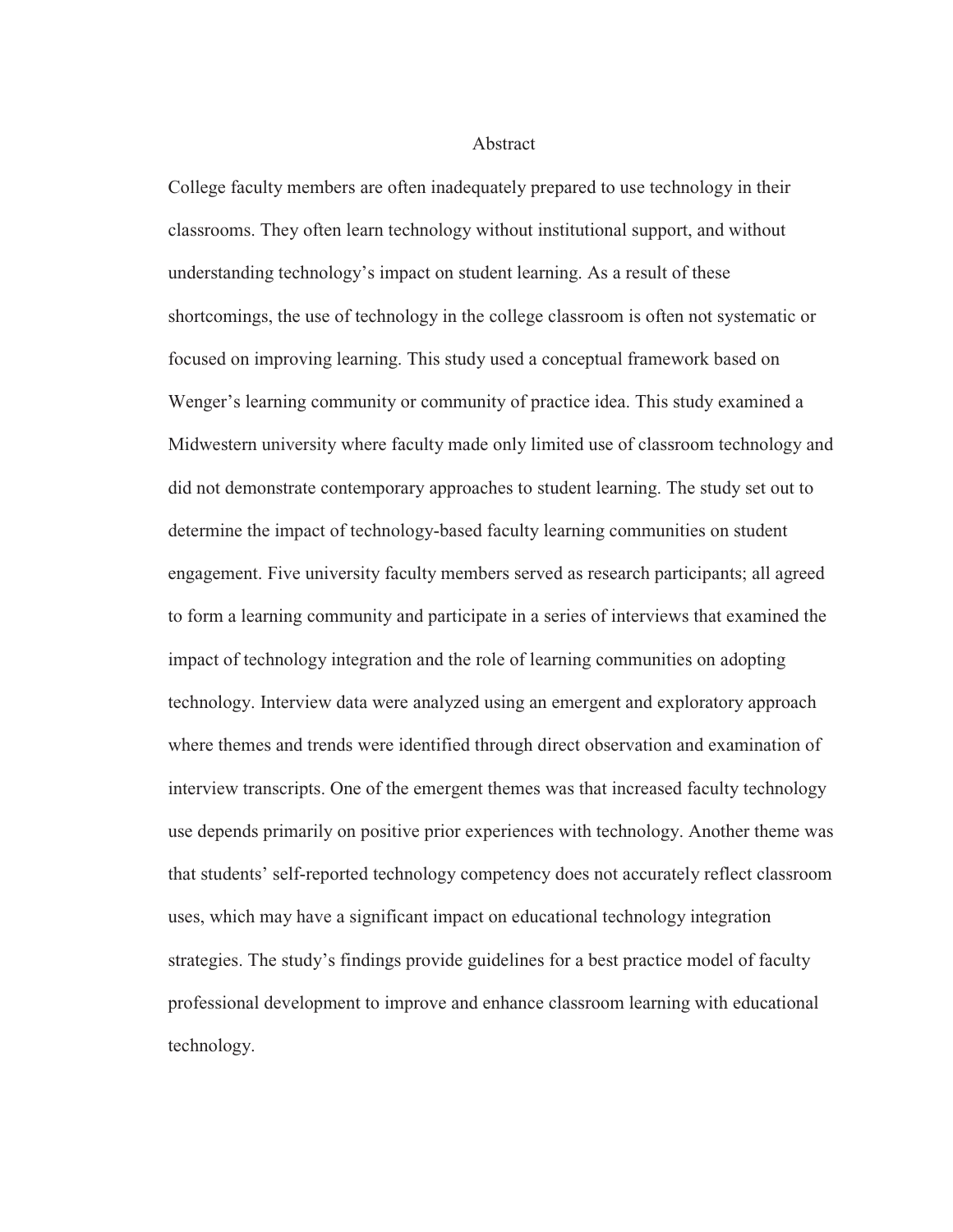#### **Abstract**

College faculty members are often inadequately prepared to use technology in their classrooms. They often learn technology without institutional support, and without understanding technology's impact on student learning. As a result of these shortcomings, the use of technology in the college classroom is often not systematic or focused on improving learning. This study used a conceptual framework based on Wenger's learning community or community of practice idea. This study examined a Midwestern university where faculty made only limited use of classroom technology and did not demonstrate contemporary approaches to student learning. The study set out to determine the impact of technology-based faculty learning communities on student engagement. Five university faculty members served as research participants; all agreed to form a learning community and participate in a series of interviews that examined the impact of technology integration and the role of learning communities on adopting technology. Interview data were analyzed using an emergent and exploratory approach where themes and trends were identified through direct observation and examination of interview transcripts. One of the emergent themes was that increased faculty technology use depends primarily on positive prior experiences with technology. Another theme was that students' self-reported technology competency does not accurately reflect classroom uses, which may have a significant impact on educational technology integration strategies. The study's findings provide guidelines for a best practice model of faculty professional development to improve and enhance classroom learning with educational technology.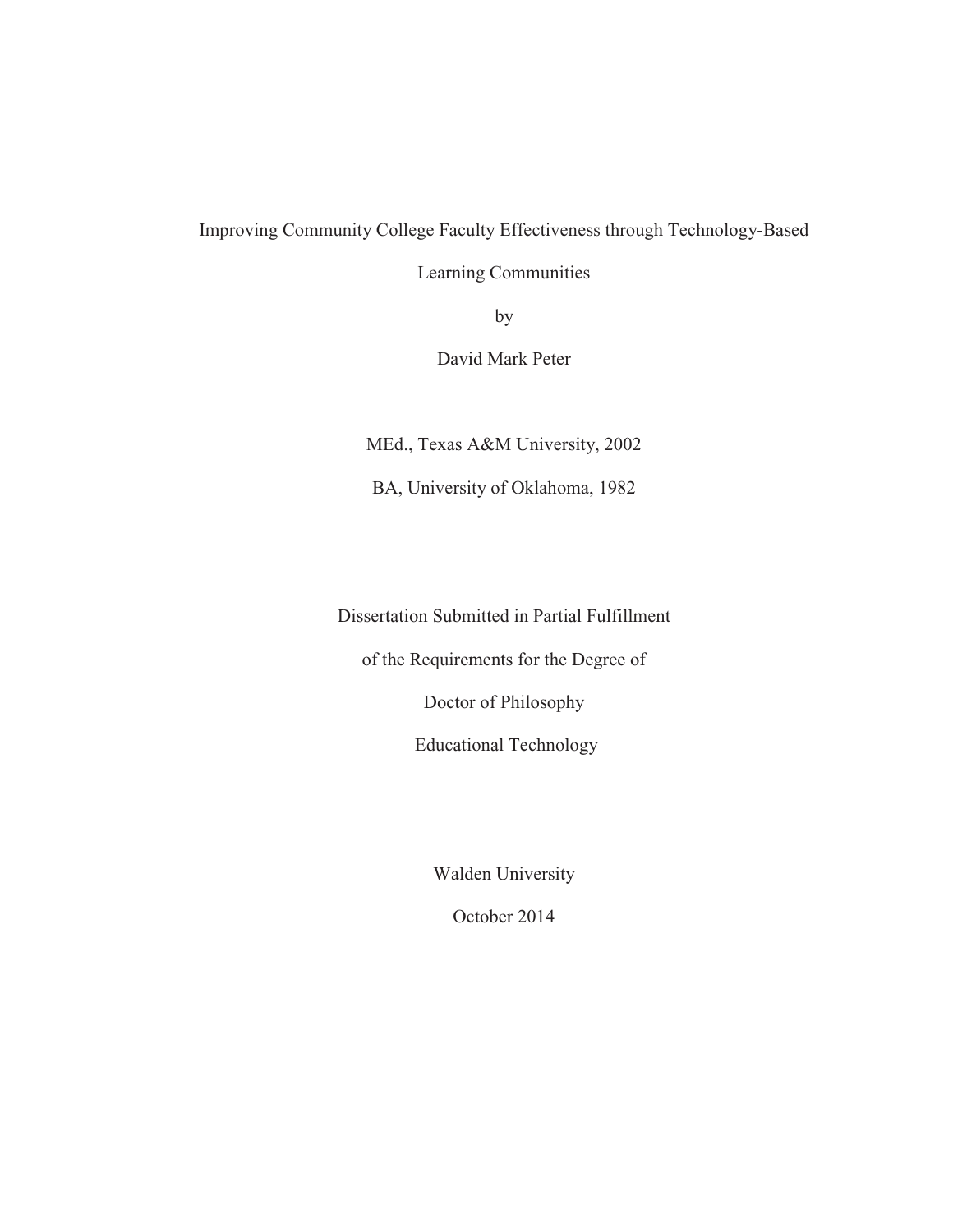## Improving Community College Faculty Effectiveness through Technology-Based

Learning Communities

by

David Mark Peter

MEd., Texas A&M University, 2002

BA, University of Oklahoma, 1982

Dissertation Submitted in Partial Fulfillment

of the Requirements for the Degree of

Doctor of Philosophy

Educational Technology

Walden University

October 2014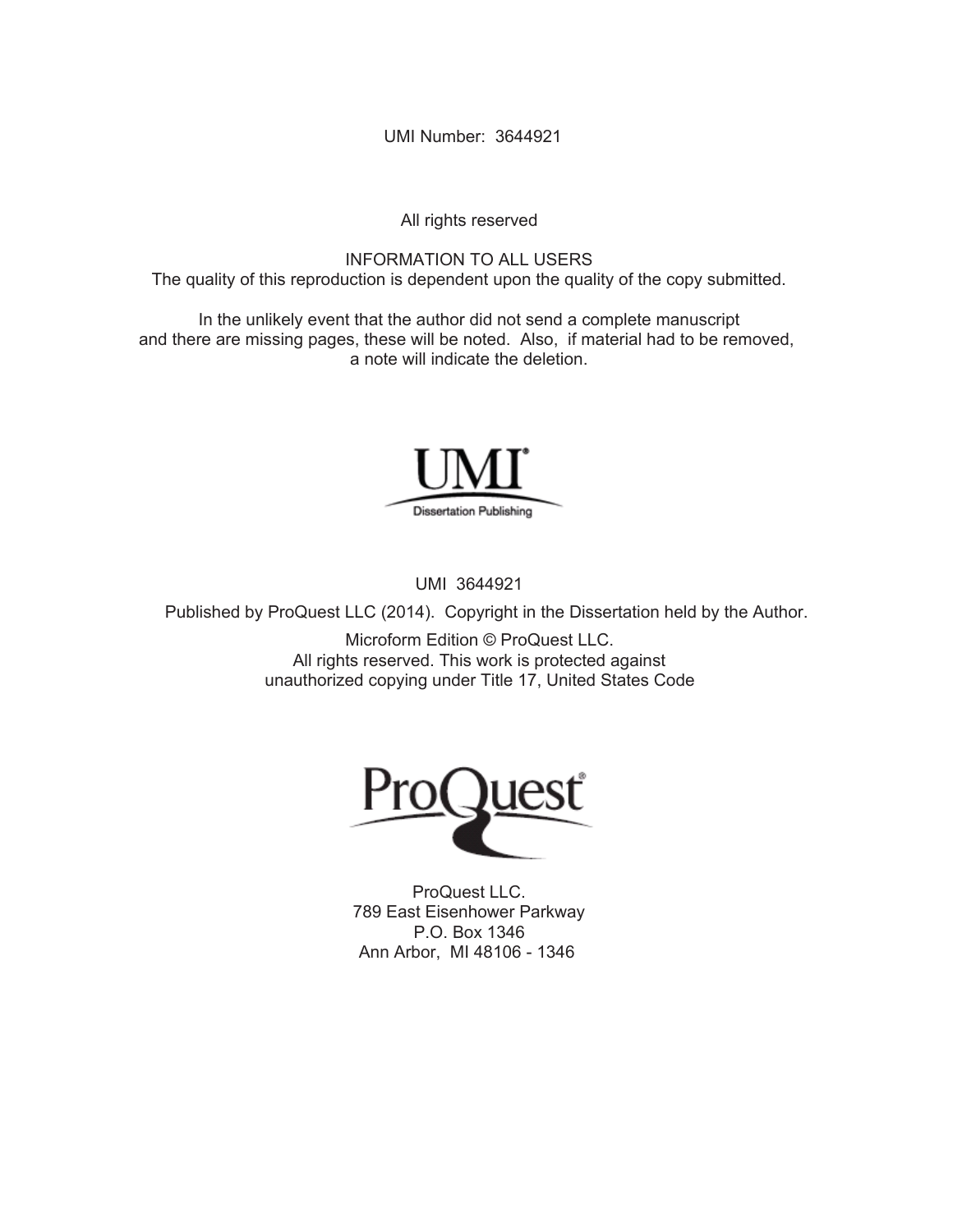UMI Number: 3644921

All rights reserved

INFORMATION TO ALL USERS The quality of this reproduction is dependent upon the quality of the copy submitted.

In the unlikely event that the author did not send a complete manuscript and there are missing pages, these will be noted. Also, if material had to be removed, a note will indicate the deletion.



UMI 3644921

Published by ProQuest LLC (2014). Copyright in the Dissertation held by the Author.

Microform Edition © ProQuest LLC. All rights reserved. This work is protected against unauthorized copying under Title 17, United States Code



ProQuest LLC. 789 East Eisenhower Parkway P.O. Box 1346 Ann Arbor, MI 48106 - 1346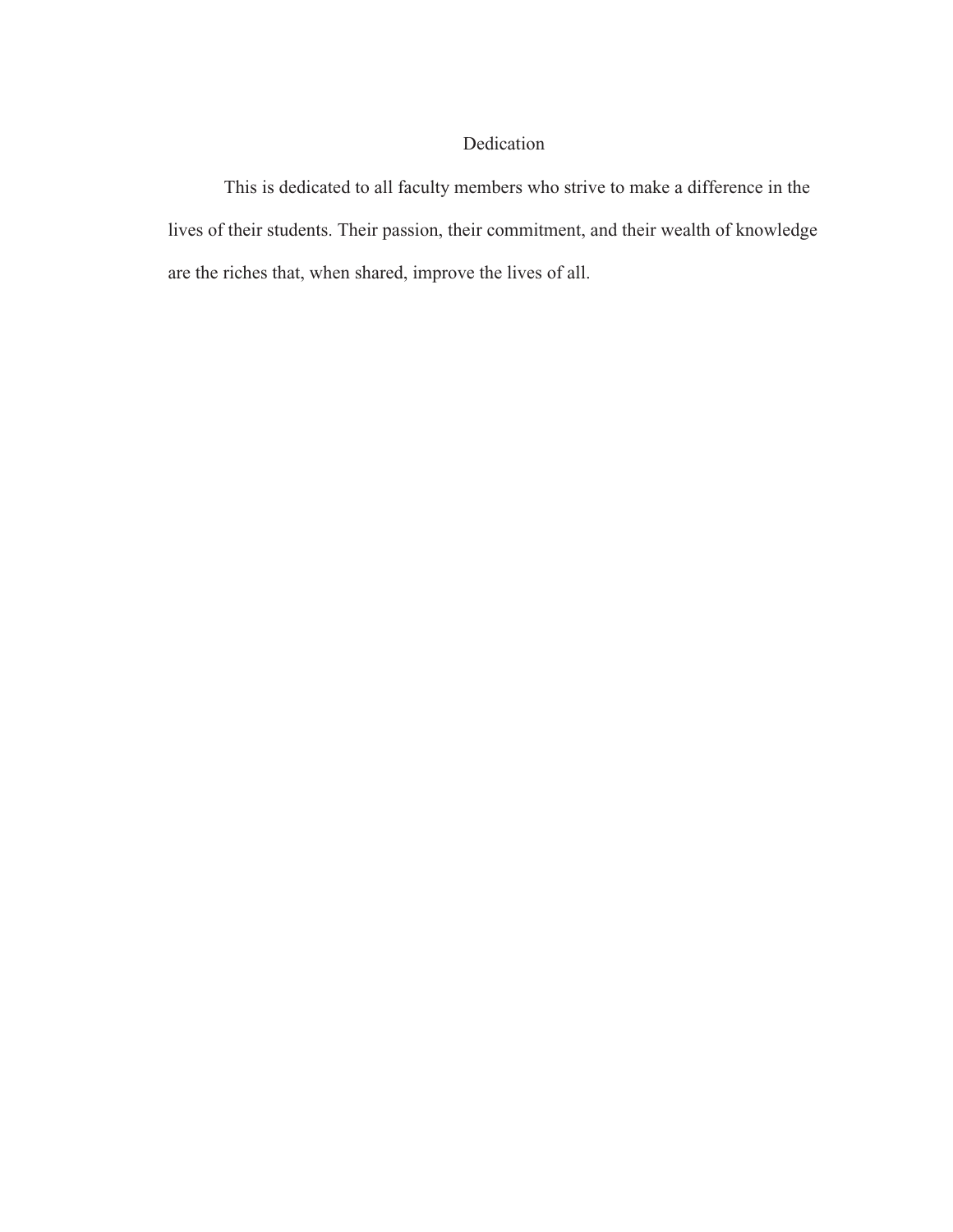## Dedication

This is dedicated to all faculty members who strive to make a difference in the lives of their students. Their passion, their commitment, and their wealth of knowledge are the riches that, when shared, improve the lives of all.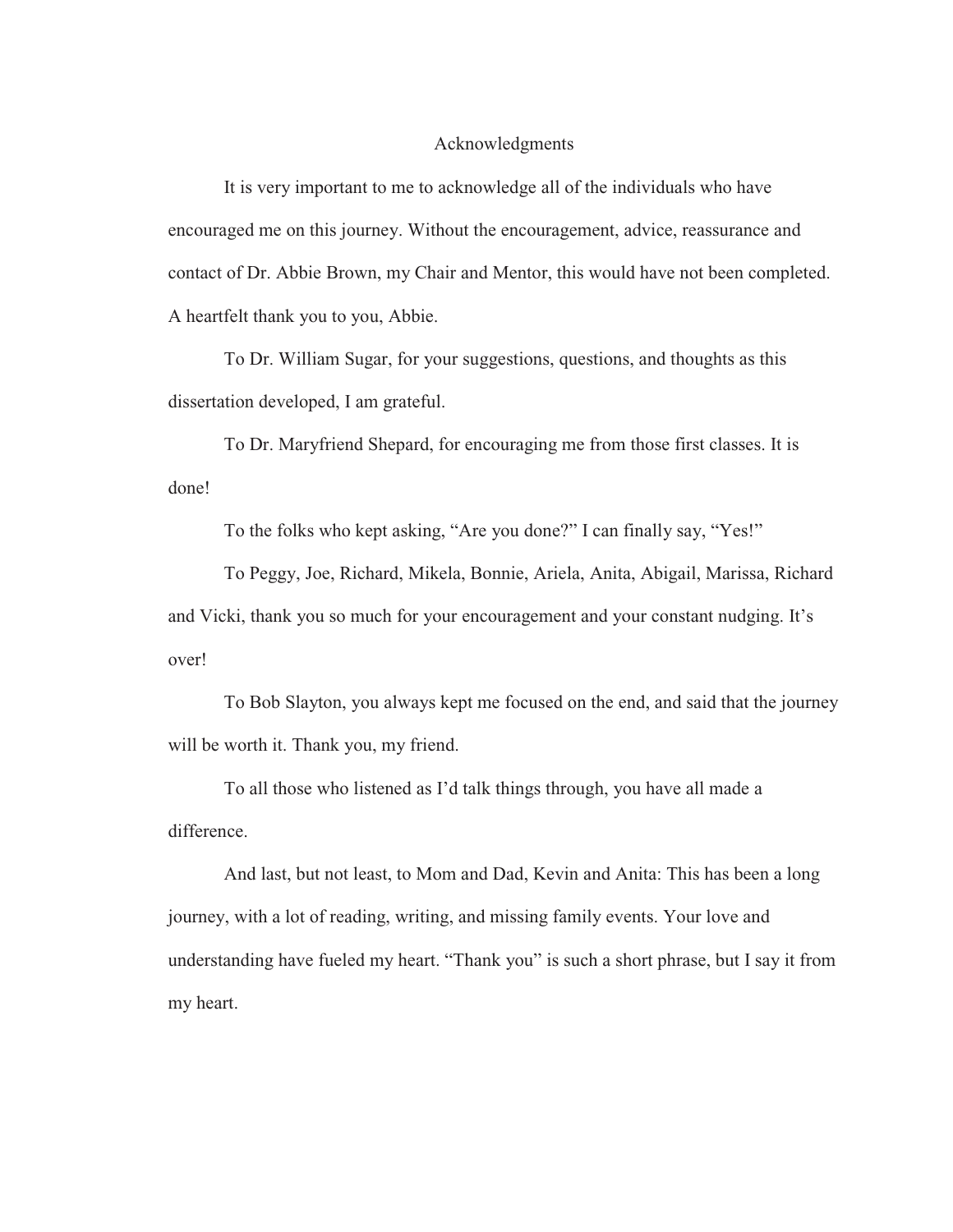#### Acknowledgments

It is very important to me to acknowledge all of the individuals who have encouraged me on this journey. Without the encouragement, advice, reassurance and contact of Dr. Abbie Brown, my Chair and Mentor, this would have not been completed. A heartfelt thank you to you, Abbie.

To Dr. William Sugar, for your suggestions, questions, and thoughts as this dissertation developed, I am grateful.

To Dr. Maryfriend Shepard, for encouraging me from those first classes. It is done!

To the folks who kept asking, "Are you done?" I can finally say, "Yes!"

To Peggy, Joe, Richard, Mikela, Bonnie, Ariela, Anita, Abigail, Marissa, Richard and Vicki, thank you so much for your encouragement and your constant nudging. It's over!

To Bob Slayton, you always kept me focused on the end, and said that the journey will be worth it. Thank you, my friend.

To all those who listened as I'd talk things through, you have all made a difference.

And last, but not least, to Mom and Dad, Kevin and Anita: This has been a long journey, with a lot of reading, writing, and missing family events. Your love and understanding have fueled my heart. "Thank you" is such a short phrase, but I say it from my heart.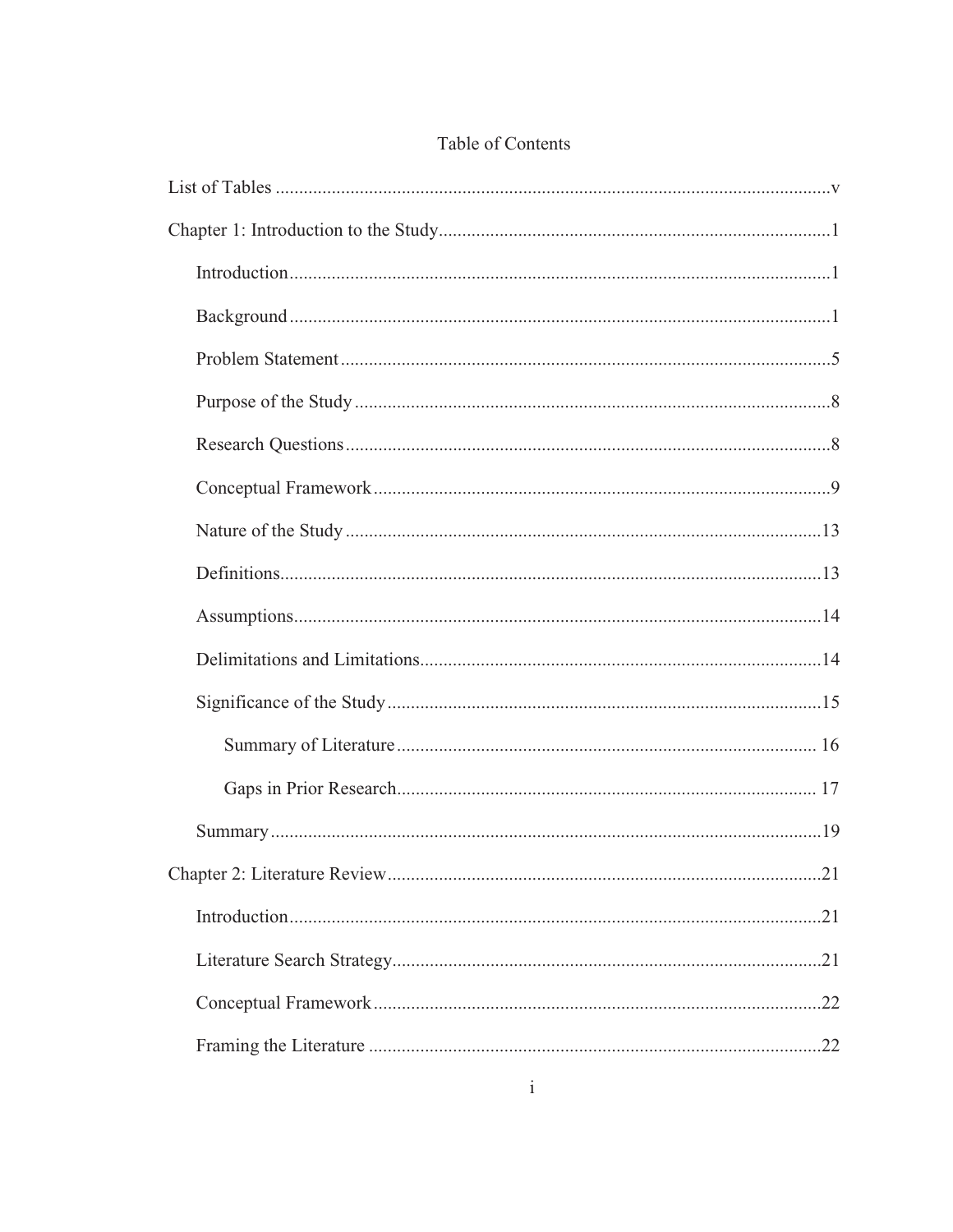## Table of Contents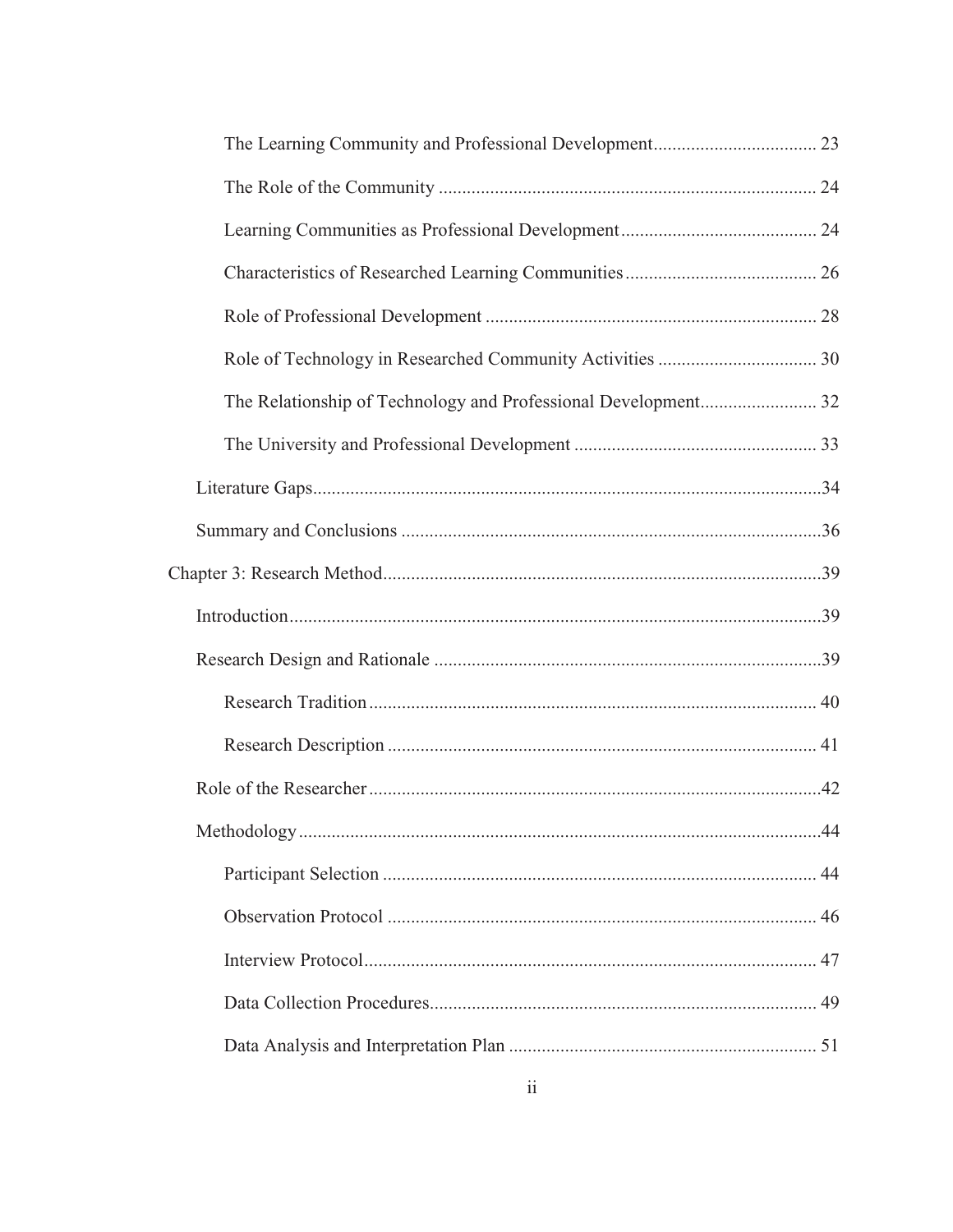| 44 |
|----|
|    |
|    |
|    |
|    |
|    |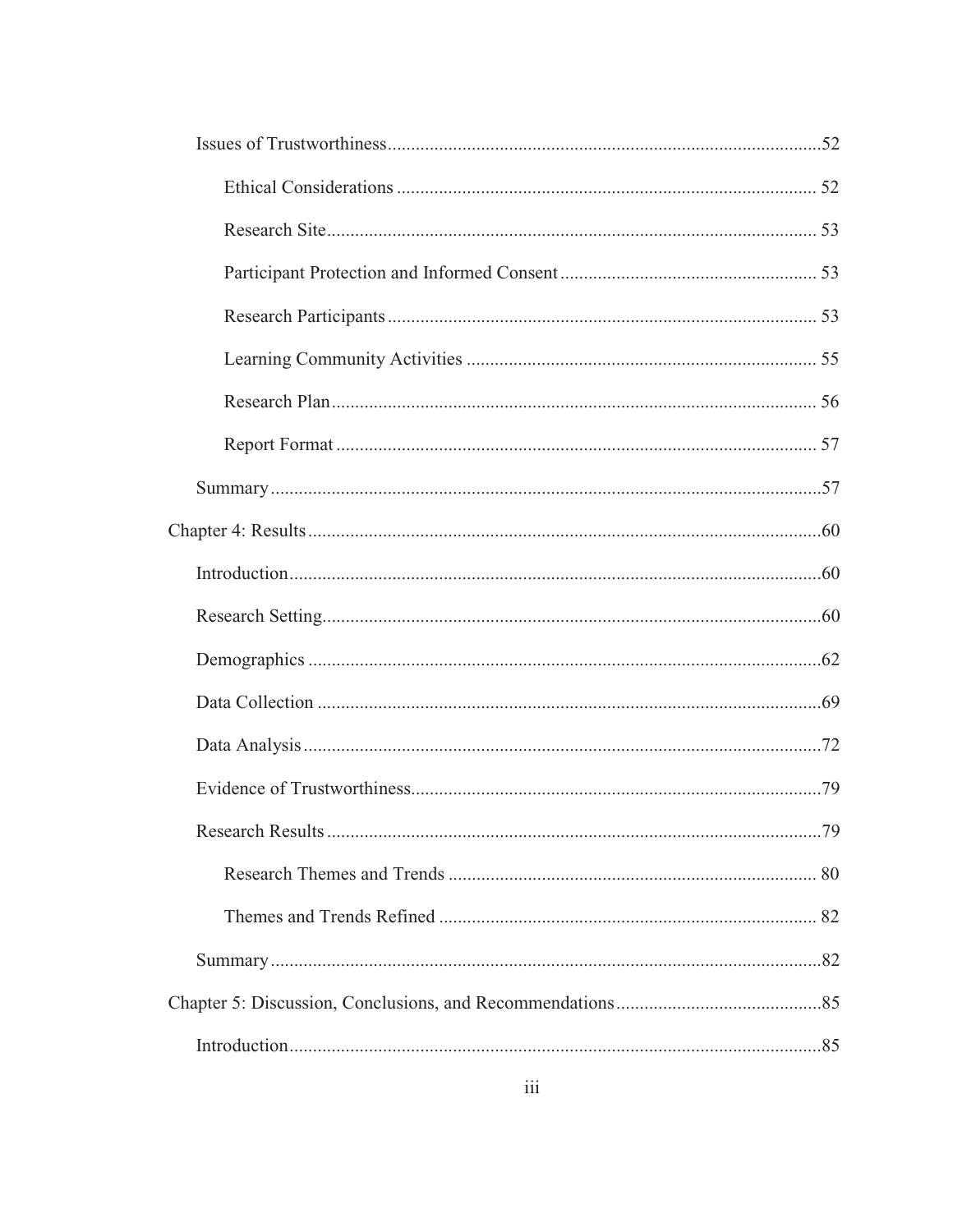|  | .79 |
|--|-----|
|  |     |
|  |     |
|  |     |
|  |     |
|  |     |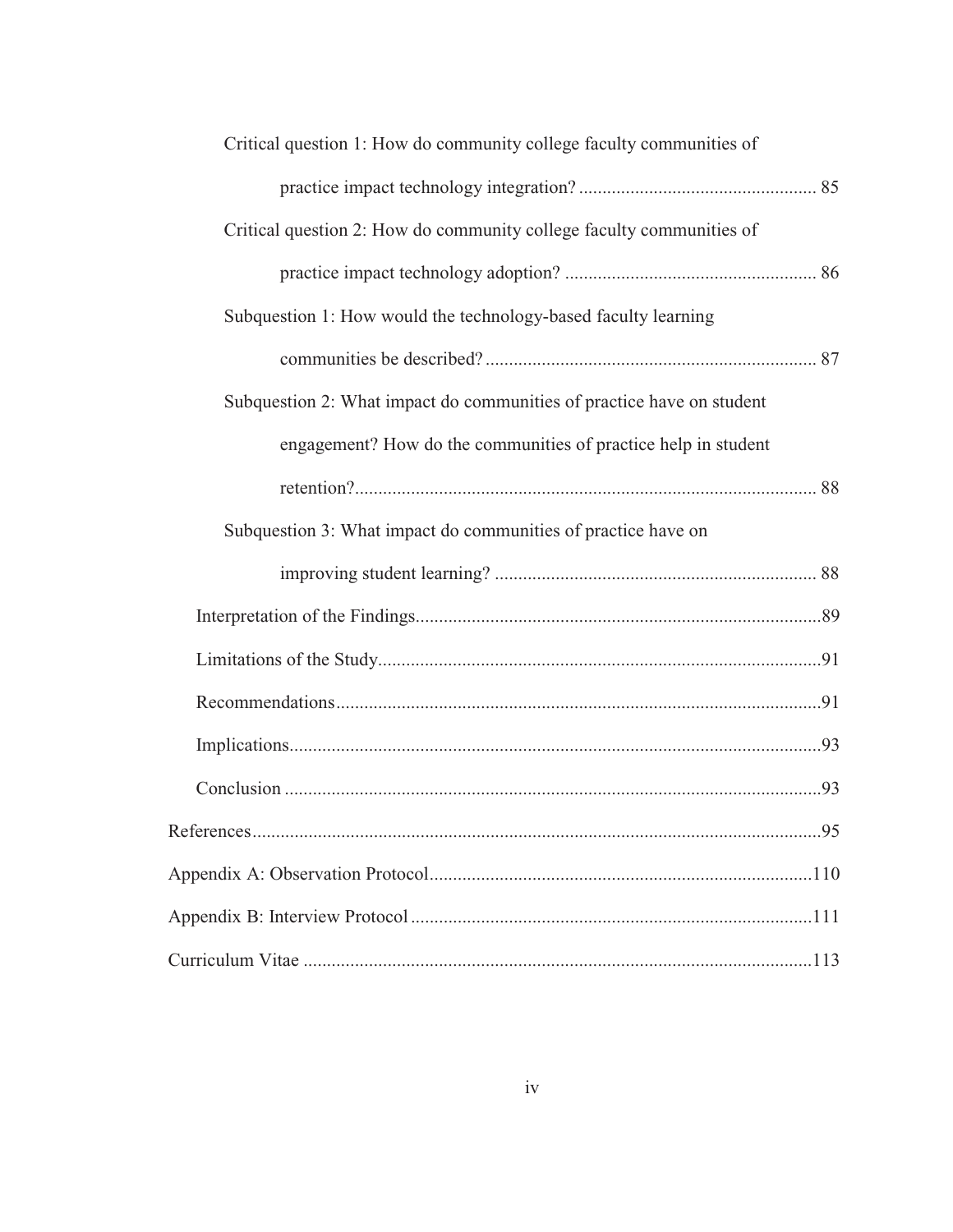| Critical question 1: How do community college faculty communities of  |    |
|-----------------------------------------------------------------------|----|
|                                                                       |    |
| Critical question 2: How do community college faculty communities of  |    |
|                                                                       |    |
| Subquestion 1: How would the technology-based faculty learning        |    |
|                                                                       |    |
| Subquestion 2: What impact do communities of practice have on student |    |
| engagement? How do the communities of practice help in student        |    |
|                                                                       |    |
| Subquestion 3: What impact do communities of practice have on         |    |
|                                                                       |    |
|                                                                       |    |
|                                                                       |    |
|                                                                       |    |
|                                                                       |    |
|                                                                       |    |
|                                                                       | 95 |
|                                                                       |    |
|                                                                       |    |
|                                                                       |    |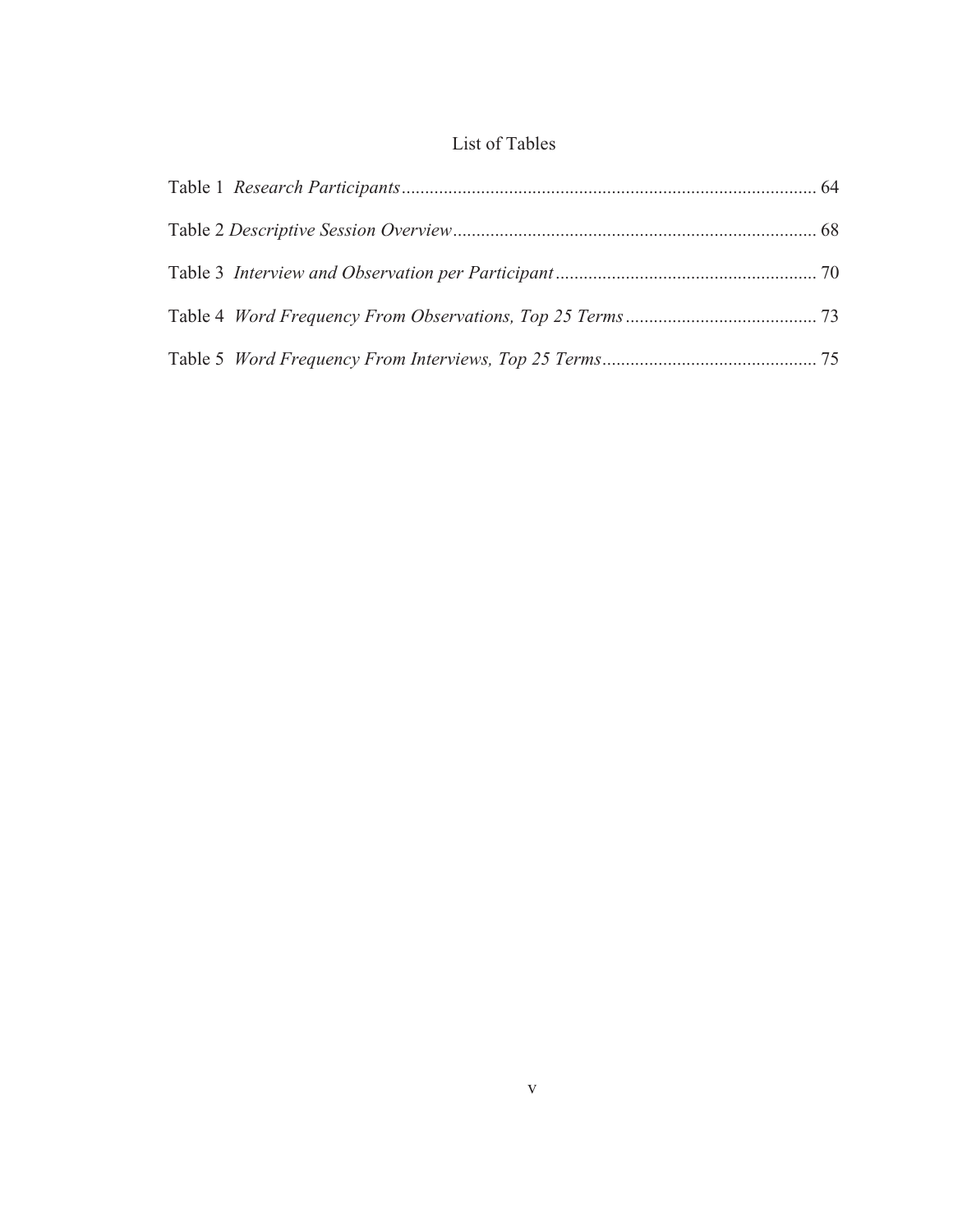## List of Tables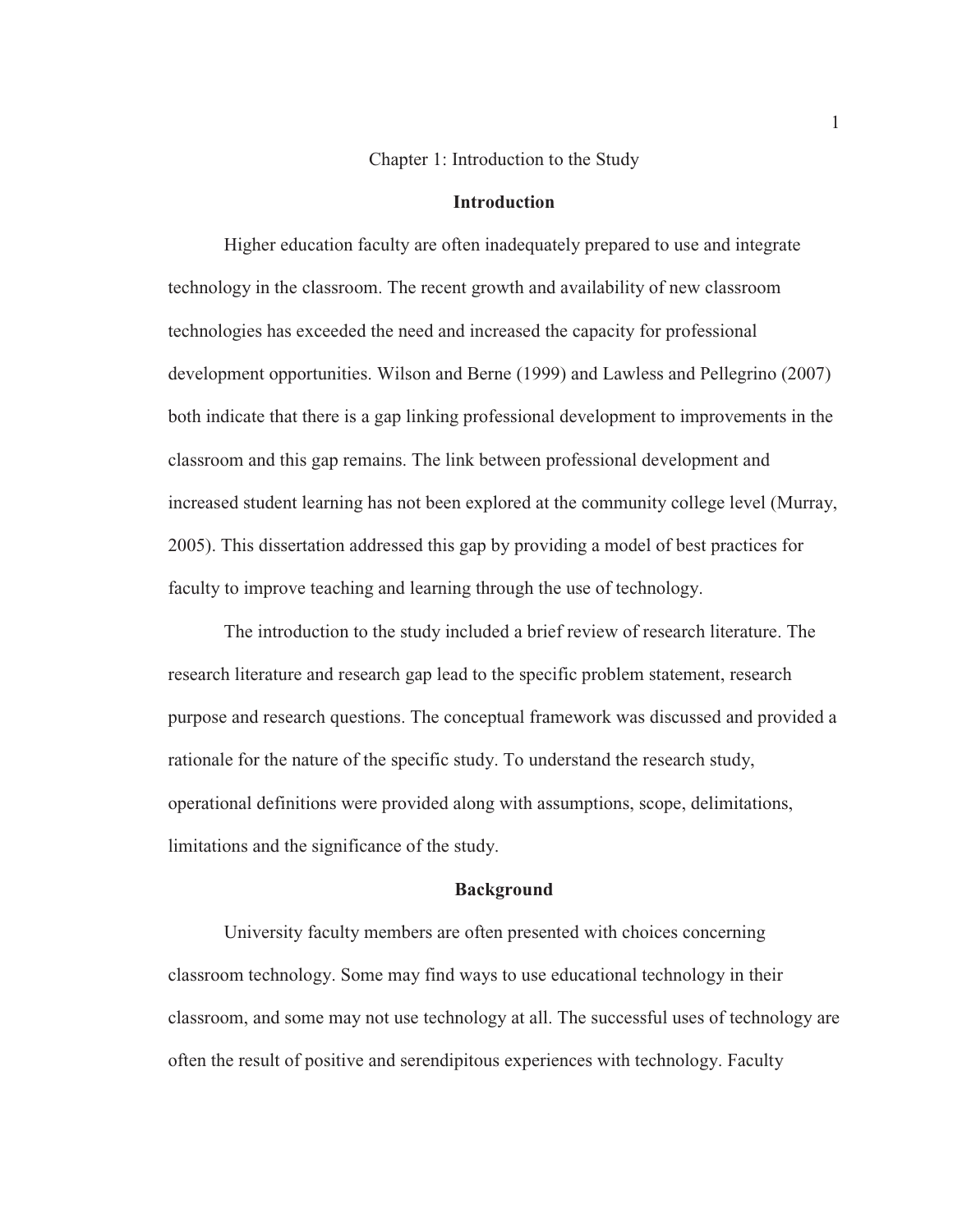#### Chapter 1: Introduction to the Study

#### **Introduction**

Higher education faculty are often inadequately prepared to use and integrate technology in the classroom. The recent growth and availability of new classroom technologies has exceeded the need and increased the capacity for professional development opportunities. Wilson and Berne (1999) and Lawless and Pellegrino (2007) both indicate that there is a gap linking professional development to improvements in the classroom and this gap remains. The link between professional development and increased student learning has not been explored at the community college level (Murray, 2005). This dissertation addressed this gap by providing a model of best practices for faculty to improve teaching and learning through the use of technology.

The introduction to the study included a brief review of research literature. The research literature and research gap lead to the specific problem statement, research purpose and research questions. The conceptual framework was discussed and provided a rationale for the nature of the specific study. To understand the research study, operational definitions were provided along with assumptions, scope, delimitations, limitations and the significance of the study.

#### **Background**

University faculty members are often presented with choices concerning classroom technology. Some may find ways to use educational technology in their classroom, and some may not use technology at all. The successful uses of technology are often the result of positive and serendipitous experiences with technology. Faculty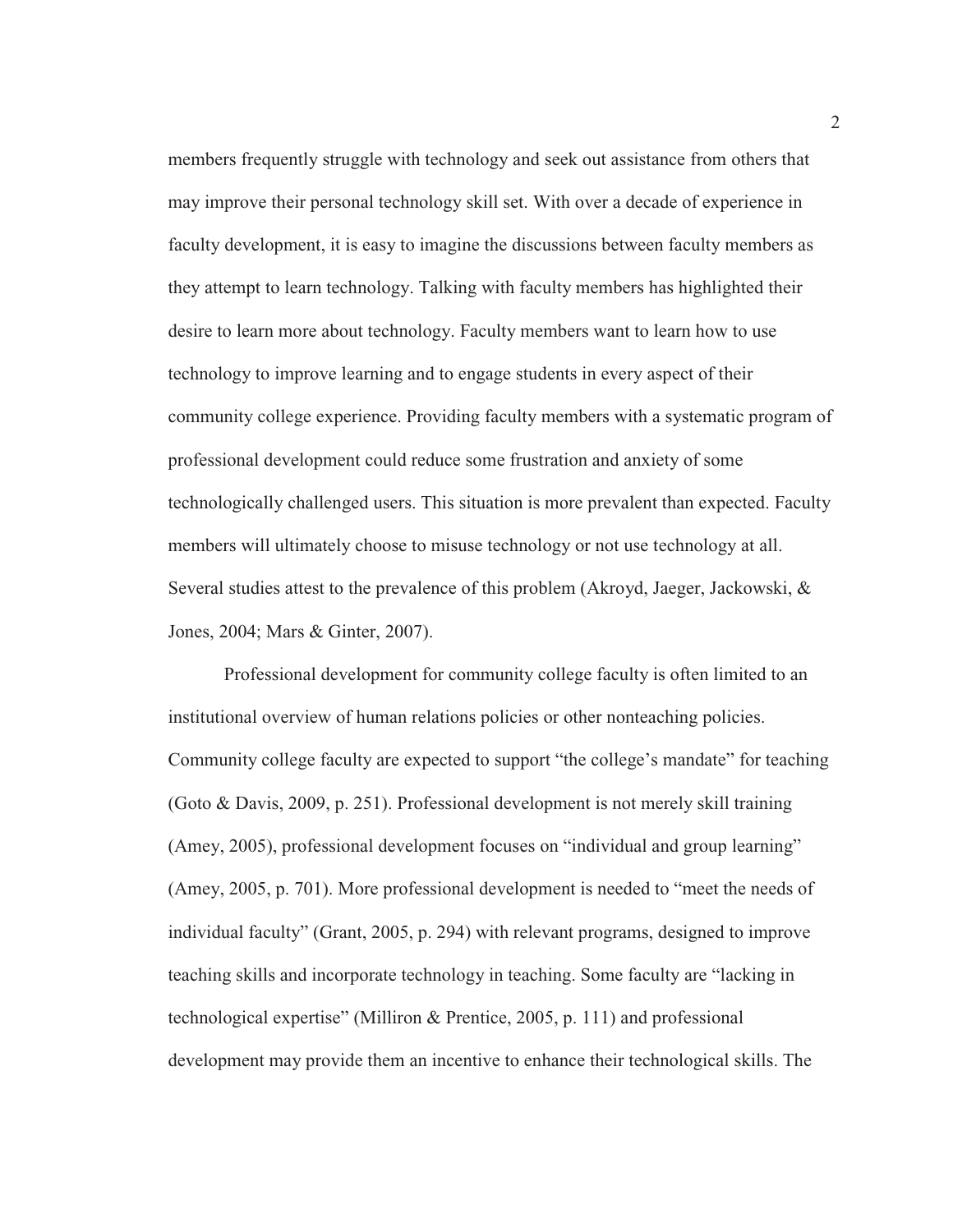members frequently struggle with technology and seek out assistance from others that may improve their personal technology skill set. With over a decade of experience in faculty development, it is easy to imagine the discussions between faculty members as they attempt to learn technology. Talking with faculty members has highlighted their desire to learn more about technology. Faculty members want to learn how to use technology to improve learning and to engage students in every aspect of their community college experience. Providing faculty members with a systematic program of professional development could reduce some frustration and anxiety of some technologically challenged users. This situation is more prevalent than expected. Faculty members will ultimately choose to misuse technology or not use technology at all. Several studies attest to the prevalence of this problem (Akroyd, Jaeger, Jackowski, & Jones, 2004; Mars & Ginter, 2007).

Professional development for community college faculty is often limited to an institutional overview of human relations policies or other nonteaching policies. Community college faculty are expected to support "the college's mandate" for teaching (Goto & Davis, 2009, p. 251). Professional development is not merely skill training (Amey, 2005), professional development focuses on "individual and group learning" (Amey, 2005, p. 701). More professional development is needed to "meet the needs of individual faculty" (Grant, 2005, p. 294) with relevant programs, designed to improve teaching skills and incorporate technology in teaching. Some faculty are "lacking in technological expertise" (Milliron & Prentice, 2005, p. 111) and professional development may provide them an incentive to enhance their technological skills. The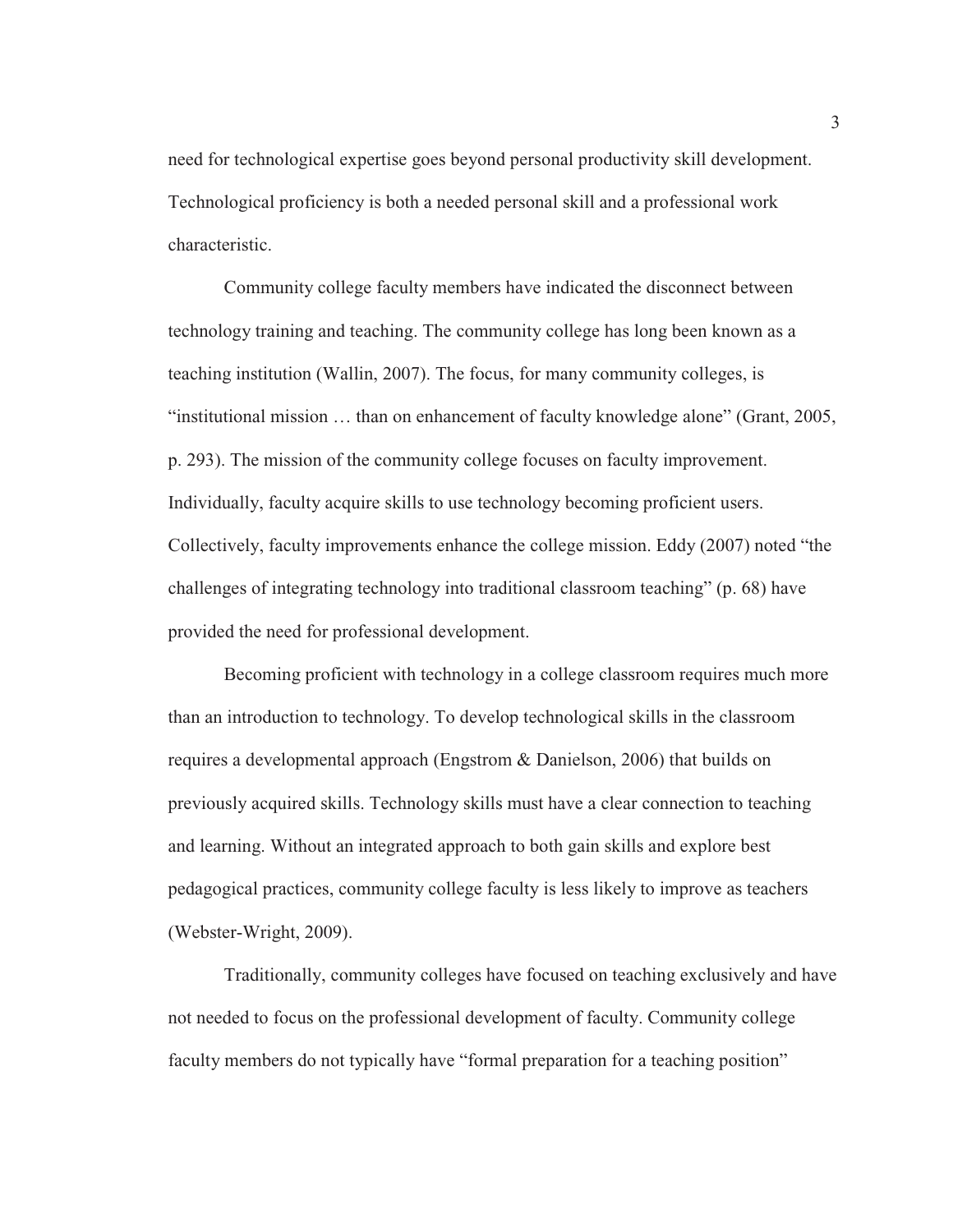need for technological expertise goes beyond personal productivity skill development. Technological proficiency is both a needed personal skill and a professional work characteristic.

Community college faculty members have indicated the disconnect between technology training and teaching. The community college has long been known as a teaching institution (Wallin, 2007). The focus, for many community colleges, is "institutional mission … than on enhancement of faculty knowledge alone" (Grant, 2005, p. 293). The mission of the community college focuses on faculty improvement. Individually, faculty acquire skills to use technology becoming proficient users. Collectively, faculty improvements enhance the college mission. Eddy (2007) noted "the challenges of integrating technology into traditional classroom teaching" (p. 68) have provided the need for professional development.

Becoming proficient with technology in a college classroom requires much more than an introduction to technology. To develop technological skills in the classroom requires a developmental approach (Engstrom & Danielson, 2006) that builds on previously acquired skills. Technology skills must have a clear connection to teaching and learning. Without an integrated approach to both gain skills and explore best pedagogical practices, community college faculty is less likely to improve as teachers (Webster-Wright, 2009).

Traditionally, community colleges have focused on teaching exclusively and have not needed to focus on the professional development of faculty. Community college faculty members do not typically have "formal preparation for a teaching position"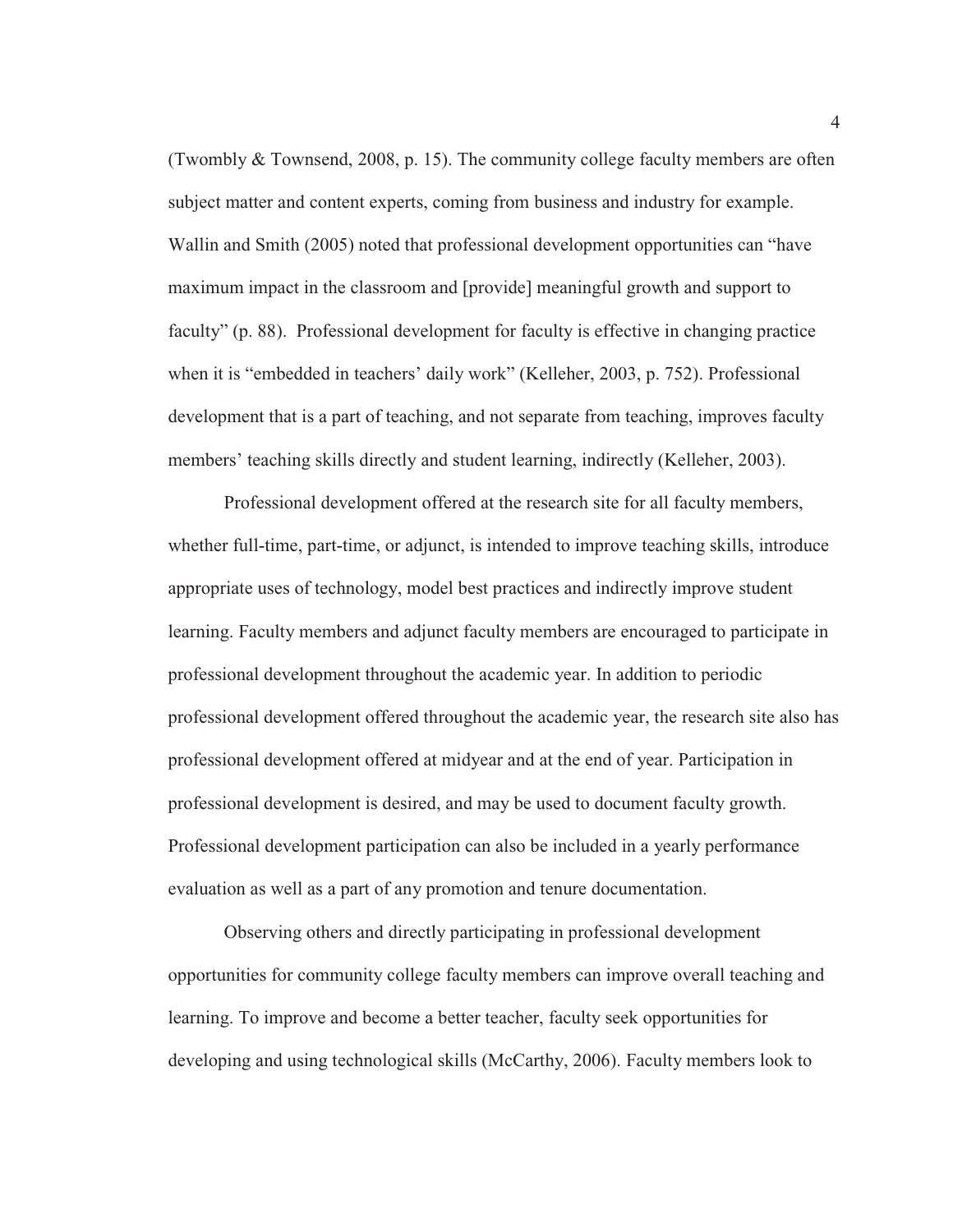(Twombly  $&$  Townsend, 2008, p. 15). The community college faculty members are often subject matter and content experts, coming from business and industry for example. Wallin and Smith (2005) noted that professional development opportunities can "have maximum impact in the classroom and [provide] meaningful growth and support to faculty" (p. 88). Professional development for faculty is effective in changing practice when it is "embedded in teachers' daily work" (Kelleher, 2003, p. 752). Professional development that is a part of teaching, and not separate from teaching, improves faculty members' teaching skills directly and student learning, indirectly (Kelleher, 2003).

Professional development offered at the research site for all faculty members, whether full-time, part-time, or adjunct, is intended to improve teaching skills, introduce appropriate uses of technology, model best practices and indirectly improve student learning. Faculty members and adjunct faculty members are encouraged to participate in professional development throughout the academic year. In addition to periodic professional development offered throughout the academic year, the research site also has professional development offered at midyear and at the end of year. Participation in professional development is desired, and may be used to document faculty growth. Professional development participation can also be included in a yearly performance evaluation as well as a part of any promotion and tenure documentation.

Observing others and directly participating in professional development opportunities for community college faculty members can improve overall teaching and learning. To improve and become a better teacher, faculty seek opportunities for developing and using technological skills (McCarthy, 2006). Faculty members look to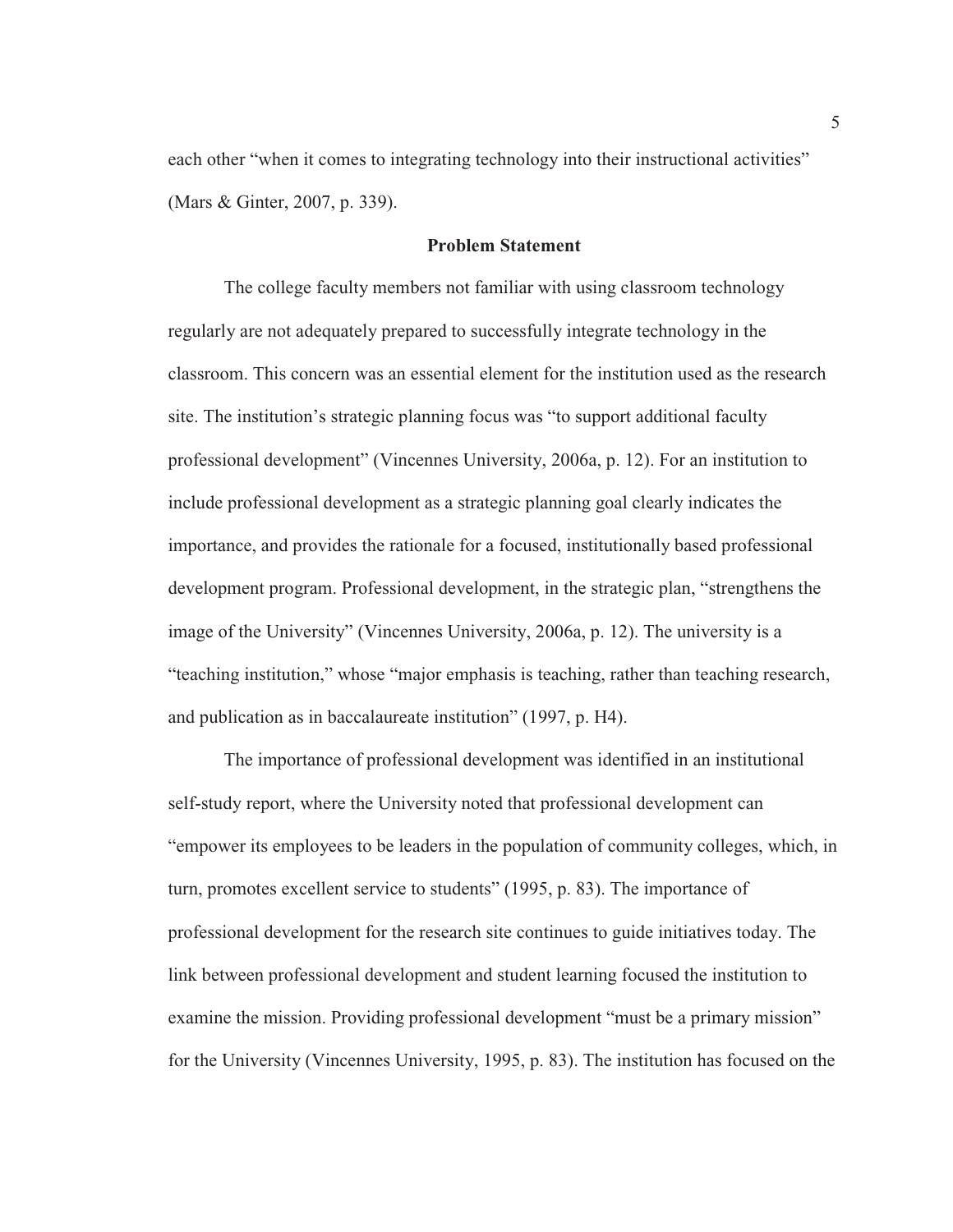each other "when it comes to integrating technology into their instructional activities" (Mars & Ginter, 2007, p. 339).

#### **Problem Statement**

The college faculty members not familiar with using classroom technology regularly are not adequately prepared to successfully integrate technology in the classroom. This concern was an essential element for the institution used as the research site. The institution's strategic planning focus was "to support additional faculty professional development" (Vincennes University, 2006a, p. 12). For an institution to include professional development as a strategic planning goal clearly indicates the importance, and provides the rationale for a focused, institutionally based professional development program. Professional development, in the strategic plan, "strengthens the image of the University" (Vincennes University, 2006a, p. 12). The university is a "teaching institution," whose "major emphasis is teaching, rather than teaching research, and publication as in baccalaureate institution" (1997, p. H4).

The importance of professional development was identified in an institutional self-study report, where the University noted that professional development can "empower its employees to be leaders in the population of community colleges, which, in turn, promotes excellent service to students" (1995, p. 83). The importance of professional development for the research site continues to guide initiatives today. The link between professional development and student learning focused the institution to examine the mission. Providing professional development "must be a primary mission" for the University (Vincennes University, 1995, p. 83). The institution has focused on the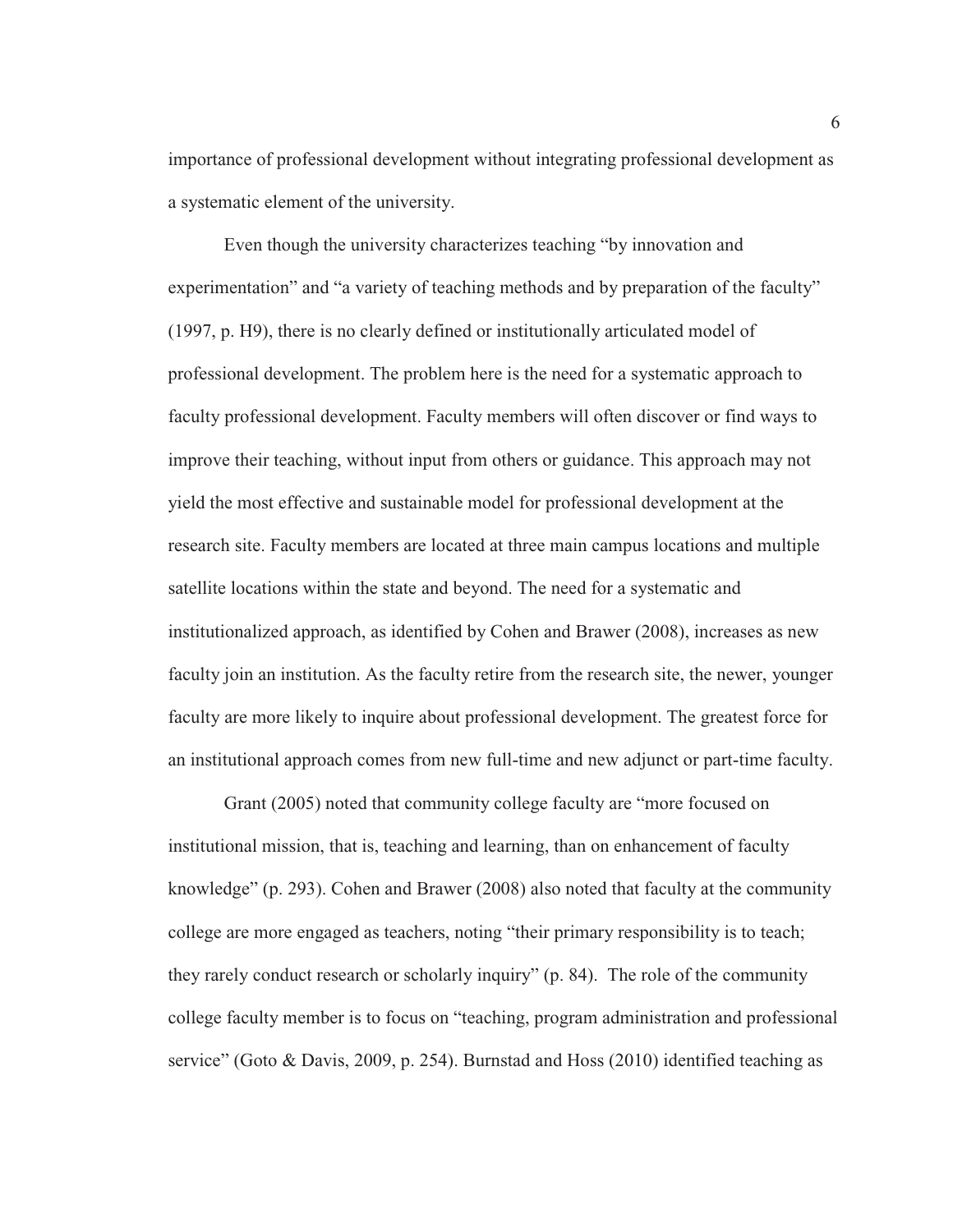importance of professional development without integrating professional development as a systematic element of the university.

Even though the university characterizes teaching "by innovation and experimentation" and "a variety of teaching methods and by preparation of the faculty" (1997, p. H9), there is no clearly defined or institutionally articulated model of professional development. The problem here is the need for a systematic approach to faculty professional development. Faculty members will often discover or find ways to improve their teaching, without input from others or guidance. This approach may not yield the most effective and sustainable model for professional development at the research site. Faculty members are located at three main campus locations and multiple satellite locations within the state and beyond. The need for a systematic and institutionalized approach, as identified by Cohen and Brawer (2008), increases as new faculty join an institution. As the faculty retire from the research site, the newer, younger faculty are more likely to inquire about professional development. The greatest force for an institutional approach comes from new full-time and new adjunct or part-time faculty.

Grant (2005) noted that community college faculty are "more focused on institutional mission, that is, teaching and learning, than on enhancement of faculty knowledge" (p. 293). Cohen and Brawer (2008) also noted that faculty at the community college are more engaged as teachers, noting "their primary responsibility is to teach; they rarely conduct research or scholarly inquiry" (p. 84). The role of the community college faculty member is to focus on "teaching, program administration and professional service" (Goto & Davis, 2009, p. 254). Burnstad and Hoss (2010) identified teaching as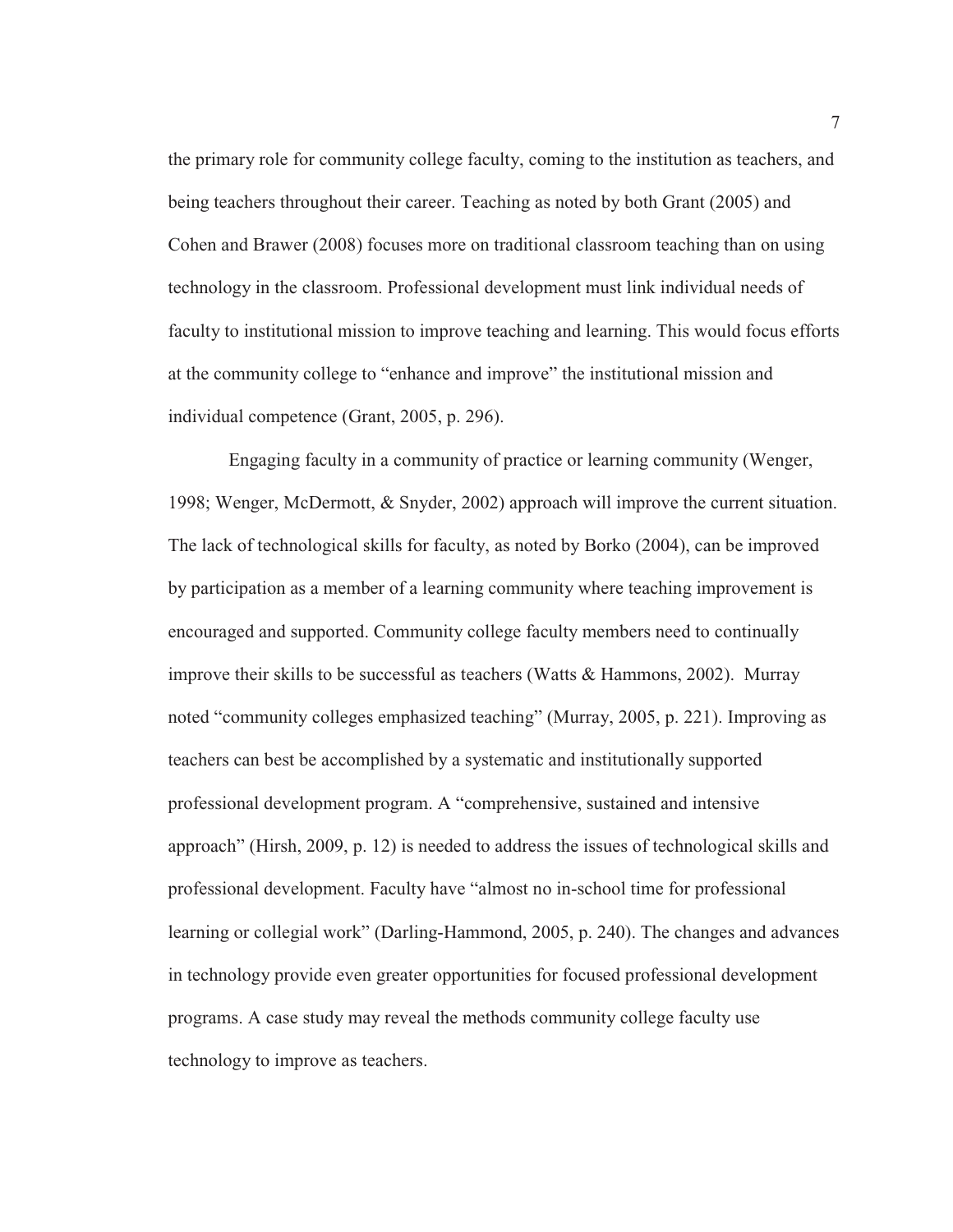the primary role for community college faculty, coming to the institution as teachers, and being teachers throughout their career. Teaching as noted by both Grant (2005) and Cohen and Brawer (2008) focuses more on traditional classroom teaching than on using technology in the classroom. Professional development must link individual needs of faculty to institutional mission to improve teaching and learning. This would focus efforts at the community college to "enhance and improve" the institutional mission and individual competence (Grant, 2005, p. 296).

 Engaging faculty in a community of practice or learning community (Wenger, 1998; Wenger, McDermott, & Snyder, 2002) approach will improve the current situation. The lack of technological skills for faculty, as noted by Borko (2004), can be improved by participation as a member of a learning community where teaching improvement is encouraged and supported. Community college faculty members need to continually improve their skills to be successful as teachers (Watts & Hammons, 2002). Murray noted "community colleges emphasized teaching" (Murray, 2005, p. 221). Improving as teachers can best be accomplished by a systematic and institutionally supported professional development program. A "comprehensive, sustained and intensive approach" (Hirsh, 2009, p. 12) is needed to address the issues of technological skills and professional development. Faculty have "almost no in-school time for professional learning or collegial work" (Darling-Hammond, 2005, p. 240). The changes and advances in technology provide even greater opportunities for focused professional development programs. A case study may reveal the methods community college faculty use technology to improve as teachers.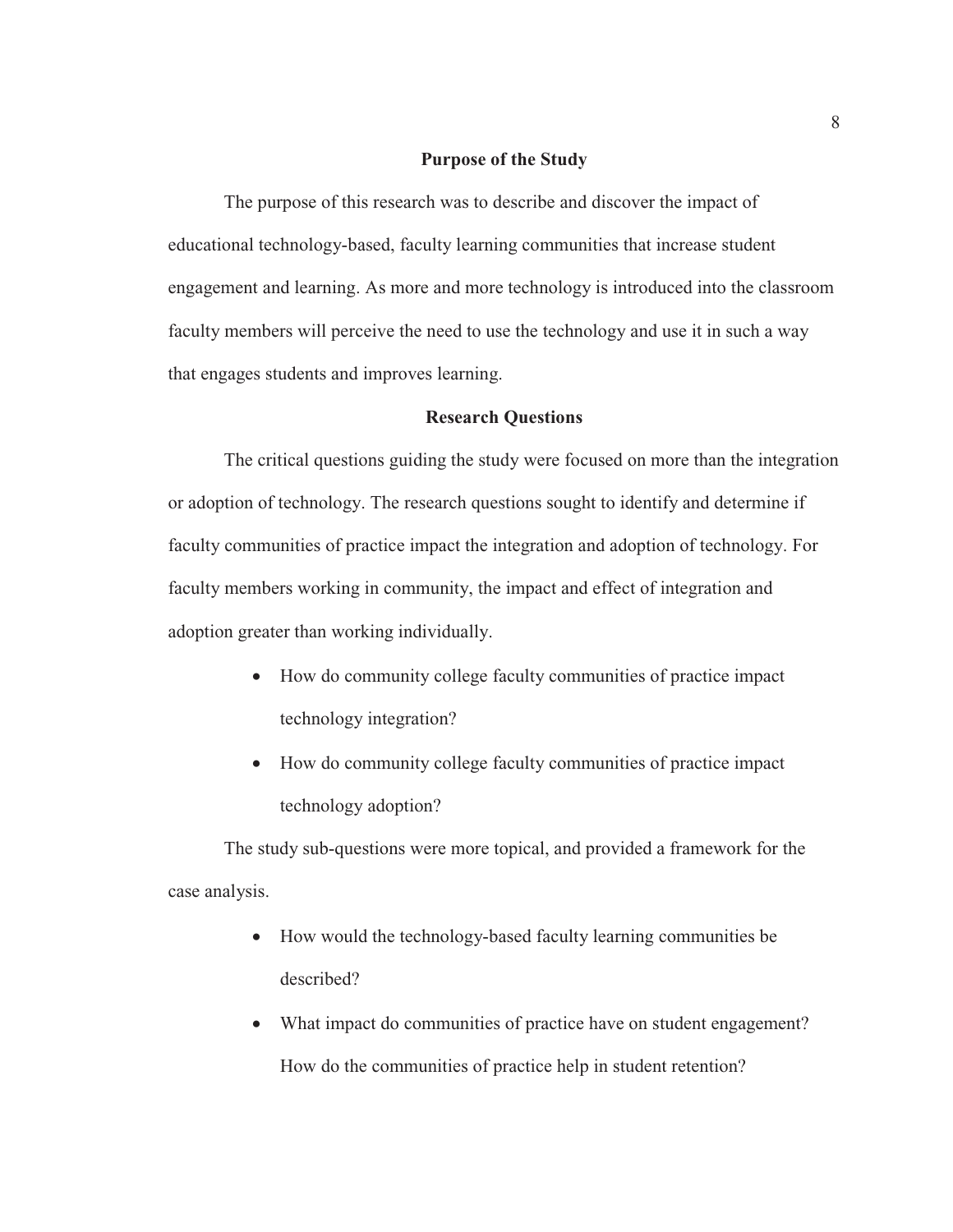#### **Purpose of the Study**

The purpose of this research was to describe and discover the impact of educational technology-based, faculty learning communities that increase student engagement and learning. As more and more technology is introduced into the classroom faculty members will perceive the need to use the technology and use it in such a way that engages students and improves learning.

#### **Research Questions**

The critical questions guiding the study were focused on more than the integration or adoption of technology. The research questions sought to identify and determine if faculty communities of practice impact the integration and adoption of technology. For faculty members working in community, the impact and effect of integration and adoption greater than working individually.

- How do community college faculty communities of practice impact technology integration?
- How do community college faculty communities of practice impact technology adoption?

The study sub-questions were more topical, and provided a framework for the case analysis.

- How would the technology-based faculty learning communities be described?
- What impact do communities of practice have on student engagement? How do the communities of practice help in student retention?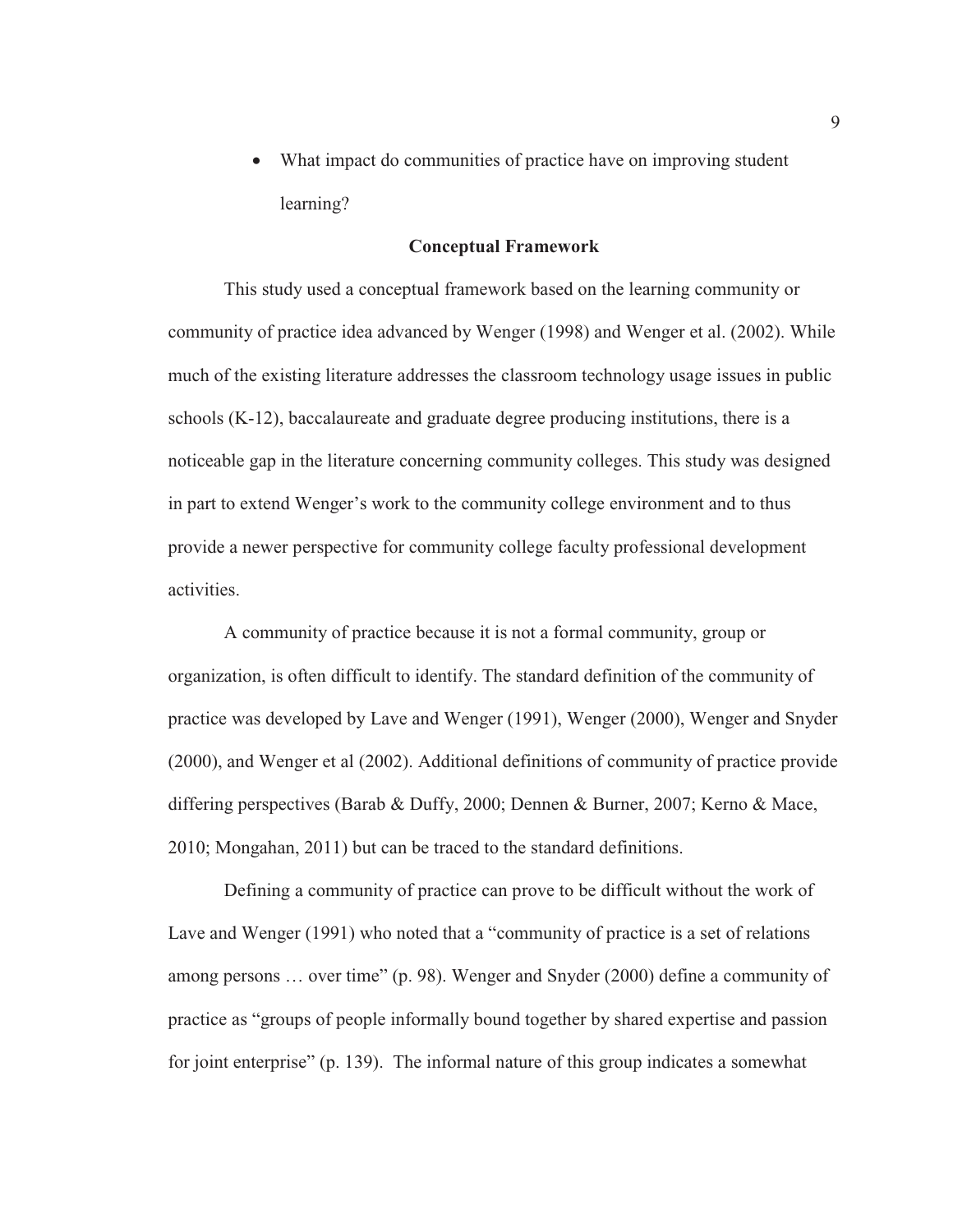What impact do communities of practice have on improving student learning?

#### **Conceptual Framework**

This study used a conceptual framework based on the learning community or community of practice idea advanced by Wenger (1998) and Wenger et al. (2002). While much of the existing literature addresses the classroom technology usage issues in public schools (K-12), baccalaureate and graduate degree producing institutions, there is a noticeable gap in the literature concerning community colleges. This study was designed in part to extend Wenger's work to the community college environment and to thus provide a newer perspective for community college faculty professional development activities.

A community of practice because it is not a formal community, group or organization, is often difficult to identify. The standard definition of the community of practice was developed by Lave and Wenger (1991), Wenger (2000), Wenger and Snyder (2000), and Wenger et al (2002). Additional definitions of community of practice provide differing perspectives (Barab & Duffy, 2000; Dennen & Burner, 2007; Kerno & Mace, 2010; Mongahan, 2011) but can be traced to the standard definitions.

Defining a community of practice can prove to be difficult without the work of Lave and Wenger (1991) who noted that a "community of practice is a set of relations among persons … over time" (p. 98). Wenger and Snyder (2000) define a community of practice as "groups of people informally bound together by shared expertise and passion for joint enterprise" (p. 139). The informal nature of this group indicates a somewhat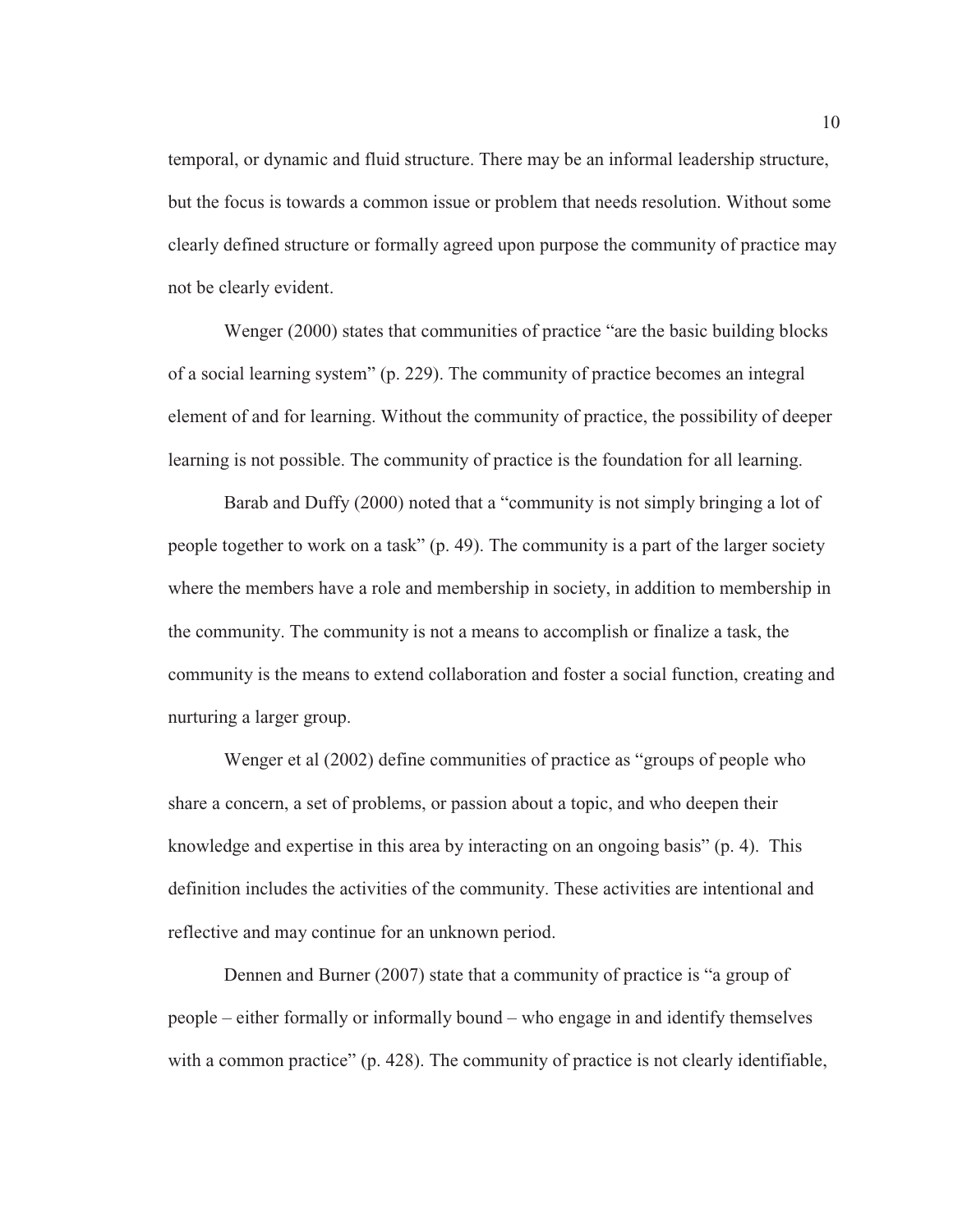temporal, or dynamic and fluid structure. There may be an informal leadership structure, but the focus is towards a common issue or problem that needs resolution. Without some clearly defined structure or formally agreed upon purpose the community of practice may not be clearly evident.

Wenger (2000) states that communities of practice "are the basic building blocks of a social learning system" (p. 229). The community of practice becomes an integral element of and for learning. Without the community of practice, the possibility of deeper learning is not possible. The community of practice is the foundation for all learning.

Barab and Duffy (2000) noted that a "community is not simply bringing a lot of people together to work on a task" (p. 49). The community is a part of the larger society where the members have a role and membership in society, in addition to membership in the community. The community is not a means to accomplish or finalize a task, the community is the means to extend collaboration and foster a social function, creating and nurturing a larger group.

Wenger et al (2002) define communities of practice as "groups of people who share a concern, a set of problems, or passion about a topic, and who deepen their knowledge and expertise in this area by interacting on an ongoing basis" (p. 4). This definition includes the activities of the community. These activities are intentional and reflective and may continue for an unknown period.

Dennen and Burner (2007) state that a community of practice is "a group of people – either formally or informally bound – who engage in and identify themselves with a common practice" (p. 428). The community of practice is not clearly identifiable,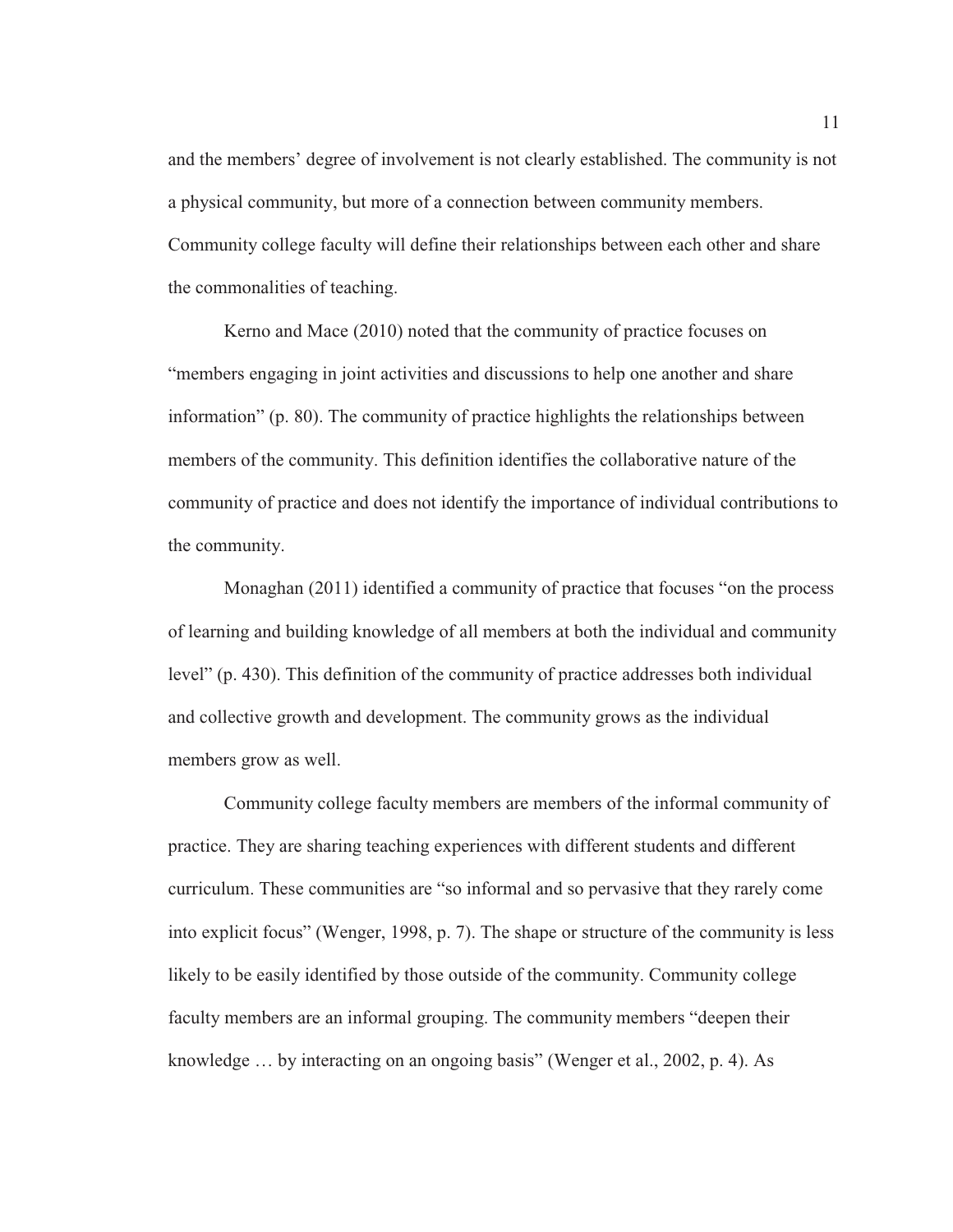and the members' degree of involvement is not clearly established. The community is not a physical community, but more of a connection between community members. Community college faculty will define their relationships between each other and share the commonalities of teaching.

Kerno and Mace (2010) noted that the community of practice focuses on "members engaging in joint activities and discussions to help one another and share information" (p. 80). The community of practice highlights the relationships between members of the community. This definition identifies the collaborative nature of the community of practice and does not identify the importance of individual contributions to the community.

Monaghan (2011) identified a community of practice that focuses "on the process of learning and building knowledge of all members at both the individual and community level" (p. 430). This definition of the community of practice addresses both individual and collective growth and development. The community grows as the individual members grow as well.

Community college faculty members are members of the informal community of practice. They are sharing teaching experiences with different students and different curriculum. These communities are "so informal and so pervasive that they rarely come into explicit focus" (Wenger, 1998, p. 7). The shape or structure of the community is less likely to be easily identified by those outside of the community. Community college faculty members are an informal grouping. The community members "deepen their knowledge … by interacting on an ongoing basis" (Wenger et al., 2002, p. 4). As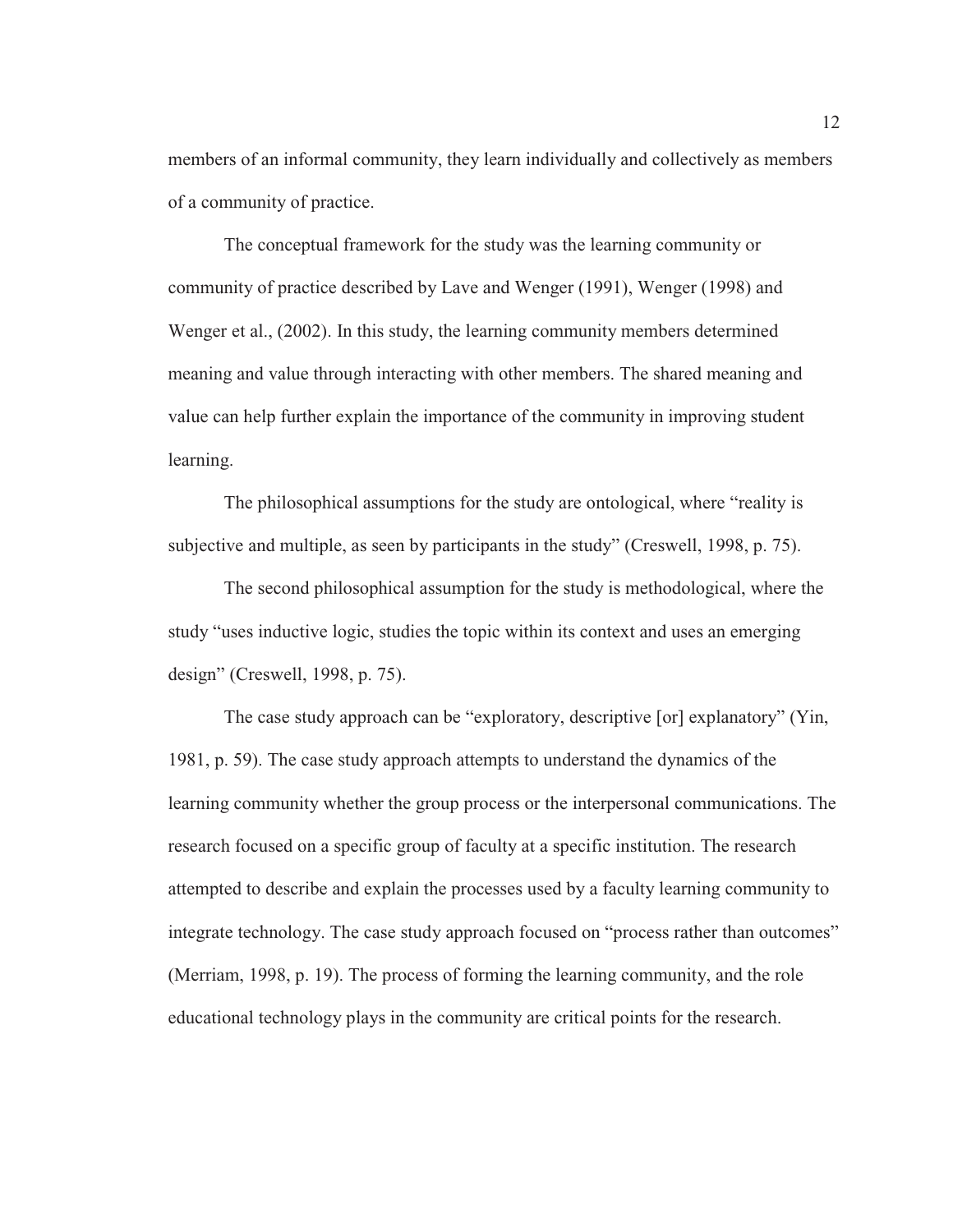members of an informal community, they learn individually and collectively as members of a community of practice.

The conceptual framework for the study was the learning community or community of practice described by Lave and Wenger (1991), Wenger (1998) and Wenger et al., (2002). In this study, the learning community members determined meaning and value through interacting with other members. The shared meaning and value can help further explain the importance of the community in improving student learning.

The philosophical assumptions for the study are ontological, where "reality is subjective and multiple, as seen by participants in the study" (Creswell, 1998, p. 75).

The second philosophical assumption for the study is methodological, where the study "uses inductive logic, studies the topic within its context and uses an emerging design" (Creswell, 1998, p. 75).

The case study approach can be "exploratory, descriptive [or] explanatory" (Yin, 1981, p. 59). The case study approach attempts to understand the dynamics of the learning community whether the group process or the interpersonal communications. The research focused on a specific group of faculty at a specific institution. The research attempted to describe and explain the processes used by a faculty learning community to integrate technology. The case study approach focused on "process rather than outcomes" (Merriam, 1998, p. 19). The process of forming the learning community, and the role educational technology plays in the community are critical points for the research.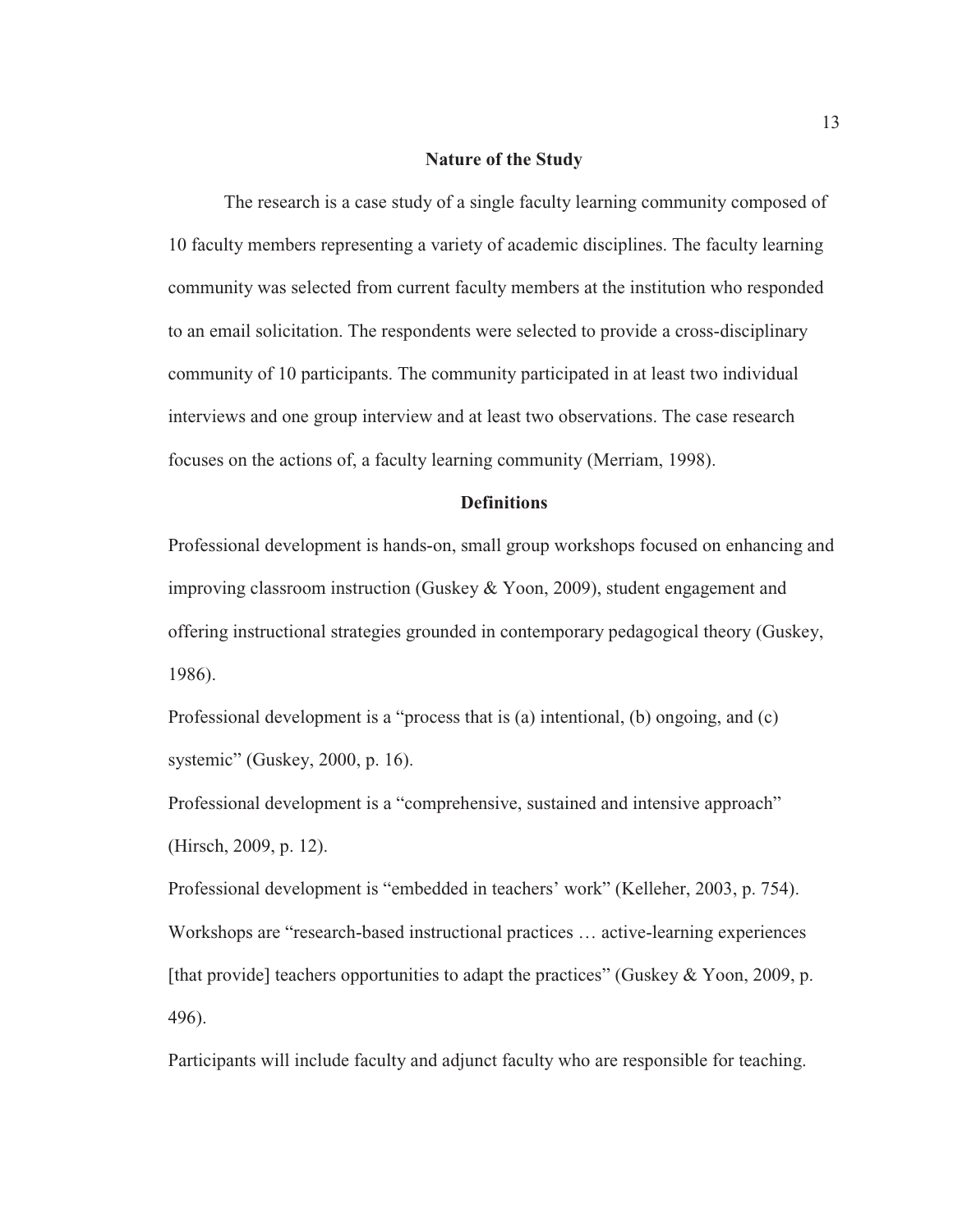#### **Nature of the Study**

The research is a case study of a single faculty learning community composed of 10 faculty members representing a variety of academic disciplines. The faculty learning community was selected from current faculty members at the institution who responded to an email solicitation. The respondents were selected to provide a cross-disciplinary community of 10 participants. The community participated in at least two individual interviews and one group interview and at least two observations. The case research focuses on the actions of, a faculty learning community (Merriam, 1998).

#### **Definitions**

Professional development is hands-on, small group workshops focused on enhancing and improving classroom instruction (Guskey & Yoon, 2009), student engagement and offering instructional strategies grounded in contemporary pedagogical theory (Guskey, 1986).

Professional development is a "process that is (a) intentional, (b) ongoing, and (c) systemic" (Guskey, 2000, p. 16).

Professional development is a "comprehensive, sustained and intensive approach" (Hirsch, 2009, p. 12).

Professional development is "embedded in teachers' work" (Kelleher, 2003, p. 754). Workshops are "research-based instructional practices … active-learning experiences [that provide] teachers opportunities to adapt the practices" (Guskey & Yoon, 2009, p. 496).

Participants will include faculty and adjunct faculty who are responsible for teaching.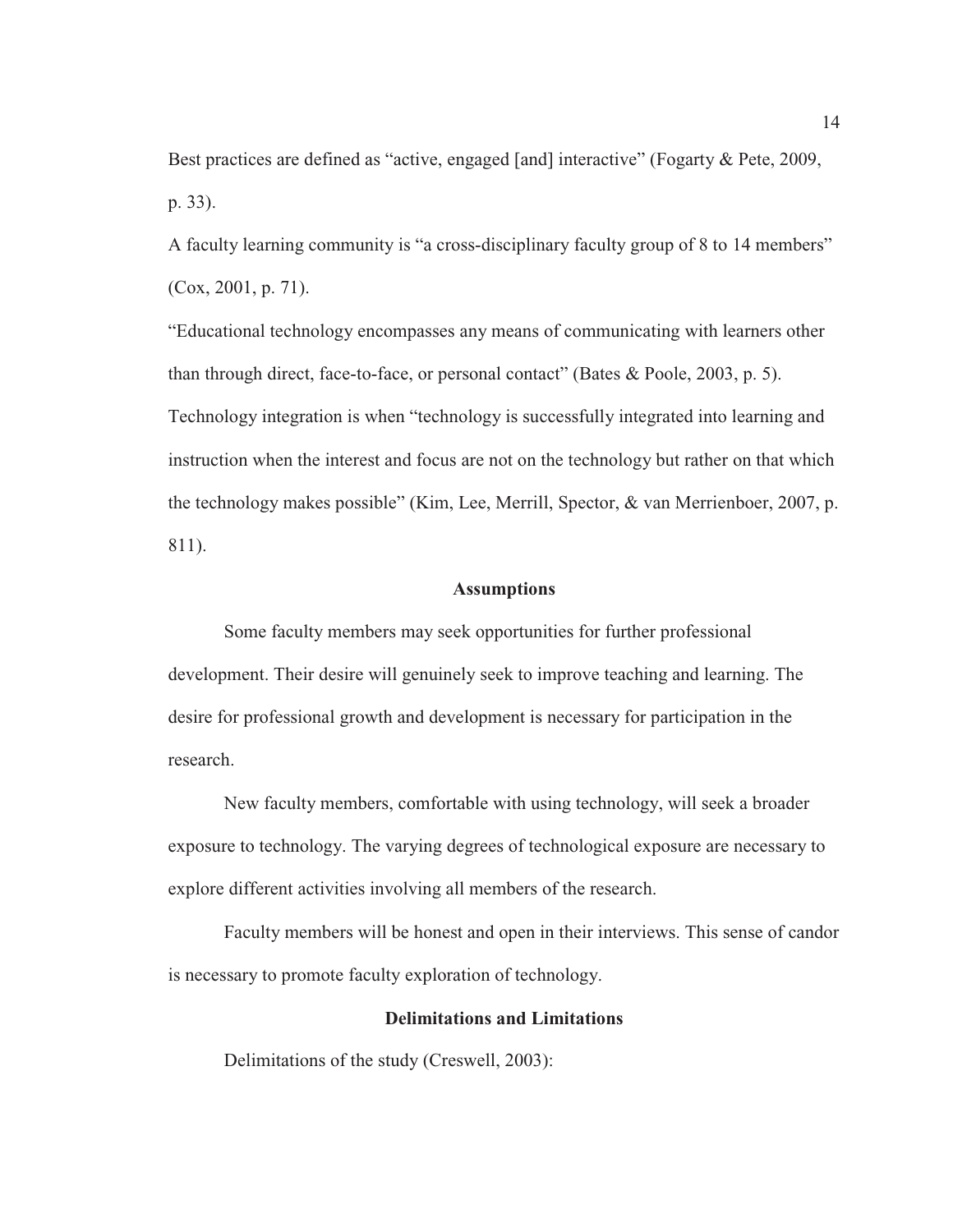Best practices are defined as "active, engaged [and] interactive" (Fogarty & Pete, 2009, p. 33).

A faculty learning community is "a cross-disciplinary faculty group of 8 to 14 members" (Cox, 2001, p. 71).

"Educational technology encompasses any means of communicating with learners other than through direct, face-to-face, or personal contact" (Bates & Poole, 2003, p. 5). Technology integration is when "technology is successfully integrated into learning and instruction when the interest and focus are not on the technology but rather on that which the technology makes possible" (Kim, Lee, Merrill, Spector, & van Merrienboer, 2007, p. 811).

#### **Assumptions**

Some faculty members may seek opportunities for further professional development. Their desire will genuinely seek to improve teaching and learning. The desire for professional growth and development is necessary for participation in the research.

New faculty members, comfortable with using technology, will seek a broader exposure to technology. The varying degrees of technological exposure are necessary to explore different activities involving all members of the research.

Faculty members will be honest and open in their interviews. This sense of candor is necessary to promote faculty exploration of technology.

#### **Delimitations and Limitations**

Delimitations of the study (Creswell, 2003):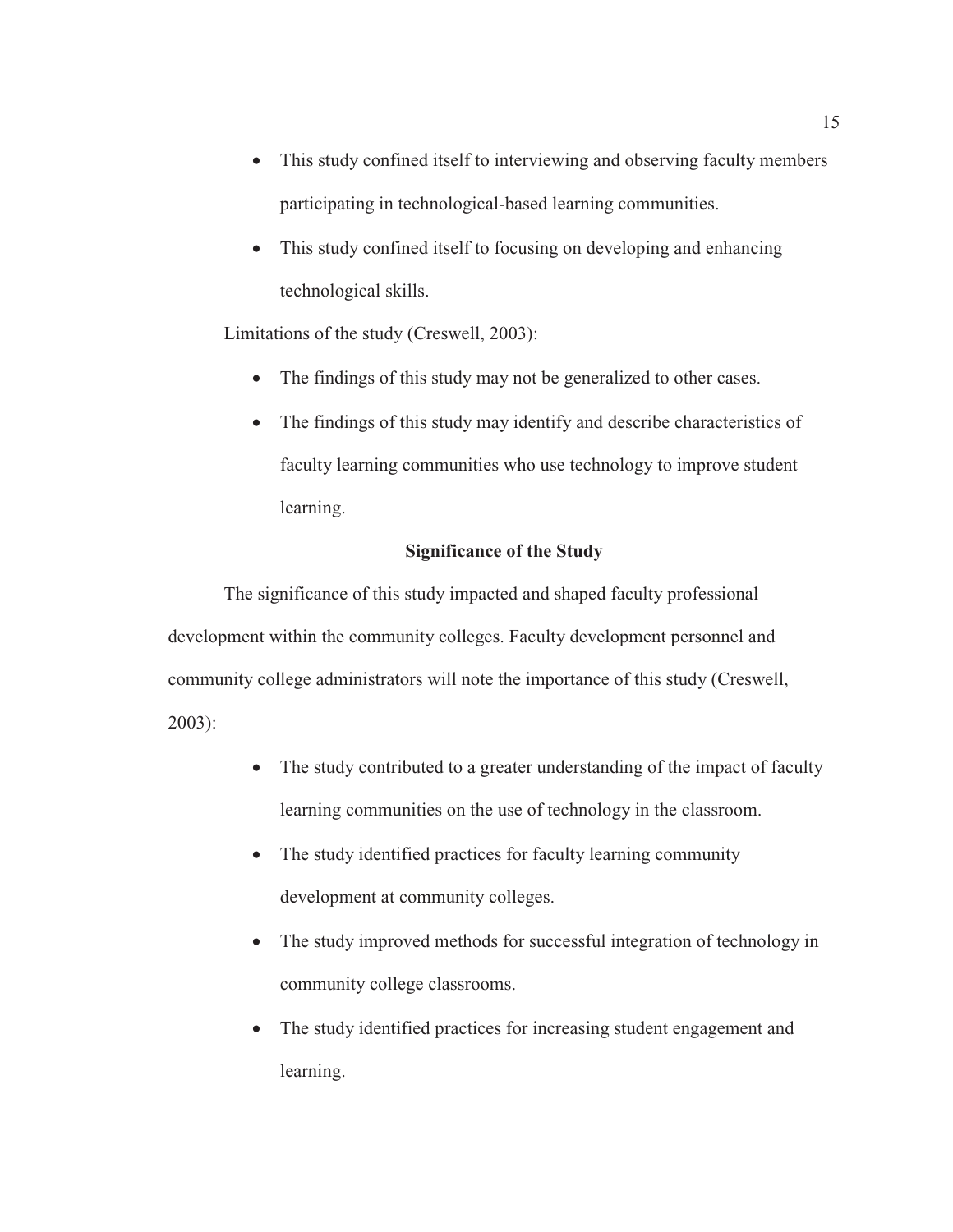- This study confined itself to interviewing and observing faculty members participating in technological-based learning communities.
- This study confined itself to focusing on developing and enhancing technological skills.

Limitations of the study (Creswell, 2003):

- The findings of this study may not be generalized to other cases.
- The findings of this study may identify and describe characteristics of faculty learning communities who use technology to improve student learning.

### **Significance of the Study**

The significance of this study impacted and shaped faculty professional development within the community colleges. Faculty development personnel and community college administrators will note the importance of this study (Creswell, 2003):

- The study contributed to a greater understanding of the impact of faculty learning communities on the use of technology in the classroom.
- The study identified practices for faculty learning community development at community colleges.
- The study improved methods for successful integration of technology in community college classrooms.
- The study identified practices for increasing student engagement and learning.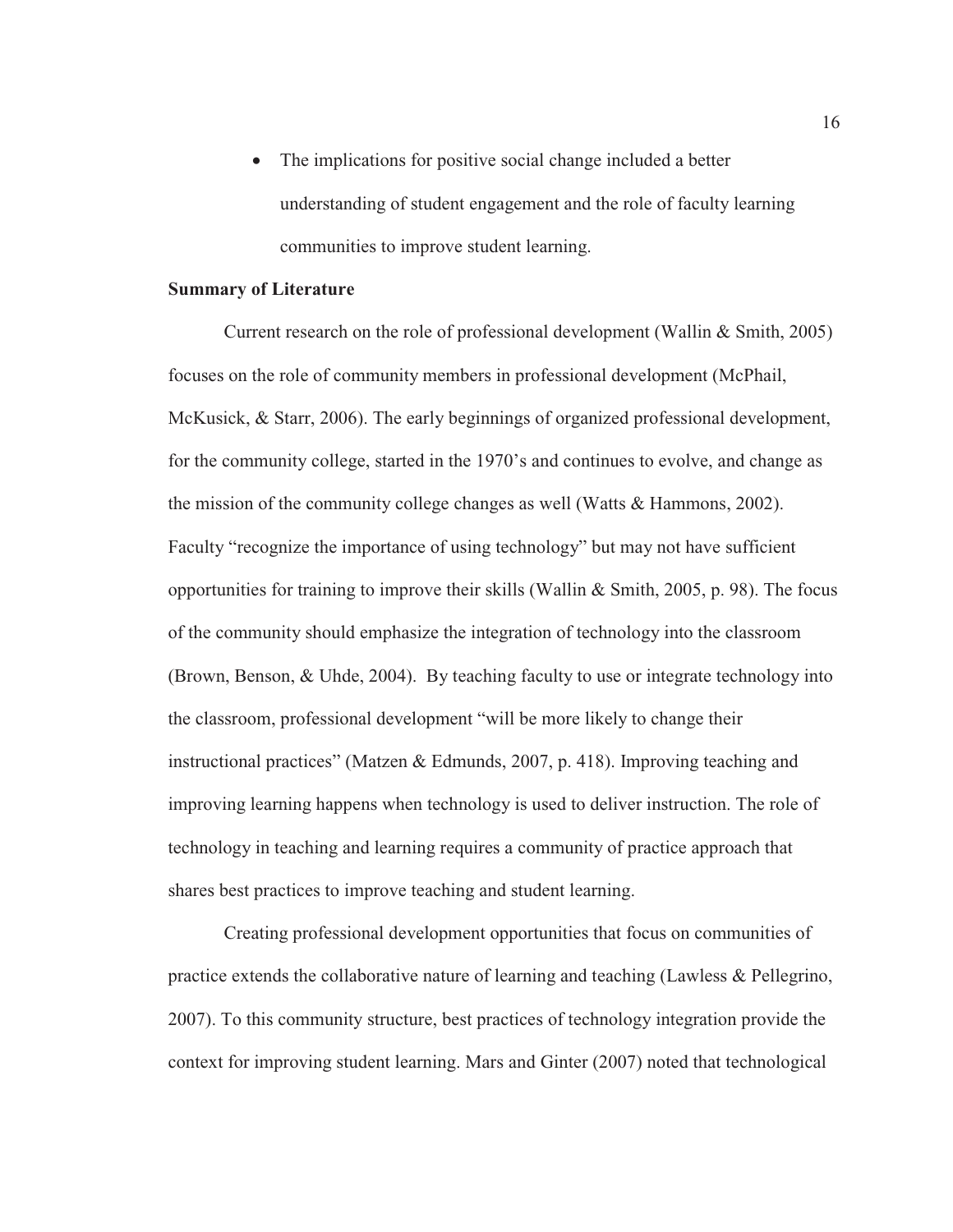The implications for positive social change included a better understanding of student engagement and the role of faculty learning communities to improve student learning.

#### **Summary of Literature**

Current research on the role of professional development (Wallin & Smith, 2005) focuses on the role of community members in professional development (McPhail, McKusick, & Starr, 2006). The early beginnings of organized professional development, for the community college, started in the 1970's and continues to evolve, and change as the mission of the community college changes as well (Watts & Hammons, 2002). Faculty "recognize the importance of using technology" but may not have sufficient opportunities for training to improve their skills (Wallin & Smith, 2005, p. 98). The focus of the community should emphasize the integration of technology into the classroom (Brown, Benson, & Uhde, 2004). By teaching faculty to use or integrate technology into the classroom, professional development "will be more likely to change their instructional practices" (Matzen & Edmunds, 2007, p. 418). Improving teaching and improving learning happens when technology is used to deliver instruction. The role of technology in teaching and learning requires a community of practice approach that shares best practices to improve teaching and student learning.

Creating professional development opportunities that focus on communities of practice extends the collaborative nature of learning and teaching (Lawless & Pellegrino, 2007). To this community structure, best practices of technology integration provide the context for improving student learning. Mars and Ginter (2007) noted that technological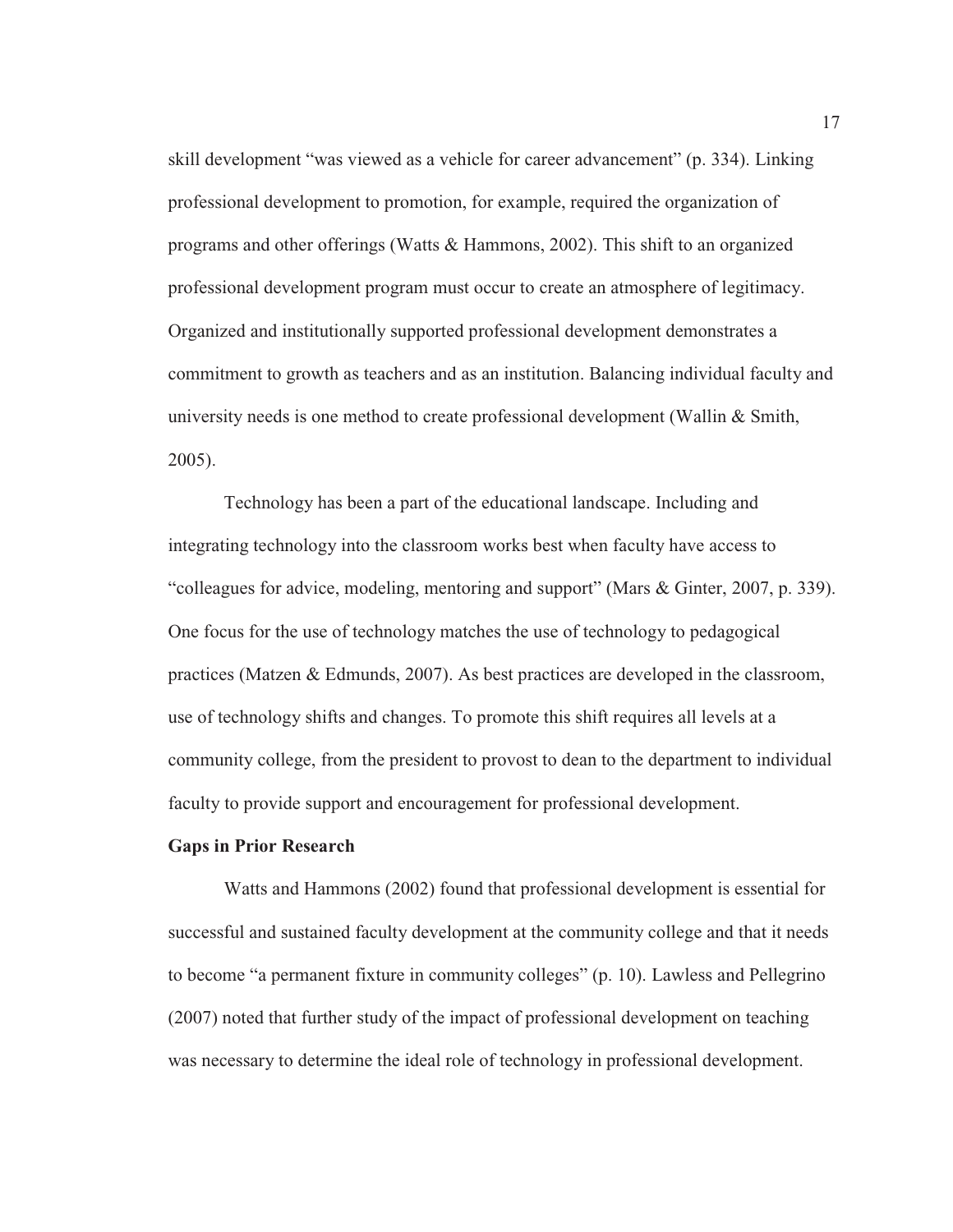skill development "was viewed as a vehicle for career advancement" (p. 334). Linking professional development to promotion, for example, required the organization of programs and other offerings (Watts & Hammons, 2002). This shift to an organized professional development program must occur to create an atmosphere of legitimacy. Organized and institutionally supported professional development demonstrates a commitment to growth as teachers and as an institution. Balancing individual faculty and university needs is one method to create professional development (Wallin & Smith, 2005).

Technology has been a part of the educational landscape. Including and integrating technology into the classroom works best when faculty have access to "colleagues for advice, modeling, mentoring and support" (Mars & Ginter, 2007, p. 339). One focus for the use of technology matches the use of technology to pedagogical practices (Matzen & Edmunds, 2007). As best practices are developed in the classroom, use of technology shifts and changes. To promote this shift requires all levels at a community college, from the president to provost to dean to the department to individual faculty to provide support and encouragement for professional development.

#### **Gaps in Prior Research**

Watts and Hammons (2002) found that professional development is essential for successful and sustained faculty development at the community college and that it needs to become "a permanent fixture in community colleges" (p. 10). Lawless and Pellegrino (2007) noted that further study of the impact of professional development on teaching was necessary to determine the ideal role of technology in professional development.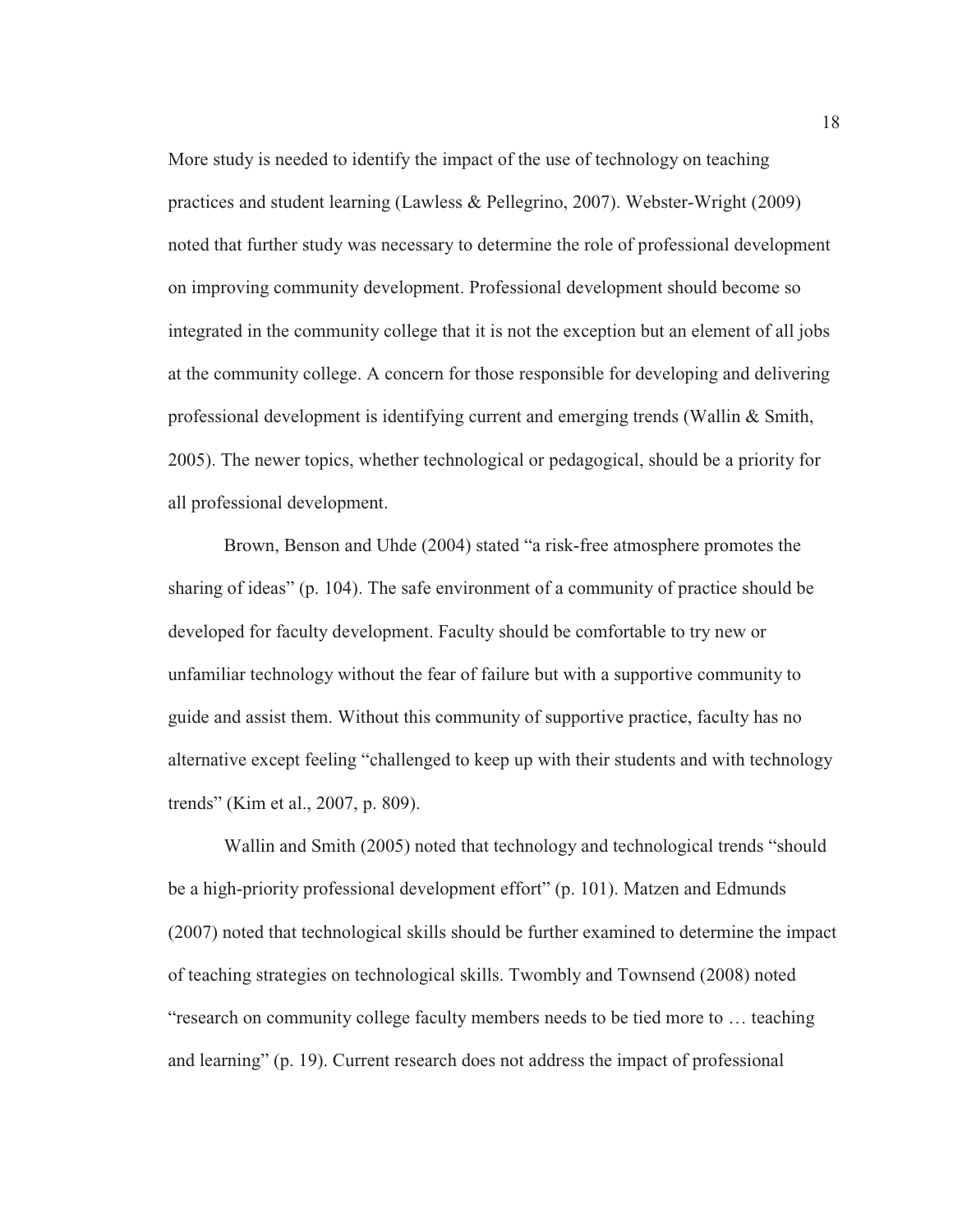More study is needed to identify the impact of the use of technology on teaching practices and student learning (Lawless & Pellegrino, 2007). Webster-Wright (2009) noted that further study was necessary to determine the role of professional development on improving community development. Professional development should become so integrated in the community college that it is not the exception but an element of all jobs at the community college. A concern for those responsible for developing and delivering professional development is identifying current and emerging trends (Wallin & Smith, 2005). The newer topics, whether technological or pedagogical, should be a priority for all professional development.

Brown, Benson and Uhde (2004) stated "a risk-free atmosphere promotes the sharing of ideas" (p. 104). The safe environment of a community of practice should be developed for faculty development. Faculty should be comfortable to try new or unfamiliar technology without the fear of failure but with a supportive community to guide and assist them. Without this community of supportive practice, faculty has no alternative except feeling "challenged to keep up with their students and with technology trends" (Kim et al., 2007, p. 809).

Wallin and Smith (2005) noted that technology and technological trends "should be a high-priority professional development effort" (p. 101). Matzen and Edmunds (2007) noted that technological skills should be further examined to determine the impact of teaching strategies on technological skills. Twombly and Townsend (2008) noted "research on community college faculty members needs to be tied more to … teaching and learning" (p. 19). Current research does not address the impact of professional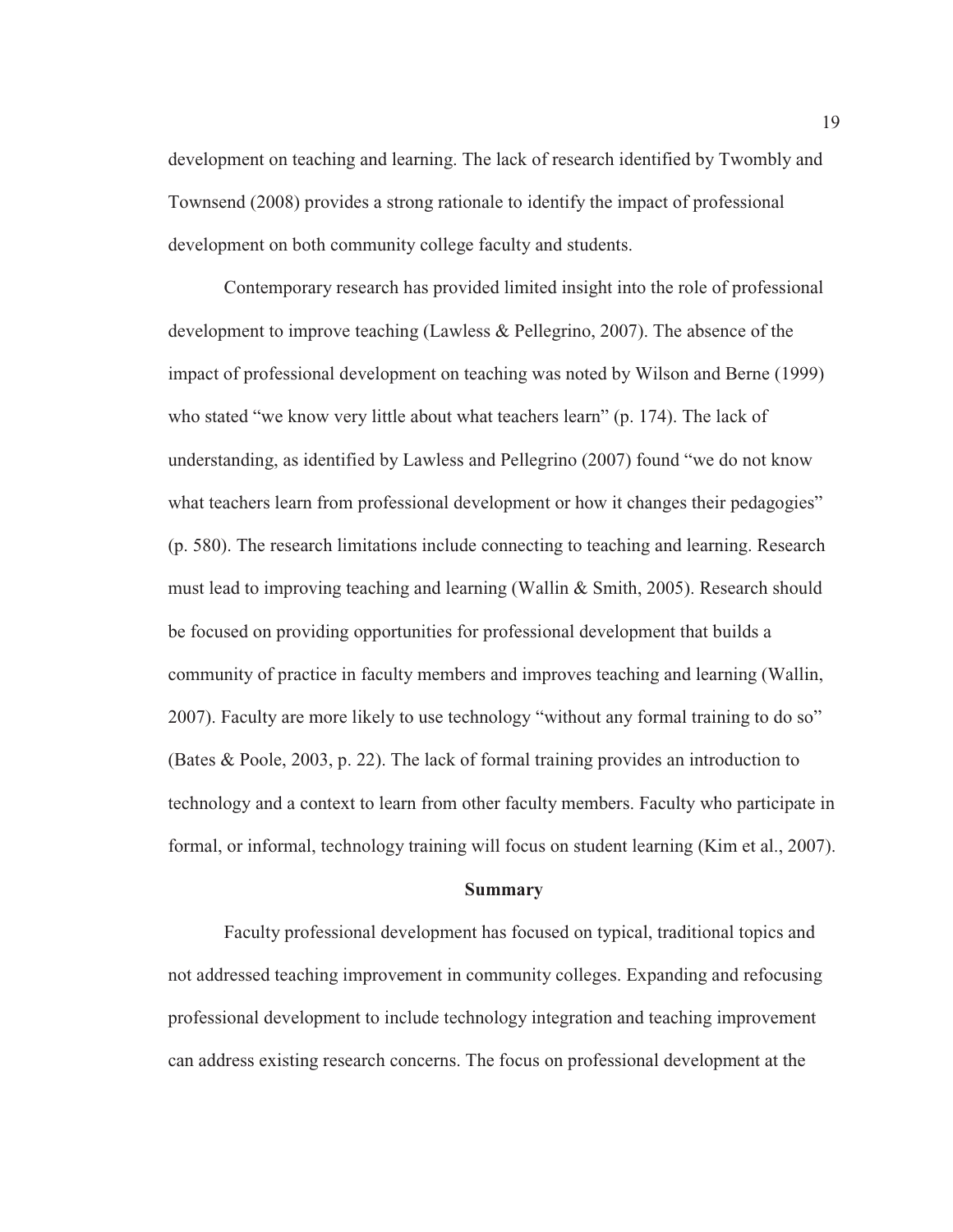development on teaching and learning. The lack of research identified by Twombly and Townsend (2008) provides a strong rationale to identify the impact of professional development on both community college faculty and students.

Contemporary research has provided limited insight into the role of professional development to improve teaching (Lawless & Pellegrino, 2007). The absence of the impact of professional development on teaching was noted by Wilson and Berne (1999) who stated "we know very little about what teachers learn" (p. 174). The lack of understanding, as identified by Lawless and Pellegrino (2007) found "we do not know what teachers learn from professional development or how it changes their pedagogies" (p. 580). The research limitations include connecting to teaching and learning. Research must lead to improving teaching and learning (Wallin & Smith, 2005). Research should be focused on providing opportunities for professional development that builds a community of practice in faculty members and improves teaching and learning (Wallin, 2007). Faculty are more likely to use technology "without any formal training to do so" (Bates & Poole, 2003, p. 22). The lack of formal training provides an introduction to technology and a context to learn from other faculty members. Faculty who participate in formal, or informal, technology training will focus on student learning (Kim et al., 2007).

#### **Summary**

Faculty professional development has focused on typical, traditional topics and not addressed teaching improvement in community colleges. Expanding and refocusing professional development to include technology integration and teaching improvement can address existing research concerns. The focus on professional development at the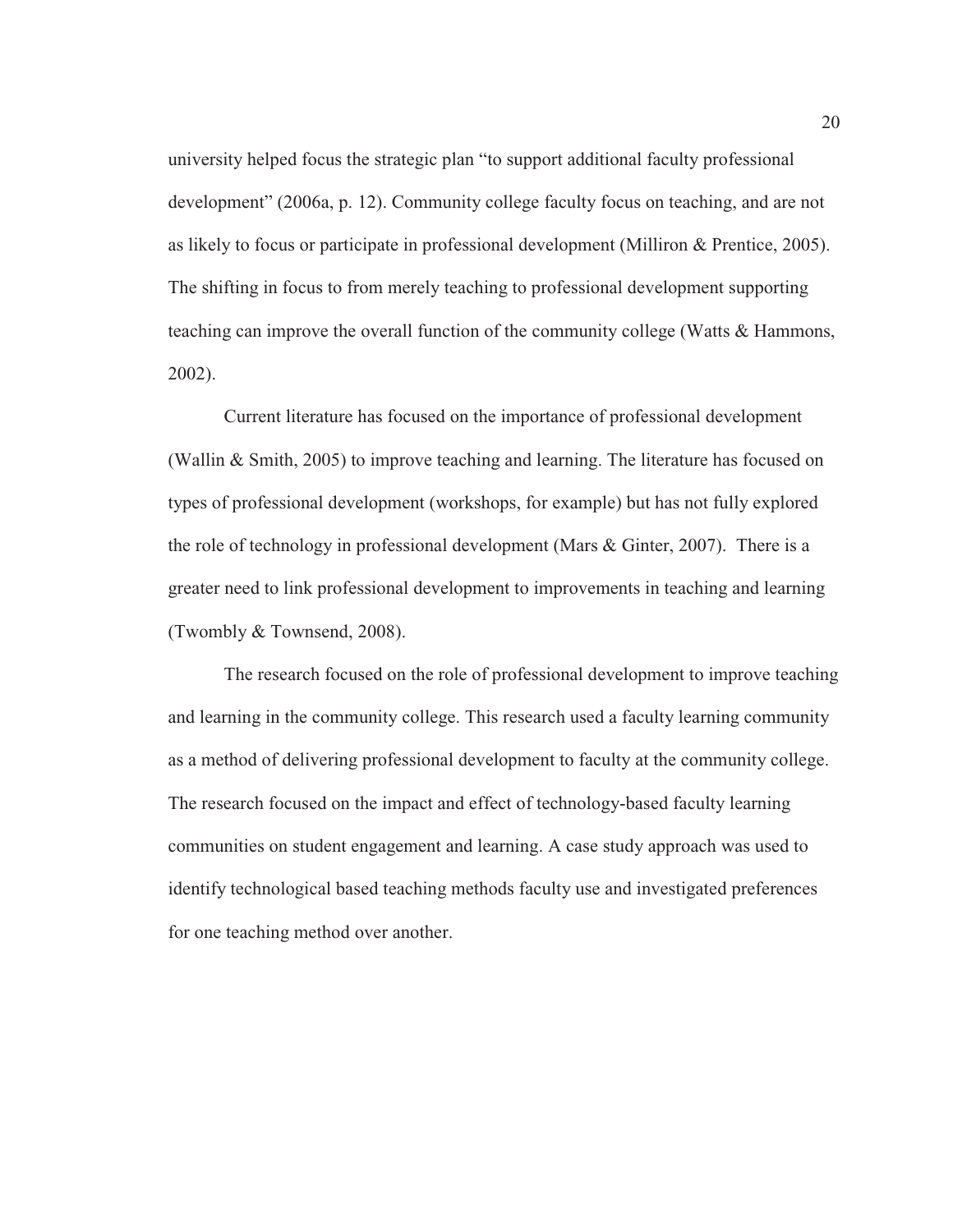university helped focus the strategic plan "to support additional faculty professional development" (2006a, p. 12). Community college faculty focus on teaching, and are not as likely to focus or participate in professional development (Milliron & Prentice, 2005). The shifting in focus to from merely teaching to professional development supporting teaching can improve the overall function of the community college (Watts & Hammons, 2002).

Current literature has focused on the importance of professional development (Wallin & Smith, 2005) to improve teaching and learning. The literature has focused on types of professional development (workshops, for example) but has not fully explored the role of technology in professional development (Mars & Ginter, 2007). There is a greater need to link professional development to improvements in teaching and learning (Twombly & Townsend, 2008).

The research focused on the role of professional development to improve teaching and learning in the community college. This research used a faculty learning community as a method of delivering professional development to faculty at the community college. The research focused on the impact and effect of technology-based faculty learning communities on student engagement and learning. A case study approach was used to identify technological based teaching methods faculty use and investigated preferences for one teaching method over another.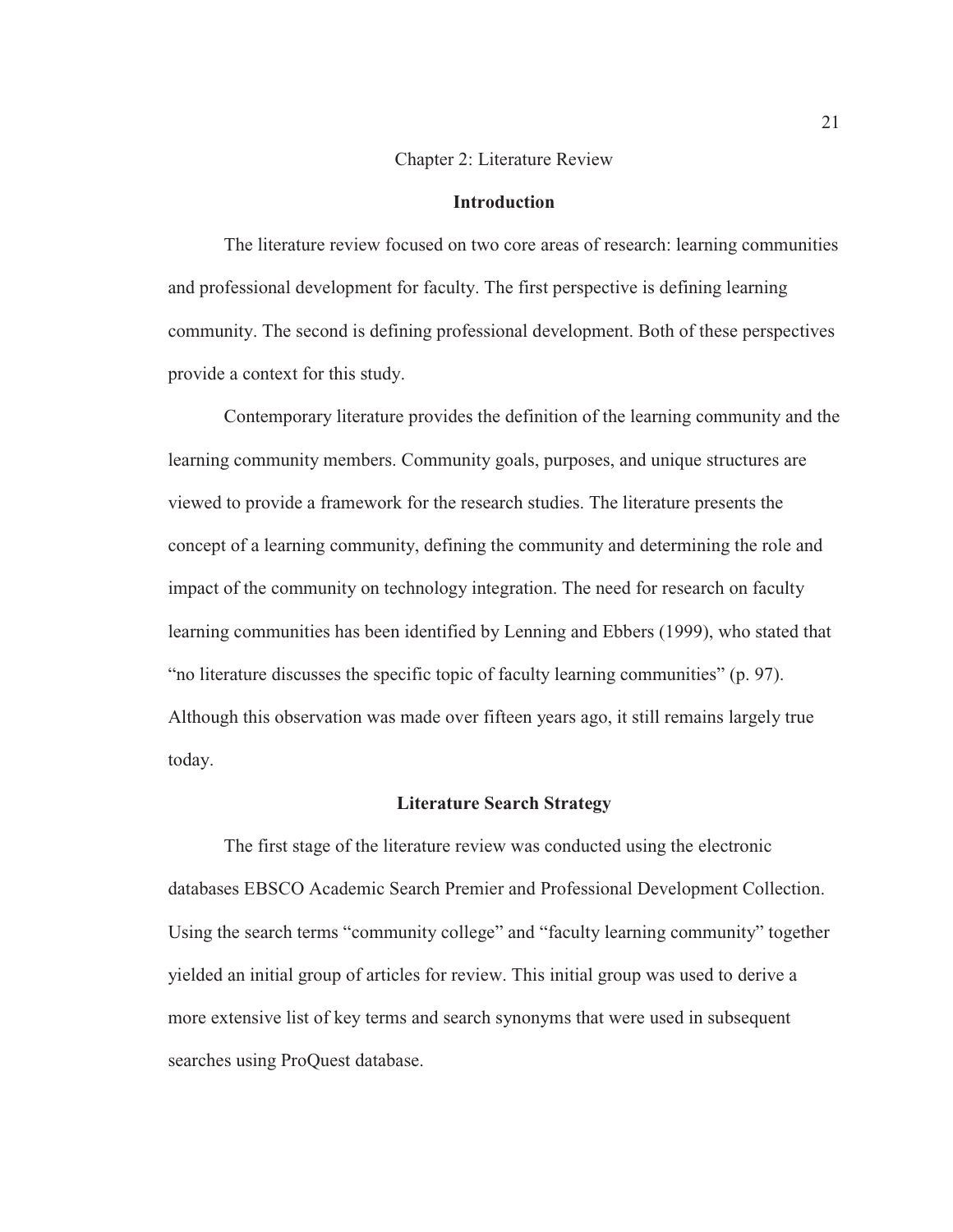#### Chapter 2: Literature Review

#### **Introduction**

The literature review focused on two core areas of research: learning communities and professional development for faculty. The first perspective is defining learning community. The second is defining professional development. Both of these perspectives provide a context for this study.

Contemporary literature provides the definition of the learning community and the learning community members. Community goals, purposes, and unique structures are viewed to provide a framework for the research studies. The literature presents the concept of a learning community, defining the community and determining the role and impact of the community on technology integration. The need for research on faculty learning communities has been identified by Lenning and Ebbers (1999), who stated that "no literature discusses the specific topic of faculty learning communities" (p. 97). Although this observation was made over fifteen years ago, it still remains largely true today.

#### **Literature Search Strategy**

The first stage of the literature review was conducted using the electronic databases EBSCO Academic Search Premier and Professional Development Collection. Using the search terms "community college" and "faculty learning community" together yielded an initial group of articles for review. This initial group was used to derive a more extensive list of key terms and search synonyms that were used in subsequent searches using ProQuest database.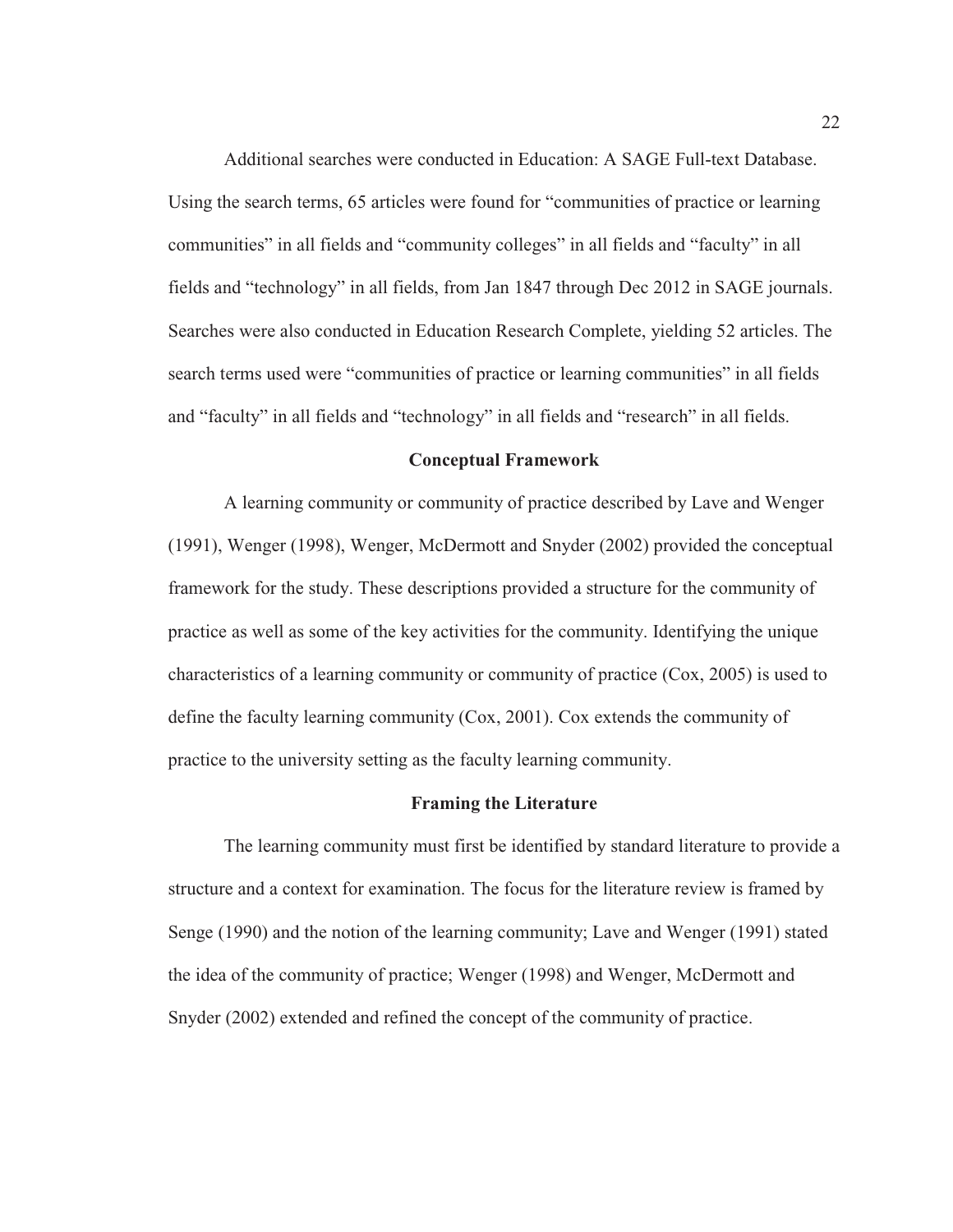Additional searches were conducted in Education: A SAGE Full-text Database. Using the search terms, 65 articles were found for "communities of practice or learning communities" in all fields and "community colleges" in all fields and "faculty" in all fields and "technology" in all fields, from Jan 1847 through Dec 2012 in SAGE journals. Searches were also conducted in Education Research Complete, yielding 52 articles. The search terms used were "communities of practice or learning communities" in all fields and "faculty" in all fields and "technology" in all fields and "research" in all fields.

#### **Conceptual Framework**

A learning community or community of practice described by Lave and Wenger (1991), Wenger (1998), Wenger, McDermott and Snyder (2002) provided the conceptual framework for the study. These descriptions provided a structure for the community of practice as well as some of the key activities for the community. Identifying the unique characteristics of a learning community or community of practice (Cox, 2005) is used to define the faculty learning community (Cox, 2001). Cox extends the community of practice to the university setting as the faculty learning community.

#### **Framing the Literature**

The learning community must first be identified by standard literature to provide a structure and a context for examination. The focus for the literature review is framed by Senge (1990) and the notion of the learning community; Lave and Wenger (1991) stated the idea of the community of practice; Wenger (1998) and Wenger, McDermott and Snyder (2002) extended and refined the concept of the community of practice.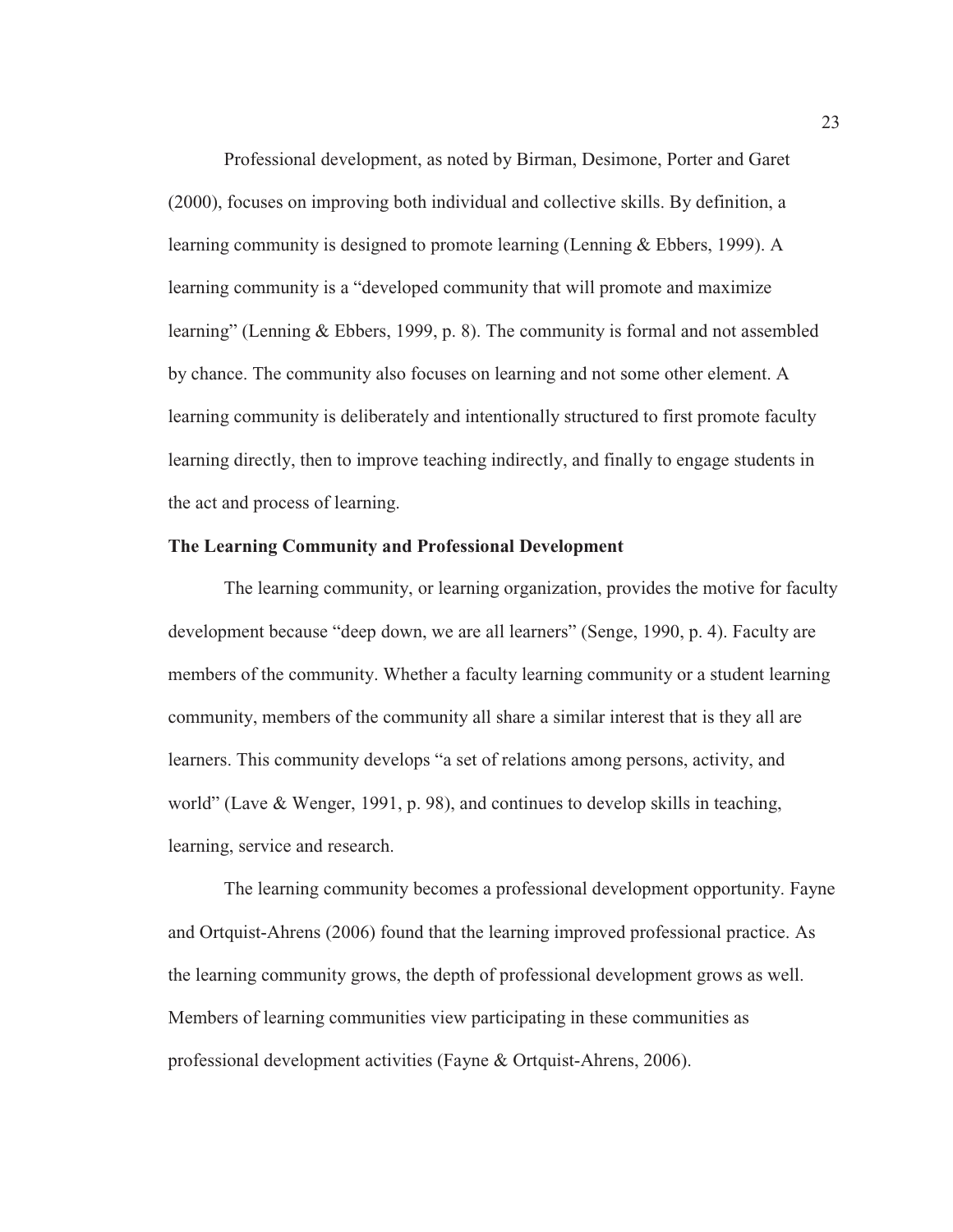Professional development, as noted by Birman, Desimone, Porter and Garet (2000), focuses on improving both individual and collective skills. By definition, a learning community is designed to promote learning (Lenning & Ebbers, 1999). A learning community is a "developed community that will promote and maximize learning" (Lenning & Ebbers, 1999, p. 8). The community is formal and not assembled by chance. The community also focuses on learning and not some other element. A learning community is deliberately and intentionally structured to first promote faculty learning directly, then to improve teaching indirectly, and finally to engage students in the act and process of learning.

### **The Learning Community and Professional Development**

The learning community, or learning organization, provides the motive for faculty development because "deep down, we are all learners" (Senge, 1990, p. 4). Faculty are members of the community. Whether a faculty learning community or a student learning community, members of the community all share a similar interest that is they all are learners. This community develops "a set of relations among persons, activity, and world" (Lave & Wenger, 1991, p. 98), and continues to develop skills in teaching, learning, service and research.

The learning community becomes a professional development opportunity. Fayne and Ortquist-Ahrens (2006) found that the learning improved professional practice. As the learning community grows, the depth of professional development grows as well. Members of learning communities view participating in these communities as professional development activities (Fayne & Ortquist-Ahrens, 2006).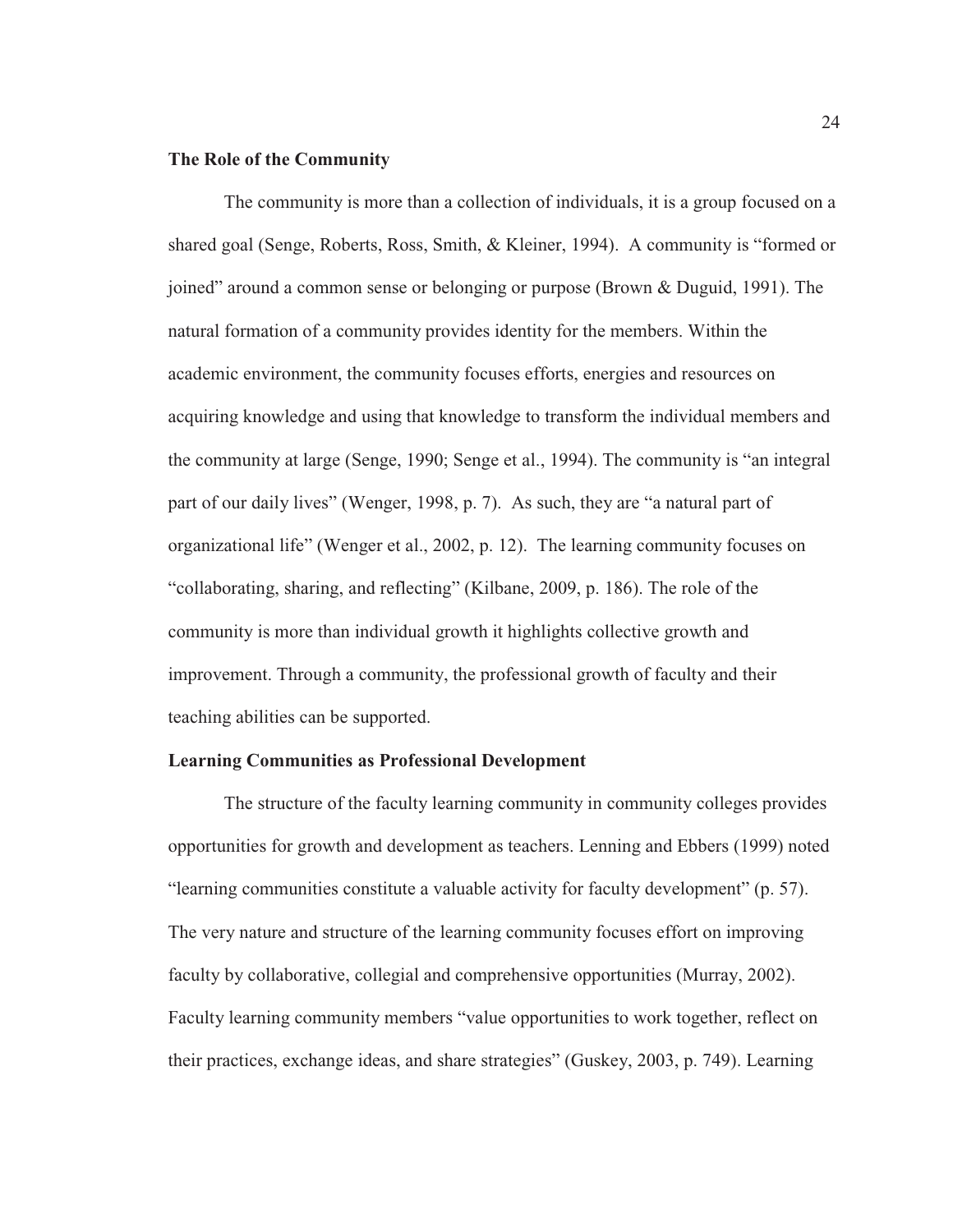## **The Role of the Community**

The community is more than a collection of individuals, it is a group focused on a shared goal (Senge, Roberts, Ross, Smith, & Kleiner, 1994). A community is "formed or joined" around a common sense or belonging or purpose (Brown & Duguid, 1991). The natural formation of a community provides identity for the members. Within the academic environment, the community focuses efforts, energies and resources on acquiring knowledge and using that knowledge to transform the individual members and the community at large (Senge, 1990; Senge et al., 1994). The community is "an integral part of our daily lives" (Wenger, 1998, p. 7). As such, they are "a natural part of organizational life" (Wenger et al., 2002, p. 12). The learning community focuses on "collaborating, sharing, and reflecting" (Kilbane, 2009, p. 186). The role of the community is more than individual growth it highlights collective growth and improvement. Through a community, the professional growth of faculty and their teaching abilities can be supported.

#### **Learning Communities as Professional Development**

The structure of the faculty learning community in community colleges provides opportunities for growth and development as teachers. Lenning and Ebbers (1999) noted "learning communities constitute a valuable activity for faculty development" (p. 57). The very nature and structure of the learning community focuses effort on improving faculty by collaborative, collegial and comprehensive opportunities (Murray, 2002). Faculty learning community members "value opportunities to work together, reflect on their practices, exchange ideas, and share strategies" (Guskey, 2003, p. 749). Learning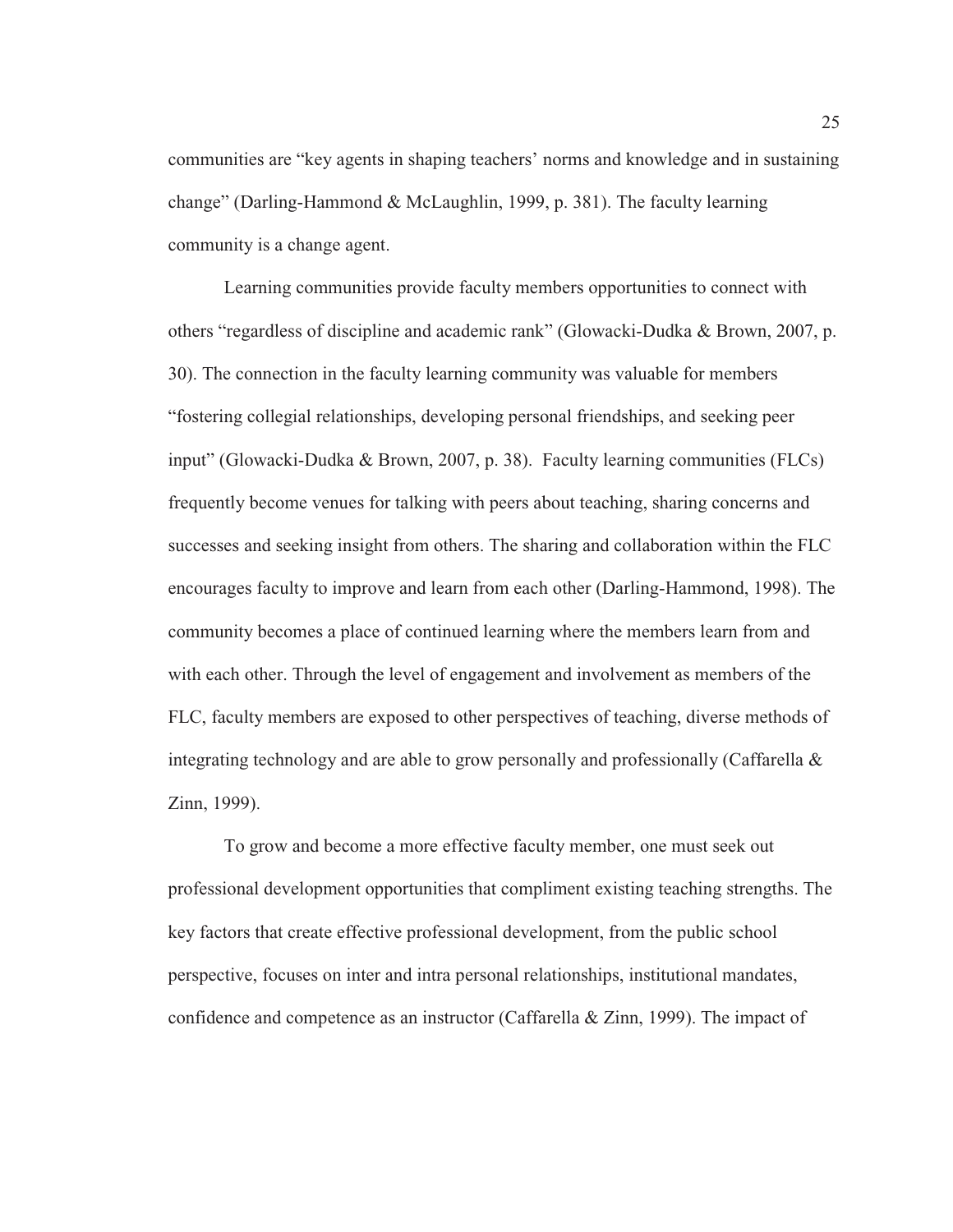communities are "key agents in shaping teachers' norms and knowledge and in sustaining change" (Darling-Hammond & McLaughlin, 1999, p. 381). The faculty learning community is a change agent.

Learning communities provide faculty members opportunities to connect with others "regardless of discipline and academic rank" (Glowacki-Dudka & Brown, 2007, p. 30). The connection in the faculty learning community was valuable for members "fostering collegial relationships, developing personal friendships, and seeking peer input" (Glowacki-Dudka & Brown, 2007, p. 38). Faculty learning communities (FLCs) frequently become venues for talking with peers about teaching, sharing concerns and successes and seeking insight from others. The sharing and collaboration within the FLC encourages faculty to improve and learn from each other (Darling-Hammond, 1998). The community becomes a place of continued learning where the members learn from and with each other. Through the level of engagement and involvement as members of the FLC, faculty members are exposed to other perspectives of teaching, diverse methods of integrating technology and are able to grow personally and professionally (Caffarella & Zinn, 1999).

To grow and become a more effective faculty member, one must seek out professional development opportunities that compliment existing teaching strengths. The key factors that create effective professional development, from the public school perspective, focuses on inter and intra personal relationships, institutional mandates, confidence and competence as an instructor (Caffarella & Zinn, 1999). The impact of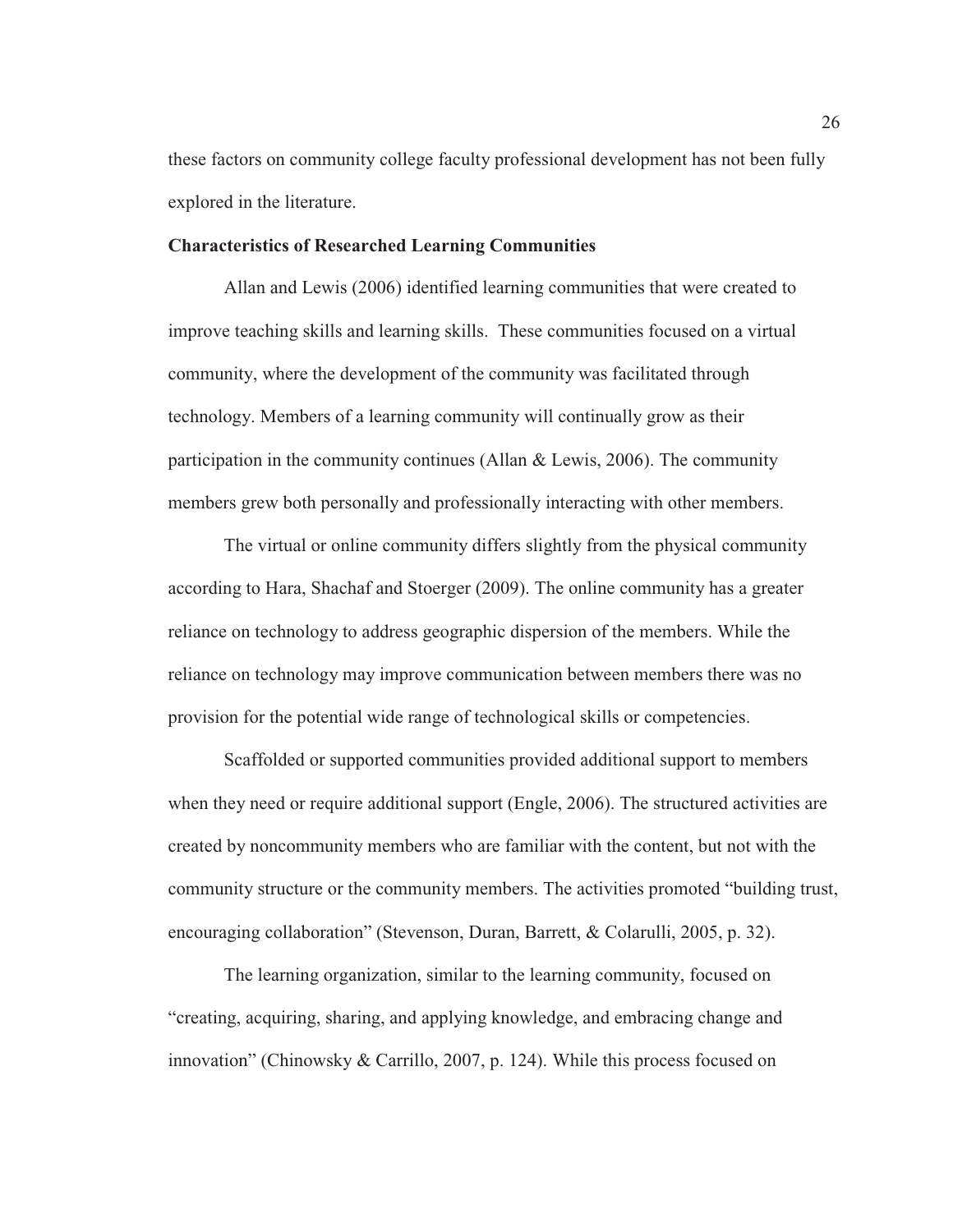these factors on community college faculty professional development has not been fully explored in the literature.

#### **Characteristics of Researched Learning Communities**

Allan and Lewis (2006) identified learning communities that were created to improve teaching skills and learning skills. These communities focused on a virtual community, where the development of the community was facilitated through technology. Members of a learning community will continually grow as their participation in the community continues (Allan & Lewis, 2006). The community members grew both personally and professionally interacting with other members.

The virtual or online community differs slightly from the physical community according to Hara, Shachaf and Stoerger (2009). The online community has a greater reliance on technology to address geographic dispersion of the members. While the reliance on technology may improve communication between members there was no provision for the potential wide range of technological skills or competencies.

Scaffolded or supported communities provided additional support to members when they need or require additional support (Engle, 2006). The structured activities are created by noncommunity members who are familiar with the content, but not with the community structure or the community members. The activities promoted "building trust, encouraging collaboration" (Stevenson, Duran, Barrett, & Colarulli, 2005, p. 32).

The learning organization, similar to the learning community, focused on "creating, acquiring, sharing, and applying knowledge, and embracing change and innovation" (Chinowsky & Carrillo, 2007, p. 124). While this process focused on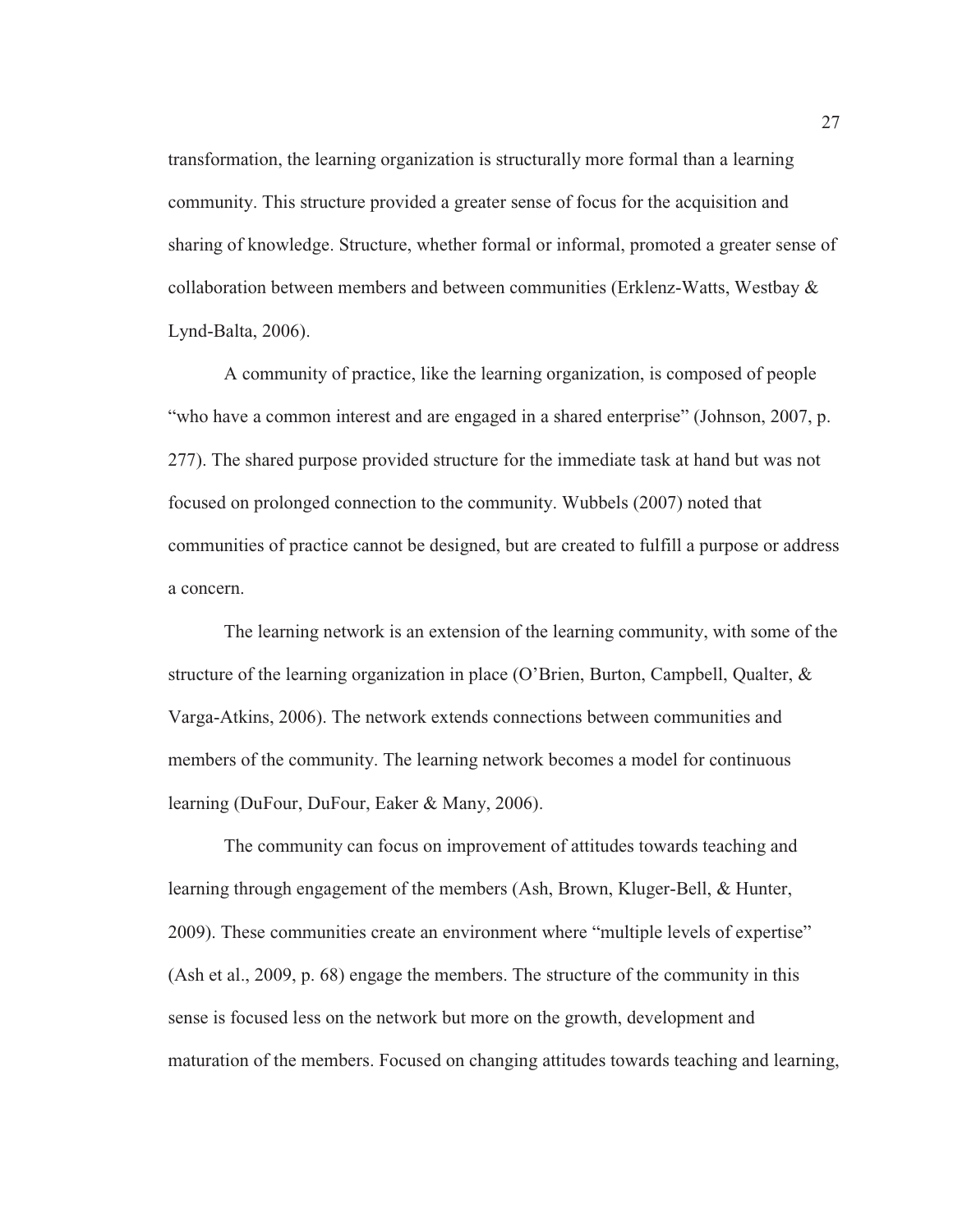transformation, the learning organization is structurally more formal than a learning community. This structure provided a greater sense of focus for the acquisition and sharing of knowledge. Structure, whether formal or informal, promoted a greater sense of collaboration between members and between communities (Erklenz-Watts, Westbay & Lynd-Balta, 2006).

A community of practice, like the learning organization, is composed of people "who have a common interest and are engaged in a shared enterprise" (Johnson, 2007, p. 277). The shared purpose provided structure for the immediate task at hand but was not focused on prolonged connection to the community. Wubbels (2007) noted that communities of practice cannot be designed, but are created to fulfill a purpose or address a concern.

The learning network is an extension of the learning community, with some of the structure of the learning organization in place (O'Brien, Burton, Campbell, Qualter, & Varga-Atkins, 2006). The network extends connections between communities and members of the community. The learning network becomes a model for continuous learning (DuFour, DuFour, Eaker & Many, 2006).

The community can focus on improvement of attitudes towards teaching and learning through engagement of the members (Ash, Brown, Kluger-Bell, & Hunter, 2009). These communities create an environment where "multiple levels of expertise" (Ash et al., 2009, p. 68) engage the members. The structure of the community in this sense is focused less on the network but more on the growth, development and maturation of the members. Focused on changing attitudes towards teaching and learning,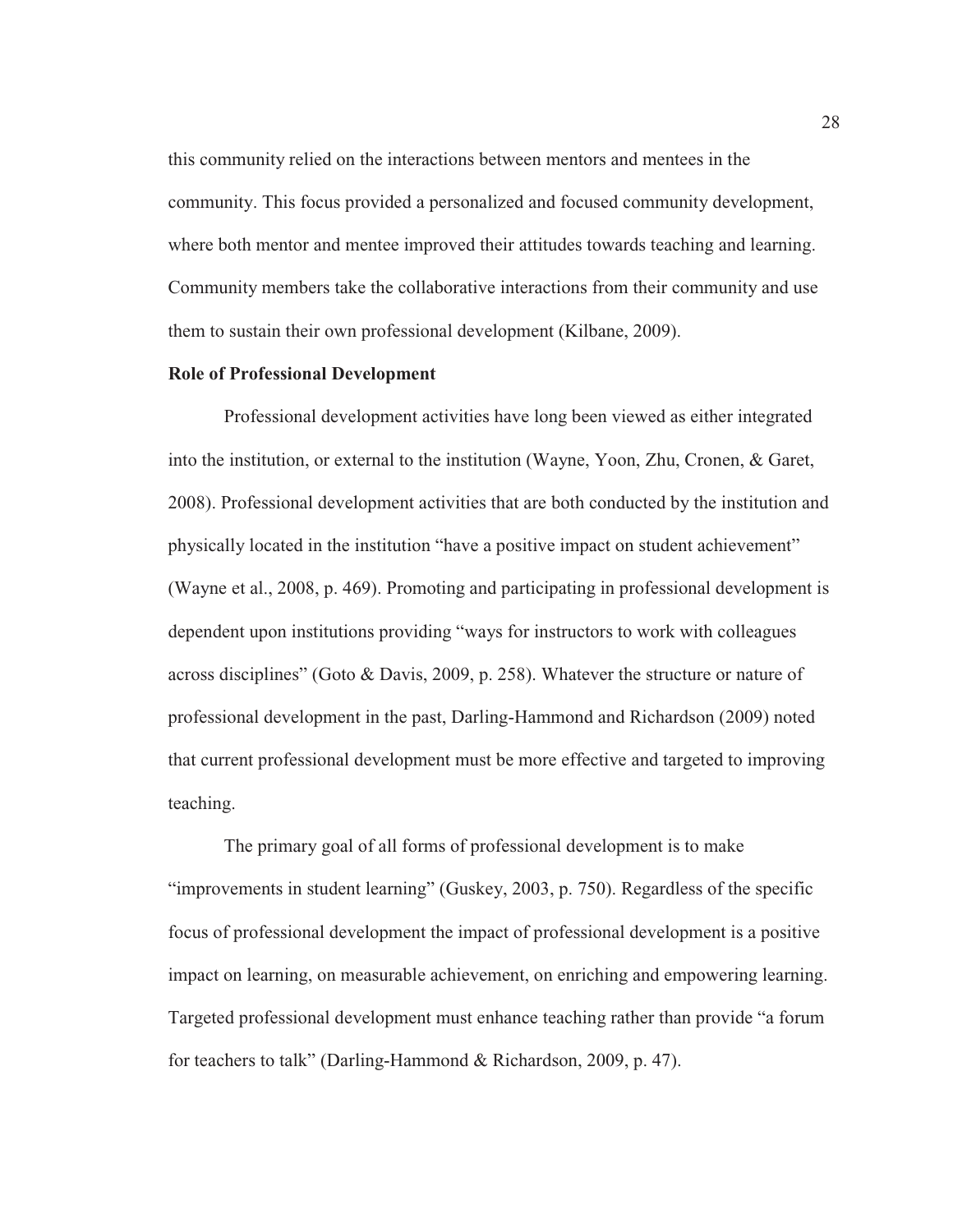this community relied on the interactions between mentors and mentees in the community. This focus provided a personalized and focused community development, where both mentor and mentee improved their attitudes towards teaching and learning. Community members take the collaborative interactions from their community and use them to sustain their own professional development (Kilbane, 2009).

### **Role of Professional Development**

Professional development activities have long been viewed as either integrated into the institution, or external to the institution (Wayne, Yoon, Zhu, Cronen, & Garet, 2008). Professional development activities that are both conducted by the institution and physically located in the institution "have a positive impact on student achievement" (Wayne et al., 2008, p. 469). Promoting and participating in professional development is dependent upon institutions providing "ways for instructors to work with colleagues across disciplines" (Goto & Davis, 2009, p. 258). Whatever the structure or nature of professional development in the past, Darling-Hammond and Richardson (2009) noted that current professional development must be more effective and targeted to improving teaching.

The primary goal of all forms of professional development is to make "improvements in student learning" (Guskey, 2003, p. 750). Regardless of the specific focus of professional development the impact of professional development is a positive impact on learning, on measurable achievement, on enriching and empowering learning. Targeted professional development must enhance teaching rather than provide "a forum for teachers to talk" (Darling-Hammond & Richardson, 2009, p. 47).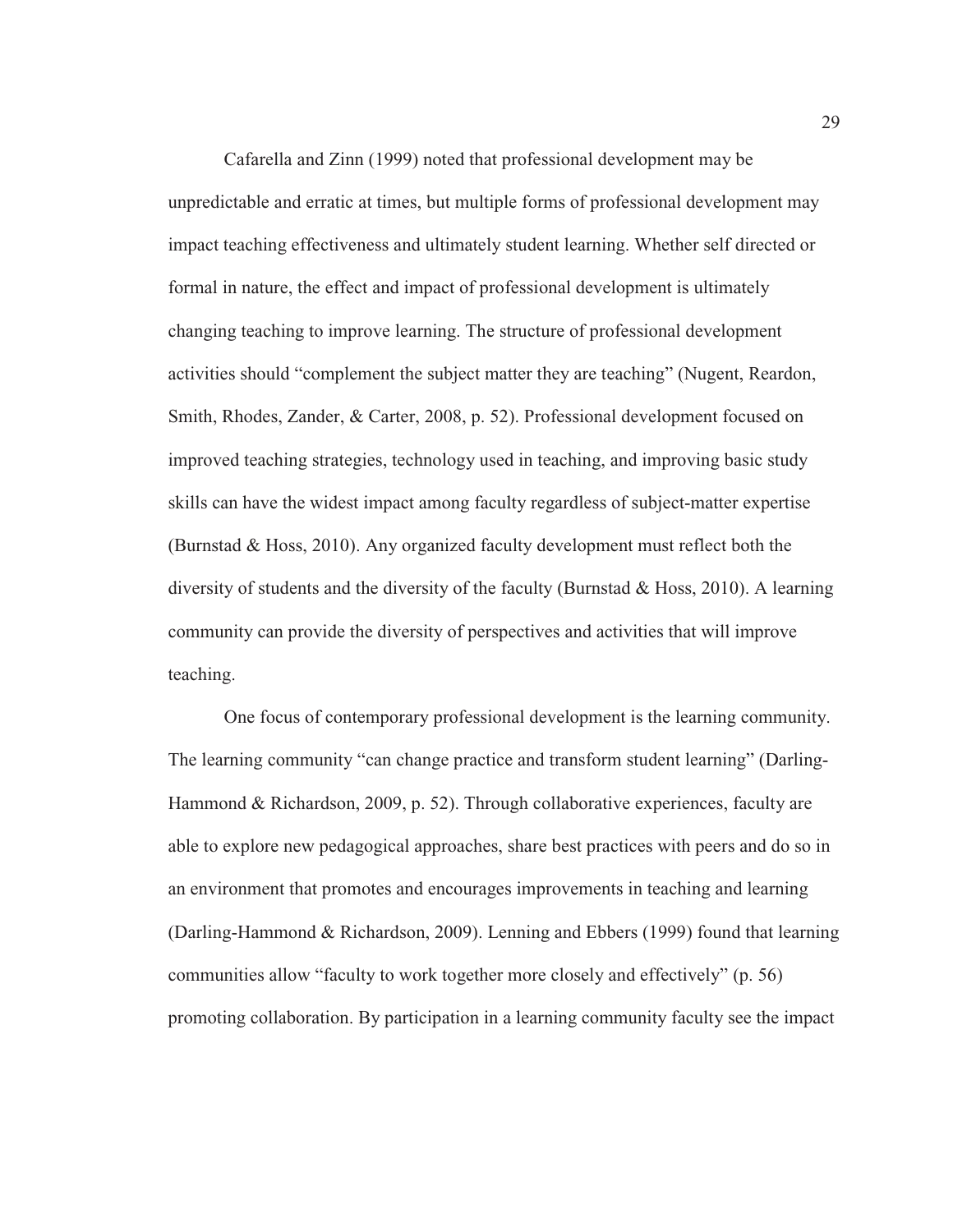Cafarella and Zinn (1999) noted that professional development may be unpredictable and erratic at times, but multiple forms of professional development may impact teaching effectiveness and ultimately student learning. Whether self directed or formal in nature, the effect and impact of professional development is ultimately changing teaching to improve learning. The structure of professional development activities should "complement the subject matter they are teaching" (Nugent, Reardon, Smith, Rhodes, Zander, & Carter, 2008, p. 52). Professional development focused on improved teaching strategies, technology used in teaching, and improving basic study skills can have the widest impact among faculty regardless of subject-matter expertise (Burnstad & Hoss, 2010). Any organized faculty development must reflect both the diversity of students and the diversity of the faculty (Burnstad & Hoss, 2010). A learning community can provide the diversity of perspectives and activities that will improve teaching.

One focus of contemporary professional development is the learning community. The learning community "can change practice and transform student learning" (Darling-Hammond & Richardson, 2009, p. 52). Through collaborative experiences, faculty are able to explore new pedagogical approaches, share best practices with peers and do so in an environment that promotes and encourages improvements in teaching and learning (Darling-Hammond & Richardson, 2009). Lenning and Ebbers (1999) found that learning communities allow "faculty to work together more closely and effectively" (p. 56) promoting collaboration. By participation in a learning community faculty see the impact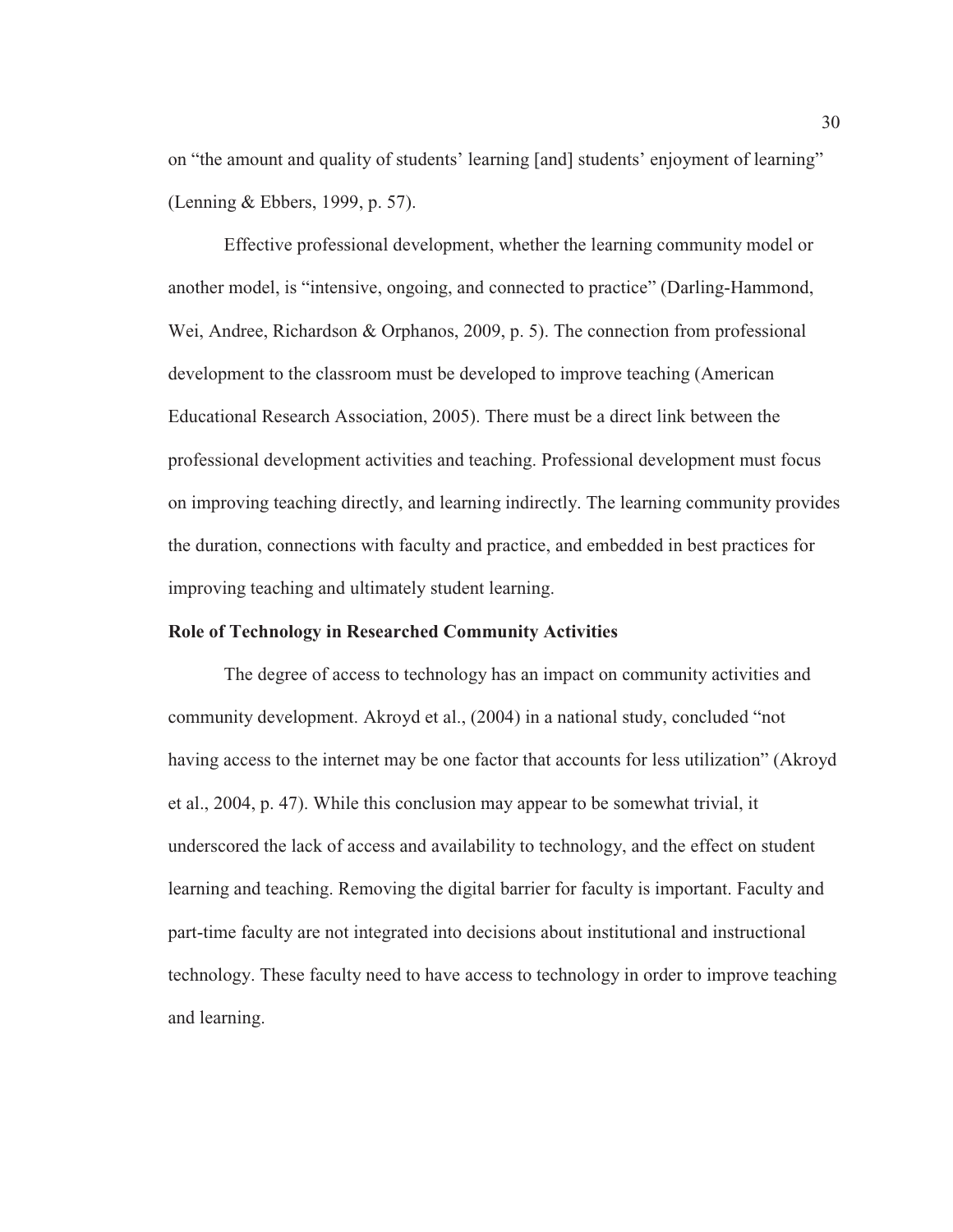on "the amount and quality of students' learning [and] students' enjoyment of learning" (Lenning & Ebbers, 1999, p. 57).

Effective professional development, whether the learning community model or another model, is "intensive, ongoing, and connected to practice" (Darling-Hammond, Wei, Andree, Richardson & Orphanos, 2009, p. 5). The connection from professional development to the classroom must be developed to improve teaching (American Educational Research Association, 2005). There must be a direct link between the professional development activities and teaching. Professional development must focus on improving teaching directly, and learning indirectly. The learning community provides the duration, connections with faculty and practice, and embedded in best practices for improving teaching and ultimately student learning.

## **Role of Technology in Researched Community Activities**

The degree of access to technology has an impact on community activities and community development. Akroyd et al., (2004) in a national study, concluded "not having access to the internet may be one factor that accounts for less utilization" (Akroyd et al., 2004, p. 47). While this conclusion may appear to be somewhat trivial, it underscored the lack of access and availability to technology, and the effect on student learning and teaching. Removing the digital barrier for faculty is important. Faculty and part-time faculty are not integrated into decisions about institutional and instructional technology. These faculty need to have access to technology in order to improve teaching and learning.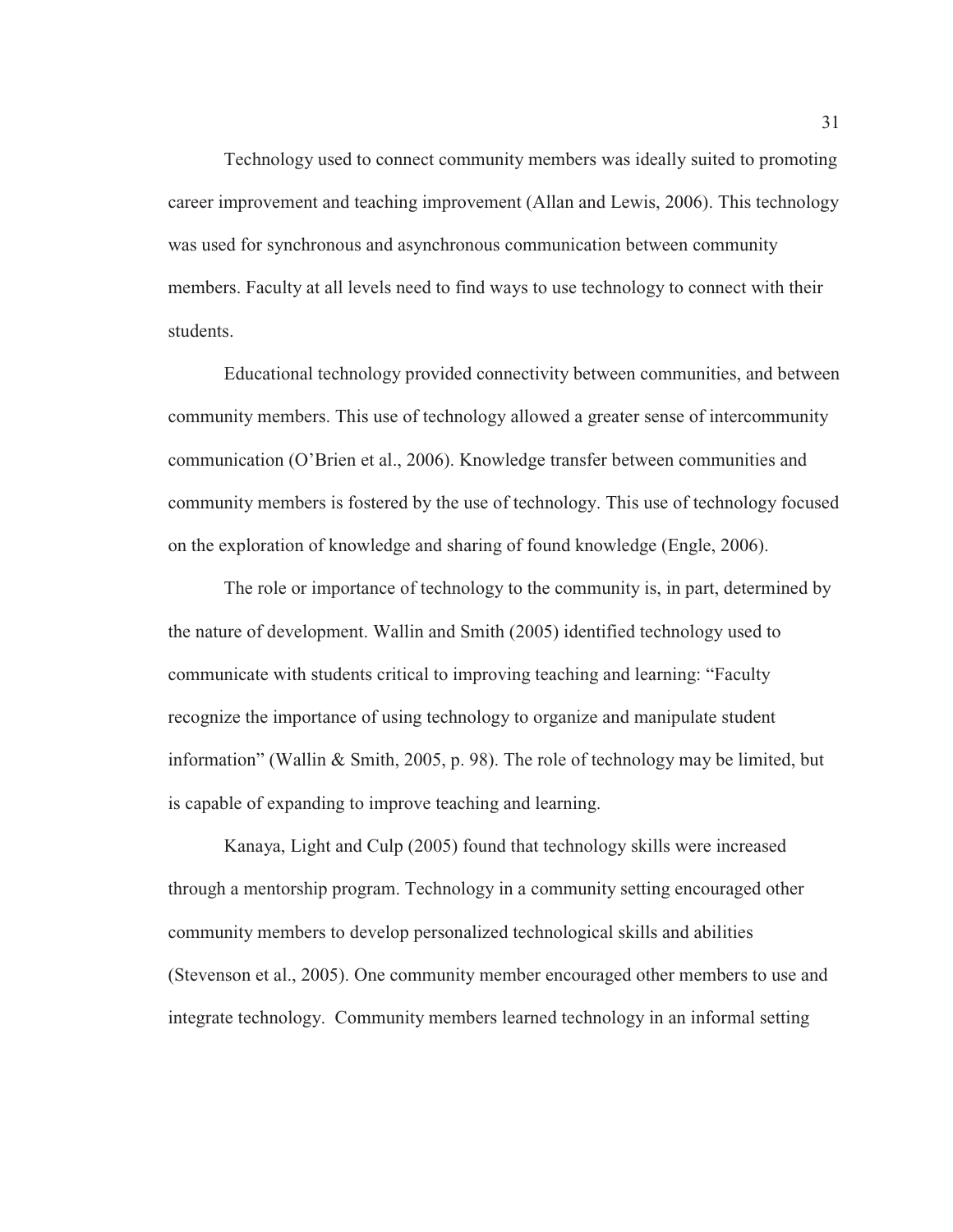Technology used to connect community members was ideally suited to promoting career improvement and teaching improvement (Allan and Lewis, 2006). This technology was used for synchronous and asynchronous communication between community members. Faculty at all levels need to find ways to use technology to connect with their students.

Educational technology provided connectivity between communities, and between community members. This use of technology allowed a greater sense of intercommunity communication (O'Brien et al., 2006). Knowledge transfer between communities and community members is fostered by the use of technology. This use of technology focused on the exploration of knowledge and sharing of found knowledge (Engle, 2006).

The role or importance of technology to the community is, in part, determined by the nature of development. Wallin and Smith (2005) identified technology used to communicate with students critical to improving teaching and learning: "Faculty recognize the importance of using technology to organize and manipulate student information" (Wallin & Smith, 2005, p. 98). The role of technology may be limited, but is capable of expanding to improve teaching and learning.

Kanaya, Light and Culp (2005) found that technology skills were increased through a mentorship program. Technology in a community setting encouraged other community members to develop personalized technological skills and abilities (Stevenson et al., 2005). One community member encouraged other members to use and integrate technology. Community members learned technology in an informal setting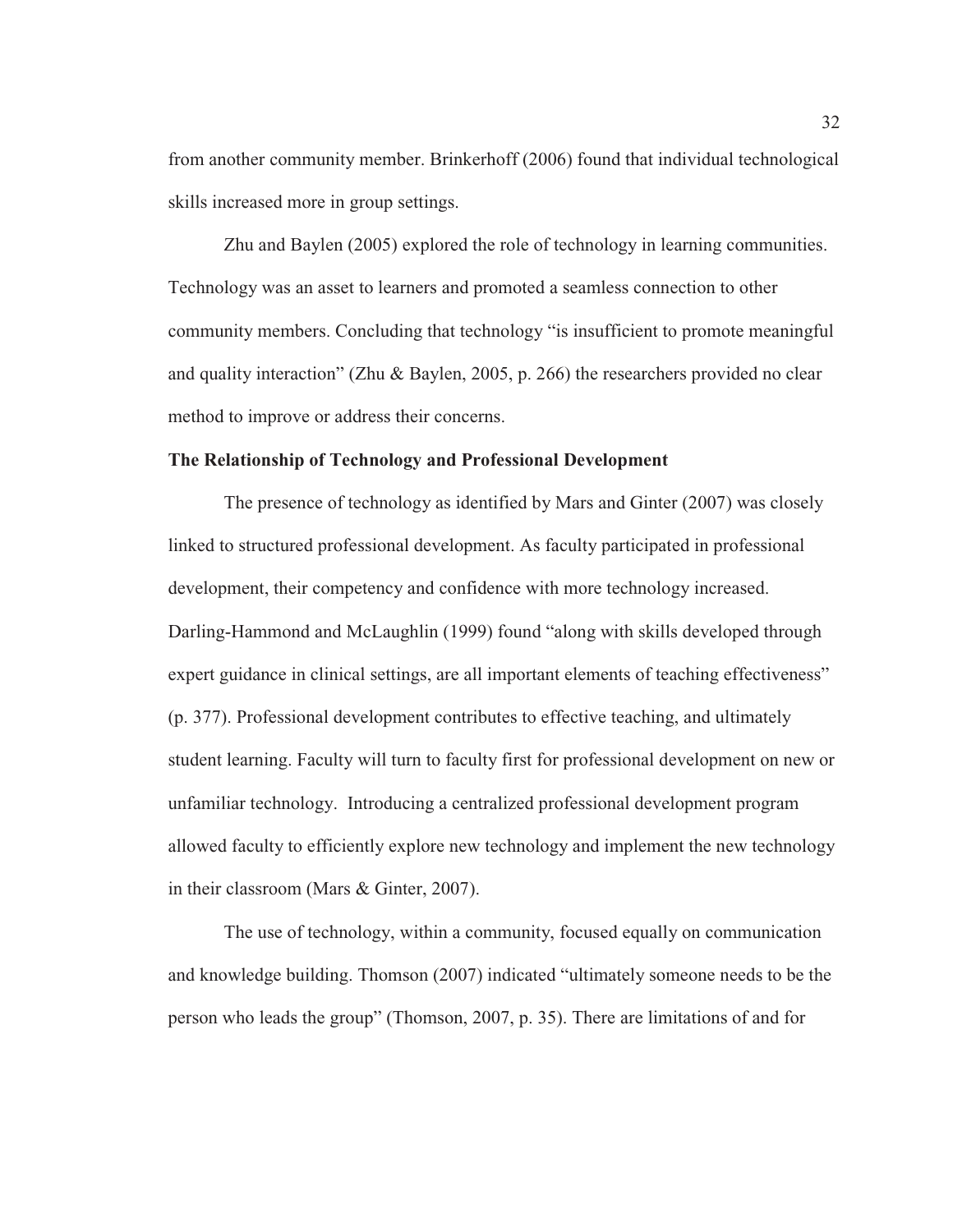from another community member. Brinkerhoff (2006) found that individual technological skills increased more in group settings.

Zhu and Baylen (2005) explored the role of technology in learning communities. Technology was an asset to learners and promoted a seamless connection to other community members. Concluding that technology "is insufficient to promote meaningful and quality interaction" (Zhu & Baylen, 2005, p. 266) the researchers provided no clear method to improve or address their concerns.

# **The Relationship of Technology and Professional Development**

The presence of technology as identified by Mars and Ginter (2007) was closely linked to structured professional development. As faculty participated in professional development, their competency and confidence with more technology increased. Darling-Hammond and McLaughlin (1999) found "along with skills developed through expert guidance in clinical settings, are all important elements of teaching effectiveness" (p. 377). Professional development contributes to effective teaching, and ultimately student learning. Faculty will turn to faculty first for professional development on new or unfamiliar technology. Introducing a centralized professional development program allowed faculty to efficiently explore new technology and implement the new technology in their classroom (Mars & Ginter, 2007).

The use of technology, within a community, focused equally on communication and knowledge building. Thomson (2007) indicated "ultimately someone needs to be the person who leads the group" (Thomson, 2007, p. 35). There are limitations of and for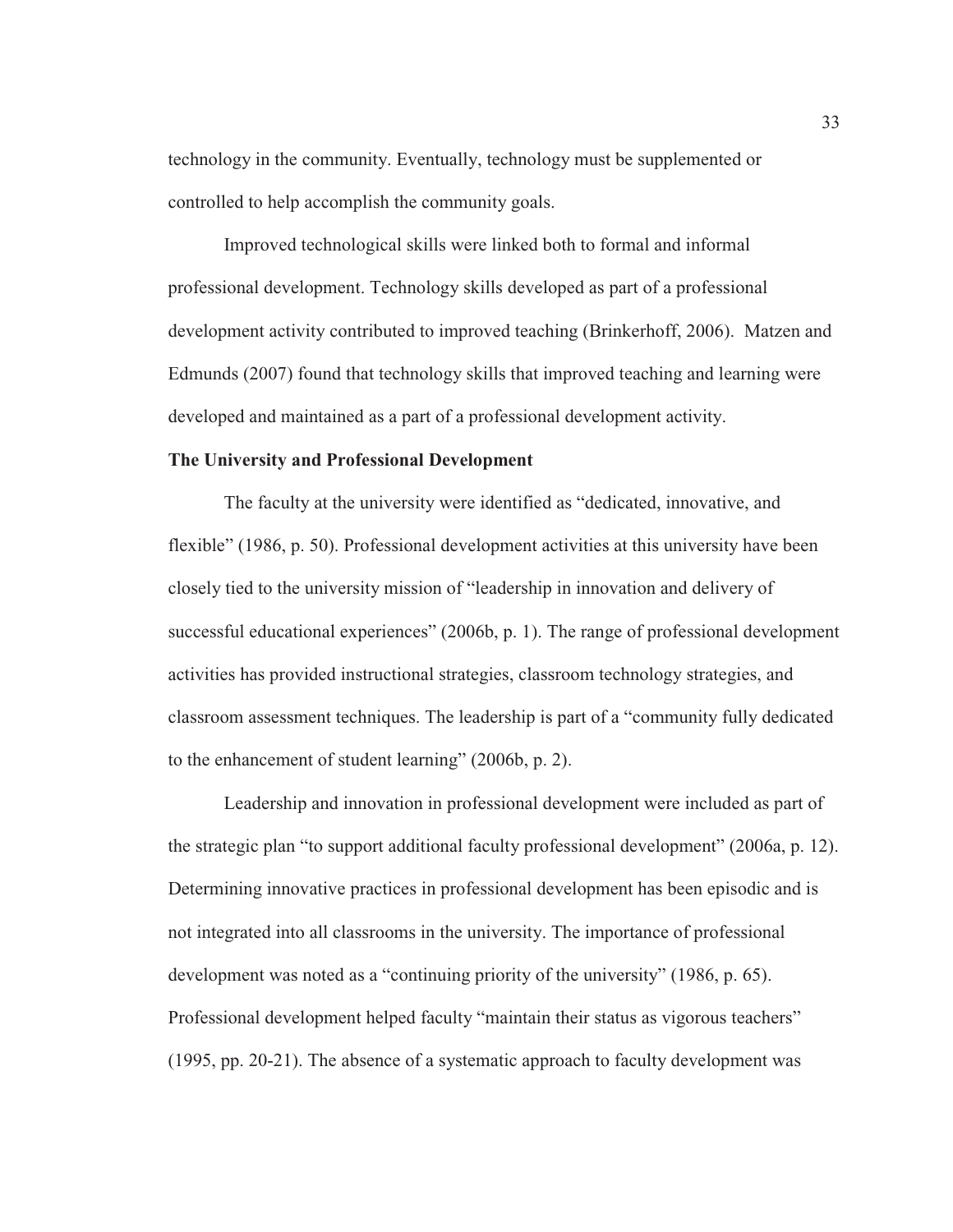technology in the community. Eventually, technology must be supplemented or controlled to help accomplish the community goals.

Improved technological skills were linked both to formal and informal professional development. Technology skills developed as part of a professional development activity contributed to improved teaching (Brinkerhoff, 2006). Matzen and Edmunds (2007) found that technology skills that improved teaching and learning were developed and maintained as a part of a professional development activity.

## **The University and Professional Development**

The faculty at the university were identified as "dedicated, innovative, and flexible" (1986, p. 50). Professional development activities at this university have been closely tied to the university mission of "leadership in innovation and delivery of successful educational experiences" (2006b, p. 1). The range of professional development activities has provided instructional strategies, classroom technology strategies, and classroom assessment techniques. The leadership is part of a "community fully dedicated to the enhancement of student learning" (2006b, p. 2).

Leadership and innovation in professional development were included as part of the strategic plan "to support additional faculty professional development" (2006a, p. 12). Determining innovative practices in professional development has been episodic and is not integrated into all classrooms in the university. The importance of professional development was noted as a "continuing priority of the university" (1986, p. 65). Professional development helped faculty "maintain their status as vigorous teachers" (1995, pp. 20-21). The absence of a systematic approach to faculty development was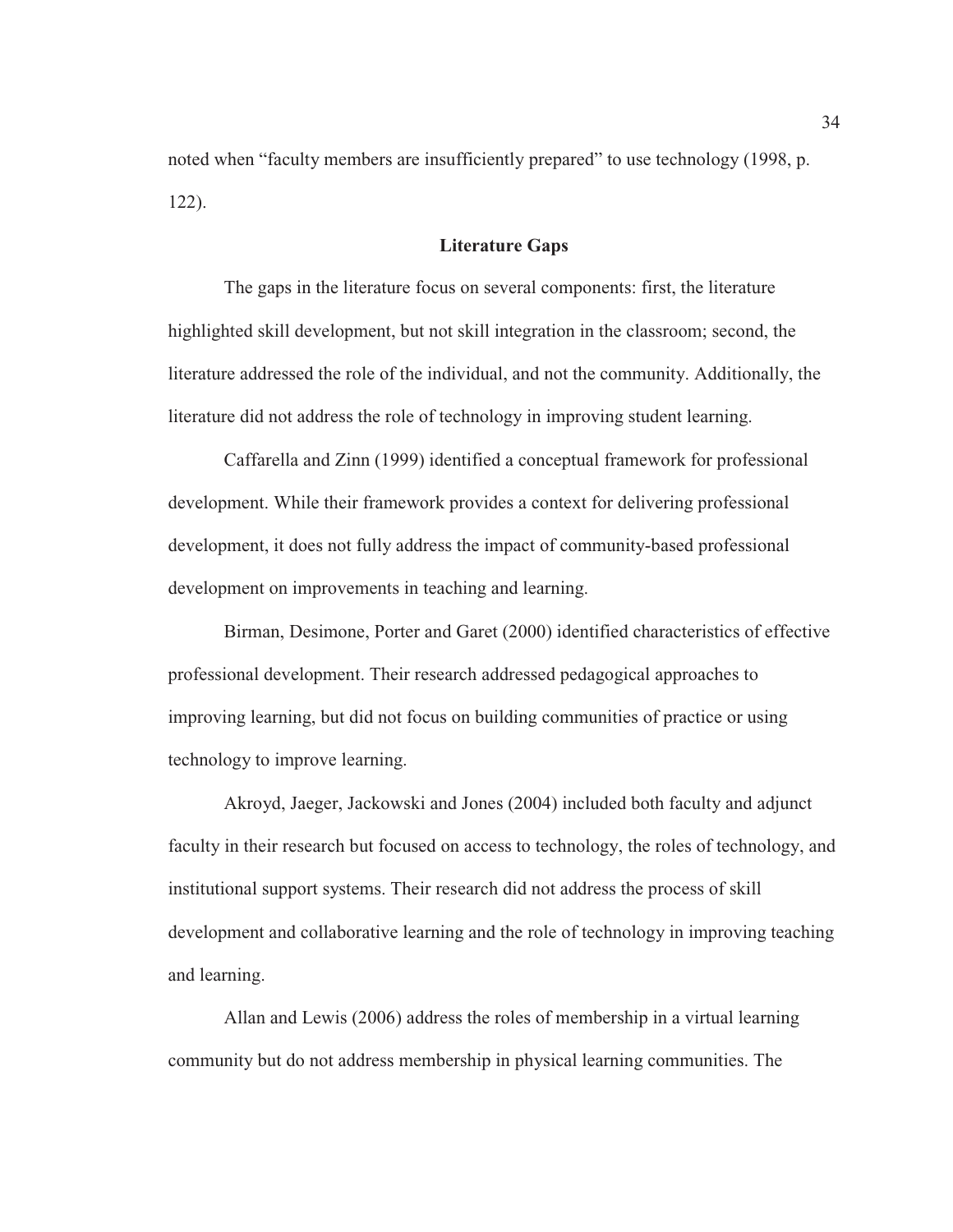noted when "faculty members are insufficiently prepared" to use technology (1998, p. 122).

#### **Literature Gaps**

The gaps in the literature focus on several components: first, the literature highlighted skill development, but not skill integration in the classroom; second, the literature addressed the role of the individual, and not the community. Additionally, the literature did not address the role of technology in improving student learning.

Caffarella and Zinn (1999) identified a conceptual framework for professional development. While their framework provides a context for delivering professional development, it does not fully address the impact of community-based professional development on improvements in teaching and learning.

Birman, Desimone, Porter and Garet (2000) identified characteristics of effective professional development. Their research addressed pedagogical approaches to improving learning, but did not focus on building communities of practice or using technology to improve learning.

Akroyd, Jaeger, Jackowski and Jones (2004) included both faculty and adjunct faculty in their research but focused on access to technology, the roles of technology, and institutional support systems. Their research did not address the process of skill development and collaborative learning and the role of technology in improving teaching and learning.

Allan and Lewis (2006) address the roles of membership in a virtual learning community but do not address membership in physical learning communities. The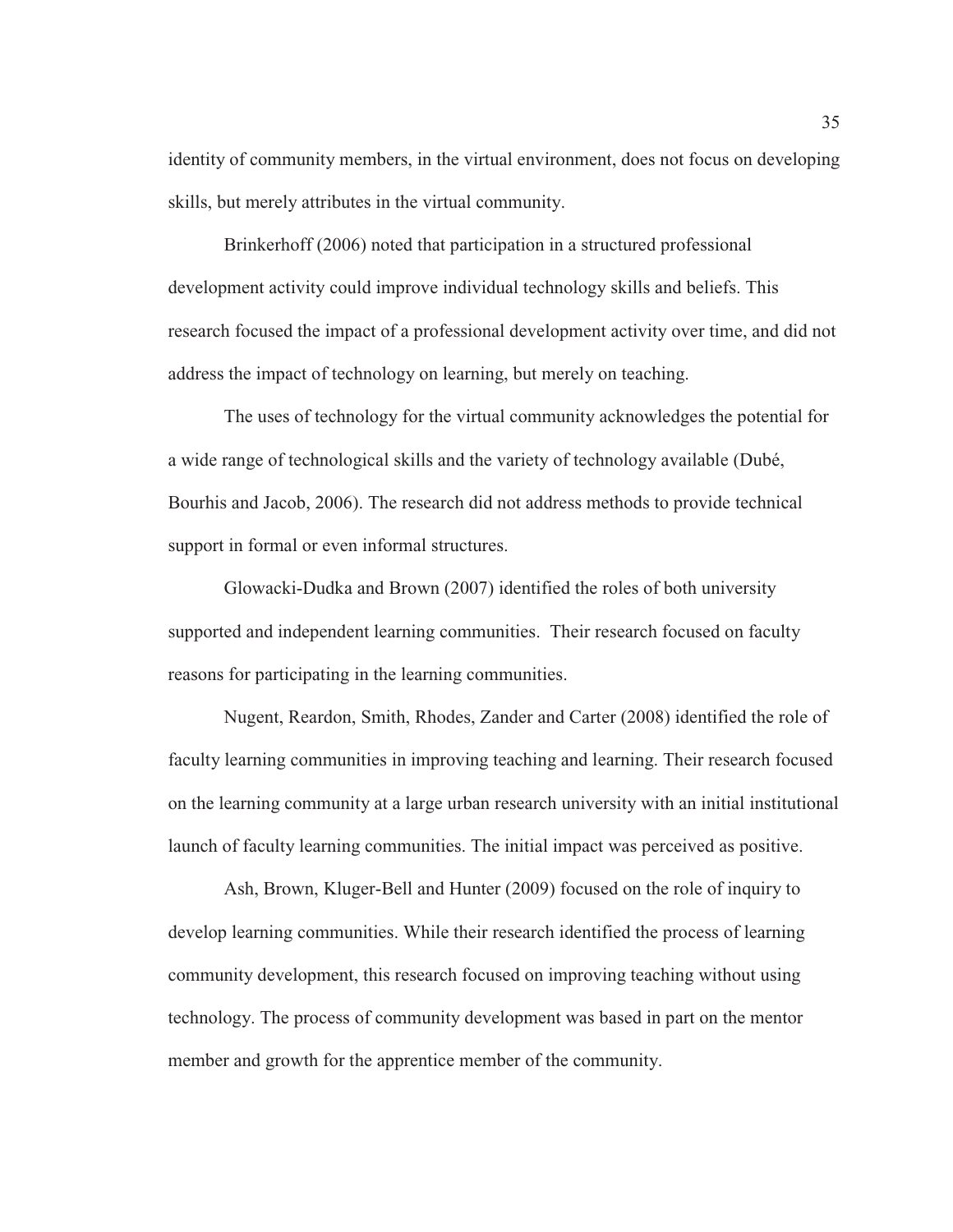identity of community members, in the virtual environment, does not focus on developing skills, but merely attributes in the virtual community.

Brinkerhoff (2006) noted that participation in a structured professional development activity could improve individual technology skills and beliefs. This research focused the impact of a professional development activity over time, and did not address the impact of technology on learning, but merely on teaching.

The uses of technology for the virtual community acknowledges the potential for a wide range of technological skills and the variety of technology available (Dubé, Bourhis and Jacob, 2006). The research did not address methods to provide technical support in formal or even informal structures.

Glowacki-Dudka and Brown (2007) identified the roles of both university supported and independent learning communities. Their research focused on faculty reasons for participating in the learning communities.

Nugent, Reardon, Smith, Rhodes, Zander and Carter (2008) identified the role of faculty learning communities in improving teaching and learning. Their research focused on the learning community at a large urban research university with an initial institutional launch of faculty learning communities. The initial impact was perceived as positive.

Ash, Brown, Kluger-Bell and Hunter (2009) focused on the role of inquiry to develop learning communities. While their research identified the process of learning community development, this research focused on improving teaching without using technology. The process of community development was based in part on the mentor member and growth for the apprentice member of the community.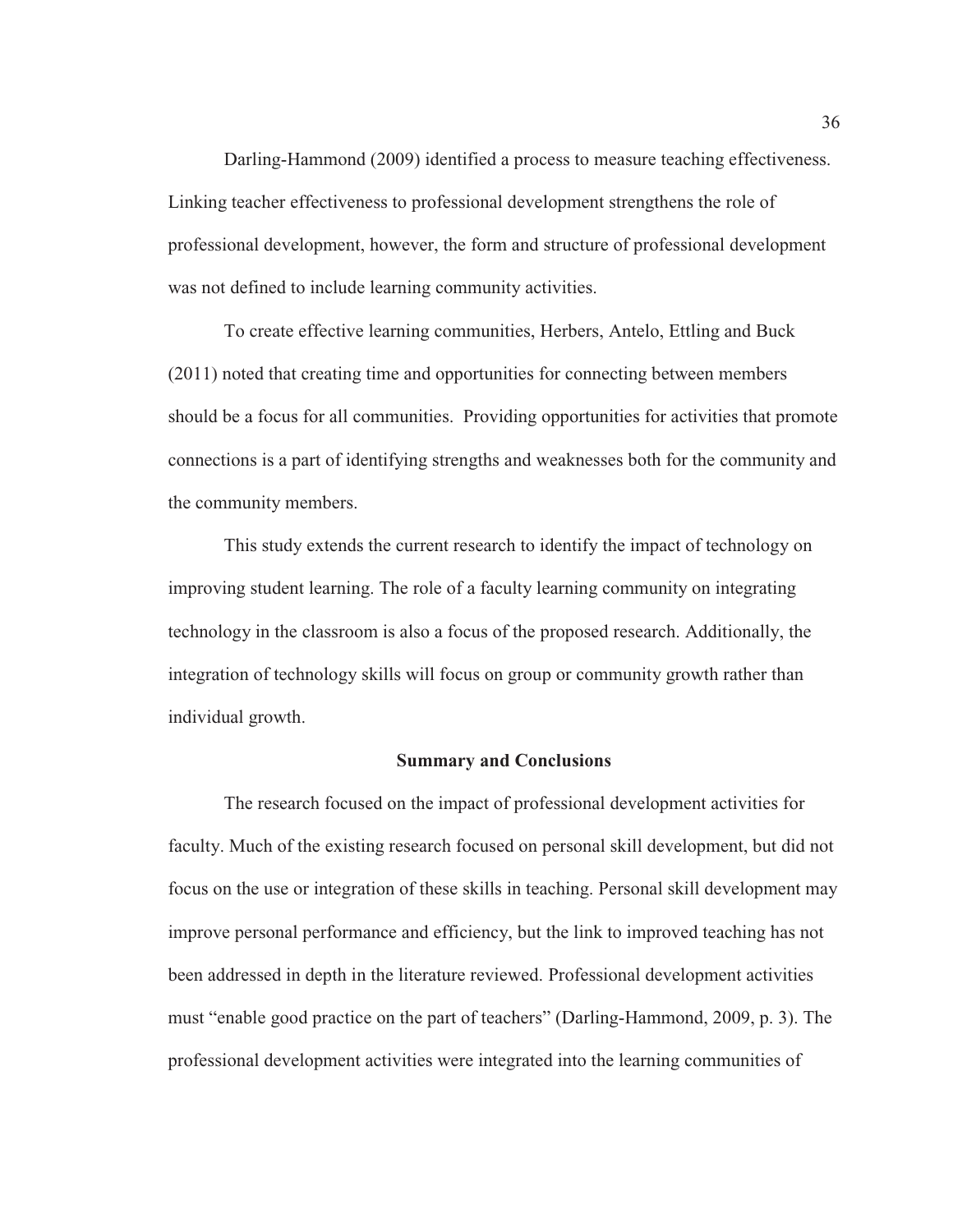Darling-Hammond (2009) identified a process to measure teaching effectiveness. Linking teacher effectiveness to professional development strengthens the role of professional development, however, the form and structure of professional development was not defined to include learning community activities.

To create effective learning communities, Herbers, Antelo, Ettling and Buck (2011) noted that creating time and opportunities for connecting between members should be a focus for all communities. Providing opportunities for activities that promote connections is a part of identifying strengths and weaknesses both for the community and the community members.

This study extends the current research to identify the impact of technology on improving student learning. The role of a faculty learning community on integrating technology in the classroom is also a focus of the proposed research. Additionally, the integration of technology skills will focus on group or community growth rather than individual growth.

### **Summary and Conclusions**

The research focused on the impact of professional development activities for faculty. Much of the existing research focused on personal skill development, but did not focus on the use or integration of these skills in teaching. Personal skill development may improve personal performance and efficiency, but the link to improved teaching has not been addressed in depth in the literature reviewed. Professional development activities must "enable good practice on the part of teachers" (Darling-Hammond, 2009, p. 3). The professional development activities were integrated into the learning communities of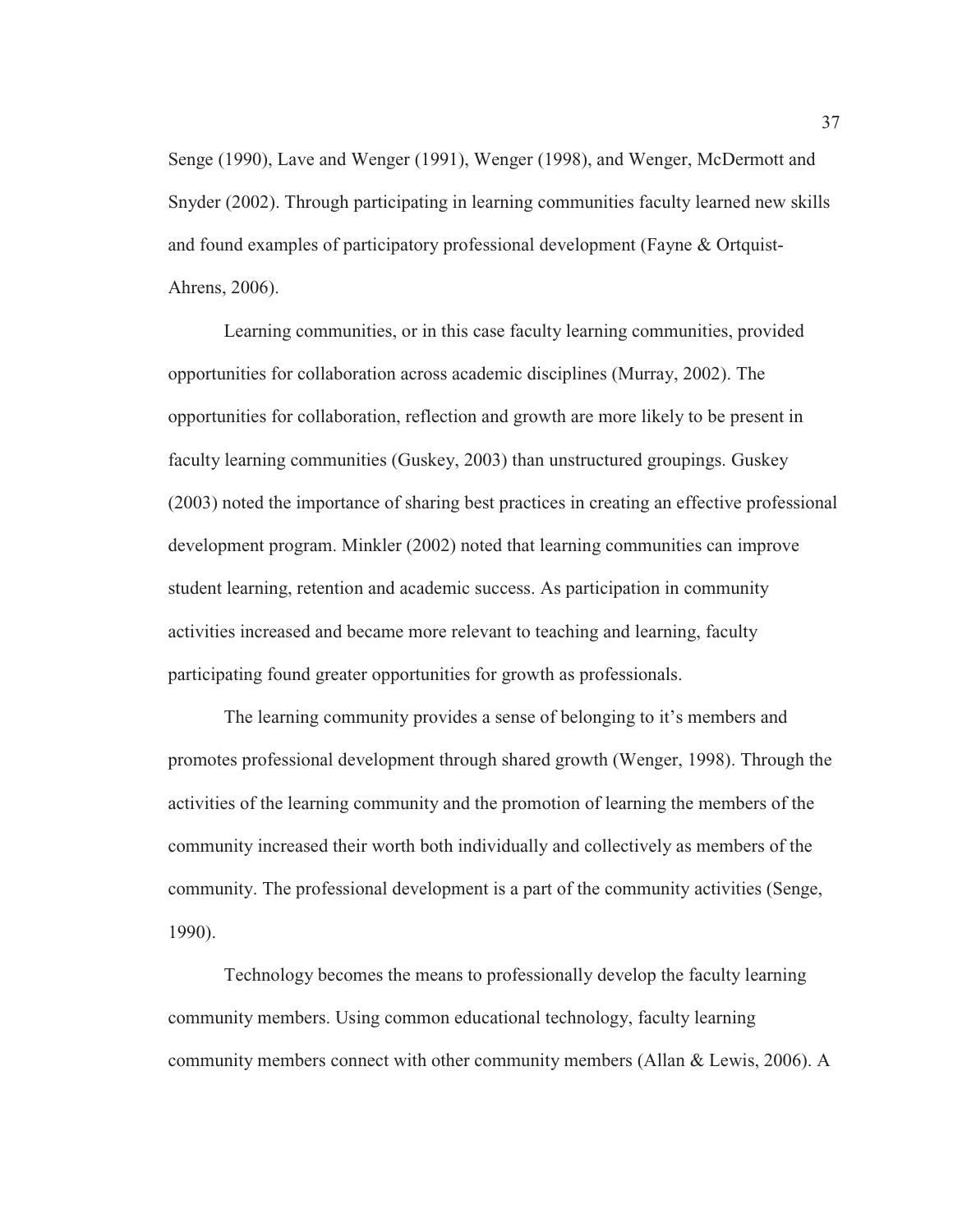Senge (1990), Lave and Wenger (1991), Wenger (1998), and Wenger, McDermott and Snyder (2002). Through participating in learning communities faculty learned new skills and found examples of participatory professional development (Fayne & Ortquist-Ahrens, 2006).

Learning communities, or in this case faculty learning communities, provided opportunities for collaboration across academic disciplines (Murray, 2002). The opportunities for collaboration, reflection and growth are more likely to be present in faculty learning communities (Guskey, 2003) than unstructured groupings. Guskey (2003) noted the importance of sharing best practices in creating an effective professional development program. Minkler (2002) noted that learning communities can improve student learning, retention and academic success. As participation in community activities increased and became more relevant to teaching and learning, faculty participating found greater opportunities for growth as professionals.

The learning community provides a sense of belonging to it's members and promotes professional development through shared growth (Wenger, 1998). Through the activities of the learning community and the promotion of learning the members of the community increased their worth both individually and collectively as members of the community. The professional development is a part of the community activities (Senge, 1990).

Technology becomes the means to professionally develop the faculty learning community members. Using common educational technology, faculty learning community members connect with other community members (Allan & Lewis, 2006). A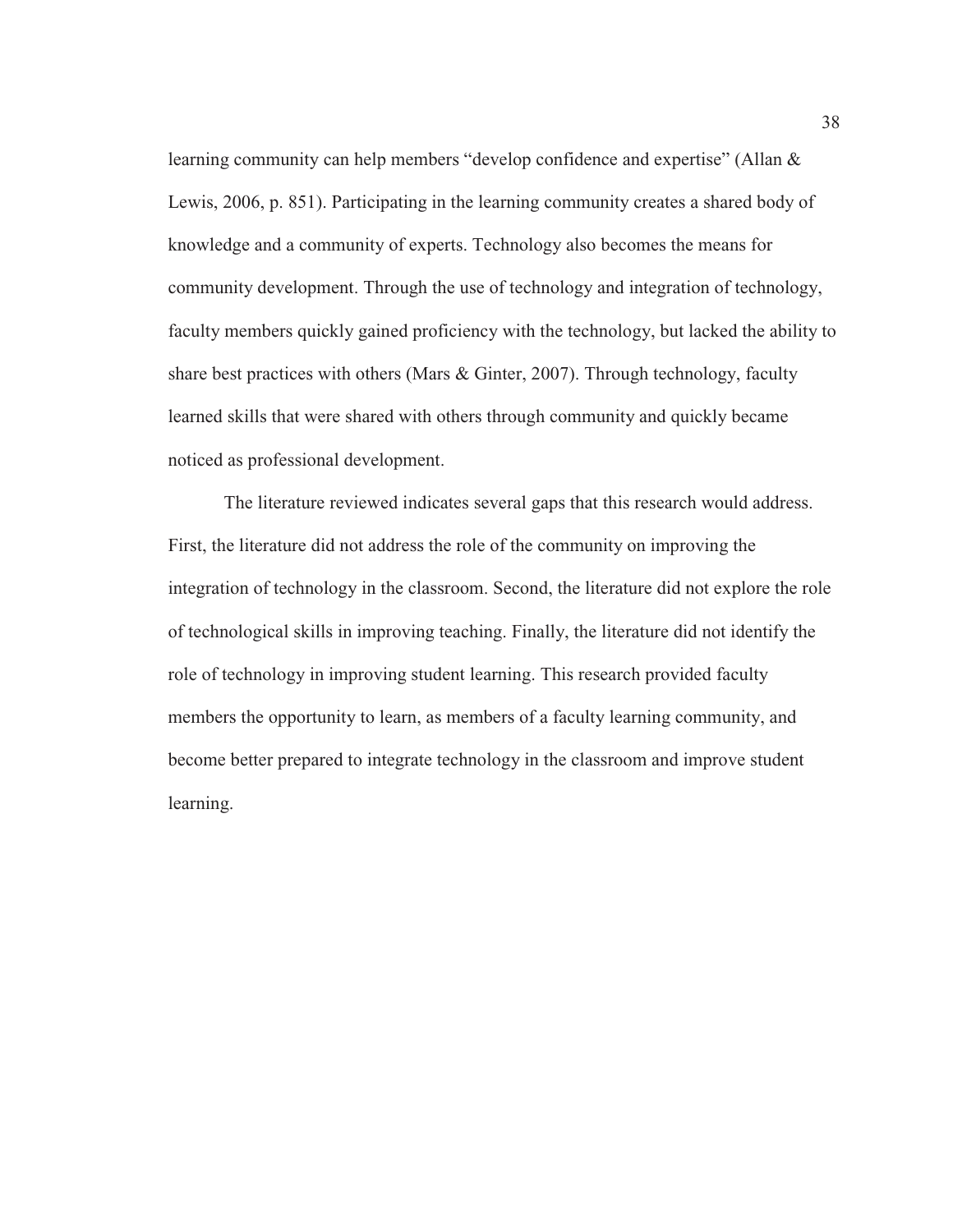learning community can help members "develop confidence and expertise" (Allan & Lewis, 2006, p. 851). Participating in the learning community creates a shared body of knowledge and a community of experts. Technology also becomes the means for community development. Through the use of technology and integration of technology, faculty members quickly gained proficiency with the technology, but lacked the ability to share best practices with others (Mars & Ginter, 2007). Through technology, faculty learned skills that were shared with others through community and quickly became noticed as professional development.

The literature reviewed indicates several gaps that this research would address. First, the literature did not address the role of the community on improving the integration of technology in the classroom. Second, the literature did not explore the role of technological skills in improving teaching. Finally, the literature did not identify the role of technology in improving student learning. This research provided faculty members the opportunity to learn, as members of a faculty learning community, and become better prepared to integrate technology in the classroom and improve student learning.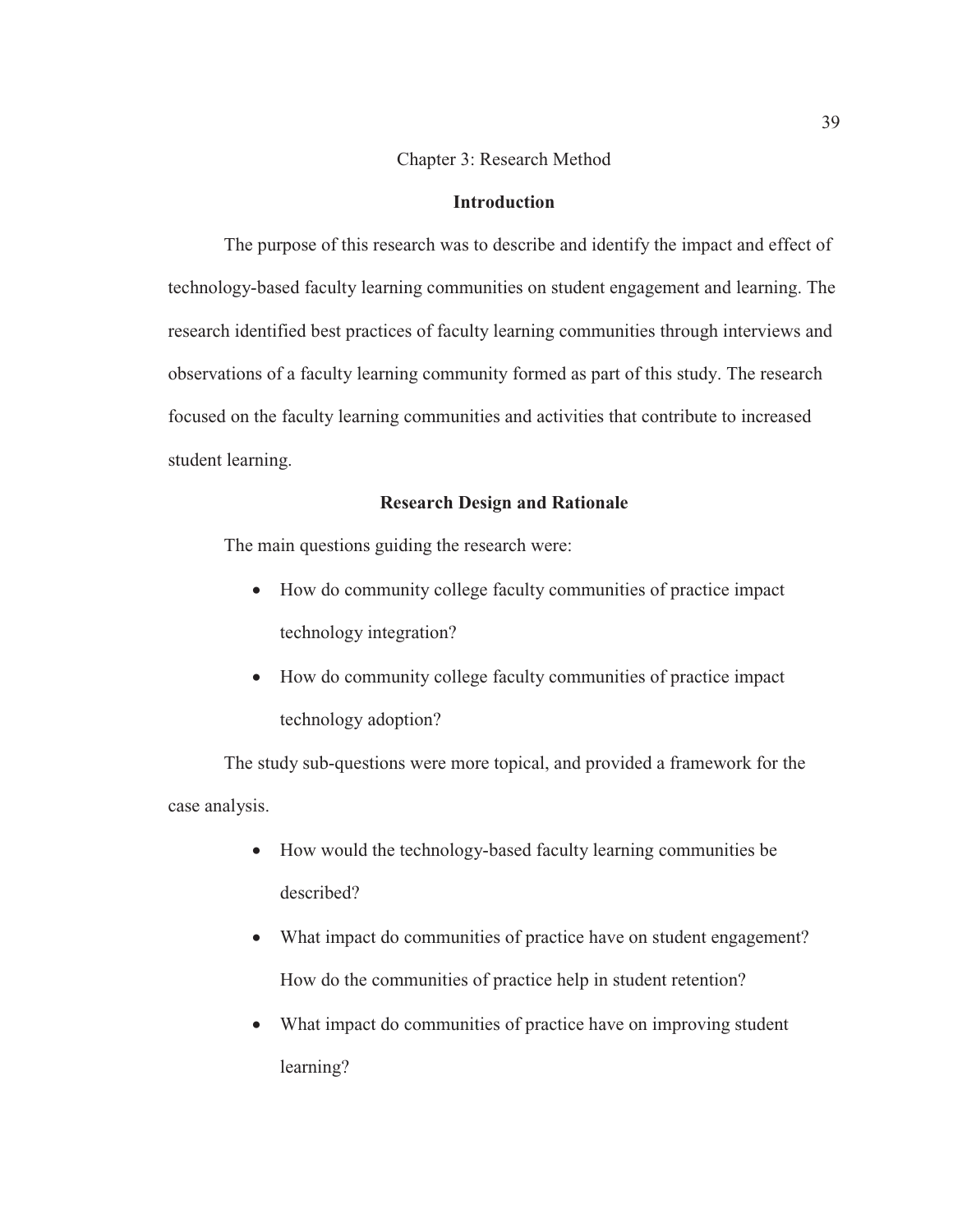## Chapter 3: Research Method

#### **Introduction**

The purpose of this research was to describe and identify the impact and effect of technology-based faculty learning communities on student engagement and learning. The research identified best practices of faculty learning communities through interviews and observations of a faculty learning community formed as part of this study. The research focused on the faculty learning communities and activities that contribute to increased student learning.

## **Research Design and Rationale**

The main questions guiding the research were:

- How do community college faculty communities of practice impact technology integration?
- How do community college faculty communities of practice impact technology adoption?

The study sub-questions were more topical, and provided a framework for the case analysis.

- How would the technology-based faculty learning communities be described?
- What impact do communities of practice have on student engagement? How do the communities of practice help in student retention?
- What impact do communities of practice have on improving student learning?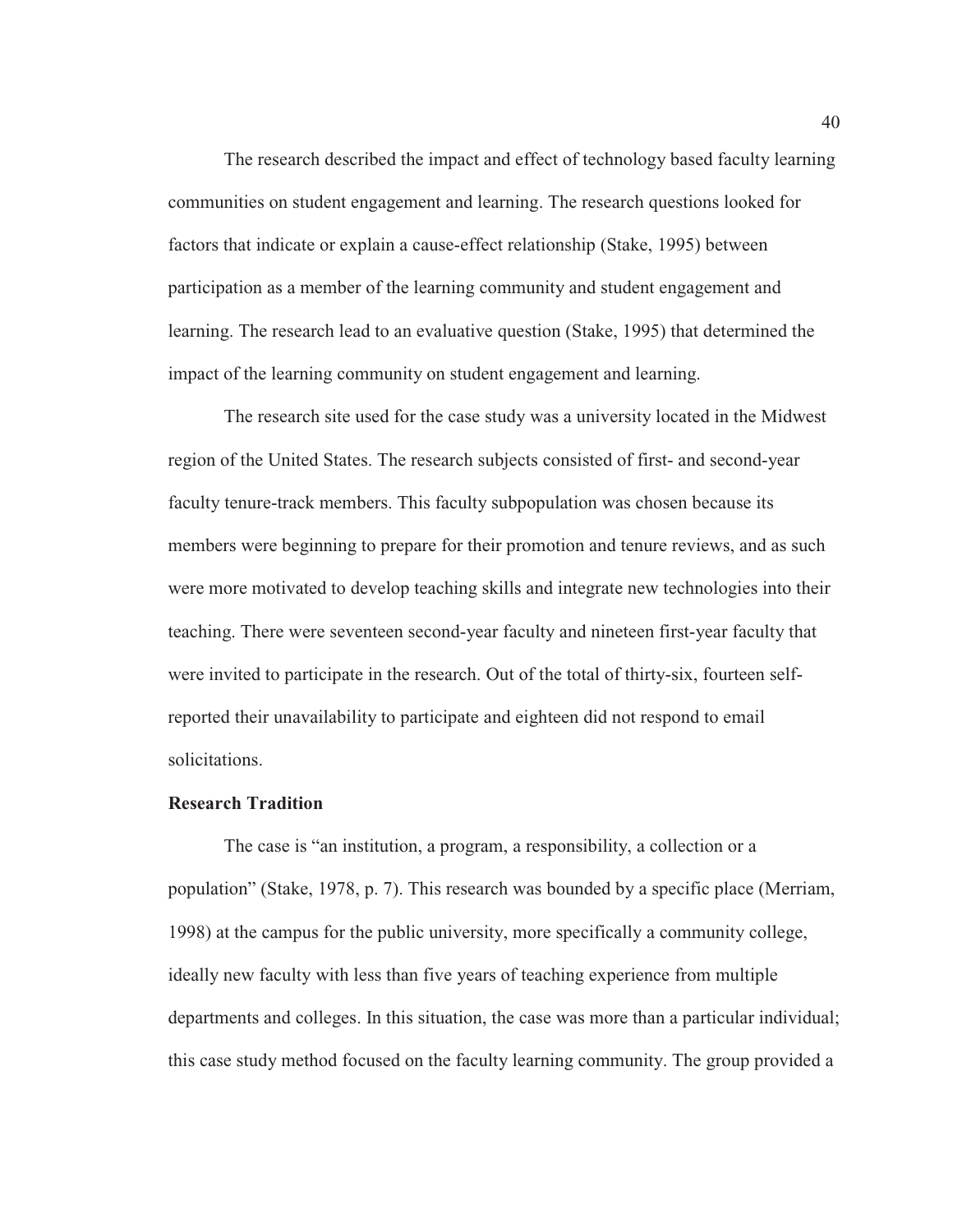The research described the impact and effect of technology based faculty learning communities on student engagement and learning. The research questions looked for factors that indicate or explain a cause-effect relationship (Stake, 1995) between participation as a member of the learning community and student engagement and learning. The research lead to an evaluative question (Stake, 1995) that determined the impact of the learning community on student engagement and learning.

The research site used for the case study was a university located in the Midwest region of the United States. The research subjects consisted of first- and second-year faculty tenure-track members. This faculty subpopulation was chosen because its members were beginning to prepare for their promotion and tenure reviews, and as such were more motivated to develop teaching skills and integrate new technologies into their teaching. There were seventeen second-year faculty and nineteen first-year faculty that were invited to participate in the research. Out of the total of thirty-six, fourteen selfreported their unavailability to participate and eighteen did not respond to email solicitations.

## **Research Tradition**

The case is "an institution, a program, a responsibility, a collection or a population" (Stake, 1978, p. 7). This research was bounded by a specific place (Merriam, 1998) at the campus for the public university, more specifically a community college, ideally new faculty with less than five years of teaching experience from multiple departments and colleges. In this situation, the case was more than a particular individual; this case study method focused on the faculty learning community. The group provided a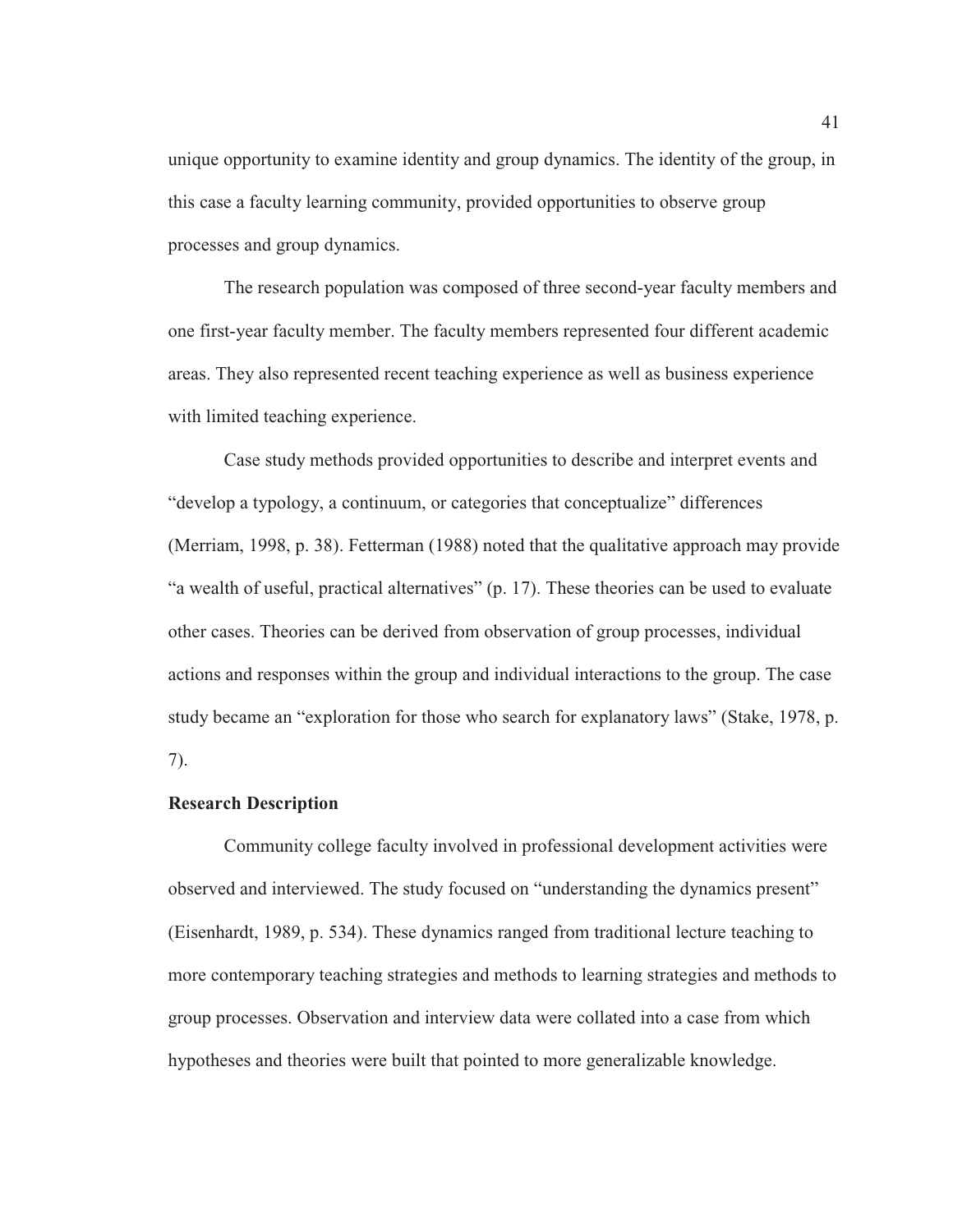unique opportunity to examine identity and group dynamics. The identity of the group, in this case a faculty learning community, provided opportunities to observe group processes and group dynamics.

The research population was composed of three second-year faculty members and one first-year faculty member. The faculty members represented four different academic areas. They also represented recent teaching experience as well as business experience with limited teaching experience.

Case study methods provided opportunities to describe and interpret events and "develop a typology, a continuum, or categories that conceptualize" differences (Merriam, 1998, p. 38). Fetterman (1988) noted that the qualitative approach may provide "a wealth of useful, practical alternatives" (p. 17). These theories can be used to evaluate other cases. Theories can be derived from observation of group processes, individual actions and responses within the group and individual interactions to the group. The case study became an "exploration for those who search for explanatory laws" (Stake, 1978, p. 7).

# **Research Description**

Community college faculty involved in professional development activities were observed and interviewed. The study focused on "understanding the dynamics present" (Eisenhardt, 1989, p. 534). These dynamics ranged from traditional lecture teaching to more contemporary teaching strategies and methods to learning strategies and methods to group processes. Observation and interview data were collated into a case from which hypotheses and theories were built that pointed to more generalizable knowledge.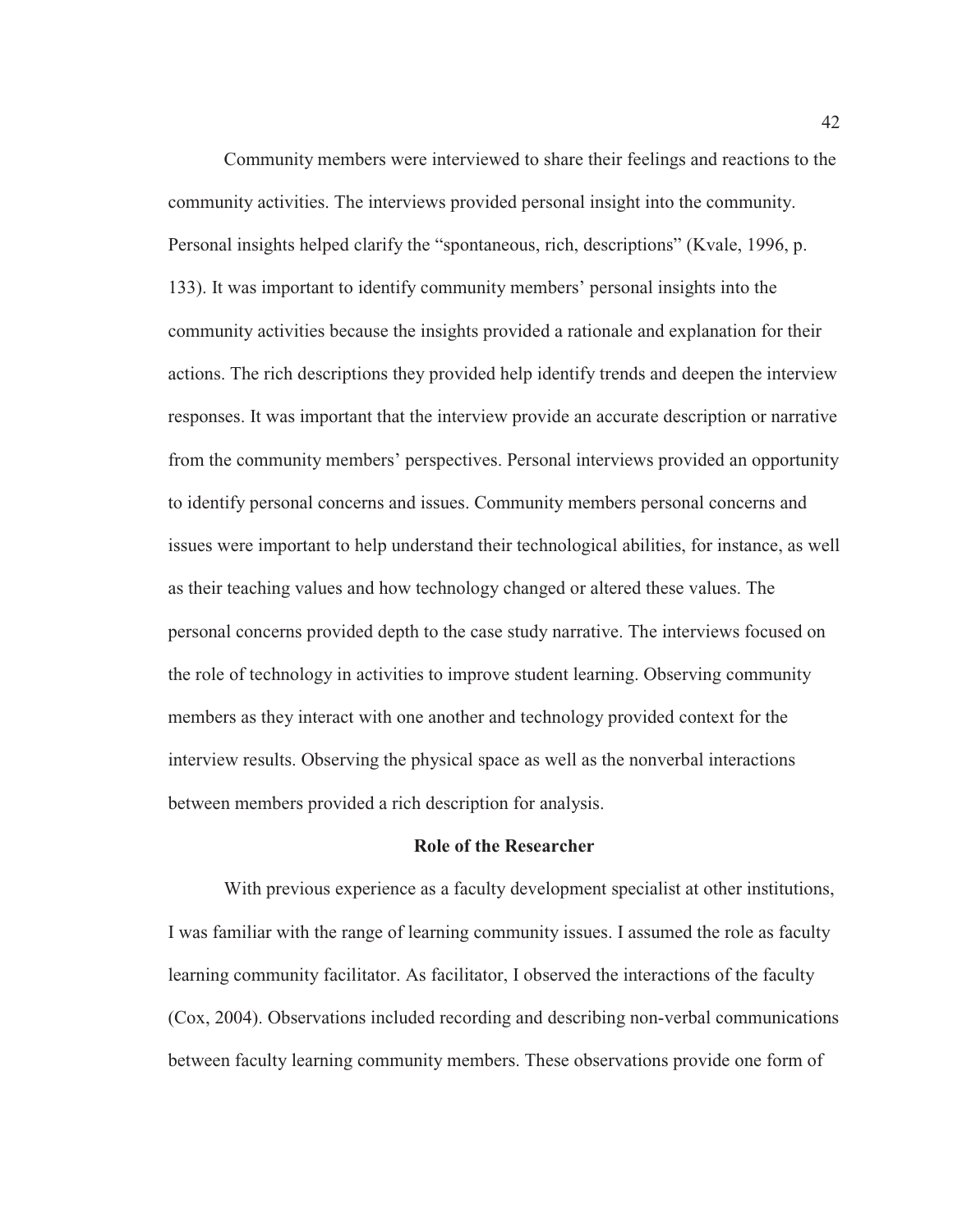Community members were interviewed to share their feelings and reactions to the community activities. The interviews provided personal insight into the community. Personal insights helped clarify the "spontaneous, rich, descriptions" (Kvale, 1996, p. 133). It was important to identify community members' personal insights into the community activities because the insights provided a rationale and explanation for their actions. The rich descriptions they provided help identify trends and deepen the interview responses. It was important that the interview provide an accurate description or narrative from the community members' perspectives. Personal interviews provided an opportunity to identify personal concerns and issues. Community members personal concerns and issues were important to help understand their technological abilities, for instance, as well as their teaching values and how technology changed or altered these values. The personal concerns provided depth to the case study narrative. The interviews focused on the role of technology in activities to improve student learning. Observing community members as they interact with one another and technology provided context for the interview results. Observing the physical space as well as the nonverbal interactions between members provided a rich description for analysis.

#### **Role of the Researcher**

With previous experience as a faculty development specialist at other institutions, I was familiar with the range of learning community issues. I assumed the role as faculty learning community facilitator. As facilitator, I observed the interactions of the faculty (Cox, 2004). Observations included recording and describing non-verbal communications between faculty learning community members. These observations provide one form of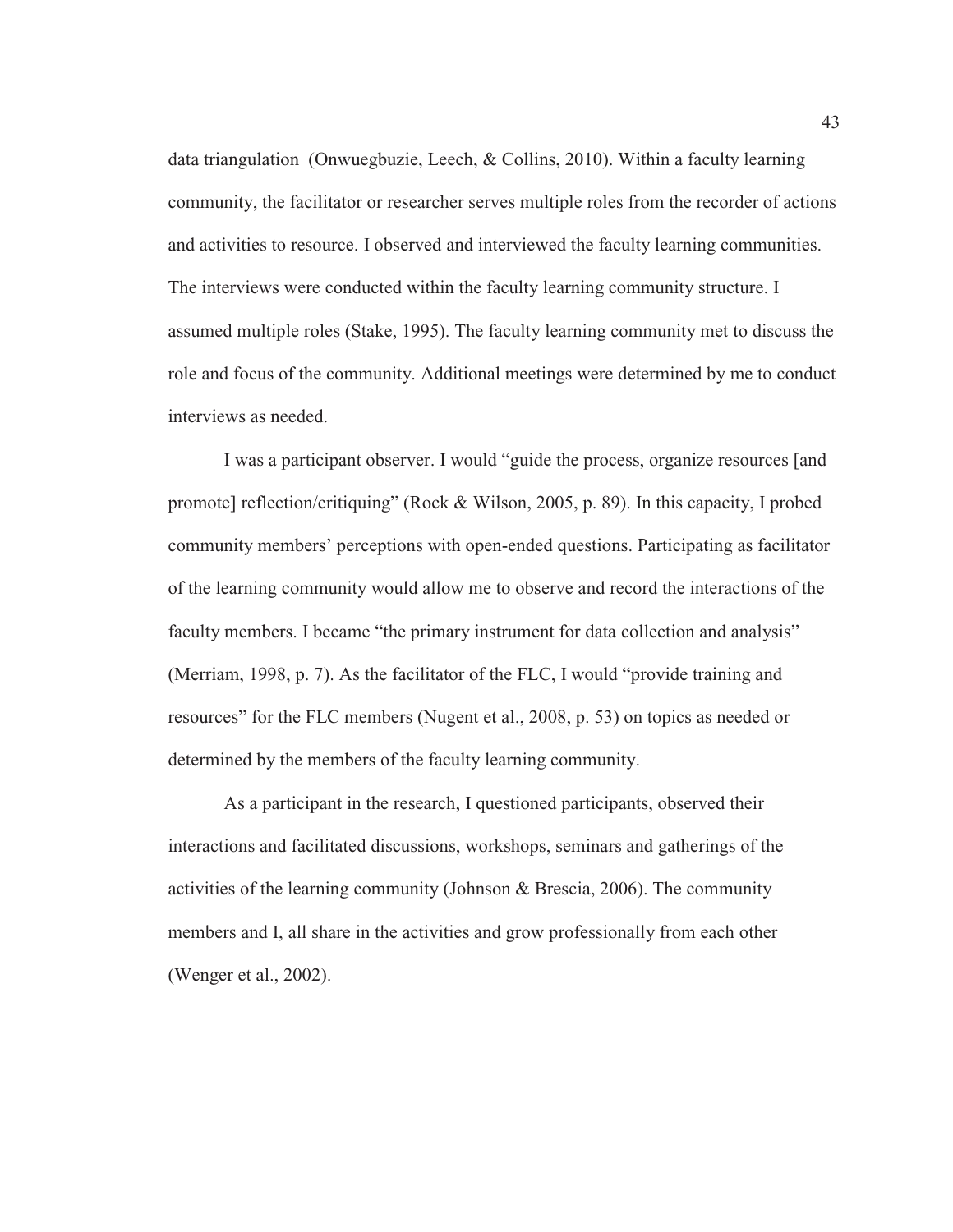data triangulation (Onwuegbuzie, Leech, & Collins, 2010). Within a faculty learning community, the facilitator or researcher serves multiple roles from the recorder of actions and activities to resource. I observed and interviewed the faculty learning communities. The interviews were conducted within the faculty learning community structure. I assumed multiple roles (Stake, 1995). The faculty learning community met to discuss the role and focus of the community. Additional meetings were determined by me to conduct interviews as needed.

I was a participant observer. I would "guide the process, organize resources [and promote] reflection/critiquing" (Rock & Wilson, 2005, p. 89). In this capacity, I probed community members' perceptions with open-ended questions. Participating as facilitator of the learning community would allow me to observe and record the interactions of the faculty members. I became "the primary instrument for data collection and analysis" (Merriam, 1998, p. 7). As the facilitator of the FLC, I would "provide training and resources" for the FLC members (Nugent et al., 2008, p. 53) on topics as needed or determined by the members of the faculty learning community.

As a participant in the research, I questioned participants, observed their interactions and facilitated discussions, workshops, seminars and gatherings of the activities of the learning community (Johnson & Brescia, 2006). The community members and I, all share in the activities and grow professionally from each other (Wenger et al., 2002).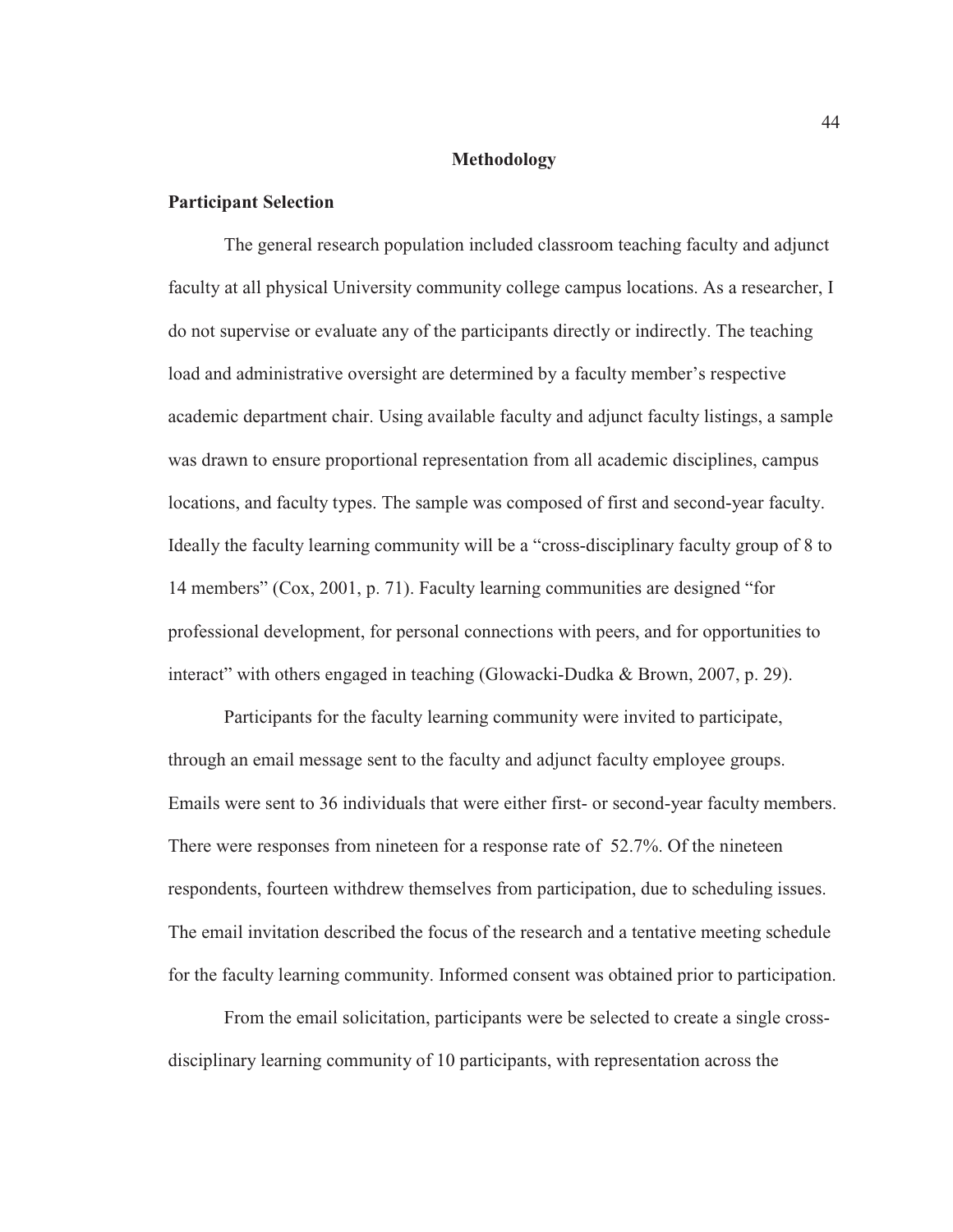#### **Methodology**

## **Participant Selection**

The general research population included classroom teaching faculty and adjunct faculty at all physical University community college campus locations. As a researcher, I do not supervise or evaluate any of the participants directly or indirectly. The teaching load and administrative oversight are determined by a faculty member's respective academic department chair. Using available faculty and adjunct faculty listings, a sample was drawn to ensure proportional representation from all academic disciplines, campus locations, and faculty types. The sample was composed of first and second-year faculty. Ideally the faculty learning community will be a "cross-disciplinary faculty group of 8 to 14 members" (Cox, 2001, p. 71). Faculty learning communities are designed "for professional development, for personal connections with peers, and for opportunities to interact" with others engaged in teaching (Glowacki-Dudka & Brown, 2007, p. 29).

Participants for the faculty learning community were invited to participate, through an email message sent to the faculty and adjunct faculty employee groups. Emails were sent to 36 individuals that were either first- or second-year faculty members. There were responses from nineteen for a response rate of 52.7%. Of the nineteen respondents, fourteen withdrew themselves from participation, due to scheduling issues. The email invitation described the focus of the research and a tentative meeting schedule for the faculty learning community. Informed consent was obtained prior to participation.

From the email solicitation, participants were be selected to create a single crossdisciplinary learning community of 10 participants, with representation across the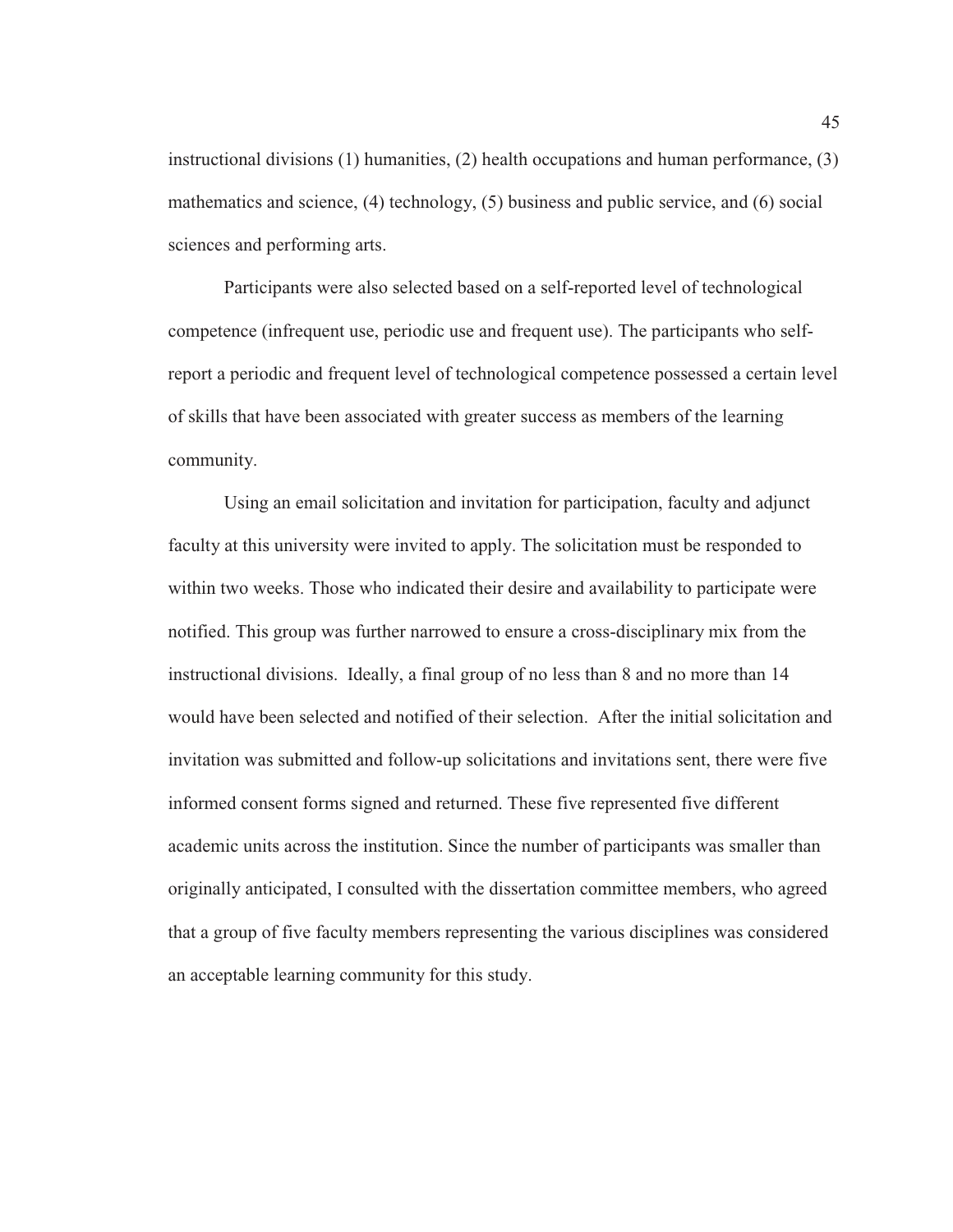instructional divisions (1) humanities, (2) health occupations and human performance, (3) mathematics and science, (4) technology, (5) business and public service, and (6) social sciences and performing arts.

Participants were also selected based on a self-reported level of technological competence (infrequent use, periodic use and frequent use). The participants who selfreport a periodic and frequent level of technological competence possessed a certain level of skills that have been associated with greater success as members of the learning community.

Using an email solicitation and invitation for participation, faculty and adjunct faculty at this university were invited to apply. The solicitation must be responded to within two weeks. Those who indicated their desire and availability to participate were notified. This group was further narrowed to ensure a cross-disciplinary mix from the instructional divisions. Ideally, a final group of no less than 8 and no more than 14 would have been selected and notified of their selection. After the initial solicitation and invitation was submitted and follow-up solicitations and invitations sent, there were five informed consent forms signed and returned. These five represented five different academic units across the institution. Since the number of participants was smaller than originally anticipated, I consulted with the dissertation committee members, who agreed that a group of five faculty members representing the various disciplines was considered an acceptable learning community for this study.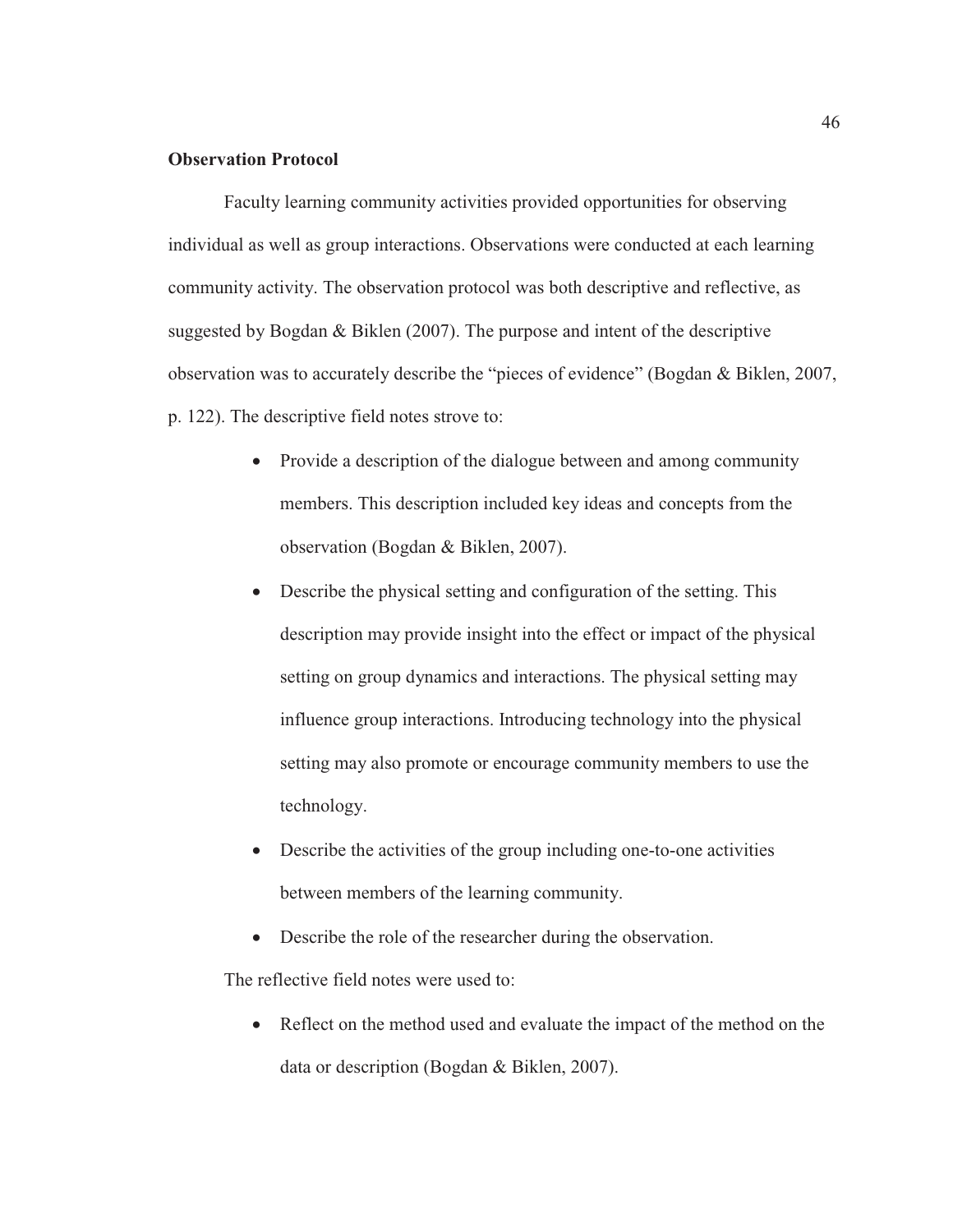#### **Observation Protocol**

Faculty learning community activities provided opportunities for observing individual as well as group interactions. Observations were conducted at each learning community activity. The observation protocol was both descriptive and reflective, as suggested by Bogdan & Biklen (2007). The purpose and intent of the descriptive observation was to accurately describe the "pieces of evidence" (Bogdan & Biklen, 2007, p. 122). The descriptive field notes strove to:

- Provide a description of the dialogue between and among community members. This description included key ideas and concepts from the observation (Bogdan & Biklen, 2007).
- $\bullet$  Describe the physical setting and configuration of the setting. This description may provide insight into the effect or impact of the physical setting on group dynamics and interactions. The physical setting may influence group interactions. Introducing technology into the physical setting may also promote or encourage community members to use the technology.
- Describe the activities of the group including one-to-one activities between members of the learning community.
- Describe the role of the researcher during the observation.

The reflective field notes were used to:

• Reflect on the method used and evaluate the impact of the method on the data or description (Bogdan & Biklen, 2007).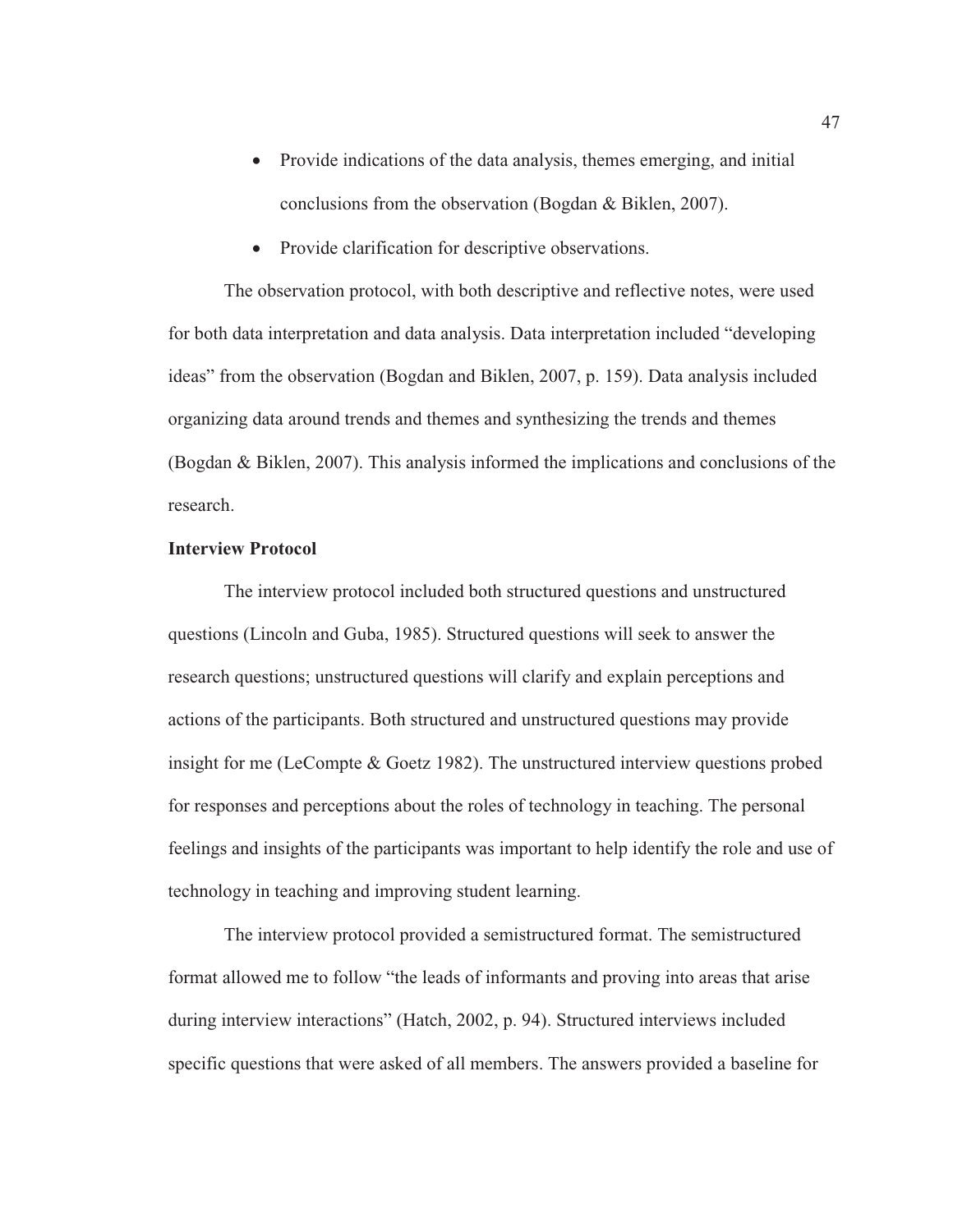- Provide indications of the data analysis, themes emerging, and initial conclusions from the observation (Bogdan & Biklen, 2007).
- Provide clarification for descriptive observations.

The observation protocol, with both descriptive and reflective notes, were used for both data interpretation and data analysis. Data interpretation included "developing ideas" from the observation (Bogdan and Biklen, 2007, p. 159). Data analysis included organizing data around trends and themes and synthesizing the trends and themes (Bogdan & Biklen, 2007). This analysis informed the implications and conclusions of the research.

# **Interview Protocol**

The interview protocol included both structured questions and unstructured questions (Lincoln and Guba, 1985). Structured questions will seek to answer the research questions; unstructured questions will clarify and explain perceptions and actions of the participants. Both structured and unstructured questions may provide insight for me (LeCompte & Goetz 1982). The unstructured interview questions probed for responses and perceptions about the roles of technology in teaching. The personal feelings and insights of the participants was important to help identify the role and use of technology in teaching and improving student learning.

The interview protocol provided a semistructured format. The semistructured format allowed me to follow "the leads of informants and proving into areas that arise during interview interactions" (Hatch, 2002, p. 94). Structured interviews included specific questions that were asked of all members. The answers provided a baseline for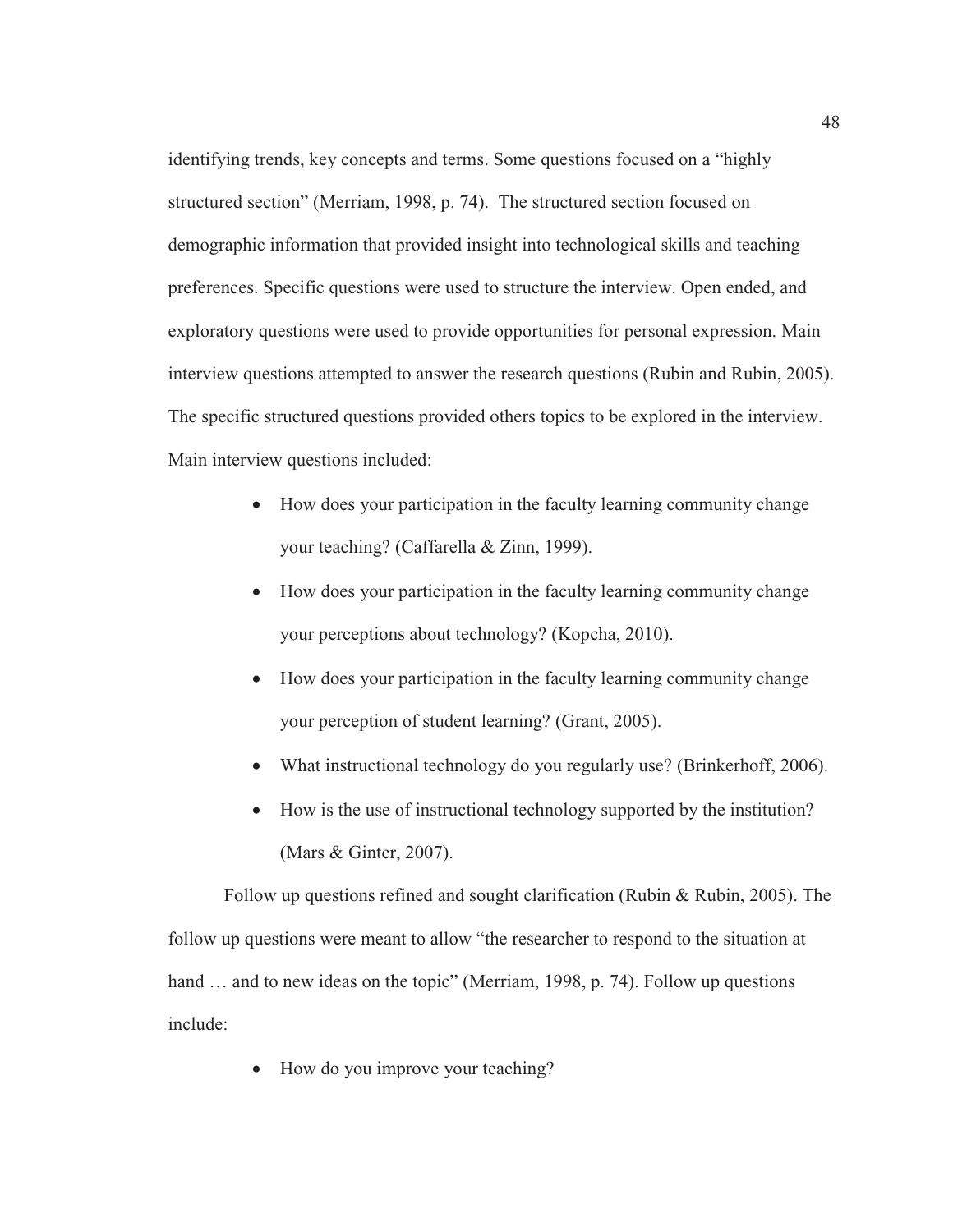identifying trends, key concepts and terms. Some questions focused on a "highly structured section" (Merriam, 1998, p. 74). The structured section focused on demographic information that provided insight into technological skills and teaching preferences. Specific questions were used to structure the interview. Open ended, and exploratory questions were used to provide opportunities for personal expression. Main interview questions attempted to answer the research questions (Rubin and Rubin, 2005). The specific structured questions provided others topics to be explored in the interview. Main interview questions included:

- How does your participation in the faculty learning community change your teaching? (Caffarella & Zinn, 1999).
- How does your participation in the faculty learning community change your perceptions about technology? (Kopcha, 2010).
- How does your participation in the faculty learning community change your perception of student learning? (Grant, 2005).
- What instructional technology do you regularly use? (Brinkerhoff, 2006).
- How is the use of instructional technology supported by the institution? (Mars & Ginter, 2007).

Follow up questions refined and sought clarification (Rubin & Rubin, 2005). The follow up questions were meant to allow "the researcher to respond to the situation at hand ... and to new ideas on the topic" (Merriam, 1998, p. 74). Follow up questions include:

 $\bullet$  How do you improve your teaching?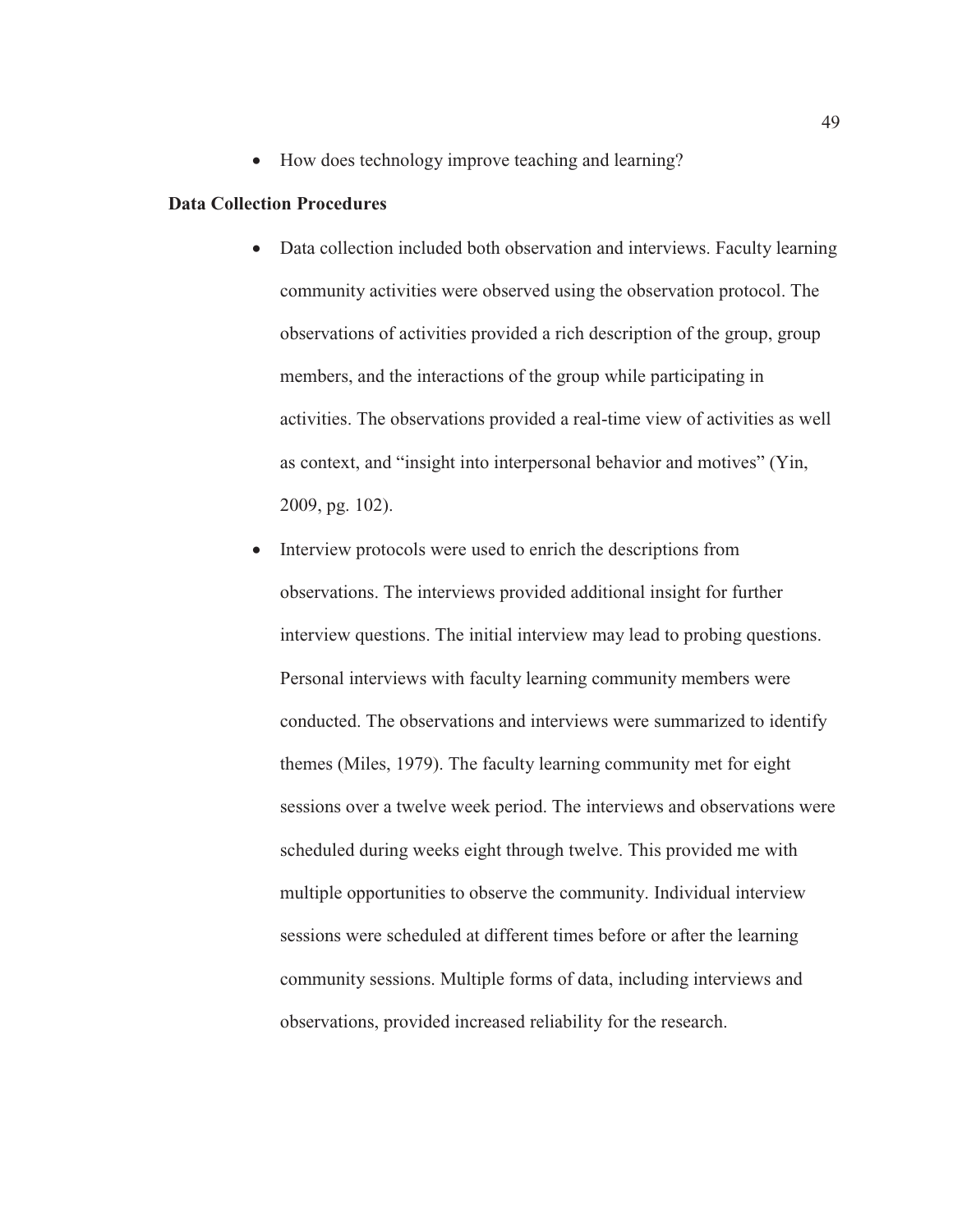• How does technology improve teaching and learning?

# **Data Collection Procedures**

- Data collection included both observation and interviews. Faculty learning community activities were observed using the observation protocol. The observations of activities provided a rich description of the group, group members, and the interactions of the group while participating in activities. The observations provided a real-time view of activities as well as context, and "insight into interpersonal behavior and motives" (Yin, 2009, pg. 102).
- Interview protocols were used to enrich the descriptions from observations. The interviews provided additional insight for further interview questions. The initial interview may lead to probing questions. Personal interviews with faculty learning community members were conducted. The observations and interviews were summarized to identify themes (Miles, 1979). The faculty learning community met for eight sessions over a twelve week period. The interviews and observations were scheduled during weeks eight through twelve. This provided me with multiple opportunities to observe the community. Individual interview sessions were scheduled at different times before or after the learning community sessions. Multiple forms of data, including interviews and observations, provided increased reliability for the research.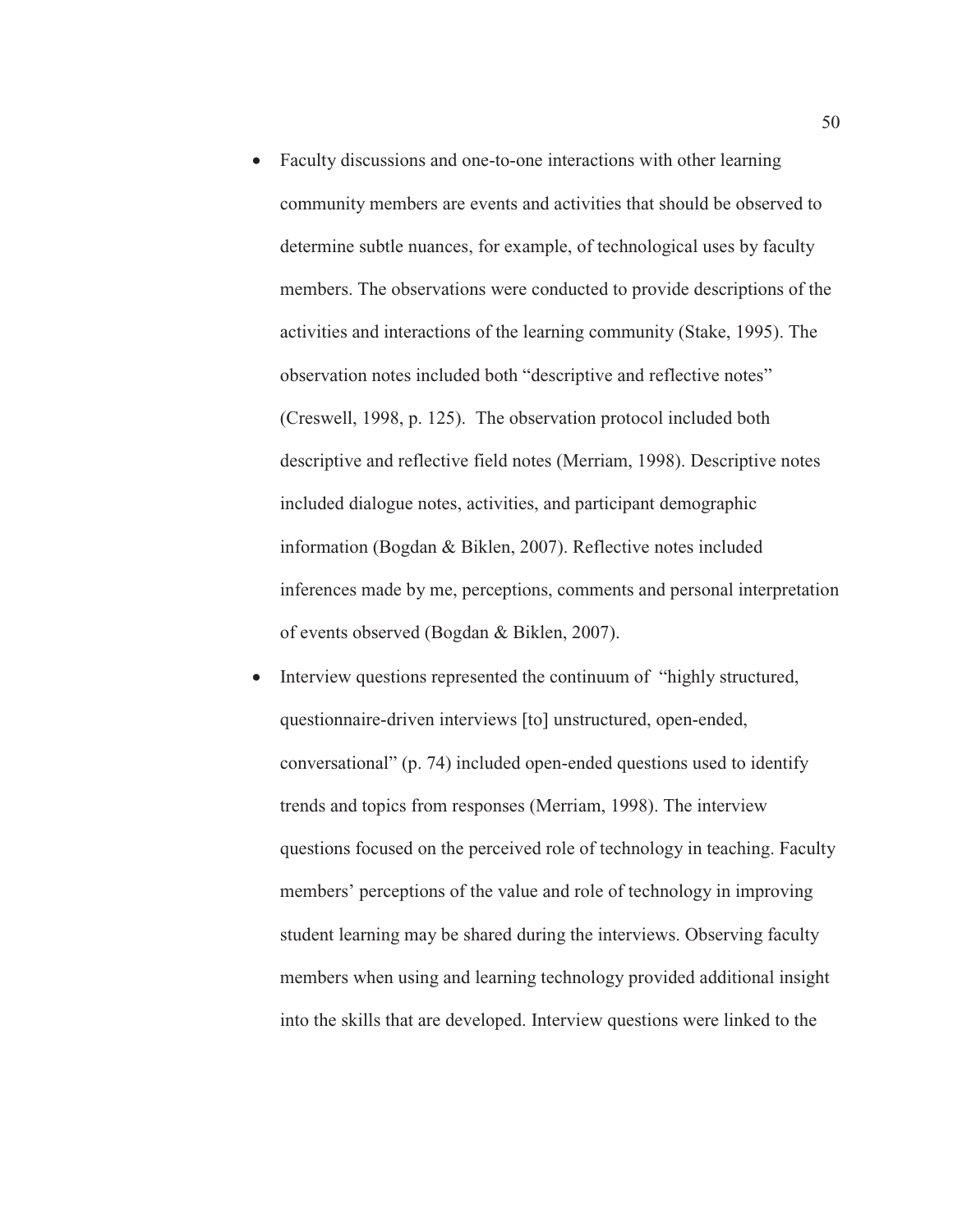- Faculty discussions and one-to-one interactions with other learning community members are events and activities that should be observed to determine subtle nuances, for example, of technological uses by faculty members. The observations were conducted to provide descriptions of the activities and interactions of the learning community (Stake, 1995). The observation notes included both "descriptive and reflective notes" (Creswell, 1998, p. 125). The observation protocol included both descriptive and reflective field notes (Merriam, 1998). Descriptive notes included dialogue notes, activities, and participant demographic information (Bogdan & Biklen, 2007). Reflective notes included inferences made by me, perceptions, comments and personal interpretation of events observed (Bogdan & Biklen, 2007).
- Interview questions represented the continuum of "highly structured, questionnaire-driven interviews [to] unstructured, open-ended, conversational" (p. 74) included open-ended questions used to identify trends and topics from responses (Merriam, 1998). The interview questions focused on the perceived role of technology in teaching. Faculty members' perceptions of the value and role of technology in improving student learning may be shared during the interviews. Observing faculty members when using and learning technology provided additional insight into the skills that are developed. Interview questions were linked to the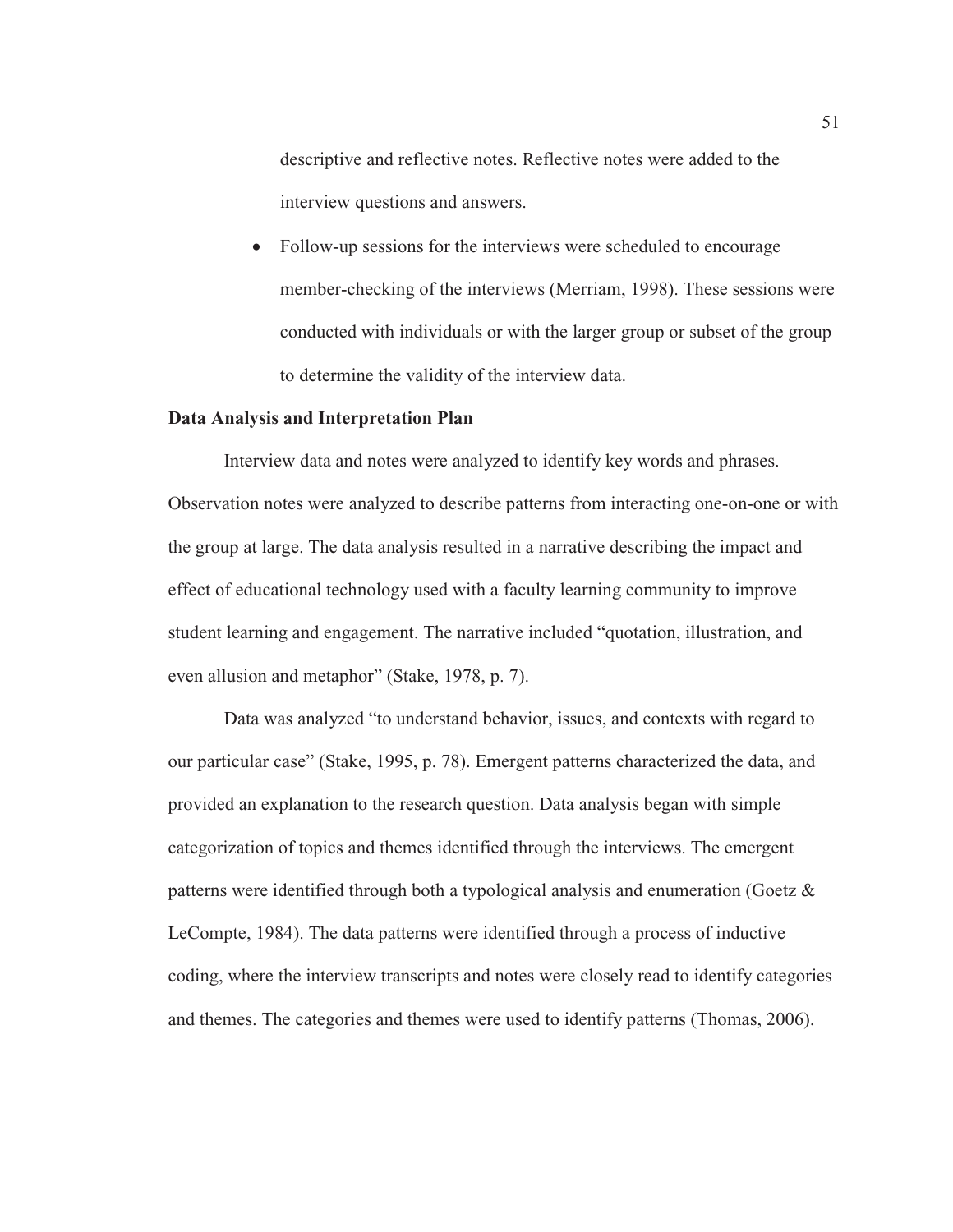descriptive and reflective notes. Reflective notes were added to the interview questions and answers.

Follow-up sessions for the interviews were scheduled to encourage member-checking of the interviews (Merriam, 1998). These sessions were conducted with individuals or with the larger group or subset of the group to determine the validity of the interview data.

## **Data Analysis and Interpretation Plan**

Interview data and notes were analyzed to identify key words and phrases. Observation notes were analyzed to describe patterns from interacting one-on-one or with the group at large. The data analysis resulted in a narrative describing the impact and effect of educational technology used with a faculty learning community to improve student learning and engagement. The narrative included "quotation, illustration, and even allusion and metaphor" (Stake, 1978, p. 7).

Data was analyzed "to understand behavior, issues, and contexts with regard to our particular case" (Stake, 1995, p. 78). Emergent patterns characterized the data, and provided an explanation to the research question. Data analysis began with simple categorization of topics and themes identified through the interviews. The emergent patterns were identified through both a typological analysis and enumeration (Goetz & LeCompte, 1984). The data patterns were identified through a process of inductive coding, where the interview transcripts and notes were closely read to identify categories and themes. The categories and themes were used to identify patterns (Thomas, 2006).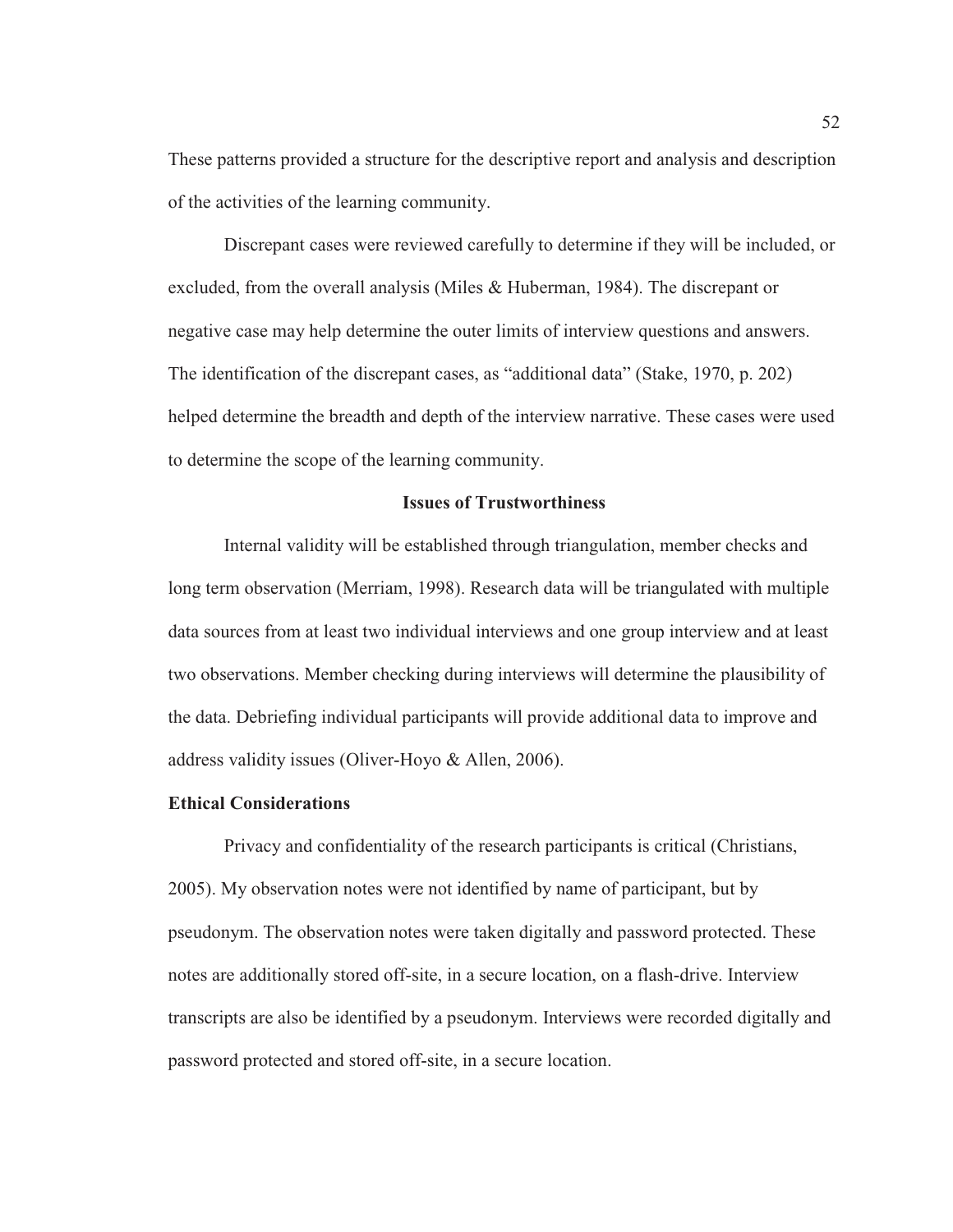These patterns provided a structure for the descriptive report and analysis and description of the activities of the learning community.

Discrepant cases were reviewed carefully to determine if they will be included, or excluded, from the overall analysis (Miles & Huberman, 1984). The discrepant or negative case may help determine the outer limits of interview questions and answers. The identification of the discrepant cases, as "additional data" (Stake, 1970, p. 202) helped determine the breadth and depth of the interview narrative. These cases were used to determine the scope of the learning community.

#### **Issues of Trustworthiness**

Internal validity will be established through triangulation, member checks and long term observation (Merriam, 1998). Research data will be triangulated with multiple data sources from at least two individual interviews and one group interview and at least two observations. Member checking during interviews will determine the plausibility of the data. Debriefing individual participants will provide additional data to improve and address validity issues (Oliver-Hoyo & Allen, 2006).

## **Ethical Considerations**

Privacy and confidentiality of the research participants is critical (Christians, 2005). My observation notes were not identified by name of participant, but by pseudonym. The observation notes were taken digitally and password protected. These notes are additionally stored off-site, in a secure location, on a flash-drive. Interview transcripts are also be identified by a pseudonym. Interviews were recorded digitally and password protected and stored off-site, in a secure location.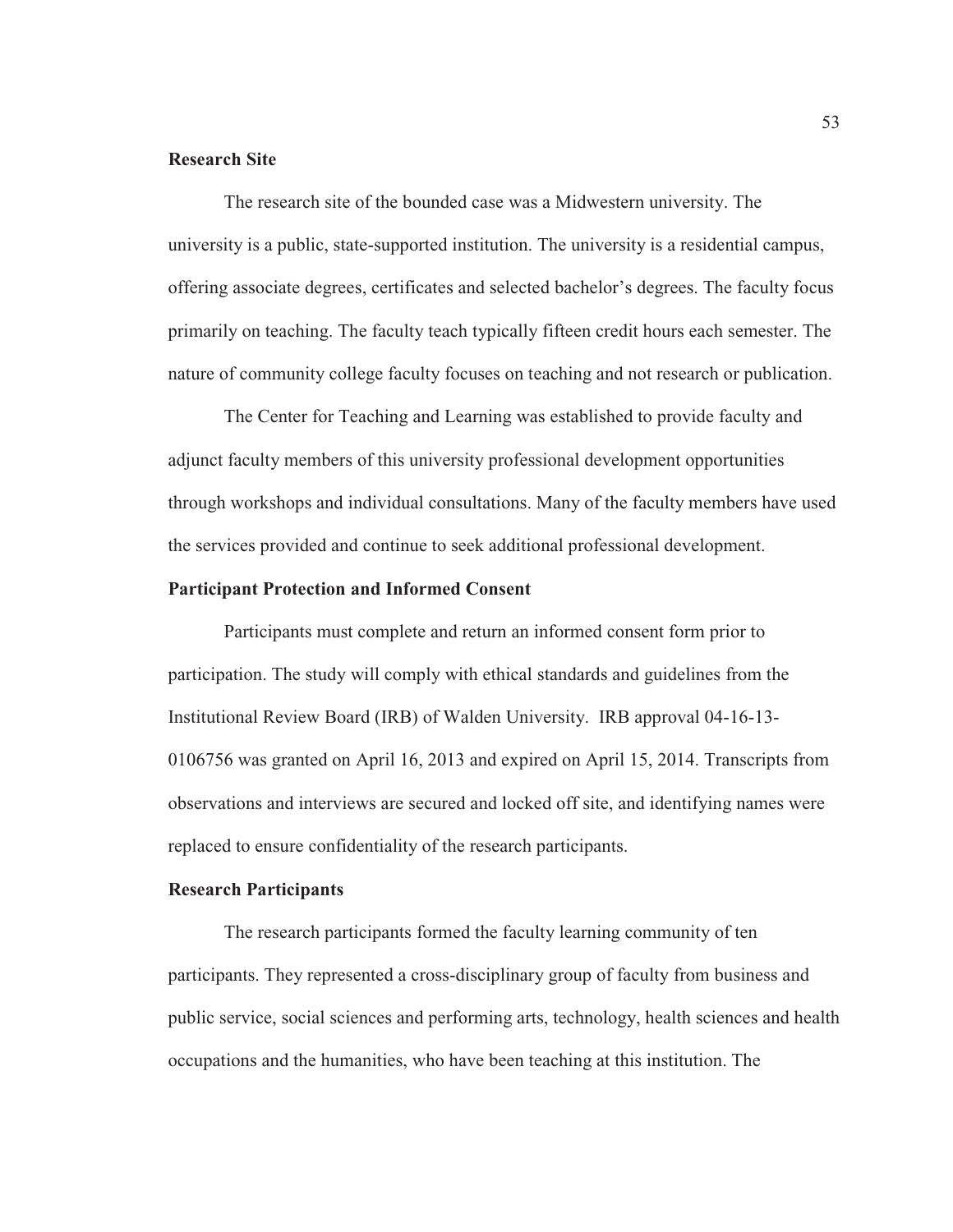## **Research Site**

The research site of the bounded case was a Midwestern university. The university is a public, state-supported institution. The university is a residential campus, offering associate degrees, certificates and selected bachelor's degrees. The faculty focus primarily on teaching. The faculty teach typically fifteen credit hours each semester. The nature of community college faculty focuses on teaching and not research or publication.

The Center for Teaching and Learning was established to provide faculty and adjunct faculty members of this university professional development opportunities through workshops and individual consultations. Many of the faculty members have used the services provided and continue to seek additional professional development.

## **Participant Protection and Informed Consent**

Participants must complete and return an informed consent form prior to participation. The study will comply with ethical standards and guidelines from the Institutional Review Board (IRB) of Walden University. IRB approval 04-16-13- 0106756 was granted on April 16, 2013 and expired on April 15, 2014. Transcripts from observations and interviews are secured and locked off site, and identifying names were replaced to ensure confidentiality of the research participants.

# **Research Participants**

The research participants formed the faculty learning community of ten participants. They represented a cross-disciplinary group of faculty from business and public service, social sciences and performing arts, technology, health sciences and health occupations and the humanities, who have been teaching at this institution. The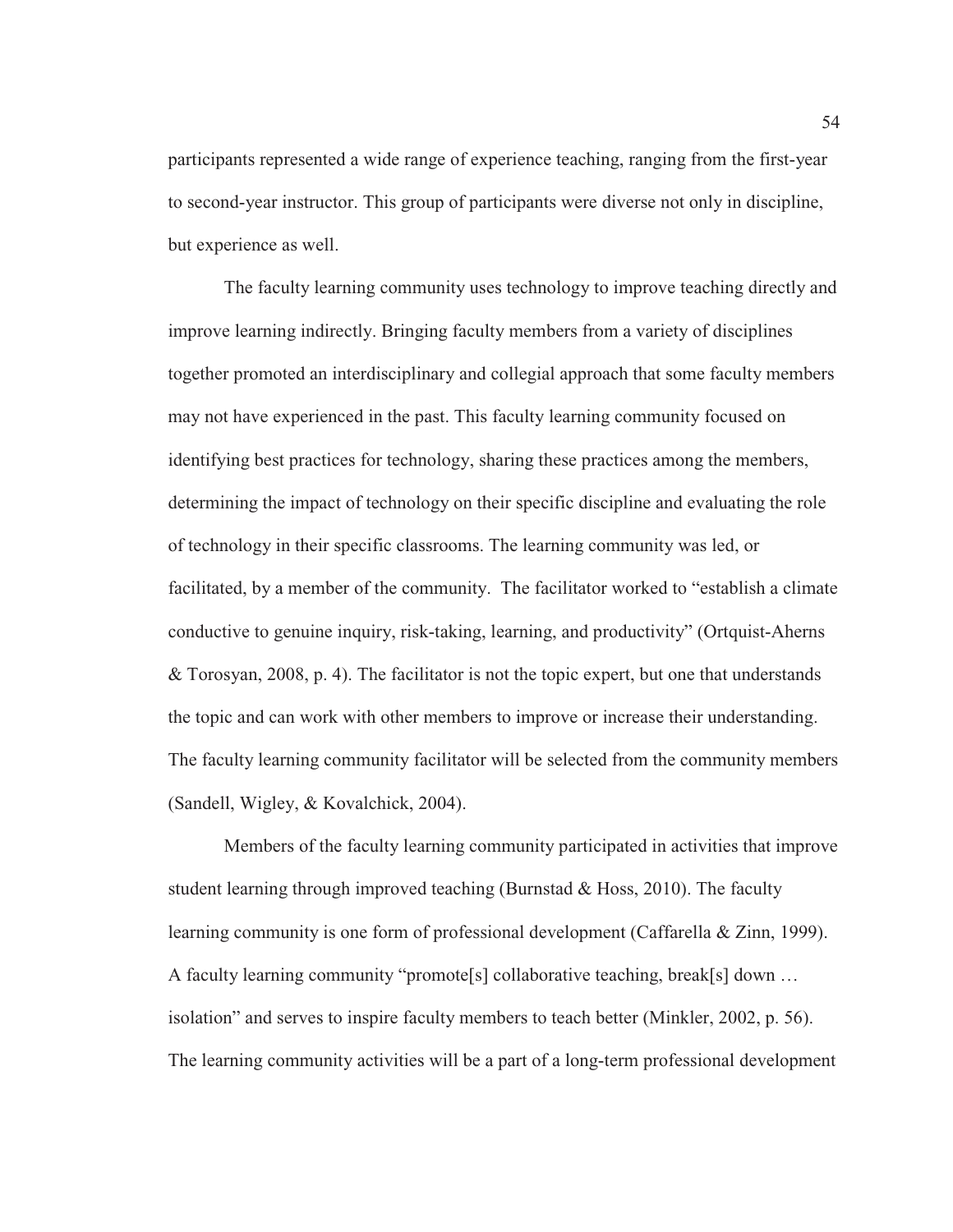participants represented a wide range of experience teaching, ranging from the first-year to second-year instructor. This group of participants were diverse not only in discipline, but experience as well.

The faculty learning community uses technology to improve teaching directly and improve learning indirectly. Bringing faculty members from a variety of disciplines together promoted an interdisciplinary and collegial approach that some faculty members may not have experienced in the past. This faculty learning community focused on identifying best practices for technology, sharing these practices among the members, determining the impact of technology on their specific discipline and evaluating the role of technology in their specific classrooms. The learning community was led, or facilitated, by a member of the community. The facilitator worked to "establish a climate conductive to genuine inquiry, risk-taking, learning, and productivity" (Ortquist-Aherns & Torosyan, 2008, p. 4). The facilitator is not the topic expert, but one that understands the topic and can work with other members to improve or increase their understanding. The faculty learning community facilitator will be selected from the community members (Sandell, Wigley, & Kovalchick, 2004).

Members of the faculty learning community participated in activities that improve student learning through improved teaching (Burnstad & Hoss, 2010). The faculty learning community is one form of professional development (Caffarella & Zinn, 1999). A faculty learning community "promote[s] collaborative teaching, break[s] down … isolation" and serves to inspire faculty members to teach better (Minkler, 2002, p. 56). The learning community activities will be a part of a long-term professional development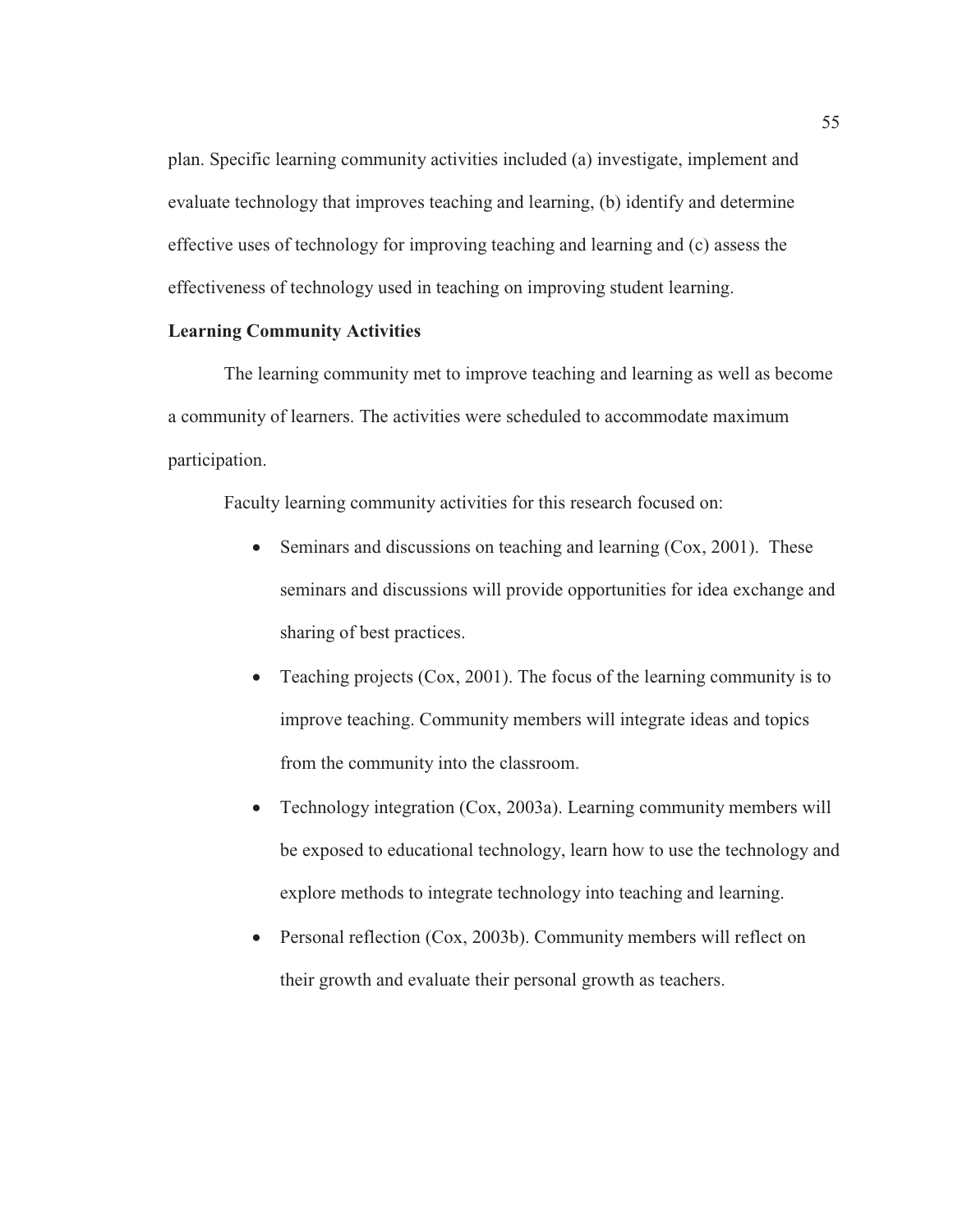plan. Specific learning community activities included (a) investigate, implement and evaluate technology that improves teaching and learning, (b) identify and determine effective uses of technology for improving teaching and learning and (c) assess the effectiveness of technology used in teaching on improving student learning.

## **Learning Community Activities**

The learning community met to improve teaching and learning as well as become a community of learners. The activities were scheduled to accommodate maximum participation.

Faculty learning community activities for this research focused on:

- $\bullet$  Seminars and discussions on teaching and learning (Cox, 2001). These seminars and discussions will provide opportunities for idea exchange and sharing of best practices.
- Teaching projects ( $Cox$ , 2001). The focus of the learning community is to improve teaching. Community members will integrate ideas and topics from the community into the classroom.
- Technology integration (Cox, 2003a). Learning community members will be exposed to educational technology, learn how to use the technology and explore methods to integrate technology into teaching and learning.
- Personal reflection (Cox, 2003b). Community members will reflect on their growth and evaluate their personal growth as teachers.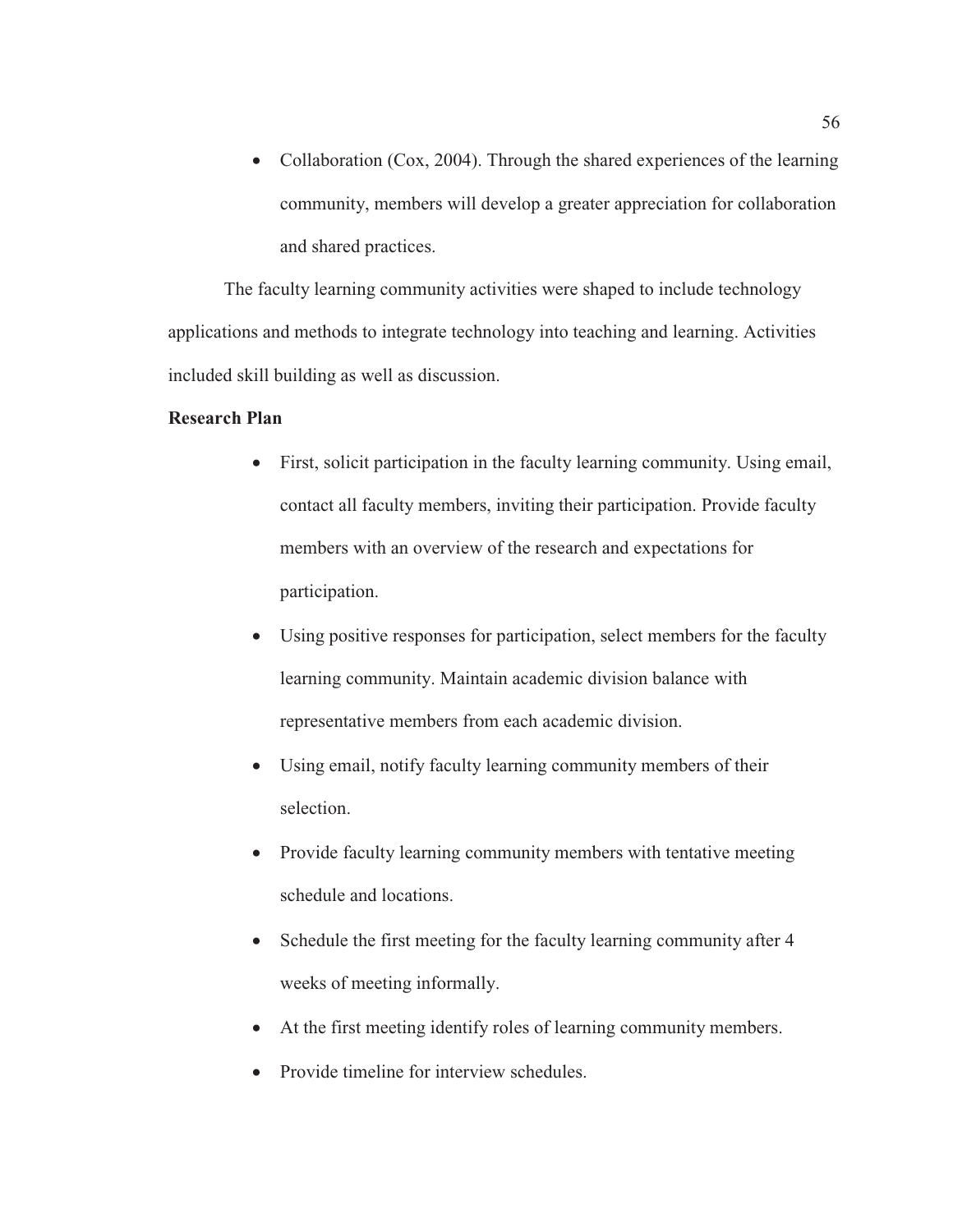• Collaboration (Cox, 2004). Through the shared experiences of the learning community, members will develop a greater appreciation for collaboration and shared practices.

The faculty learning community activities were shaped to include technology applications and methods to integrate technology into teaching and learning. Activities included skill building as well as discussion.

# **Research Plan**

- First, solicit participation in the faculty learning community. Using email, contact all faculty members, inviting their participation. Provide faculty members with an overview of the research and expectations for participation.
- Using positive responses for participation, select members for the faculty learning community. Maintain academic division balance with representative members from each academic division.
- Using email, notify faculty learning community members of their selection.
- Provide faculty learning community members with tentative meeting schedule and locations.
- Schedule the first meeting for the faculty learning community after 4 weeks of meeting informally.
- At the first meeting identify roles of learning community members.
- Provide timeline for interview schedules.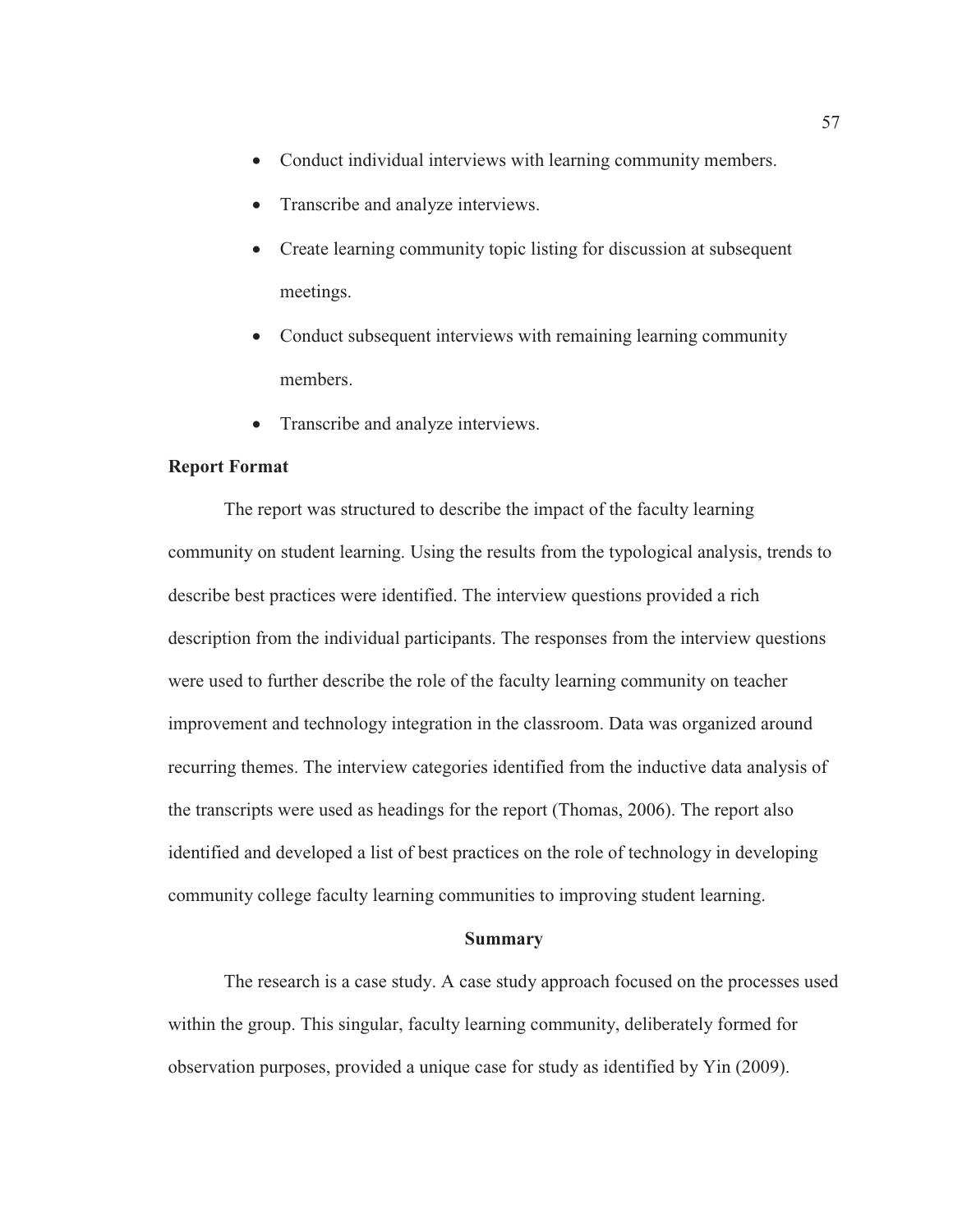- Conduct individual interviews with learning community members.
- Transcribe and analyze interviews.
- Create learning community topic listing for discussion at subsequent meetings.
- Conduct subsequent interviews with remaining learning community members.
- Transcribe and analyze interviews.

# **Report Format**

The report was structured to describe the impact of the faculty learning community on student learning. Using the results from the typological analysis, trends to describe best practices were identified. The interview questions provided a rich description from the individual participants. The responses from the interview questions were used to further describe the role of the faculty learning community on teacher improvement and technology integration in the classroom. Data was organized around recurring themes. The interview categories identified from the inductive data analysis of the transcripts were used as headings for the report (Thomas, 2006). The report also identified and developed a list of best practices on the role of technology in developing community college faculty learning communities to improving student learning.

#### **Summary**

The research is a case study. A case study approach focused on the processes used within the group. This singular, faculty learning community, deliberately formed for observation purposes, provided a unique case for study as identified by Yin (2009).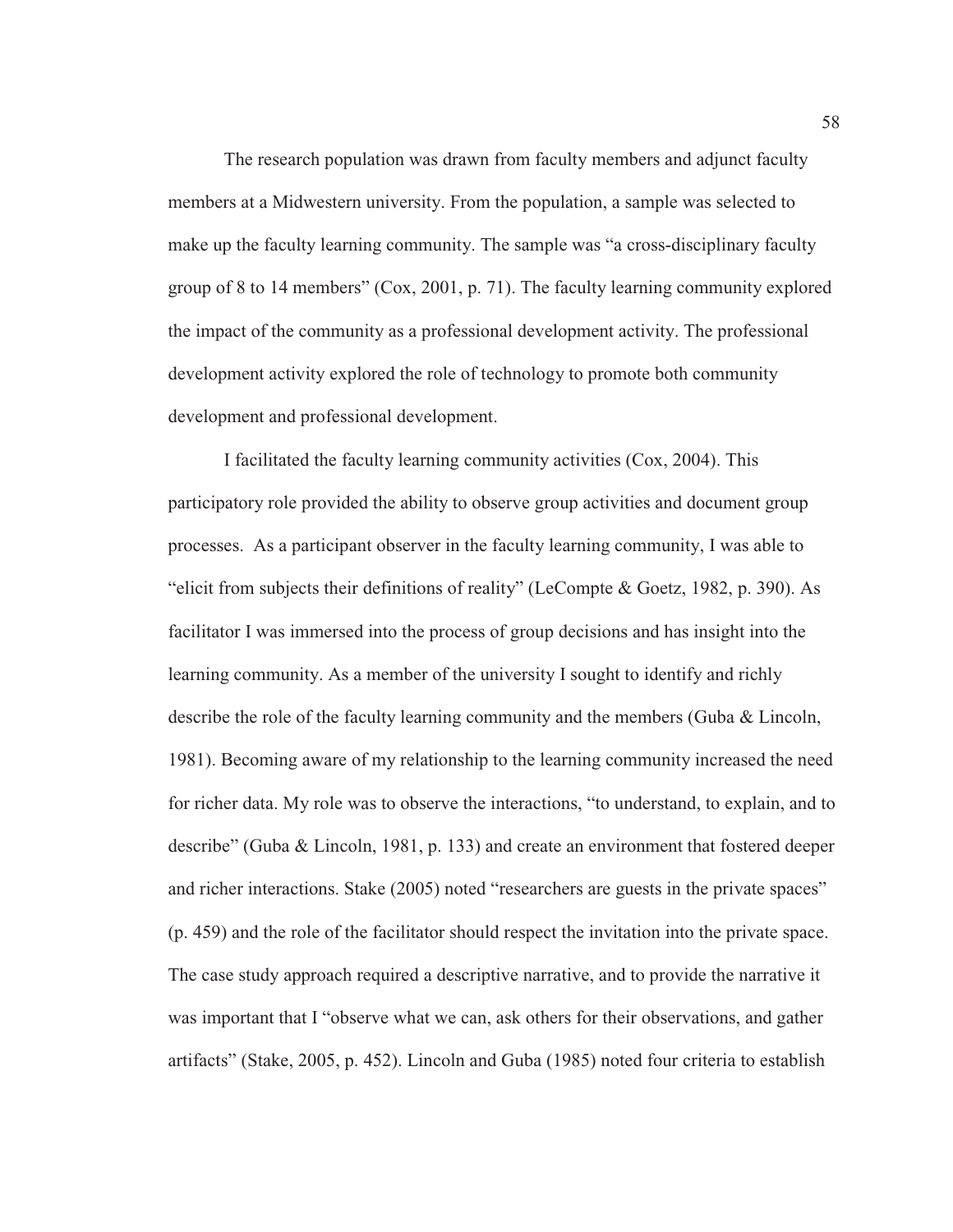The research population was drawn from faculty members and adjunct faculty members at a Midwestern university. From the population, a sample was selected to make up the faculty learning community. The sample was "a cross-disciplinary faculty group of 8 to 14 members" (Cox, 2001, p. 71). The faculty learning community explored the impact of the community as a professional development activity. The professional development activity explored the role of technology to promote both community development and professional development.

I facilitated the faculty learning community activities (Cox, 2004). This participatory role provided the ability to observe group activities and document group processes. As a participant observer in the faculty learning community, I was able to "elicit from subjects their definitions of reality" (LeCompte & Goetz, 1982, p. 390). As facilitator I was immersed into the process of group decisions and has insight into the learning community. As a member of the university I sought to identify and richly describe the role of the faculty learning community and the members (Guba & Lincoln, 1981). Becoming aware of my relationship to the learning community increased the need for richer data. My role was to observe the interactions, "to understand, to explain, and to describe" (Guba & Lincoln, 1981, p. 133) and create an environment that fostered deeper and richer interactions. Stake (2005) noted "researchers are guests in the private spaces" (p. 459) and the role of the facilitator should respect the invitation into the private space. The case study approach required a descriptive narrative, and to provide the narrative it was important that I "observe what we can, ask others for their observations, and gather artifacts" (Stake, 2005, p. 452). Lincoln and Guba (1985) noted four criteria to establish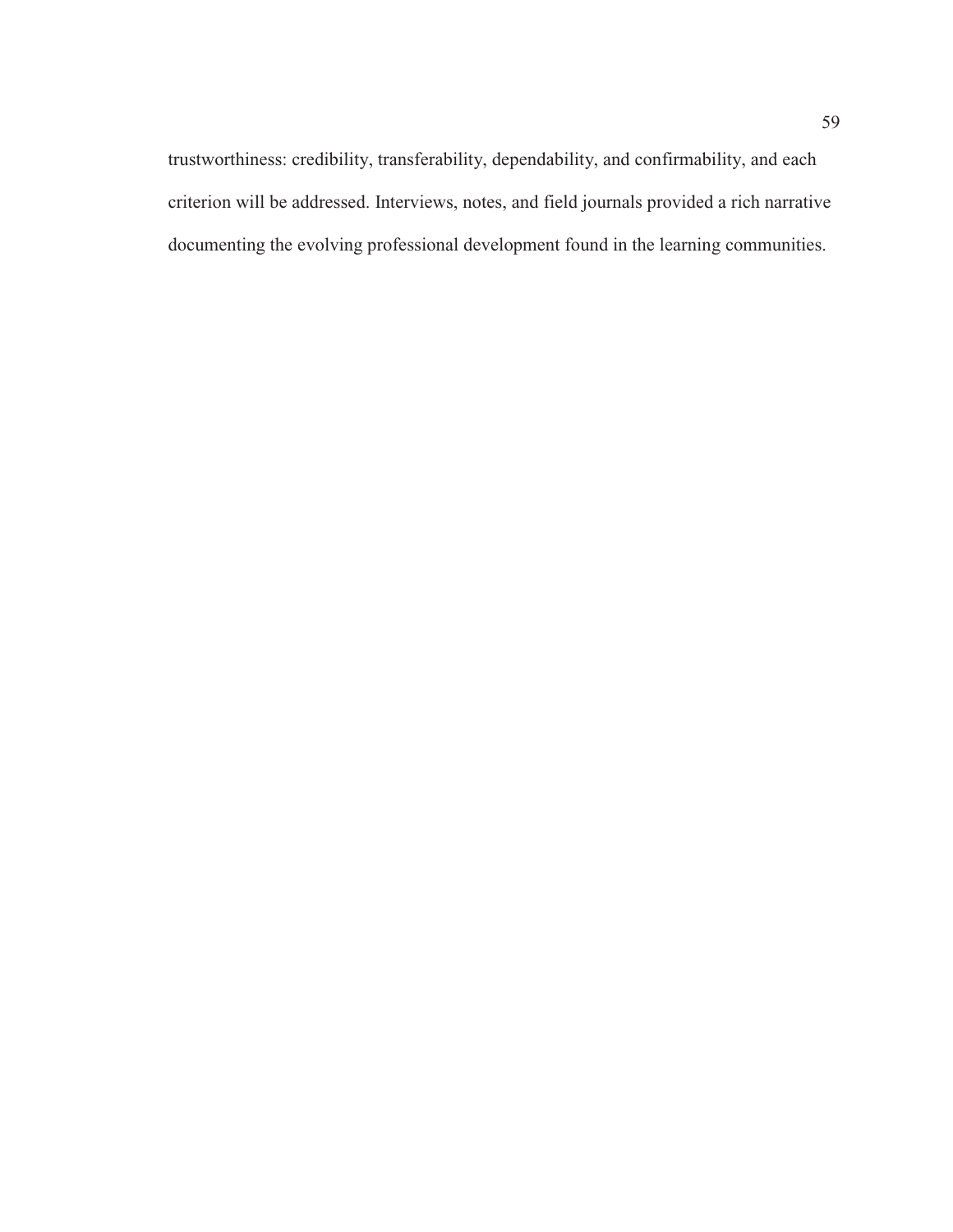trustworthiness: credibility, transferability, dependability, and confirmability, and each criterion will be addressed. Interviews, notes, and field journals provided a rich narrative documenting the evolving professional development found in the learning communities.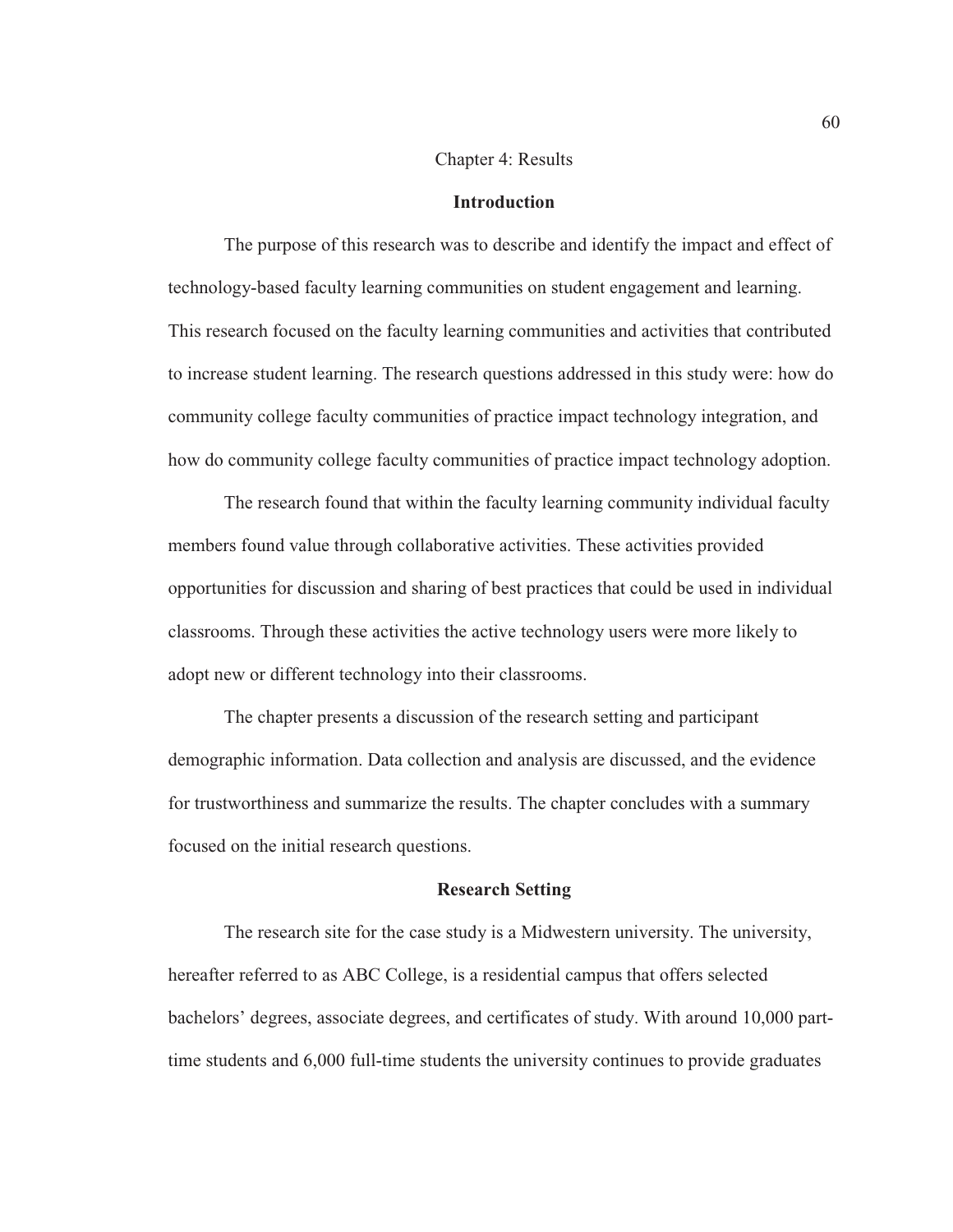#### Chapter 4: Results

#### **Introduction**

The purpose of this research was to describe and identify the impact and effect of technology-based faculty learning communities on student engagement and learning. This research focused on the faculty learning communities and activities that contributed to increase student learning. The research questions addressed in this study were: how do community college faculty communities of practice impact technology integration, and how do community college faculty communities of practice impact technology adoption.

The research found that within the faculty learning community individual faculty members found value through collaborative activities. These activities provided opportunities for discussion and sharing of best practices that could be used in individual classrooms. Through these activities the active technology users were more likely to adopt new or different technology into their classrooms.

The chapter presents a discussion of the research setting and participant demographic information. Data collection and analysis are discussed, and the evidence for trustworthiness and summarize the results. The chapter concludes with a summary focused on the initial research questions.

### **Research Setting**

The research site for the case study is a Midwestern university. The university, hereafter referred to as ABC College, is a residential campus that offers selected bachelors' degrees, associate degrees, and certificates of study. With around 10,000 parttime students and 6,000 full-time students the university continues to provide graduates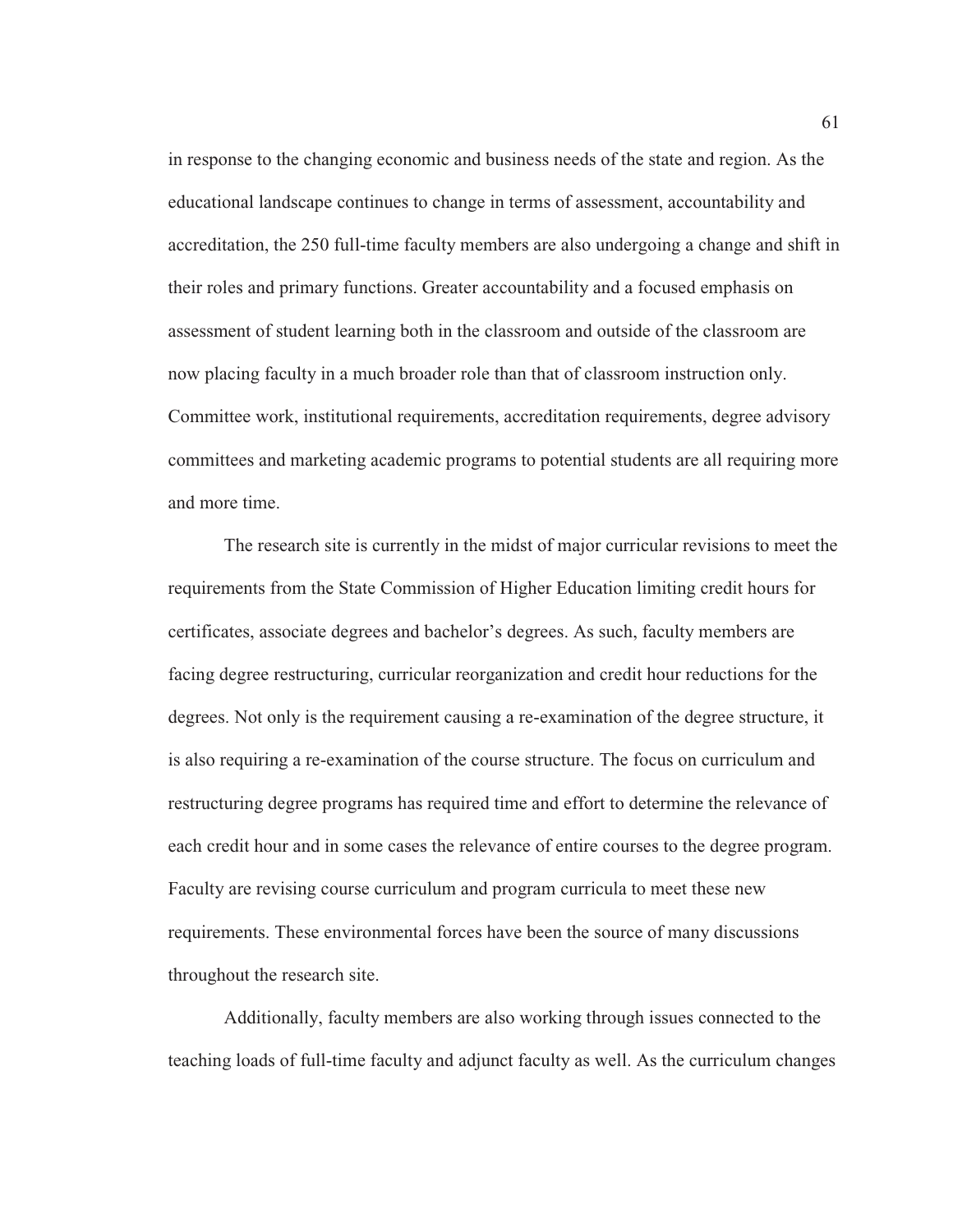in response to the changing economic and business needs of the state and region. As the educational landscape continues to change in terms of assessment, accountability and accreditation, the 250 full-time faculty members are also undergoing a change and shift in their roles and primary functions. Greater accountability and a focused emphasis on assessment of student learning both in the classroom and outside of the classroom are now placing faculty in a much broader role than that of classroom instruction only. Committee work, institutional requirements, accreditation requirements, degree advisory committees and marketing academic programs to potential students are all requiring more and more time.

The research site is currently in the midst of major curricular revisions to meet the requirements from the State Commission of Higher Education limiting credit hours for certificates, associate degrees and bachelor's degrees. As such, faculty members are facing degree restructuring, curricular reorganization and credit hour reductions for the degrees. Not only is the requirement causing a re-examination of the degree structure, it is also requiring a re-examination of the course structure. The focus on curriculum and restructuring degree programs has required time and effort to determine the relevance of each credit hour and in some cases the relevance of entire courses to the degree program. Faculty are revising course curriculum and program curricula to meet these new requirements. These environmental forces have been the source of many discussions throughout the research site.

Additionally, faculty members are also working through issues connected to the teaching loads of full-time faculty and adjunct faculty as well. As the curriculum changes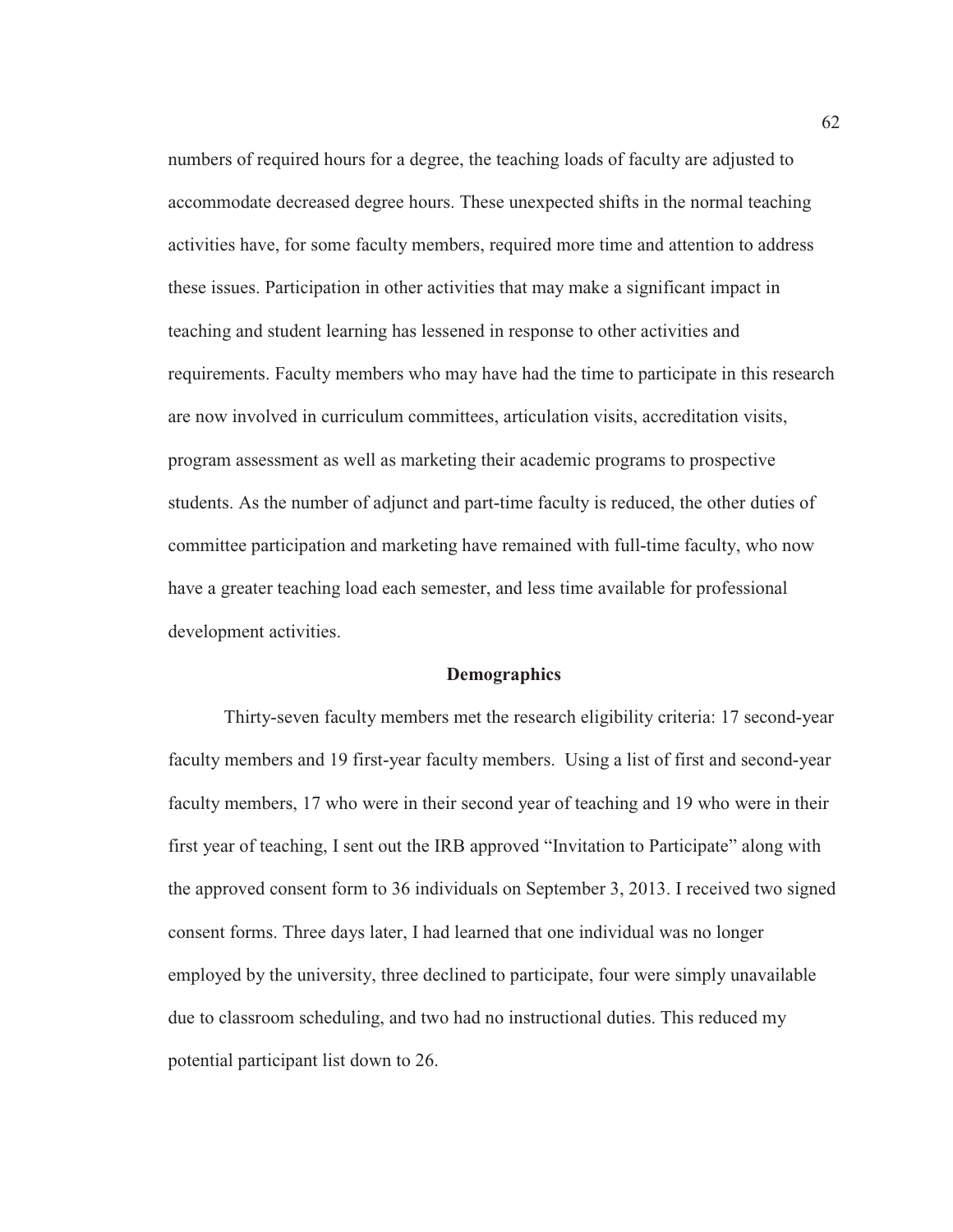numbers of required hours for a degree, the teaching loads of faculty are adjusted to accommodate decreased degree hours. These unexpected shifts in the normal teaching activities have, for some faculty members, required more time and attention to address these issues. Participation in other activities that may make a significant impact in teaching and student learning has lessened in response to other activities and requirements. Faculty members who may have had the time to participate in this research are now involved in curriculum committees, articulation visits, accreditation visits, program assessment as well as marketing their academic programs to prospective students. As the number of adjunct and part-time faculty is reduced, the other duties of committee participation and marketing have remained with full-time faculty, who now have a greater teaching load each semester, and less time available for professional development activities.

#### **Demographics**

Thirty-seven faculty members met the research eligibility criteria: 17 second-year faculty members and 19 first-year faculty members. Using a list of first and second-year faculty members, 17 who were in their second year of teaching and 19 who were in their first year of teaching, I sent out the IRB approved "Invitation to Participate" along with the approved consent form to 36 individuals on September 3, 2013. I received two signed consent forms. Three days later, I had learned that one individual was no longer employed by the university, three declined to participate, four were simply unavailable due to classroom scheduling, and two had no instructional duties. This reduced my potential participant list down to 26.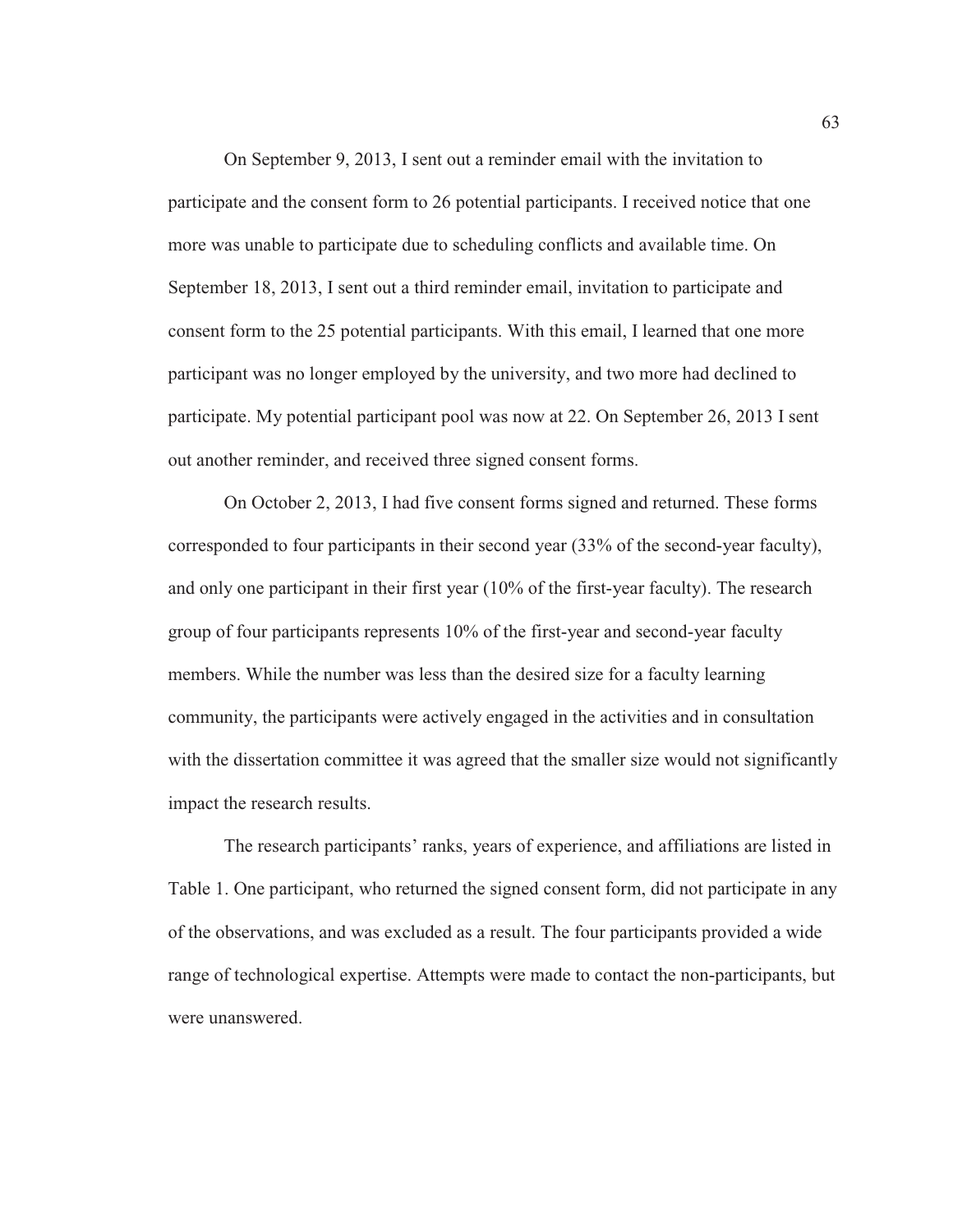On September 9, 2013, I sent out a reminder email with the invitation to participate and the consent form to 26 potential participants. I received notice that one more was unable to participate due to scheduling conflicts and available time. On September 18, 2013, I sent out a third reminder email, invitation to participate and consent form to the 25 potential participants. With this email, I learned that one more participant was no longer employed by the university, and two more had declined to participate. My potential participant pool was now at 22. On September 26, 2013 I sent out another reminder, and received three signed consent forms.

On October 2, 2013, I had five consent forms signed and returned. These forms corresponded to four participants in their second year (33% of the second-year faculty), and only one participant in their first year (10% of the first-year faculty). The research group of four participants represents 10% of the first-year and second-year faculty members. While the number was less than the desired size for a faculty learning community, the participants were actively engaged in the activities and in consultation with the dissertation committee it was agreed that the smaller size would not significantly impact the research results.

The research participants' ranks, years of experience, and affiliations are listed in Table 1. One participant, who returned the signed consent form, did not participate in any of the observations, and was excluded as a result. The four participants provided a wide range of technological expertise. Attempts were made to contact the non-participants, but were unanswered.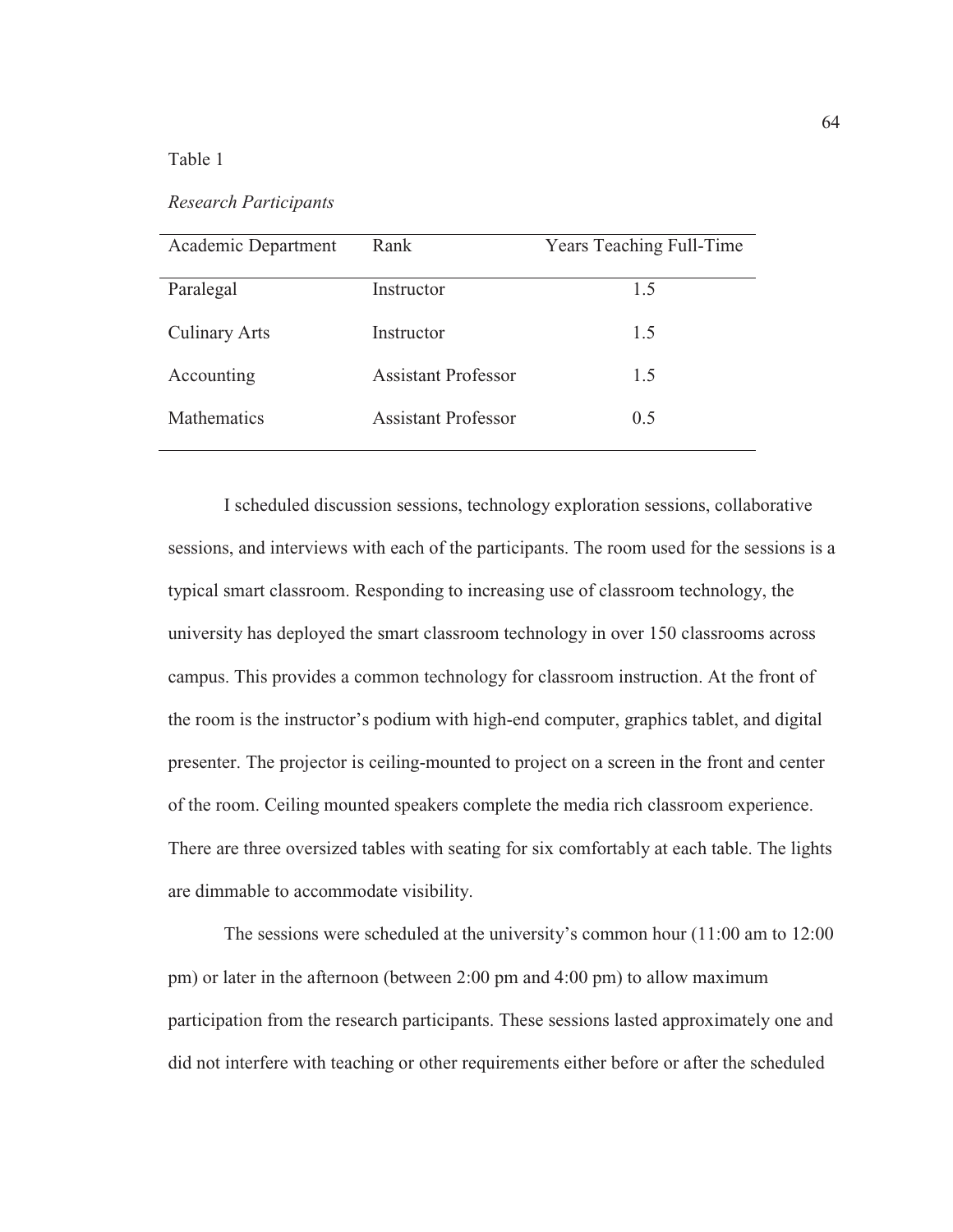### Table 1

*Research Participants* 

| Academic Department  | Rank                       | <b>Years Teaching Full-Time</b> |
|----------------------|----------------------------|---------------------------------|
|                      |                            |                                 |
| Paralegal            | Instructor                 | 1.5                             |
|                      |                            |                                 |
| <b>Culinary Arts</b> | Instructor                 | 1.5                             |
|                      |                            |                                 |
| Accounting           | <b>Assistant Professor</b> | 1.5                             |
|                      |                            |                                 |
| Mathematics          | <b>Assistant Professor</b> | 0.5                             |
|                      |                            |                                 |

I scheduled discussion sessions, technology exploration sessions, collaborative sessions, and interviews with each of the participants. The room used for the sessions is a typical smart classroom. Responding to increasing use of classroom technology, the university has deployed the smart classroom technology in over 150 classrooms across campus. This provides a common technology for classroom instruction. At the front of the room is the instructor's podium with high-end computer, graphics tablet, and digital presenter. The projector is ceiling-mounted to project on a screen in the front and center of the room. Ceiling mounted speakers complete the media rich classroom experience. There are three oversized tables with seating for six comfortably at each table. The lights are dimmable to accommodate visibility.

The sessions were scheduled at the university's common hour (11:00 am to 12:00 pm) or later in the afternoon (between 2:00 pm and 4:00 pm) to allow maximum participation from the research participants. These sessions lasted approximately one and did not interfere with teaching or other requirements either before or after the scheduled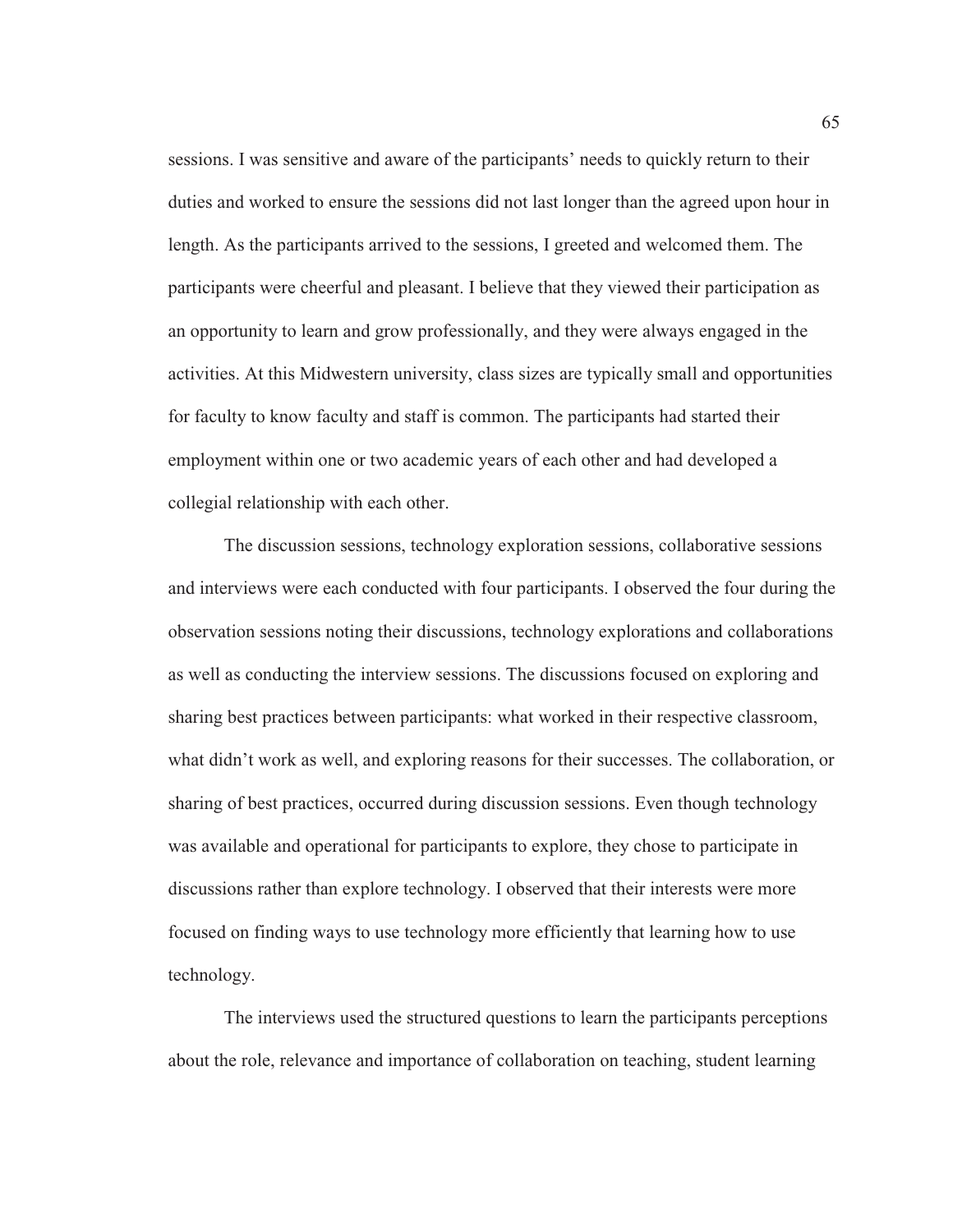sessions. I was sensitive and aware of the participants' needs to quickly return to their duties and worked to ensure the sessions did not last longer than the agreed upon hour in length. As the participants arrived to the sessions, I greeted and welcomed them. The participants were cheerful and pleasant. I believe that they viewed their participation as an opportunity to learn and grow professionally, and they were always engaged in the activities. At this Midwestern university, class sizes are typically small and opportunities for faculty to know faculty and staff is common. The participants had started their employment within one or two academic years of each other and had developed a collegial relationship with each other.

The discussion sessions, technology exploration sessions, collaborative sessions and interviews were each conducted with four participants. I observed the four during the observation sessions noting their discussions, technology explorations and collaborations as well as conducting the interview sessions. The discussions focused on exploring and sharing best practices between participants: what worked in their respective classroom, what didn't work as well, and exploring reasons for their successes. The collaboration, or sharing of best practices, occurred during discussion sessions. Even though technology was available and operational for participants to explore, they chose to participate in discussions rather than explore technology. I observed that their interests were more focused on finding ways to use technology more efficiently that learning how to use technology.

The interviews used the structured questions to learn the participants perceptions about the role, relevance and importance of collaboration on teaching, student learning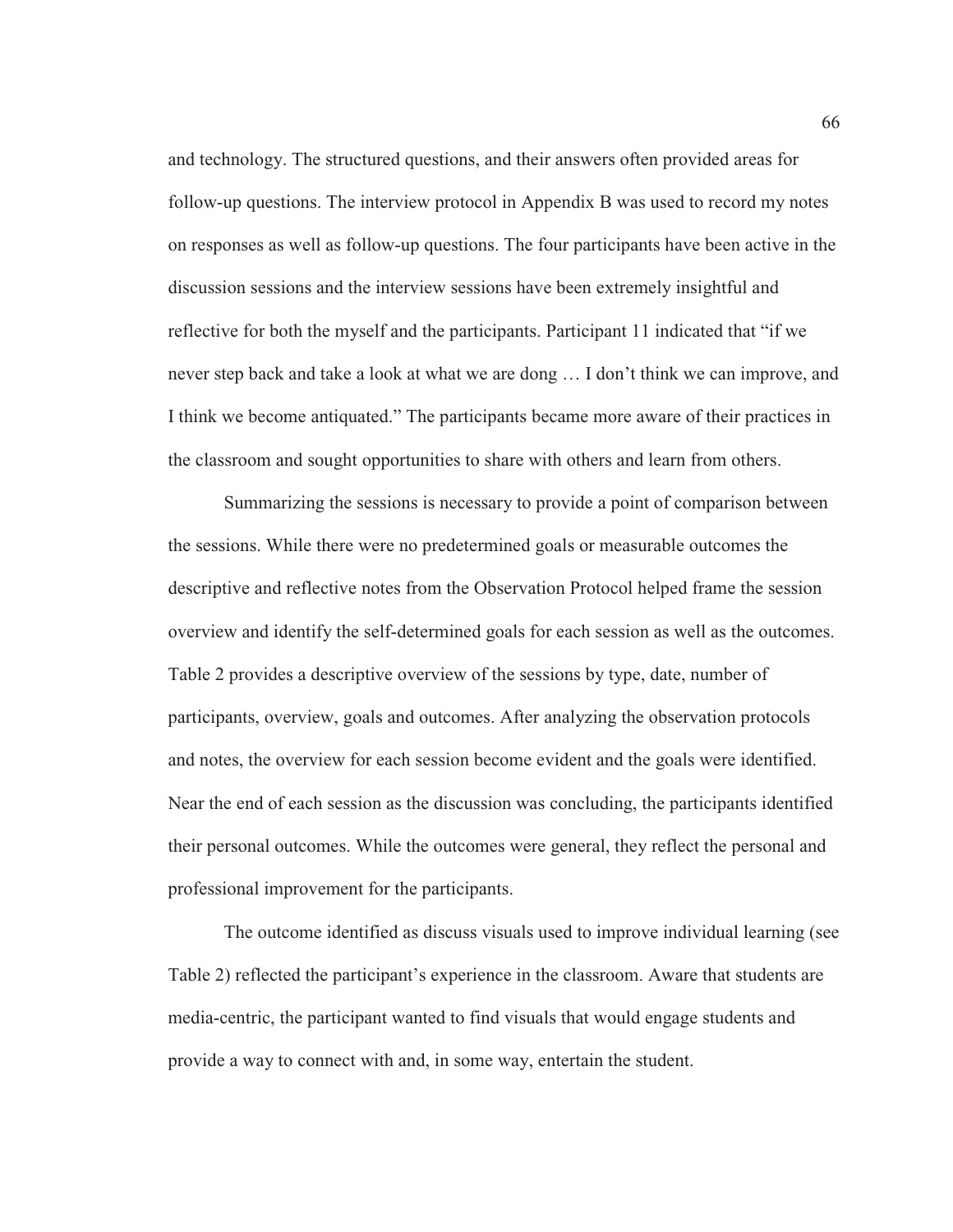and technology. The structured questions, and their answers often provided areas for follow-up questions. The interview protocol in Appendix B was used to record my notes on responses as well as follow-up questions. The four participants have been active in the discussion sessions and the interview sessions have been extremely insightful and reflective for both the myself and the participants. Participant 11 indicated that "if we never step back and take a look at what we are dong … I don't think we can improve, and I think we become antiquated." The participants became more aware of their practices in the classroom and sought opportunities to share with others and learn from others.

Summarizing the sessions is necessary to provide a point of comparison between the sessions. While there were no predetermined goals or measurable outcomes the descriptive and reflective notes from the Observation Protocol helped frame the session overview and identify the self-determined goals for each session as well as the outcomes. Table 2 provides a descriptive overview of the sessions by type, date, number of participants, overview, goals and outcomes. After analyzing the observation protocols and notes, the overview for each session become evident and the goals were identified. Near the end of each session as the discussion was concluding, the participants identified their personal outcomes. While the outcomes were general, they reflect the personal and professional improvement for the participants.

The outcome identified as discuss visuals used to improve individual learning (see Table 2) reflected the participant's experience in the classroom. Aware that students are media-centric, the participant wanted to find visuals that would engage students and provide a way to connect with and, in some way, entertain the student.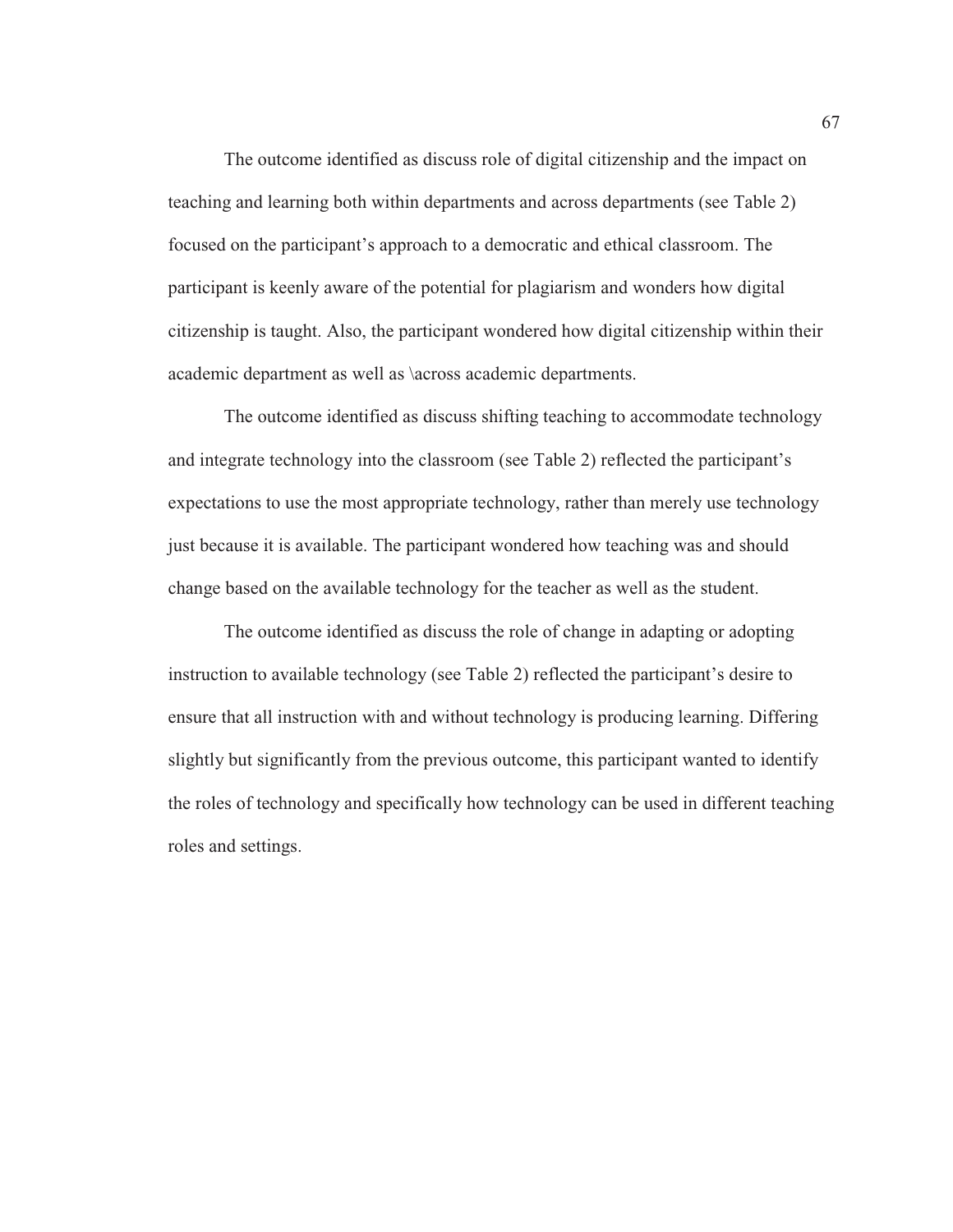The outcome identified as discuss role of digital citizenship and the impact on teaching and learning both within departments and across departments (see Table 2) focused on the participant's approach to a democratic and ethical classroom. The participant is keenly aware of the potential for plagiarism and wonders how digital citizenship is taught. Also, the participant wondered how digital citizenship within their academic department as well as \across academic departments.

The outcome identified as discuss shifting teaching to accommodate technology and integrate technology into the classroom (see Table 2) reflected the participant's expectations to use the most appropriate technology, rather than merely use technology just because it is available. The participant wondered how teaching was and should change based on the available technology for the teacher as well as the student.

The outcome identified as discuss the role of change in adapting or adopting instruction to available technology (see Table 2) reflected the participant's desire to ensure that all instruction with and without technology is producing learning. Differing slightly but significantly from the previous outcome, this participant wanted to identify the roles of technology and specifically how technology can be used in different teaching roles and settings.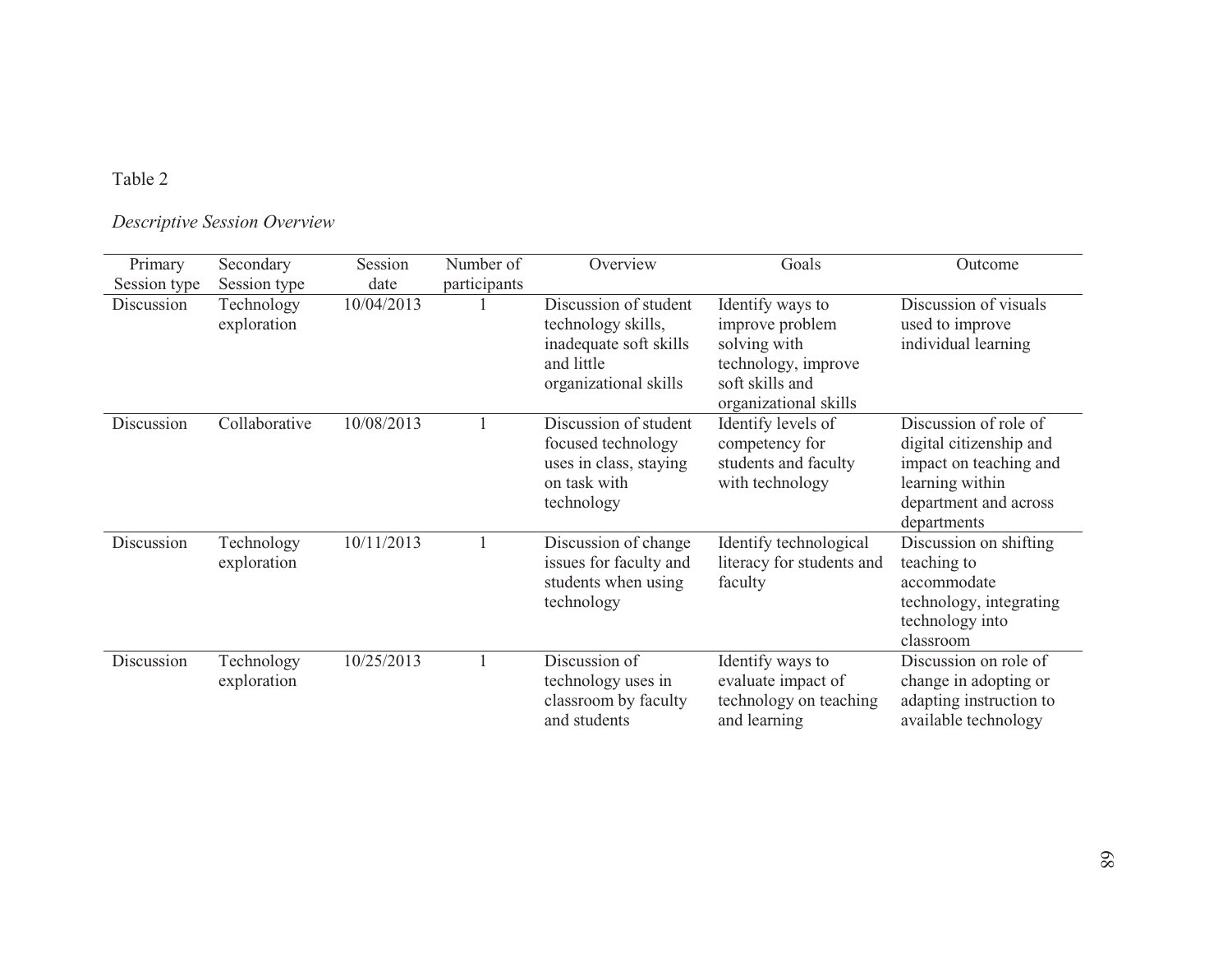# Table 2

# *Descriptive Session Overview*

| Primary      | Secondary                 | Session    | Number of    | Overview                                                                                                     | Goals                                                                                                                  | Outcome                                                                                                                               |
|--------------|---------------------------|------------|--------------|--------------------------------------------------------------------------------------------------------------|------------------------------------------------------------------------------------------------------------------------|---------------------------------------------------------------------------------------------------------------------------------------|
| Session type | Session type              | date       | participants |                                                                                                              |                                                                                                                        |                                                                                                                                       |
| Discussion   | Technology<br>exploration | 10/04/2013 |              | Discussion of student<br>technology skills,<br>inadequate soft skills<br>and little<br>organizational skills | Identify ways to<br>improve problem<br>solving with<br>technology, improve<br>soft skills and<br>organizational skills | Discussion of visuals<br>used to improve<br>individual learning                                                                       |
| Discussion   | Collaborative             | 10/08/2013 |              | Discussion of student<br>focused technology<br>uses in class, staying<br>on task with<br>technology          | Identify levels of<br>competency for<br>students and faculty<br>with technology                                        | Discussion of role of<br>digital citizenship and<br>impact on teaching and<br>learning within<br>department and across<br>departments |
| Discussion   | Technology<br>exploration | 10/11/2013 |              | Discussion of change<br>issues for faculty and<br>students when using<br>technology                          | Identify technological<br>literacy for students and<br>faculty                                                         | Discussion on shifting<br>teaching to<br>accommodate<br>technology, integrating<br>technology into<br>classroom                       |
| Discussion   | Technology<br>exploration | 10/25/2013 |              | Discussion of<br>technology uses in<br>classroom by faculty<br>and students                                  | Identify ways to<br>evaluate impact of<br>technology on teaching<br>and learning                                       | Discussion on role of<br>change in adopting or<br>adapting instruction to<br>available technology                                     |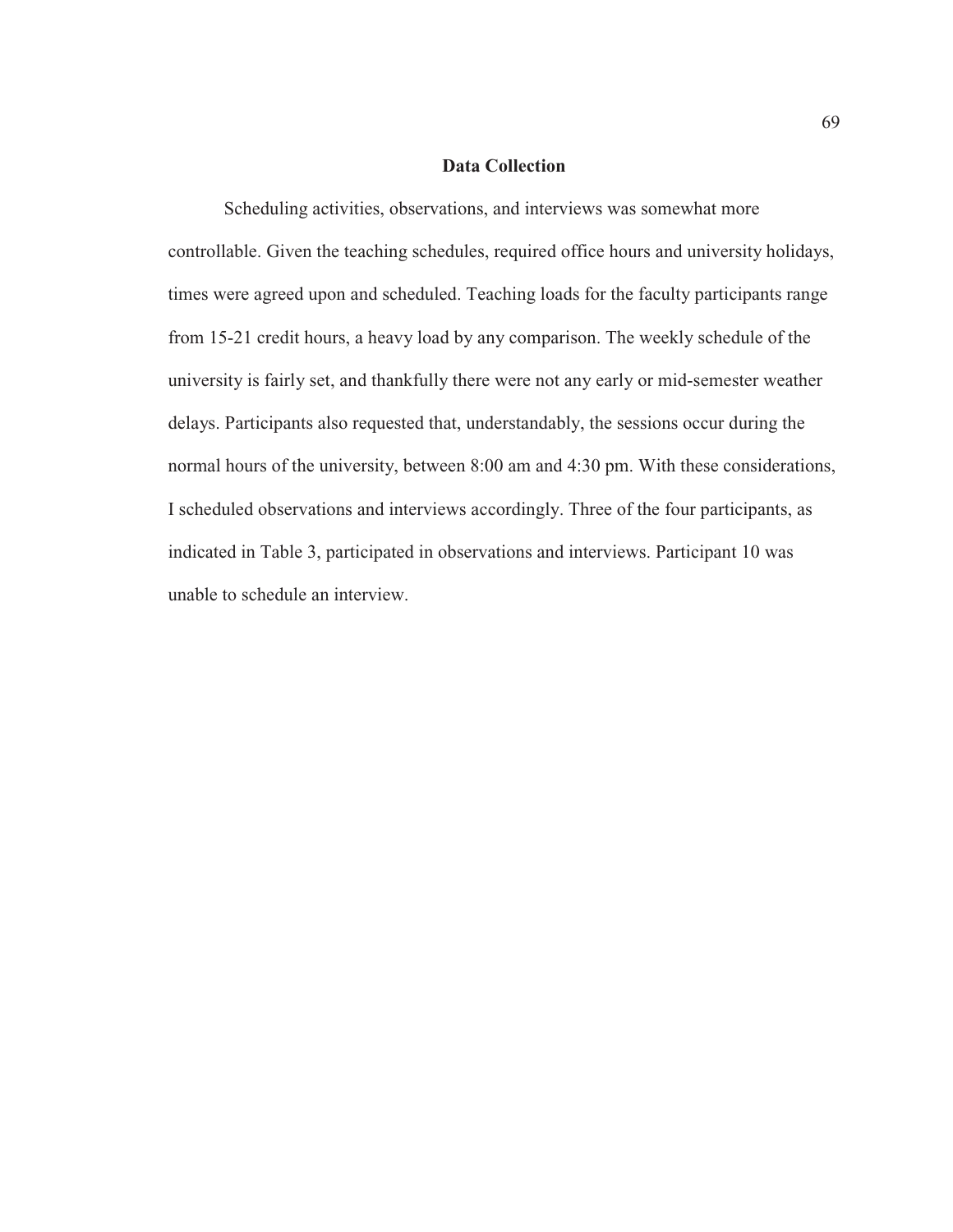### **Data Collection**

Scheduling activities, observations, and interviews was somewhat more controllable. Given the teaching schedules, required office hours and university holidays, times were agreed upon and scheduled. Teaching loads for the faculty participants range from 15-21 credit hours, a heavy load by any comparison. The weekly schedule of the university is fairly set, and thankfully there were not any early or mid-semester weather delays. Participants also requested that, understandably, the sessions occur during the normal hours of the university, between 8:00 am and 4:30 pm. With these considerations, I scheduled observations and interviews accordingly. Three of the four participants, as indicated in Table 3, participated in observations and interviews. Participant 10 was unable to schedule an interview.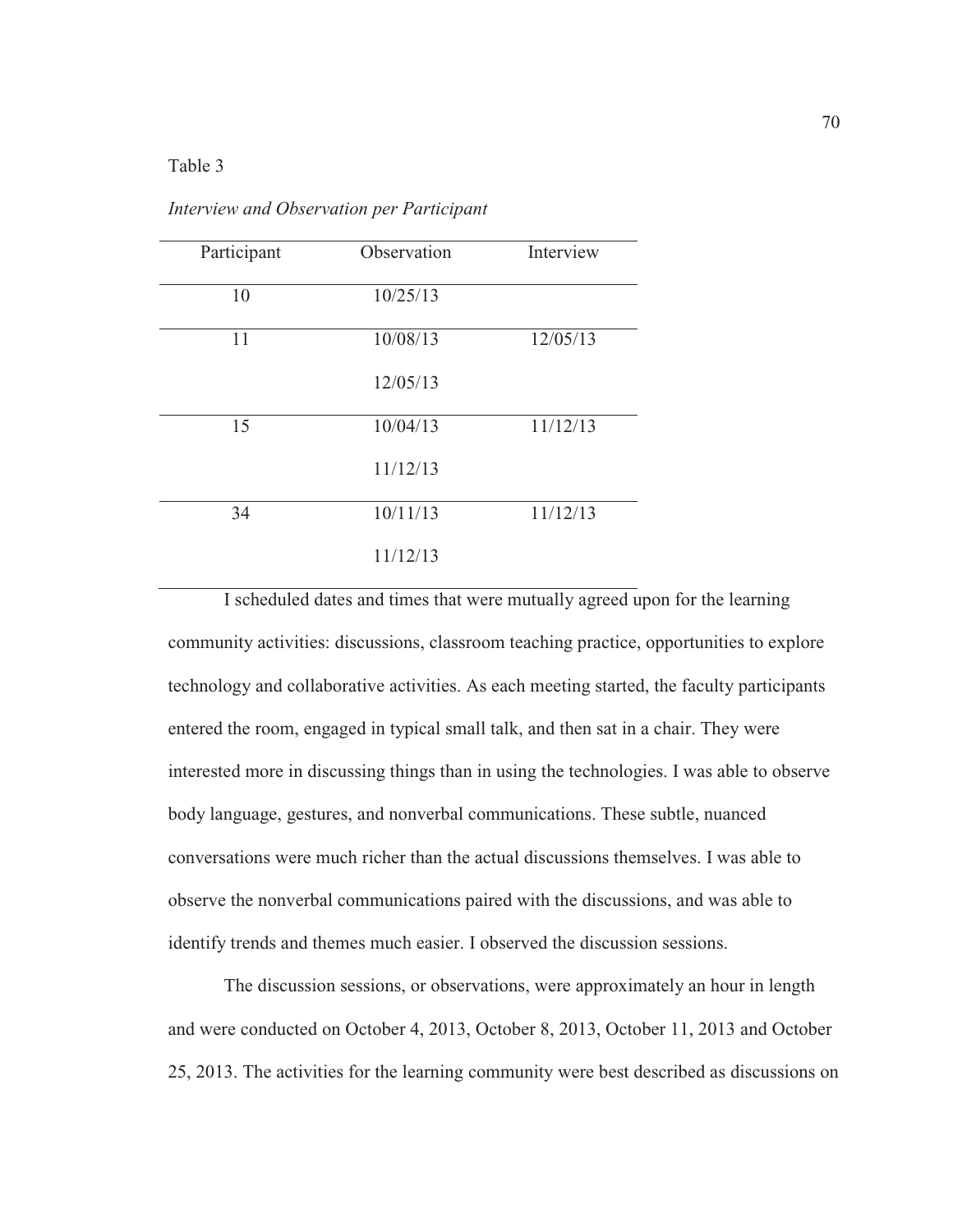## Table 3

| Participant | Observation | Interview |
|-------------|-------------|-----------|
| 10          | 10/25/13    |           |
| 11          | 10/08/13    | 12/05/13  |
|             | 12/05/13    |           |
| 15          | 10/04/13    | 11/12/13  |
|             | 11/12/13    |           |
| 34          | 10/11/13    | 11/12/13  |
|             | 11/12/13    |           |

*Interview and Observation per Participant*

I scheduled dates and times that were mutually agreed upon for the learning community activities: discussions, classroom teaching practice, opportunities to explore technology and collaborative activities. As each meeting started, the faculty participants entered the room, engaged in typical small talk, and then sat in a chair. They were interested more in discussing things than in using the technologies. I was able to observe body language, gestures, and nonverbal communications. These subtle, nuanced conversations were much richer than the actual discussions themselves. I was able to observe the nonverbal communications paired with the discussions, and was able to identify trends and themes much easier. I observed the discussion sessions.

The discussion sessions, or observations, were approximately an hour in length and were conducted on October 4, 2013, October 8, 2013, October 11, 2013 and October 25, 2013. The activities for the learning community were best described as discussions on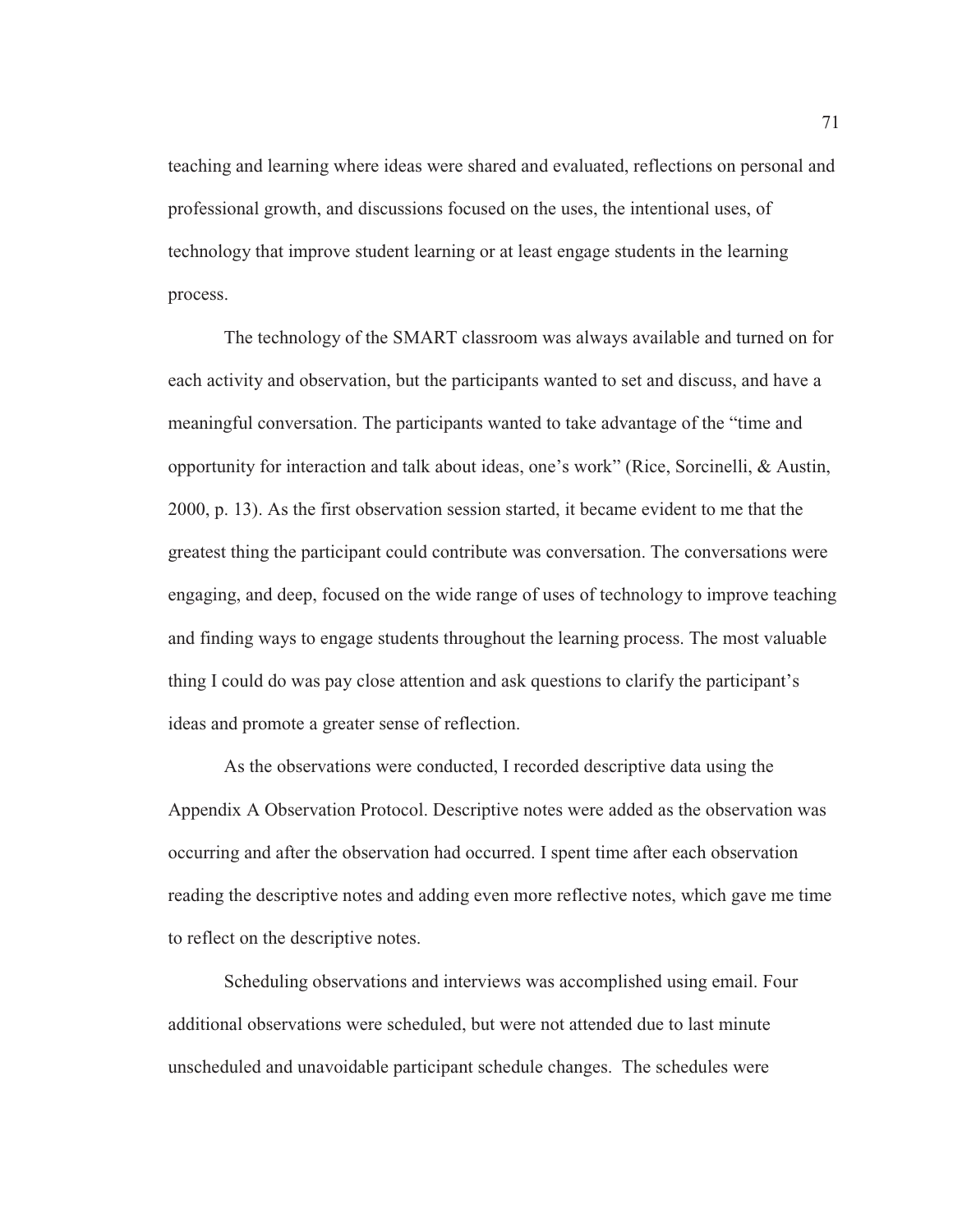teaching and learning where ideas were shared and evaluated, reflections on personal and professional growth, and discussions focused on the uses, the intentional uses, of technology that improve student learning or at least engage students in the learning process.

The technology of the SMART classroom was always available and turned on for each activity and observation, but the participants wanted to set and discuss, and have a meaningful conversation. The participants wanted to take advantage of the "time and opportunity for interaction and talk about ideas, one's work" (Rice, Sorcinelli, & Austin, 2000, p. 13). As the first observation session started, it became evident to me that the greatest thing the participant could contribute was conversation. The conversations were engaging, and deep, focused on the wide range of uses of technology to improve teaching and finding ways to engage students throughout the learning process. The most valuable thing I could do was pay close attention and ask questions to clarify the participant's ideas and promote a greater sense of reflection.

As the observations were conducted, I recorded descriptive data using the Appendix A Observation Protocol. Descriptive notes were added as the observation was occurring and after the observation had occurred. I spent time after each observation reading the descriptive notes and adding even more reflective notes, which gave me time to reflect on the descriptive notes.

Scheduling observations and interviews was accomplished using email. Four additional observations were scheduled, but were not attended due to last minute unscheduled and unavoidable participant schedule changes. The schedules were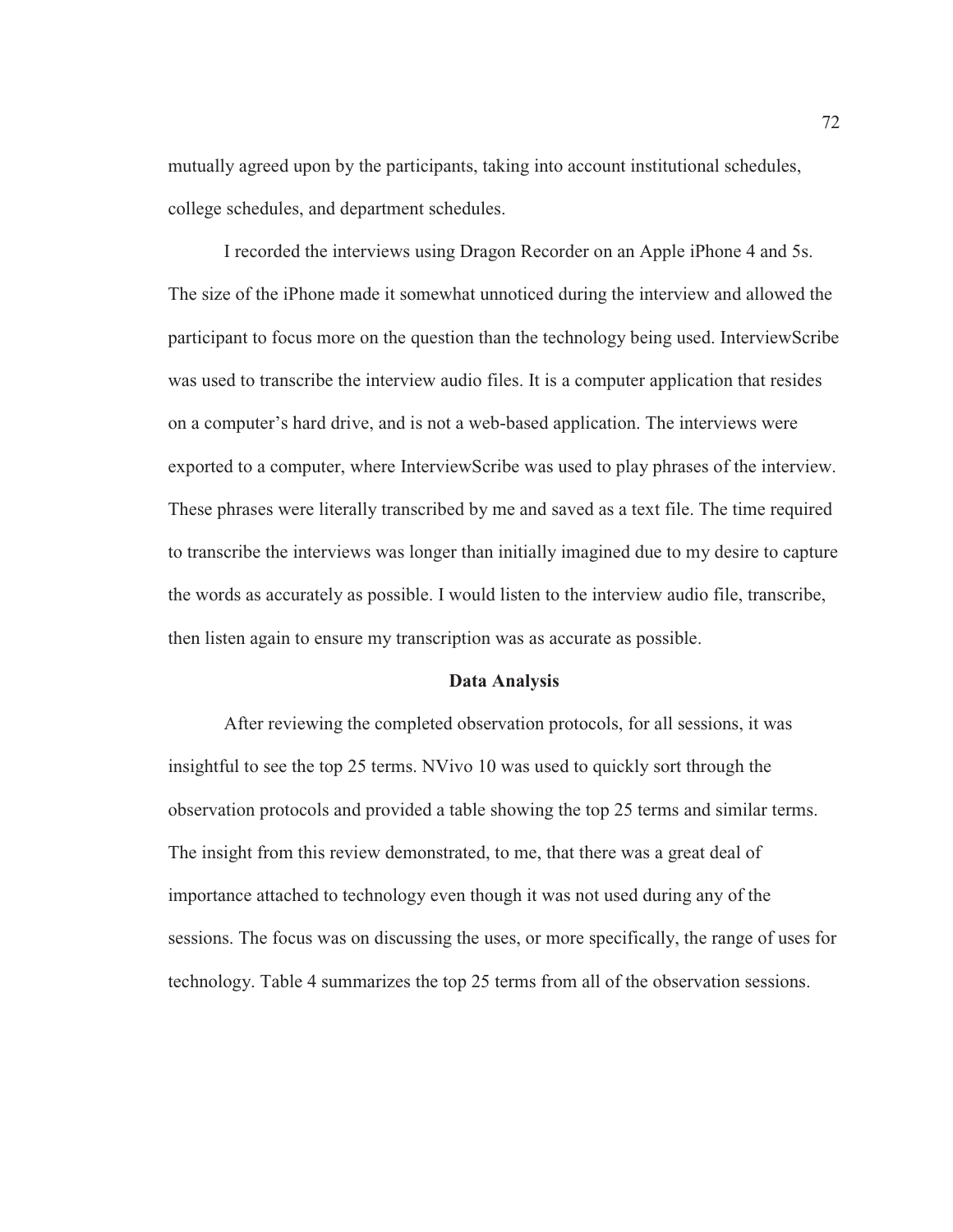mutually agreed upon by the participants, taking into account institutional schedules, college schedules, and department schedules.

I recorded the interviews using Dragon Recorder on an Apple iPhone 4 and 5s. The size of the iPhone made it somewhat unnoticed during the interview and allowed the participant to focus more on the question than the technology being used. InterviewScribe was used to transcribe the interview audio files. It is a computer application that resides on a computer's hard drive, and is not a web-based application. The interviews were exported to a computer, where InterviewScribe was used to play phrases of the interview. These phrases were literally transcribed by me and saved as a text file. The time required to transcribe the interviews was longer than initially imagined due to my desire to capture the words as accurately as possible. I would listen to the interview audio file, transcribe, then listen again to ensure my transcription was as accurate as possible.

#### **Data Analysis**

After reviewing the completed observation protocols, for all sessions, it was insightful to see the top 25 terms. NVivo 10 was used to quickly sort through the observation protocols and provided a table showing the top 25 terms and similar terms. The insight from this review demonstrated, to me, that there was a great deal of importance attached to technology even though it was not used during any of the sessions. The focus was on discussing the uses, or more specifically, the range of uses for technology. Table 4 summarizes the top 25 terms from all of the observation sessions.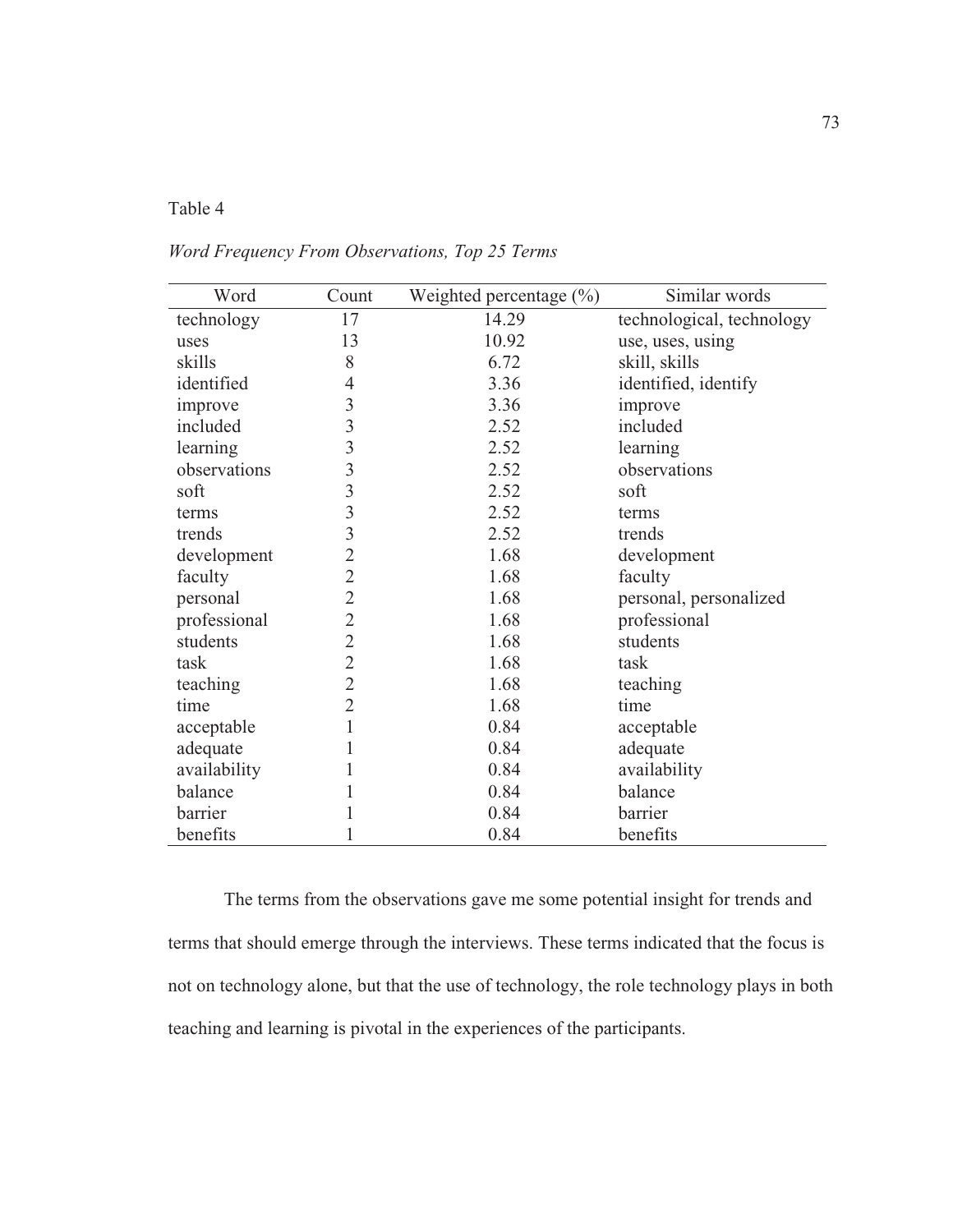## Table 4

# *Word Frequency From Observations, Top 25 Terms*

| Word         | Count                   | Weighted percentage $(\% )$ | Similar words             |
|--------------|-------------------------|-----------------------------|---------------------------|
| technology   | 17                      | 14.29                       | technological, technology |
| uses         | 13                      | 10.92                       | use, uses, using          |
| skills       | 8                       | 6.72                        | skill, skills             |
| identified   | 4                       | 3.36                        | identified, identify      |
| improve      | 3                       | 3.36                        | improve                   |
| included     | $\overline{\mathbf{3}}$ | 2.52                        | included                  |
| learning     | 3                       | 2.52                        | learning                  |
| observations | 3                       | 2.52                        | observations              |
| soft         | 3                       | 2.52                        | soft                      |
| terms        | $\overline{\mathbf{3}}$ | 2.52                        | terms                     |
| trends       | $\overline{\mathbf{3}}$ | 2.52                        | trends                    |
| development  | $\overline{2}$          | 1.68                        | development               |
| faculty      | $\overline{2}$          | 1.68                        | faculty                   |
| personal     | $\overline{2}$          | 1.68                        | personal, personalized    |
| professional | $\overline{2}$          | 1.68                        | professional              |
| students     | $\overline{2}$          | 1.68                        | students                  |
| task         | $\overline{2}$          | 1.68                        | task                      |
| teaching     | $\overline{2}$          | 1.68                        | teaching                  |
| time         | $\overline{2}$          | 1.68                        | time                      |
| acceptable   | 1                       | 0.84                        | acceptable                |
| adequate     | 1                       | 0.84                        | adequate                  |
| availability | 1                       | 0.84                        | availability              |
| balance      |                         | 0.84                        | balance                   |
| barrier      | 1                       | 0.84                        | barrier                   |
| benefits     | 1                       | 0.84                        | benefits                  |

The terms from the observations gave me some potential insight for trends and terms that should emerge through the interviews. These terms indicated that the focus is not on technology alone, but that the use of technology, the role technology plays in both teaching and learning is pivotal in the experiences of the participants.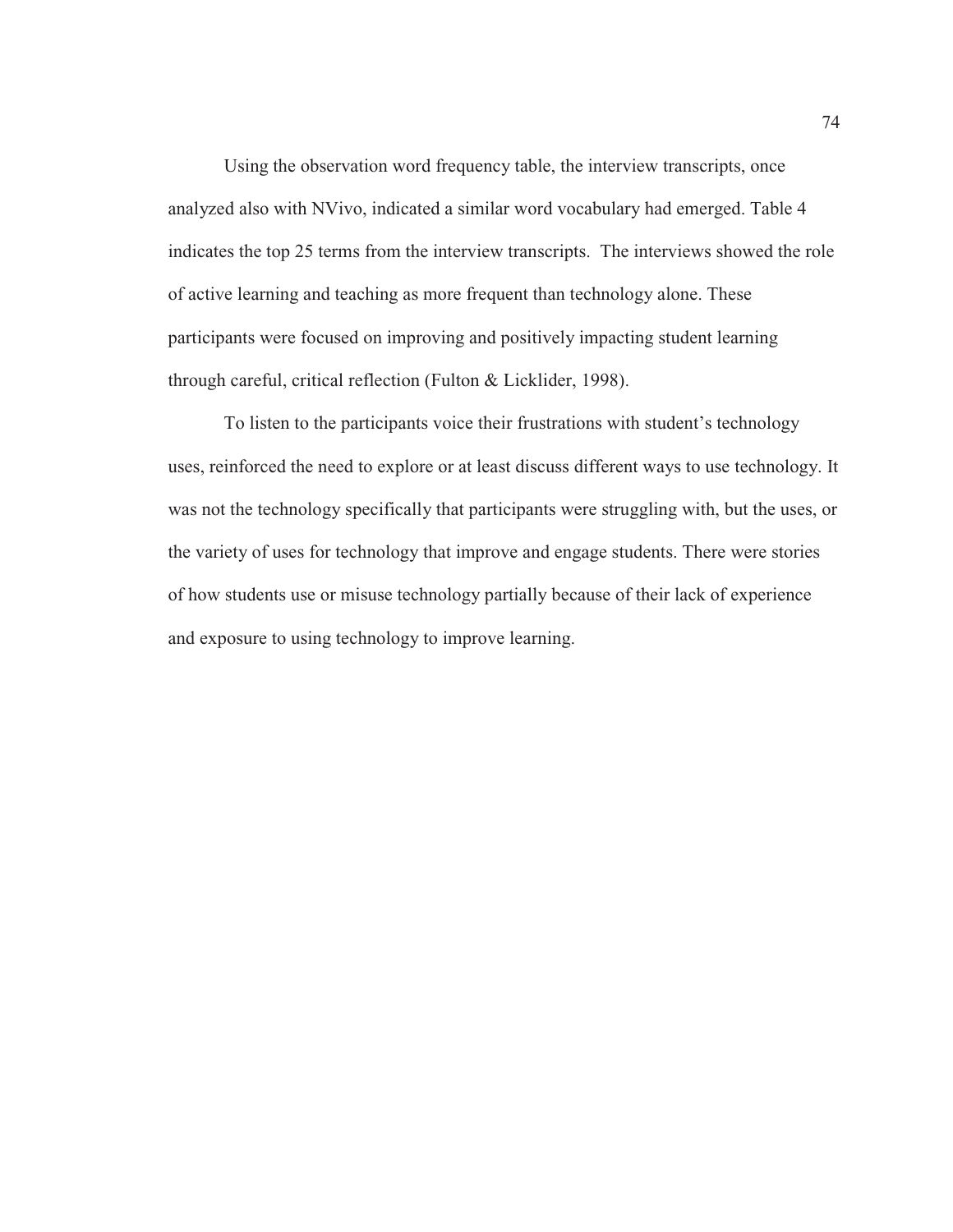Using the observation word frequency table, the interview transcripts, once analyzed also with NVivo, indicated a similar word vocabulary had emerged. Table 4 indicates the top 25 terms from the interview transcripts. The interviews showed the role of active learning and teaching as more frequent than technology alone. These participants were focused on improving and positively impacting student learning through careful, critical reflection (Fulton & Licklider, 1998).

To listen to the participants voice their frustrations with student's technology uses, reinforced the need to explore or at least discuss different ways to use technology. It was not the technology specifically that participants were struggling with, but the uses, or the variety of uses for technology that improve and engage students. There were stories of how students use or misuse technology partially because of their lack of experience and exposure to using technology to improve learning.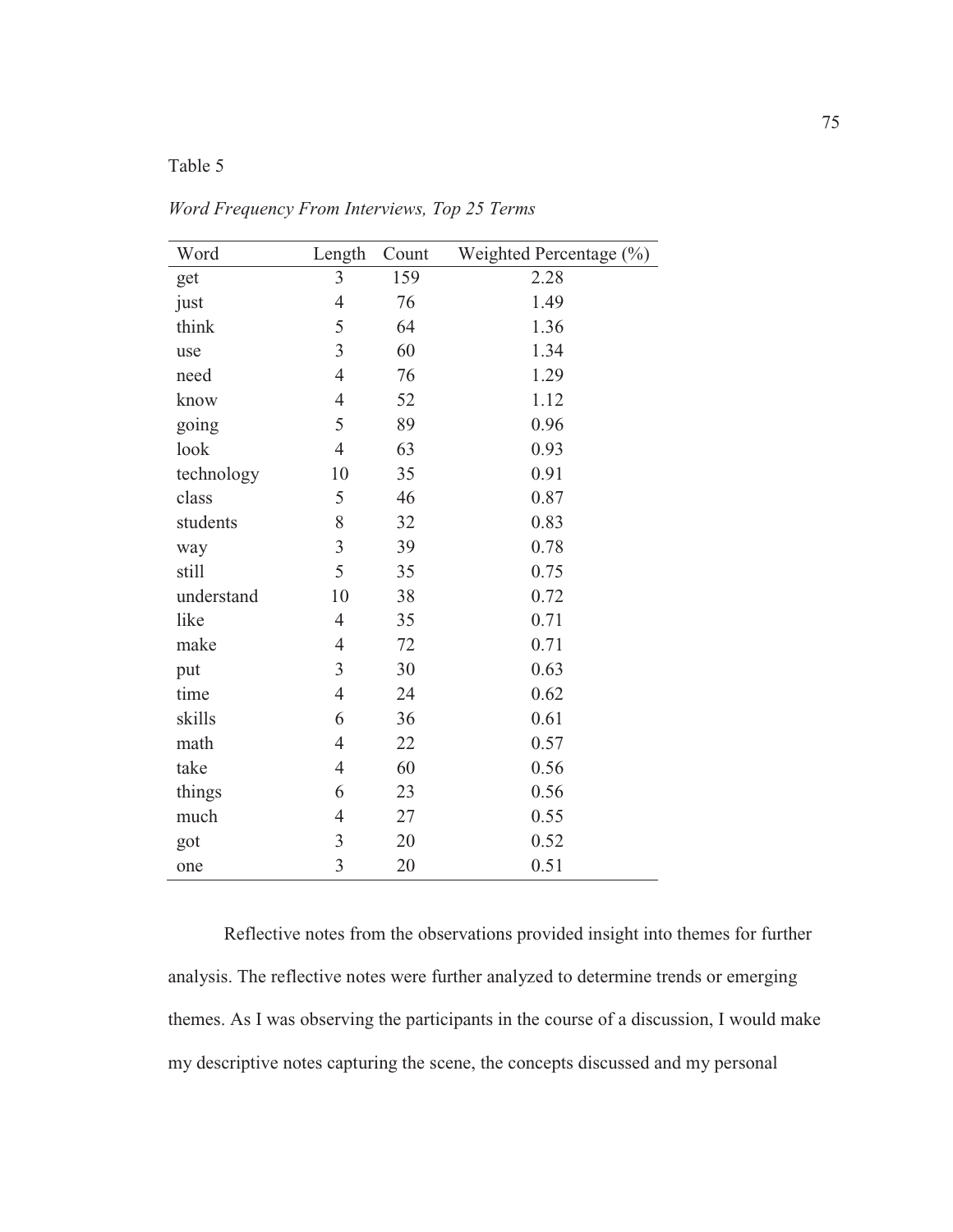## Table 5

| Word       | Length         | Count | Weighted Percentage (%) |
|------------|----------------|-------|-------------------------|
| get        | $\overline{3}$ | 159   | 2.28                    |
| just       | $\overline{4}$ | 76    | 1.49                    |
| think      | 5              | 64    | 1.36                    |
| use        | $\overline{3}$ | 60    | 1.34                    |
| need       | $\overline{4}$ | 76    | 1.29                    |
| know       | $\overline{4}$ | 52    | 1.12                    |
| going      | 5              | 89    | 0.96                    |
| look       | $\overline{4}$ | 63    | 0.93                    |
| technology | 10             | 35    | 0.91                    |
| class      | 5              | 46    | 0.87                    |
| students   | 8              | 32    | 0.83                    |
| way        | $\overline{3}$ | 39    | 0.78                    |
| still      | 5              | 35    | 0.75                    |
| understand | 10             | 38    | 0.72                    |
| like       | $\overline{4}$ | 35    | 0.71                    |
| make       | $\overline{4}$ | 72    | 0.71                    |
| put        | 3              | 30    | 0.63                    |
| time       | $\overline{4}$ | 24    | 0.62                    |
| skills     | 6              | 36    | 0.61                    |
| math       | $\overline{4}$ | 22    | 0.57                    |
| take       | $\overline{4}$ | 60    | 0.56                    |
| things     | 6              | 23    | 0.56                    |
| much       | $\overline{4}$ | 27    | 0.55                    |
| got        | $\mathfrak{Z}$ | 20    | 0.52                    |
| one        | $\overline{3}$ | 20    | 0.51                    |

*Word Frequency From Interviews, Top 25 Terms* 

Reflective notes from the observations provided insight into themes for further analysis. The reflective notes were further analyzed to determine trends or emerging themes. As I was observing the participants in the course of a discussion, I would make my descriptive notes capturing the scene, the concepts discussed and my personal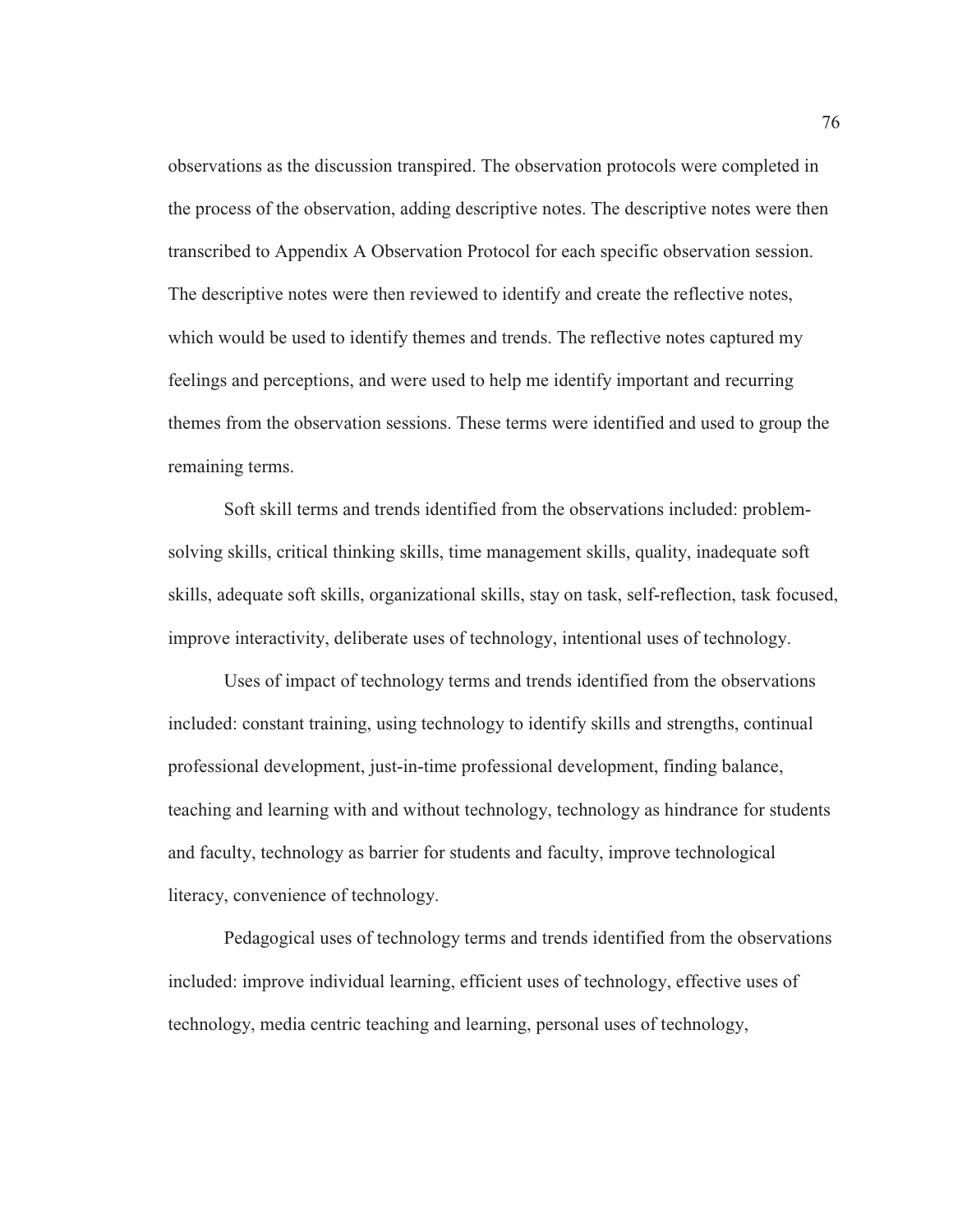observations as the discussion transpired. The observation protocols were completed in the process of the observation, adding descriptive notes. The descriptive notes were then transcribed to Appendix A Observation Protocol for each specific observation session. The descriptive notes were then reviewed to identify and create the reflective notes, which would be used to identify themes and trends. The reflective notes captured my feelings and perceptions, and were used to help me identify important and recurring themes from the observation sessions. These terms were identified and used to group the remaining terms.

Soft skill terms and trends identified from the observations included: problemsolving skills, critical thinking skills, time management skills, quality, inadequate soft skills, adequate soft skills, organizational skills, stay on task, self-reflection, task focused, improve interactivity, deliberate uses of technology, intentional uses of technology.

Uses of impact of technology terms and trends identified from the observations included: constant training, using technology to identify skills and strengths, continual professional development, just-in-time professional development, finding balance, teaching and learning with and without technology, technology as hindrance for students and faculty, technology as barrier for students and faculty, improve technological literacy, convenience of technology.

Pedagogical uses of technology terms and trends identified from the observations included: improve individual learning, efficient uses of technology, effective uses of technology, media centric teaching and learning, personal uses of technology,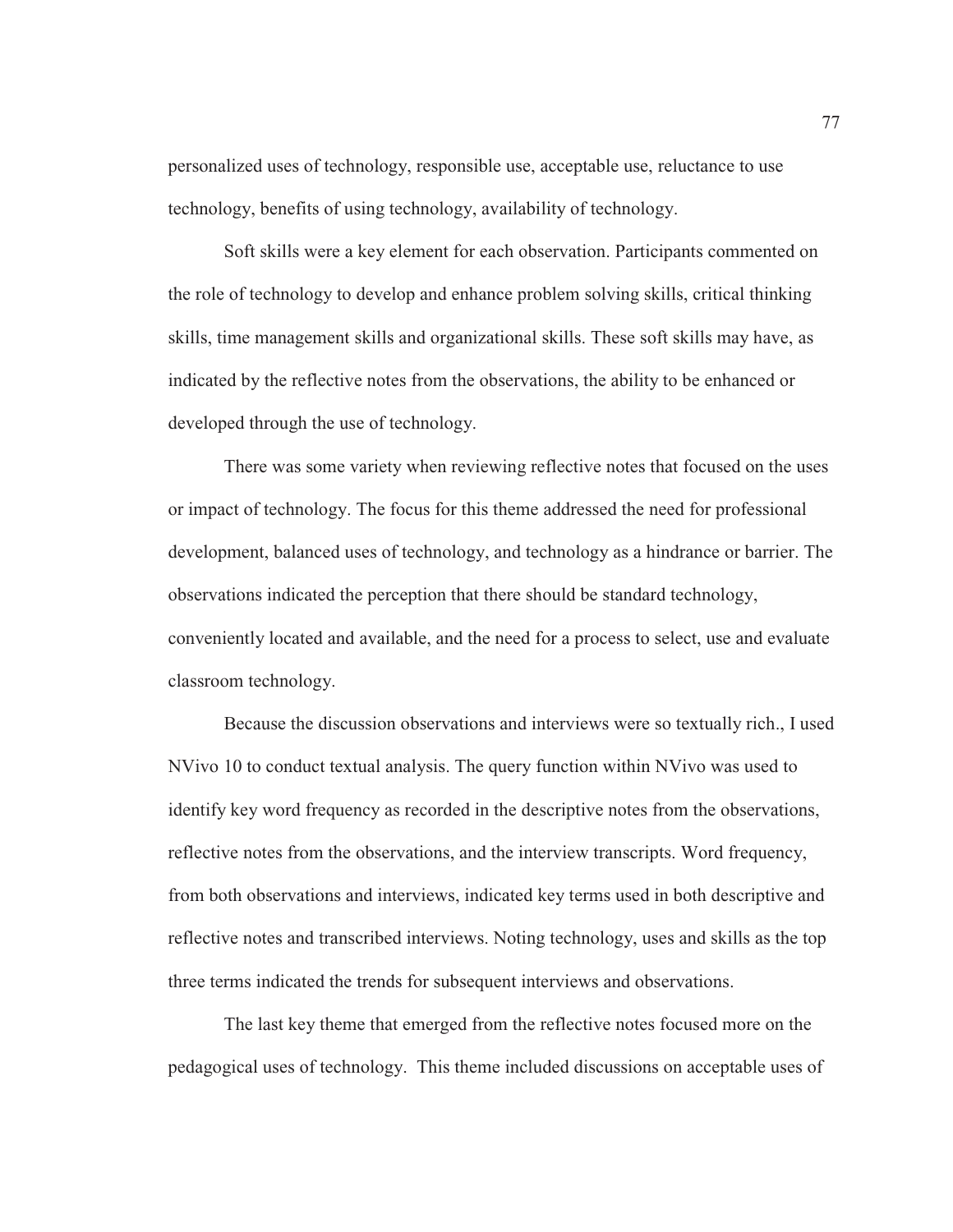personalized uses of technology, responsible use, acceptable use, reluctance to use technology, benefits of using technology, availability of technology.

Soft skills were a key element for each observation. Participants commented on the role of technology to develop and enhance problem solving skills, critical thinking skills, time management skills and organizational skills. These soft skills may have, as indicated by the reflective notes from the observations, the ability to be enhanced or developed through the use of technology.

There was some variety when reviewing reflective notes that focused on the uses or impact of technology. The focus for this theme addressed the need for professional development, balanced uses of technology, and technology as a hindrance or barrier. The observations indicated the perception that there should be standard technology, conveniently located and available, and the need for a process to select, use and evaluate classroom technology.

Because the discussion observations and interviews were so textually rich., I used NVivo 10 to conduct textual analysis. The query function within NVivo was used to identify key word frequency as recorded in the descriptive notes from the observations, reflective notes from the observations, and the interview transcripts. Word frequency, from both observations and interviews, indicated key terms used in both descriptive and reflective notes and transcribed interviews. Noting technology, uses and skills as the top three terms indicated the trends for subsequent interviews and observations.

The last key theme that emerged from the reflective notes focused more on the pedagogical uses of technology. This theme included discussions on acceptable uses of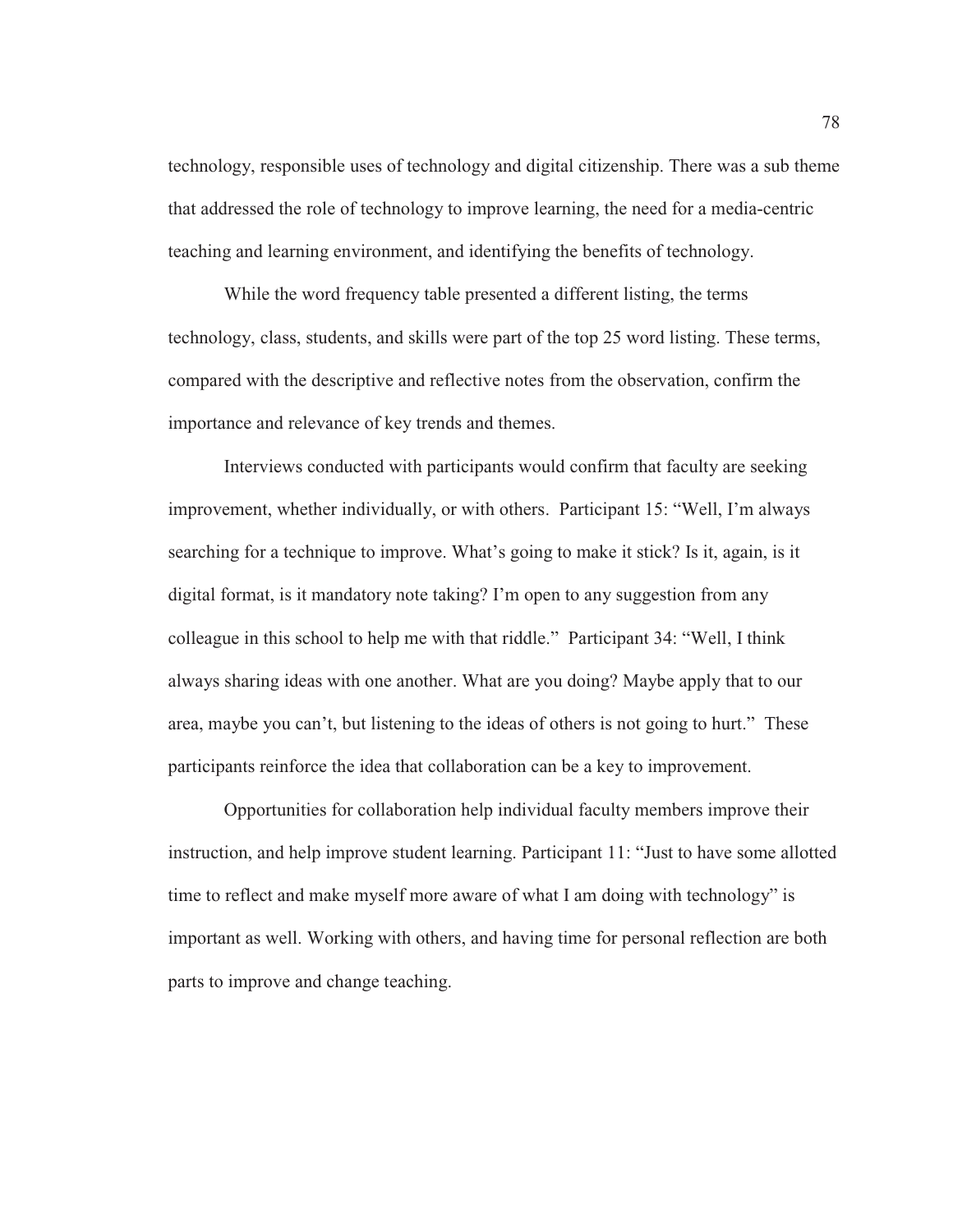technology, responsible uses of technology and digital citizenship. There was a sub theme that addressed the role of technology to improve learning, the need for a media-centric teaching and learning environment, and identifying the benefits of technology.

While the word frequency table presented a different listing, the terms technology, class, students, and skills were part of the top 25 word listing. These terms, compared with the descriptive and reflective notes from the observation, confirm the importance and relevance of key trends and themes.

Interviews conducted with participants would confirm that faculty are seeking improvement, whether individually, or with others. Participant 15: "Well, I'm always searching for a technique to improve. What's going to make it stick? Is it, again, is it digital format, is it mandatory note taking? I'm open to any suggestion from any colleague in this school to help me with that riddle." Participant 34: "Well, I think always sharing ideas with one another. What are you doing? Maybe apply that to our area, maybe you can't, but listening to the ideas of others is not going to hurt." These participants reinforce the idea that collaboration can be a key to improvement.

Opportunities for collaboration help individual faculty members improve their instruction, and help improve student learning. Participant 11: "Just to have some allotted time to reflect and make myself more aware of what I am doing with technology" is important as well. Working with others, and having time for personal reflection are both parts to improve and change teaching.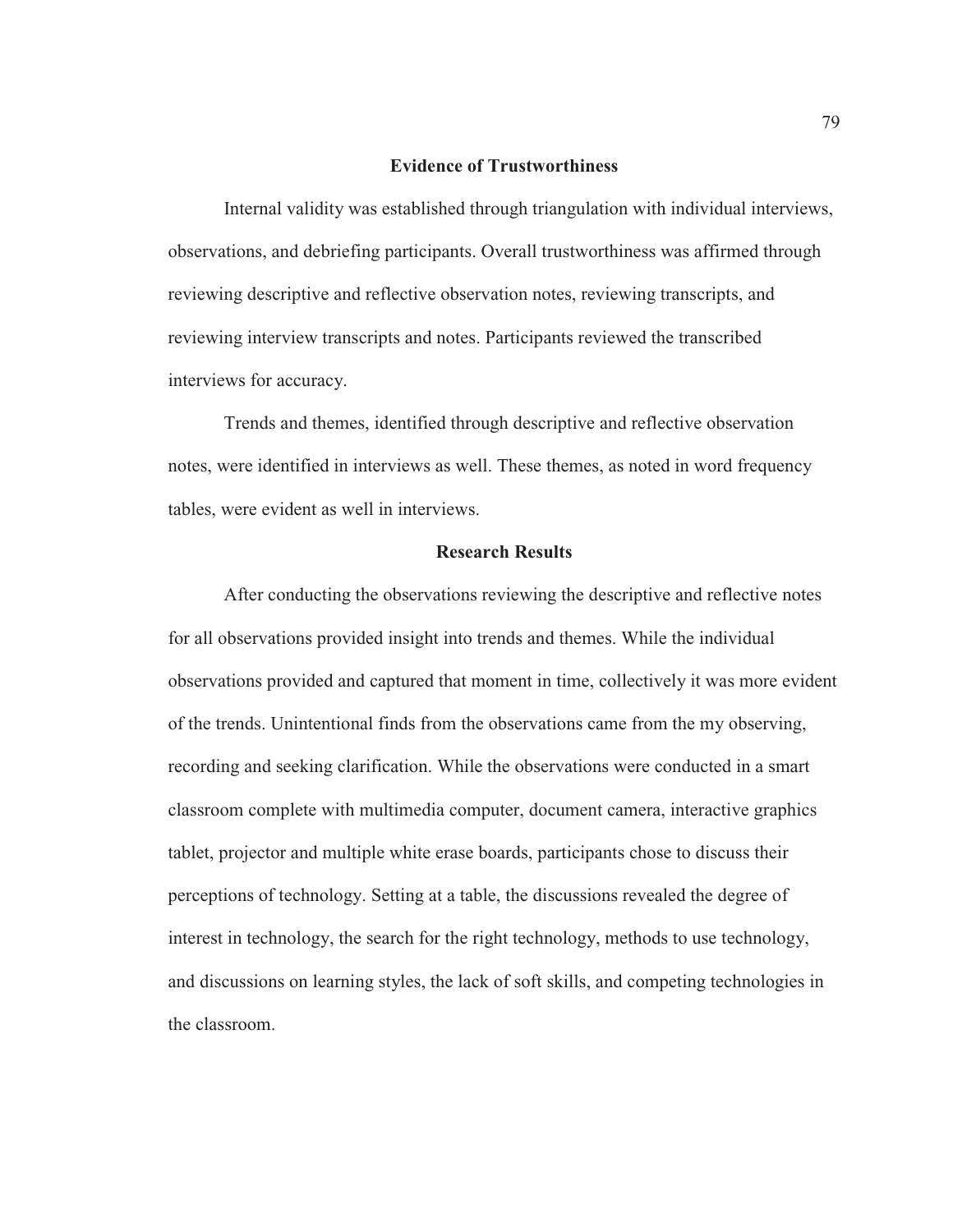#### **Evidence of Trustworthiness**

Internal validity was established through triangulation with individual interviews, observations, and debriefing participants. Overall trustworthiness was affirmed through reviewing descriptive and reflective observation notes, reviewing transcripts, and reviewing interview transcripts and notes. Participants reviewed the transcribed interviews for accuracy.

Trends and themes, identified through descriptive and reflective observation notes, were identified in interviews as well. These themes, as noted in word frequency tables, were evident as well in interviews.

#### **Research Results**

After conducting the observations reviewing the descriptive and reflective notes for all observations provided insight into trends and themes. While the individual observations provided and captured that moment in time, collectively it was more evident of the trends. Unintentional finds from the observations came from the my observing, recording and seeking clarification. While the observations were conducted in a smart classroom complete with multimedia computer, document camera, interactive graphics tablet, projector and multiple white erase boards, participants chose to discuss their perceptions of technology. Setting at a table, the discussions revealed the degree of interest in technology, the search for the right technology, methods to use technology, and discussions on learning styles, the lack of soft skills, and competing technologies in the classroom.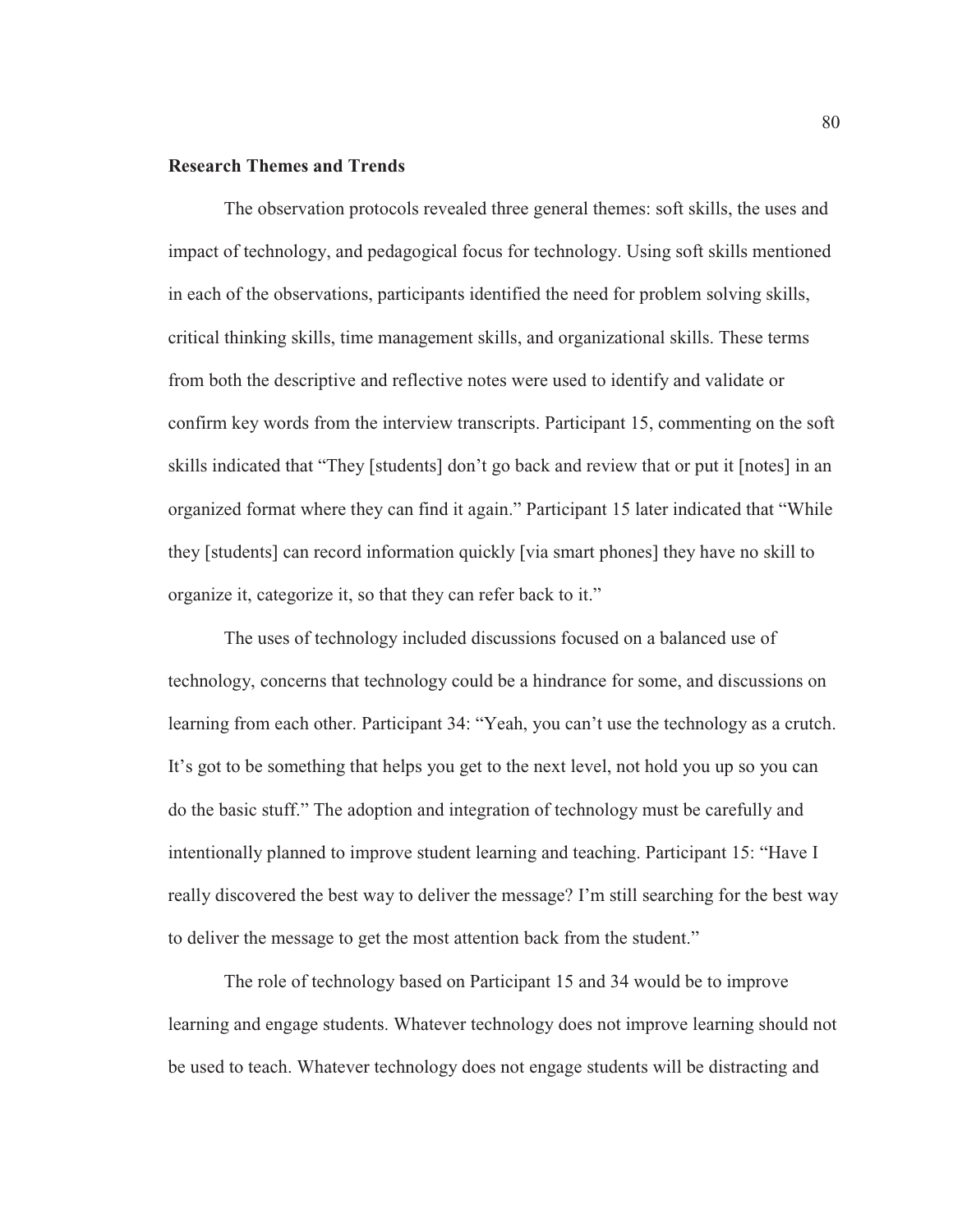### **Research Themes and Trends**

The observation protocols revealed three general themes: soft skills, the uses and impact of technology, and pedagogical focus for technology. Using soft skills mentioned in each of the observations, participants identified the need for problem solving skills, critical thinking skills, time management skills, and organizational skills. These terms from both the descriptive and reflective notes were used to identify and validate or confirm key words from the interview transcripts. Participant 15, commenting on the soft skills indicated that "They [students] don't go back and review that or put it [notes] in an organized format where they can find it again." Participant 15 later indicated that "While they [students] can record information quickly [via smart phones] they have no skill to organize it, categorize it, so that they can refer back to it."

The uses of technology included discussions focused on a balanced use of technology, concerns that technology could be a hindrance for some, and discussions on learning from each other. Participant 34: "Yeah, you can't use the technology as a crutch. It's got to be something that helps you get to the next level, not hold you up so you can do the basic stuff." The adoption and integration of technology must be carefully and intentionally planned to improve student learning and teaching. Participant 15: "Have I really discovered the best way to deliver the message? I'm still searching for the best way to deliver the message to get the most attention back from the student."

The role of technology based on Participant 15 and 34 would be to improve learning and engage students. Whatever technology does not improve learning should not be used to teach. Whatever technology does not engage students will be distracting and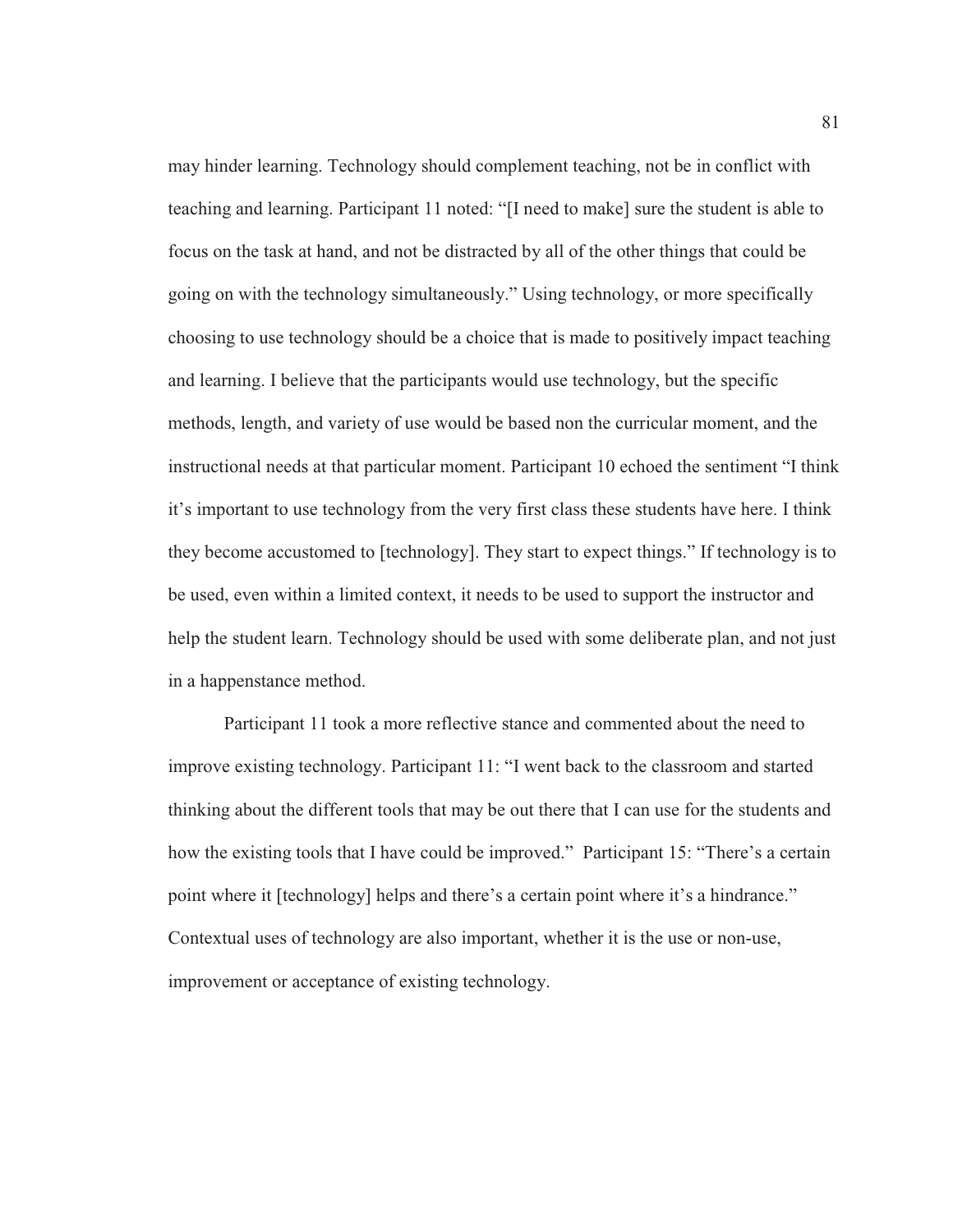may hinder learning. Technology should complement teaching, not be in conflict with teaching and learning. Participant 11 noted: "[I need to make] sure the student is able to focus on the task at hand, and not be distracted by all of the other things that could be going on with the technology simultaneously." Using technology, or more specifically choosing to use technology should be a choice that is made to positively impact teaching and learning. I believe that the participants would use technology, but the specific methods, length, and variety of use would be based non the curricular moment, and the instructional needs at that particular moment. Participant 10 echoed the sentiment "I think it's important to use technology from the very first class these students have here. I think they become accustomed to [technology]. They start to expect things." If technology is to be used, even within a limited context, it needs to be used to support the instructor and help the student learn. Technology should be used with some deliberate plan, and not just in a happenstance method.

Participant 11 took a more reflective stance and commented about the need to improve existing technology. Participant 11: "I went back to the classroom and started thinking about the different tools that may be out there that I can use for the students and how the existing tools that I have could be improved." Participant 15: "There's a certain point where it [technology] helps and there's a certain point where it's a hindrance." Contextual uses of technology are also important, whether it is the use or non-use, improvement or acceptance of existing technology.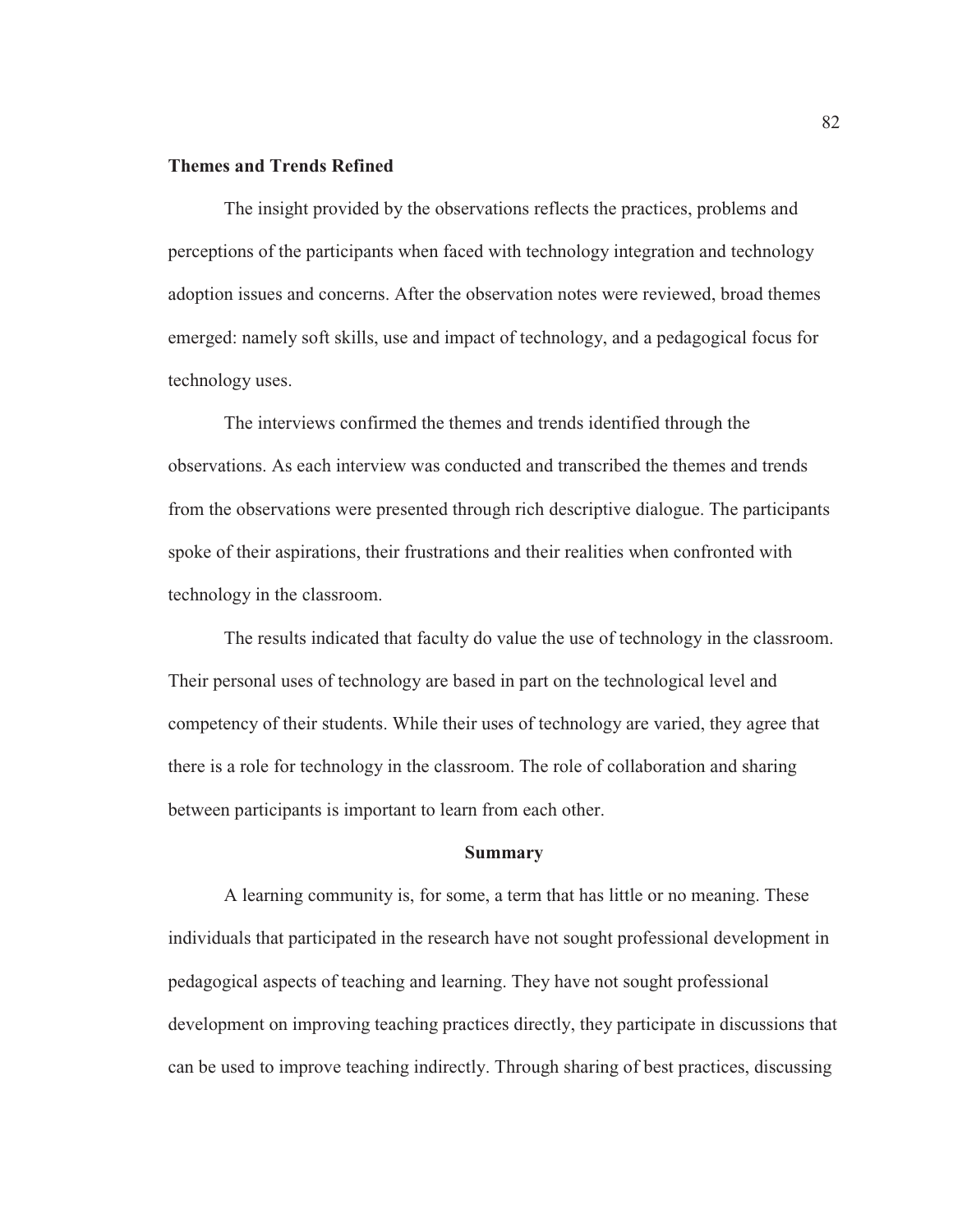### **Themes and Trends Refined**

The insight provided by the observations reflects the practices, problems and perceptions of the participants when faced with technology integration and technology adoption issues and concerns. After the observation notes were reviewed, broad themes emerged: namely soft skills, use and impact of technology, and a pedagogical focus for technology uses.

The interviews confirmed the themes and trends identified through the observations. As each interview was conducted and transcribed the themes and trends from the observations were presented through rich descriptive dialogue. The participants spoke of their aspirations, their frustrations and their realities when confronted with technology in the classroom.

The results indicated that faculty do value the use of technology in the classroom. Their personal uses of technology are based in part on the technological level and competency of their students. While their uses of technology are varied, they agree that there is a role for technology in the classroom. The role of collaboration and sharing between participants is important to learn from each other.

#### **Summary**

A learning community is, for some, a term that has little or no meaning. These individuals that participated in the research have not sought professional development in pedagogical aspects of teaching and learning. They have not sought professional development on improving teaching practices directly, they participate in discussions that can be used to improve teaching indirectly. Through sharing of best practices, discussing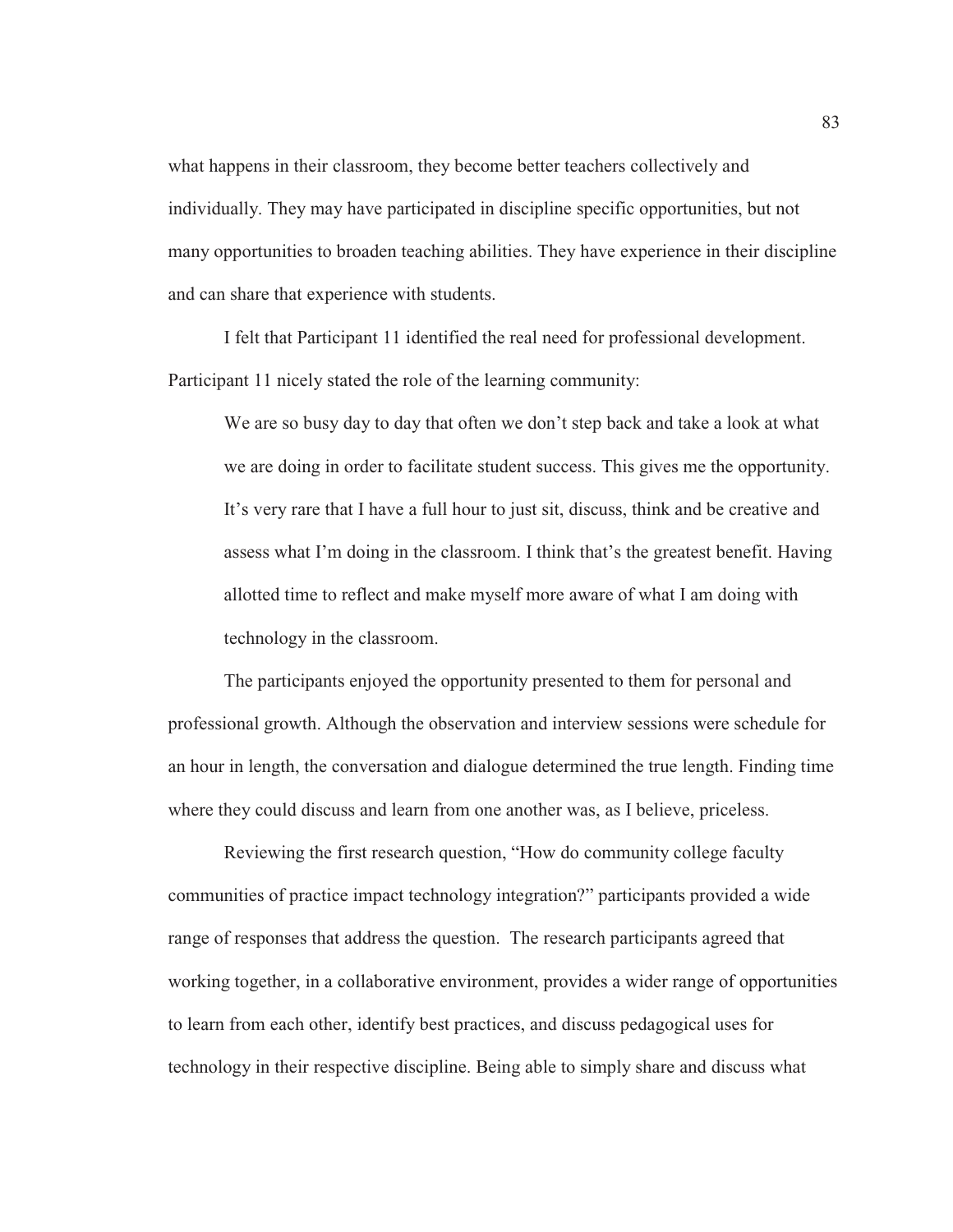what happens in their classroom, they become better teachers collectively and individually. They may have participated in discipline specific opportunities, but not many opportunities to broaden teaching abilities. They have experience in their discipline and can share that experience with students.

I felt that Participant 11 identified the real need for professional development. Participant 11 nicely stated the role of the learning community:

We are so busy day to day that often we don't step back and take a look at what we are doing in order to facilitate student success. This gives me the opportunity. It's very rare that I have a full hour to just sit, discuss, think and be creative and assess what I'm doing in the classroom. I think that's the greatest benefit. Having allotted time to reflect and make myself more aware of what I am doing with technology in the classroom.

The participants enjoyed the opportunity presented to them for personal and professional growth. Although the observation and interview sessions were schedule for an hour in length, the conversation and dialogue determined the true length. Finding time where they could discuss and learn from one another was, as I believe, priceless.

Reviewing the first research question, "How do community college faculty communities of practice impact technology integration?" participants provided a wide range of responses that address the question. The research participants agreed that working together, in a collaborative environment, provides a wider range of opportunities to learn from each other, identify best practices, and discuss pedagogical uses for technology in their respective discipline. Being able to simply share and discuss what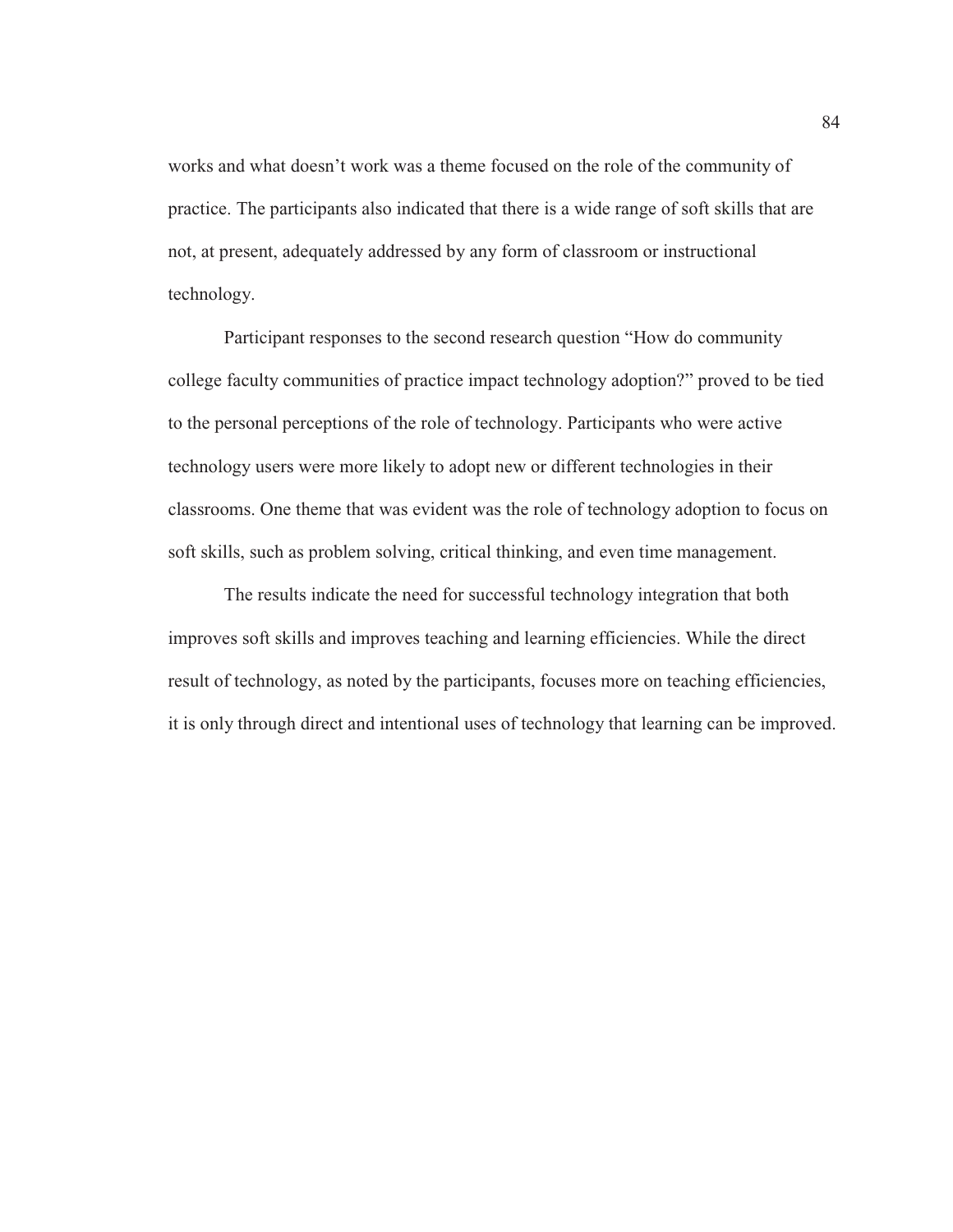works and what doesn't work was a theme focused on the role of the community of practice. The participants also indicated that there is a wide range of soft skills that are not, at present, adequately addressed by any form of classroom or instructional technology.

Participant responses to the second research question "How do community college faculty communities of practice impact technology adoption?" proved to be tied to the personal perceptions of the role of technology. Participants who were active technology users were more likely to adopt new or different technologies in their classrooms. One theme that was evident was the role of technology adoption to focus on soft skills, such as problem solving, critical thinking, and even time management.

The results indicate the need for successful technology integration that both improves soft skills and improves teaching and learning efficiencies. While the direct result of technology, as noted by the participants, focuses more on teaching efficiencies, it is only through direct and intentional uses of technology that learning can be improved.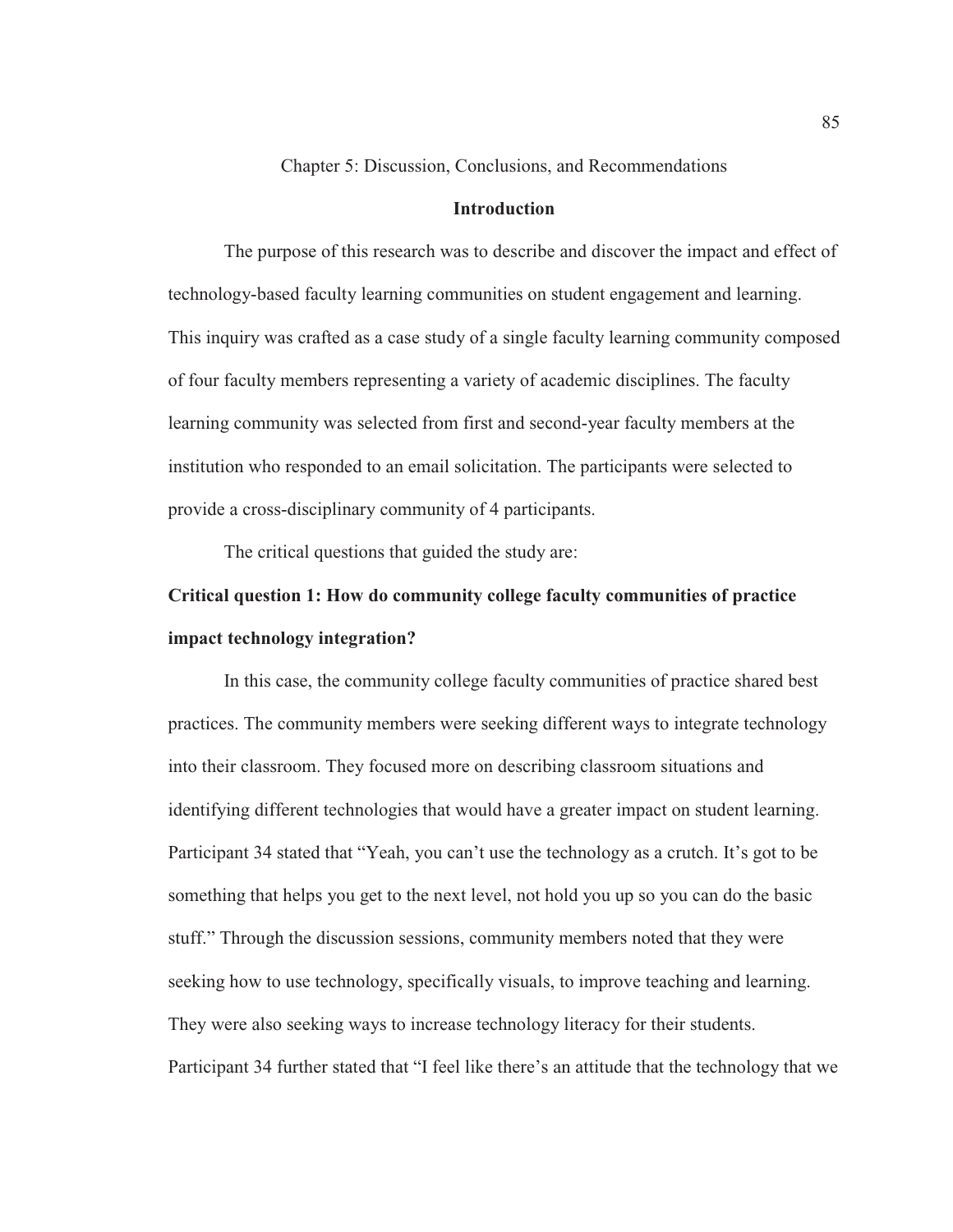Chapter 5: Discussion, Conclusions, and Recommendations

### **Introduction**

The purpose of this research was to describe and discover the impact and effect of technology-based faculty learning communities on student engagement and learning. This inquiry was crafted as a case study of a single faculty learning community composed of four faculty members representing a variety of academic disciplines. The faculty learning community was selected from first and second-year faculty members at the institution who responded to an email solicitation. The participants were selected to provide a cross-disciplinary community of 4 participants.

The critical questions that guided the study are:

# **Critical question 1: How do community college faculty communities of practice impact technology integration?**

In this case, the community college faculty communities of practice shared best practices. The community members were seeking different ways to integrate technology into their classroom. They focused more on describing classroom situations and identifying different technologies that would have a greater impact on student learning. Participant 34 stated that "Yeah, you can't use the technology as a crutch. It's got to be something that helps you get to the next level, not hold you up so you can do the basic stuff." Through the discussion sessions, community members noted that they were seeking how to use technology, specifically visuals, to improve teaching and learning. They were also seeking ways to increase technology literacy for their students. Participant 34 further stated that "I feel like there's an attitude that the technology that we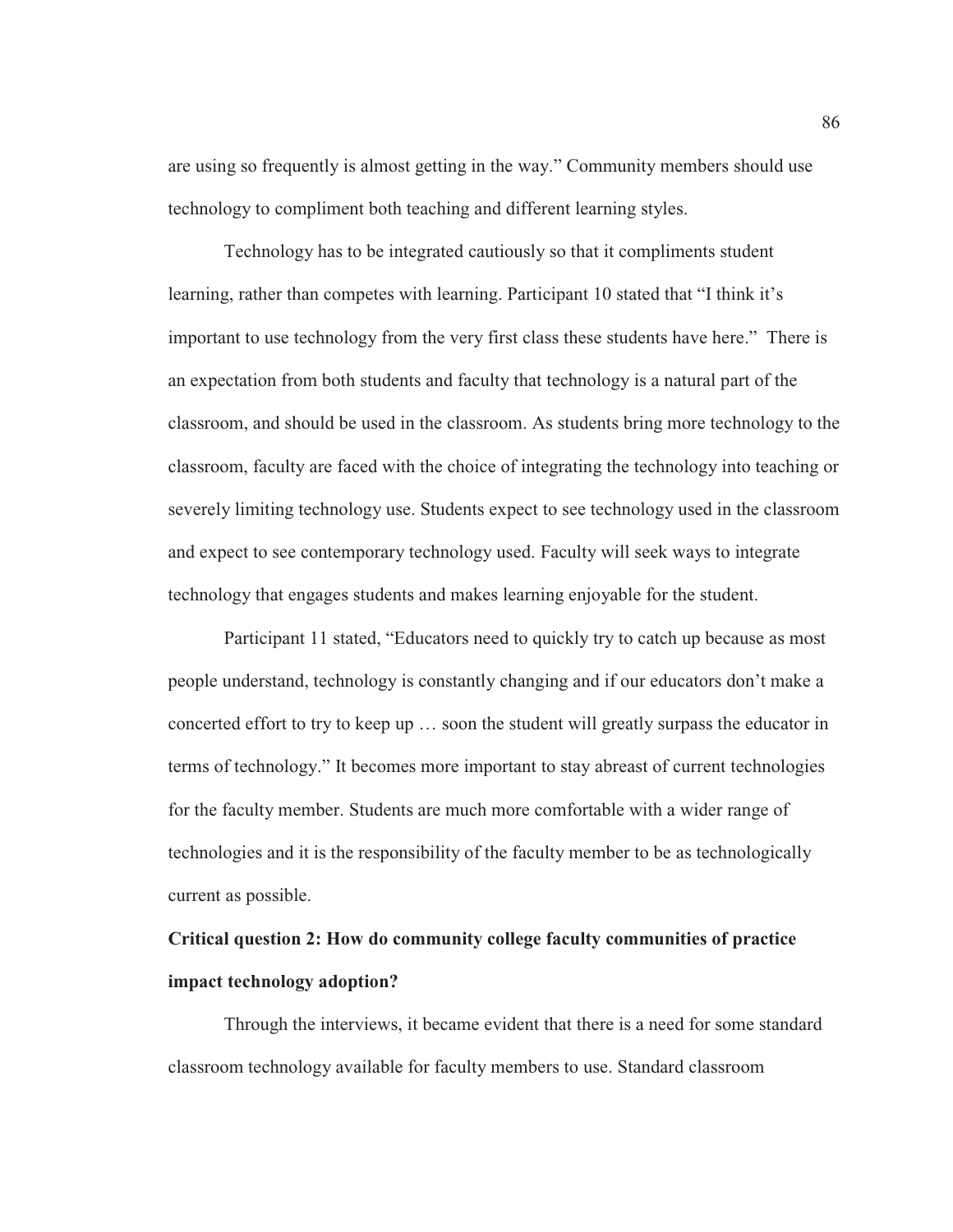are using so frequently is almost getting in the way." Community members should use technology to compliment both teaching and different learning styles.

Technology has to be integrated cautiously so that it compliments student learning, rather than competes with learning. Participant 10 stated that "I think it's important to use technology from the very first class these students have here." There is an expectation from both students and faculty that technology is a natural part of the classroom, and should be used in the classroom. As students bring more technology to the classroom, faculty are faced with the choice of integrating the technology into teaching or severely limiting technology use. Students expect to see technology used in the classroom and expect to see contemporary technology used. Faculty will seek ways to integrate technology that engages students and makes learning enjoyable for the student.

Participant 11 stated, "Educators need to quickly try to catch up because as most people understand, technology is constantly changing and if our educators don't make a concerted effort to try to keep up … soon the student will greatly surpass the educator in terms of technology." It becomes more important to stay abreast of current technologies for the faculty member. Students are much more comfortable with a wider range of technologies and it is the responsibility of the faculty member to be as technologically current as possible.

# **Critical question 2: How do community college faculty communities of practice impact technology adoption?**

Through the interviews, it became evident that there is a need for some standard classroom technology available for faculty members to use. Standard classroom

86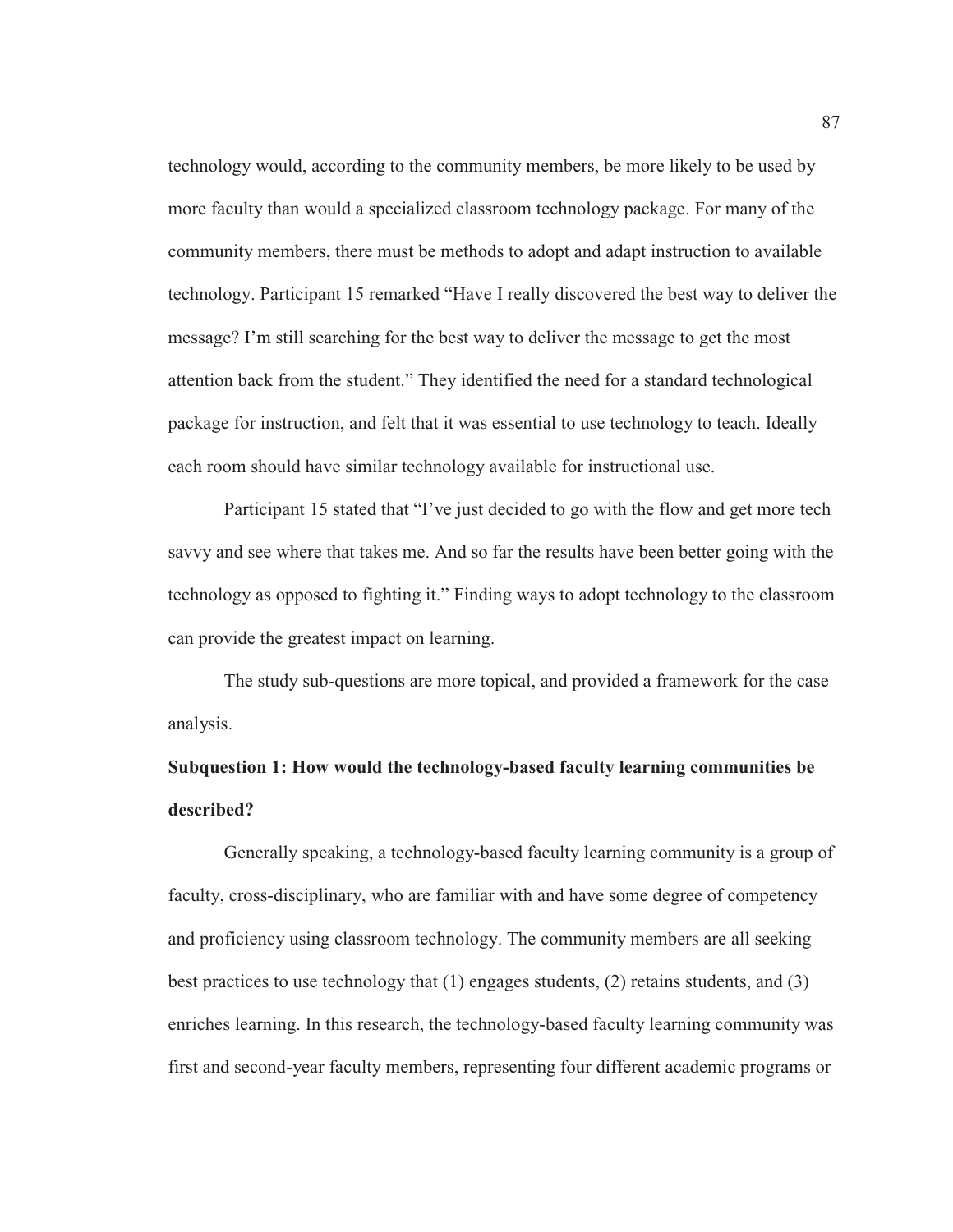technology would, according to the community members, be more likely to be used by more faculty than would a specialized classroom technology package. For many of the community members, there must be methods to adopt and adapt instruction to available technology. Participant 15 remarked "Have I really discovered the best way to deliver the message? I'm still searching for the best way to deliver the message to get the most attention back from the student." They identified the need for a standard technological package for instruction, and felt that it was essential to use technology to teach. Ideally each room should have similar technology available for instructional use.

Participant 15 stated that "I've just decided to go with the flow and get more tech savvy and see where that takes me. And so far the results have been better going with the technology as opposed to fighting it." Finding ways to adopt technology to the classroom can provide the greatest impact on learning.

The study sub-questions are more topical, and provided a framework for the case analysis.

# **Subquestion 1: How would the technology-based faculty learning communities be described?**

Generally speaking, a technology-based faculty learning community is a group of faculty, cross-disciplinary, who are familiar with and have some degree of competency and proficiency using classroom technology. The community members are all seeking best practices to use technology that (1) engages students, (2) retains students, and (3) enriches learning. In this research, the technology-based faculty learning community was first and second-year faculty members, representing four different academic programs or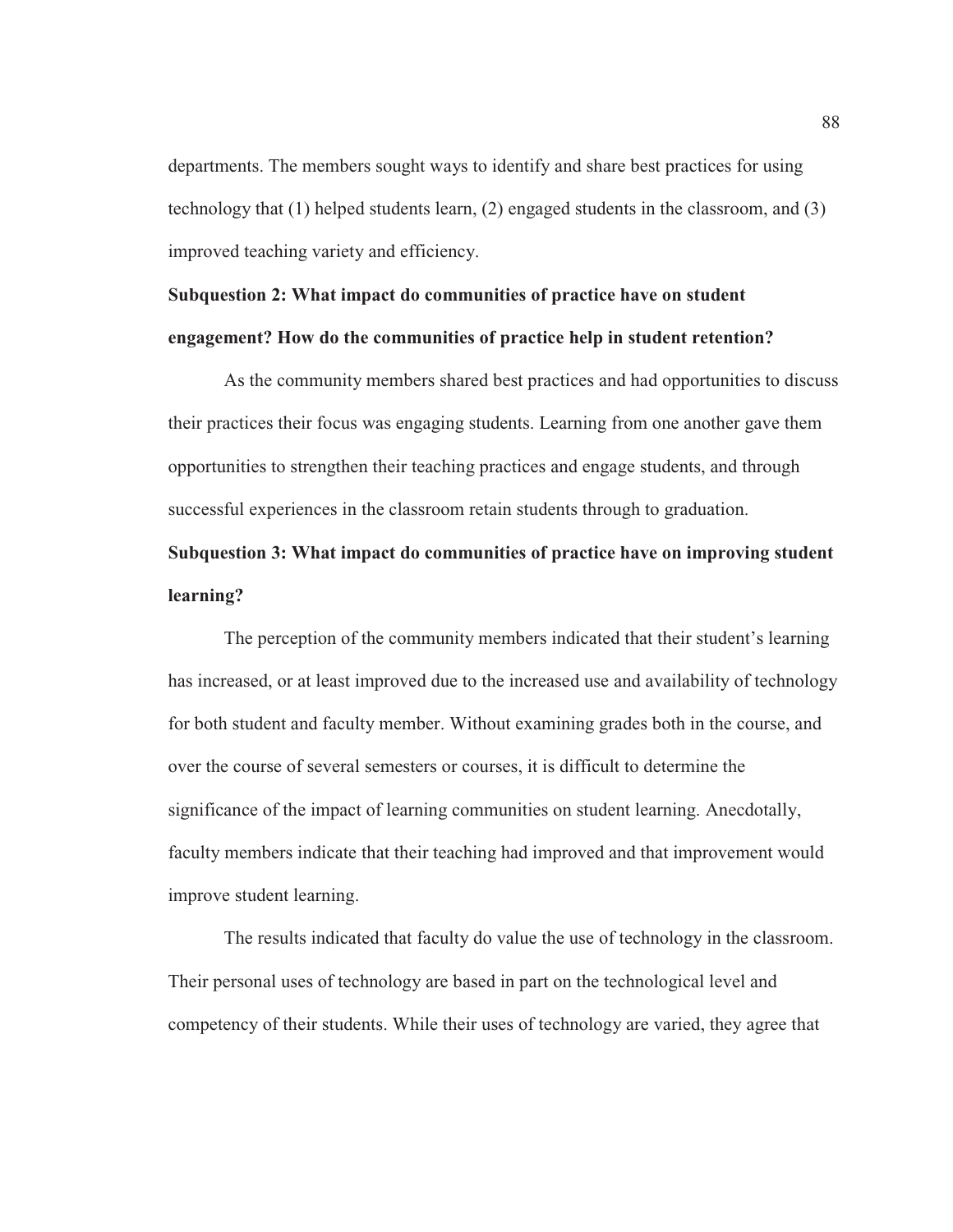departments. The members sought ways to identify and share best practices for using technology that (1) helped students learn, (2) engaged students in the classroom, and (3) improved teaching variety and efficiency.

# **Subquestion 2: What impact do communities of practice have on student engagement? How do the communities of practice help in student retention?**

As the community members shared best practices and had opportunities to discuss their practices their focus was engaging students. Learning from one another gave them opportunities to strengthen their teaching practices and engage students, and through successful experiences in the classroom retain students through to graduation.

# **Subquestion 3: What impact do communities of practice have on improving student learning?**

The perception of the community members indicated that their student's learning has increased, or at least improved due to the increased use and availability of technology for both student and faculty member. Without examining grades both in the course, and over the course of several semesters or courses, it is difficult to determine the significance of the impact of learning communities on student learning. Anecdotally, faculty members indicate that their teaching had improved and that improvement would improve student learning.

The results indicated that faculty do value the use of technology in the classroom. Their personal uses of technology are based in part on the technological level and competency of their students. While their uses of technology are varied, they agree that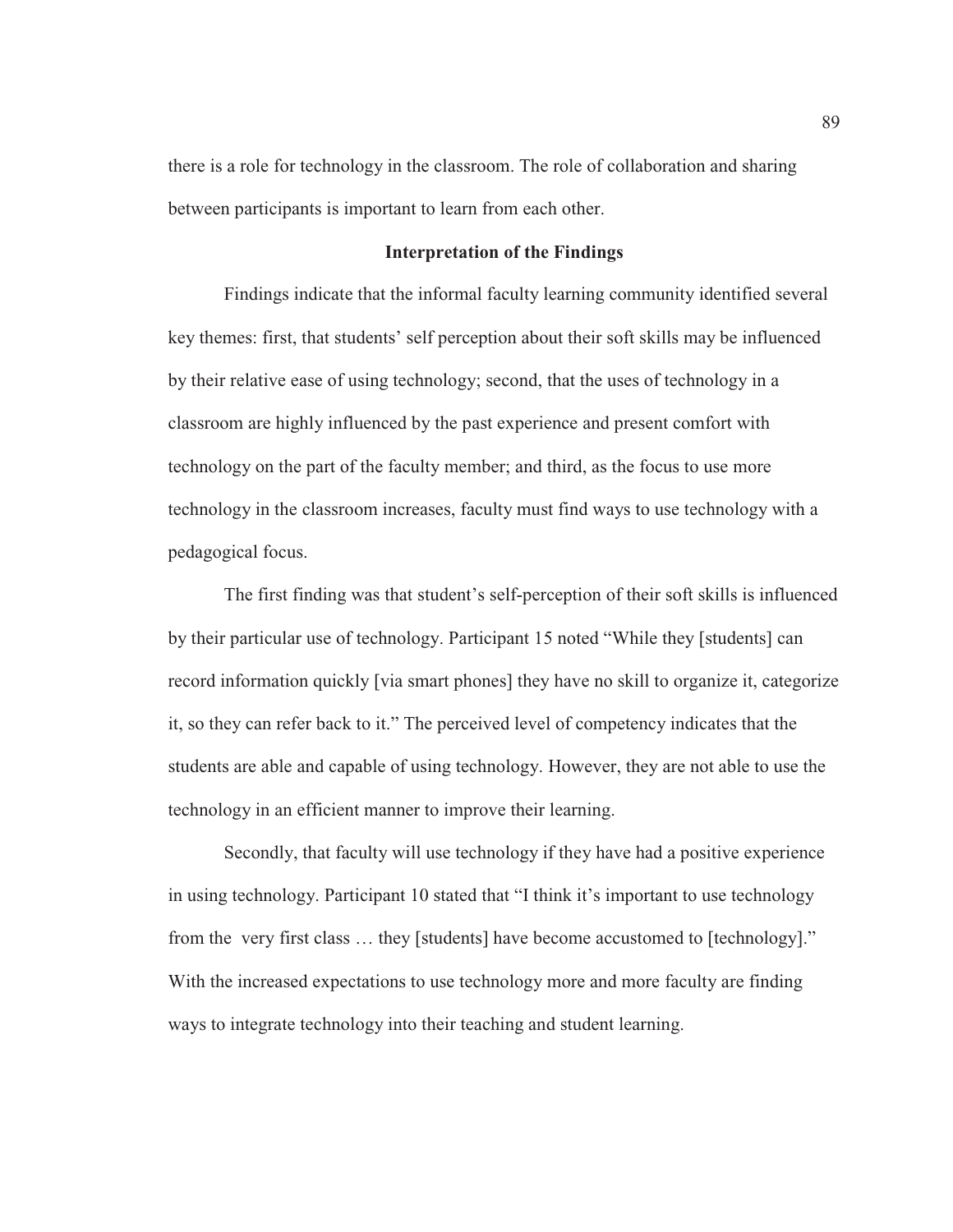there is a role for technology in the classroom. The role of collaboration and sharing between participants is important to learn from each other.

### **Interpretation of the Findings**

Findings indicate that the informal faculty learning community identified several key themes: first, that students' self perception about their soft skills may be influenced by their relative ease of using technology; second, that the uses of technology in a classroom are highly influenced by the past experience and present comfort with technology on the part of the faculty member; and third, as the focus to use more technology in the classroom increases, faculty must find ways to use technology with a pedagogical focus.

The first finding was that student's self-perception of their soft skills is influenced by their particular use of technology. Participant 15 noted "While they [students] can record information quickly [via smart phones] they have no skill to organize it, categorize it, so they can refer back to it." The perceived level of competency indicates that the students are able and capable of using technology. However, they are not able to use the technology in an efficient manner to improve their learning.

Secondly, that faculty will use technology if they have had a positive experience in using technology. Participant 10 stated that "I think it's important to use technology from the very first class … they [students] have become accustomed to [technology]." With the increased expectations to use technology more and more faculty are finding ways to integrate technology into their teaching and student learning.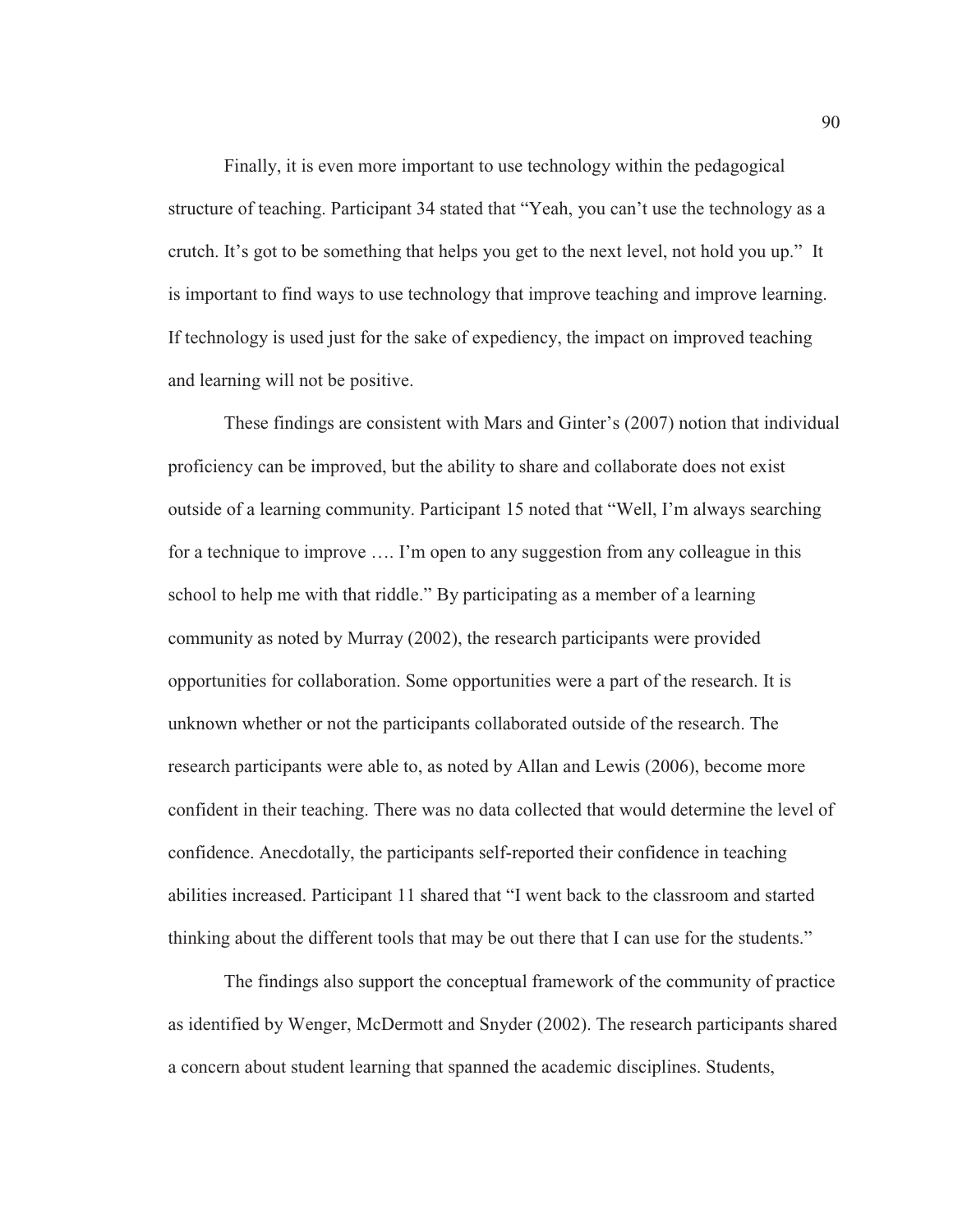Finally, it is even more important to use technology within the pedagogical structure of teaching. Participant 34 stated that "Yeah, you can't use the technology as a crutch. It's got to be something that helps you get to the next level, not hold you up." It is important to find ways to use technology that improve teaching and improve learning. If technology is used just for the sake of expediency, the impact on improved teaching and learning will not be positive.

These findings are consistent with Mars and Ginter's (2007) notion that individual proficiency can be improved, but the ability to share and collaborate does not exist outside of a learning community. Participant 15 noted that "Well, I'm always searching for a technique to improve …. I'm open to any suggestion from any colleague in this school to help me with that riddle." By participating as a member of a learning community as noted by Murray (2002), the research participants were provided opportunities for collaboration. Some opportunities were a part of the research. It is unknown whether or not the participants collaborated outside of the research. The research participants were able to, as noted by Allan and Lewis (2006), become more confident in their teaching. There was no data collected that would determine the level of confidence. Anecdotally, the participants self-reported their confidence in teaching abilities increased. Participant 11 shared that "I went back to the classroom and started thinking about the different tools that may be out there that I can use for the students."

The findings also support the conceptual framework of the community of practice as identified by Wenger, McDermott and Snyder (2002). The research participants shared a concern about student learning that spanned the academic disciplines. Students,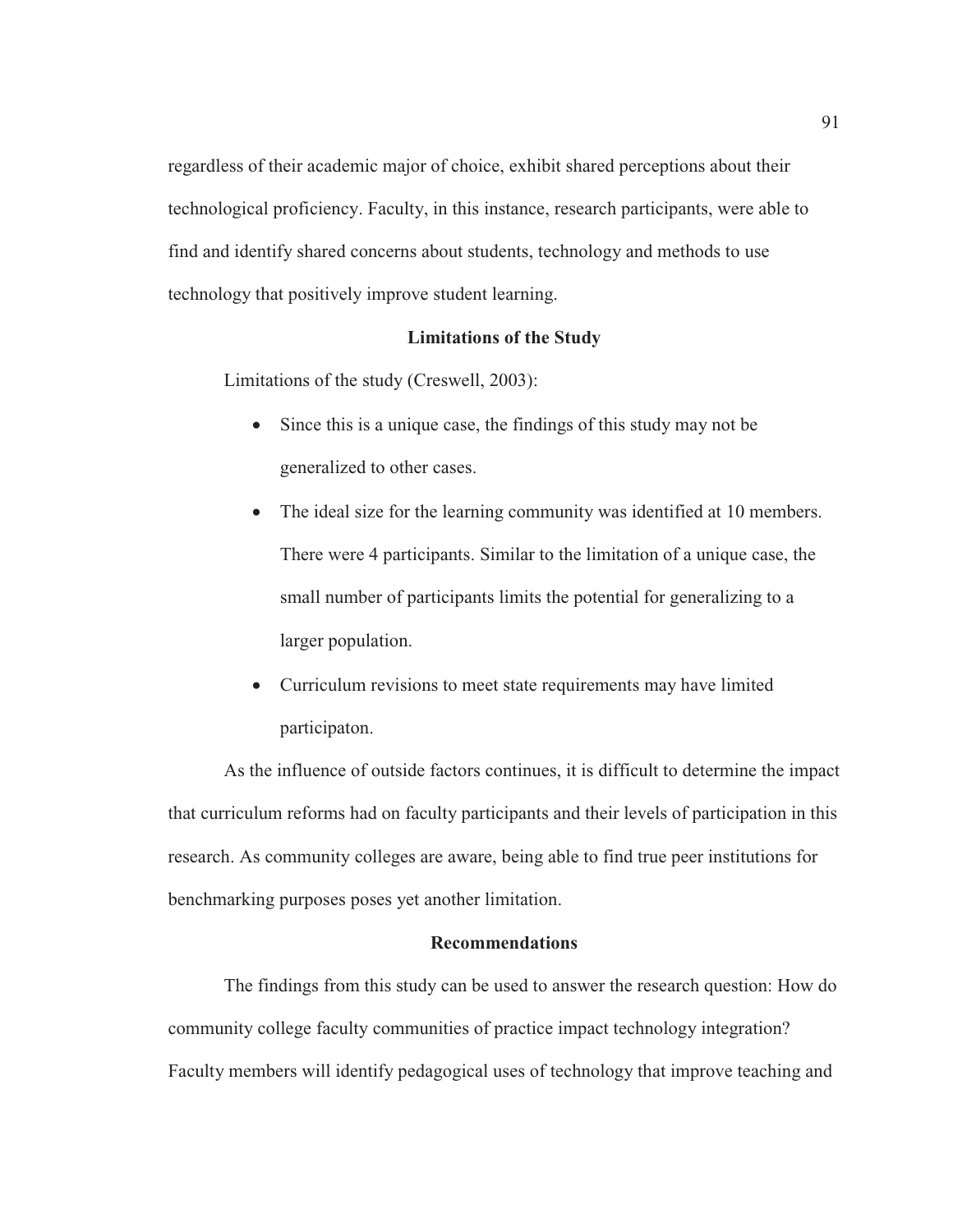regardless of their academic major of choice, exhibit shared perceptions about their technological proficiency. Faculty, in this instance, research participants, were able to find and identify shared concerns about students, technology and methods to use technology that positively improve student learning.

### **Limitations of the Study**

Limitations of the study (Creswell, 2003):

- Since this is a unique case, the findings of this study may not be generalized to other cases.
- The ideal size for the learning community was identified at 10 members. There were 4 participants. Similar to the limitation of a unique case, the small number of participants limits the potential for generalizing to a larger population.
- Curriculum revisions to meet state requirements may have limited participaton.

As the influence of outside factors continues, it is difficult to determine the impact that curriculum reforms had on faculty participants and their levels of participation in this research. As community colleges are aware, being able to find true peer institutions for benchmarking purposes poses yet another limitation.

## **Recommendations**

The findings from this study can be used to answer the research question: How do community college faculty communities of practice impact technology integration? Faculty members will identify pedagogical uses of technology that improve teaching and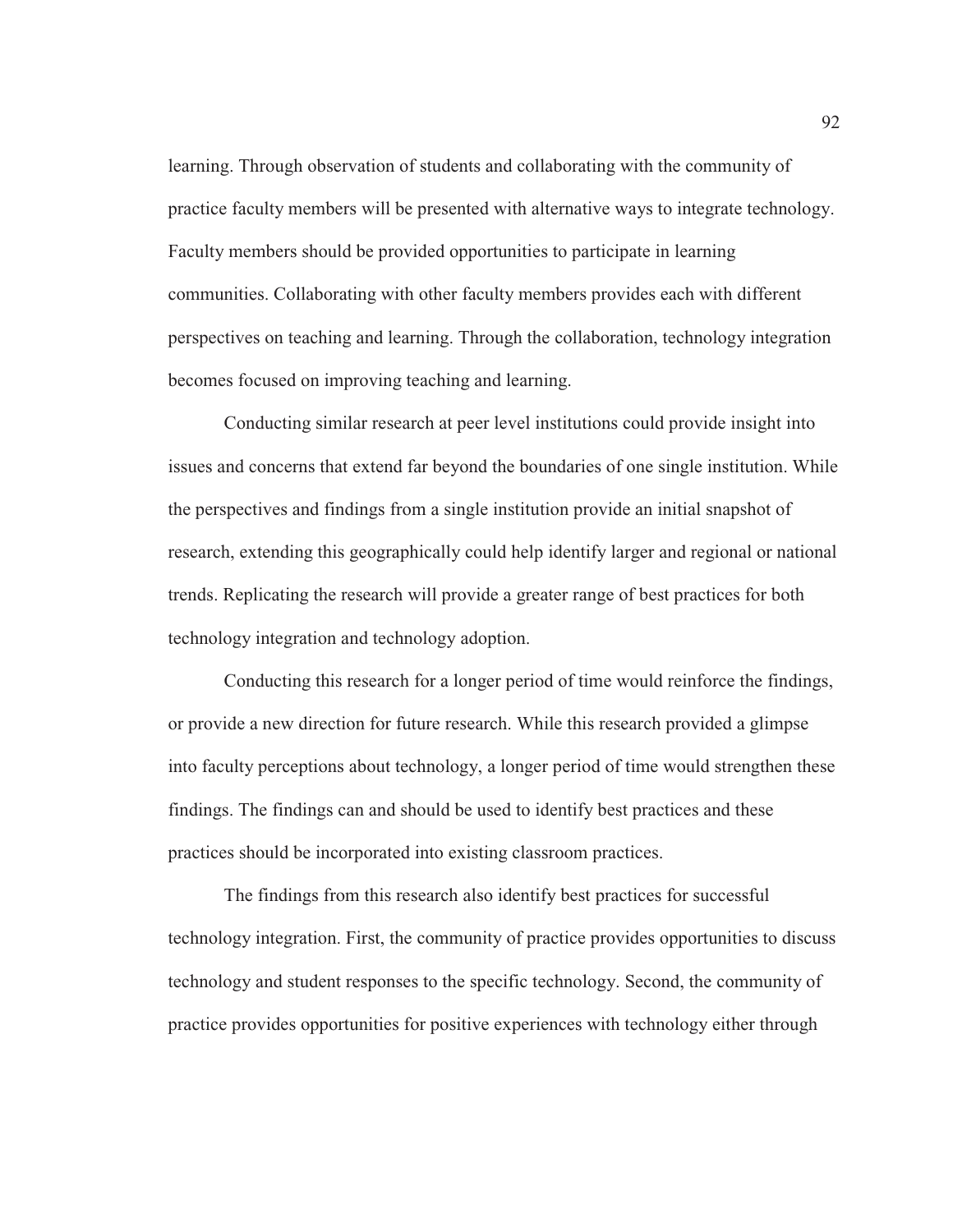learning. Through observation of students and collaborating with the community of practice faculty members will be presented with alternative ways to integrate technology. Faculty members should be provided opportunities to participate in learning communities. Collaborating with other faculty members provides each with different perspectives on teaching and learning. Through the collaboration, technology integration becomes focused on improving teaching and learning.

Conducting similar research at peer level institutions could provide insight into issues and concerns that extend far beyond the boundaries of one single institution. While the perspectives and findings from a single institution provide an initial snapshot of research, extending this geographically could help identify larger and regional or national trends. Replicating the research will provide a greater range of best practices for both technology integration and technology adoption.

Conducting this research for a longer period of time would reinforce the findings, or provide a new direction for future research. While this research provided a glimpse into faculty perceptions about technology, a longer period of time would strengthen these findings. The findings can and should be used to identify best practices and these practices should be incorporated into existing classroom practices.

The findings from this research also identify best practices for successful technology integration. First, the community of practice provides opportunities to discuss technology and student responses to the specific technology. Second, the community of practice provides opportunities for positive experiences with technology either through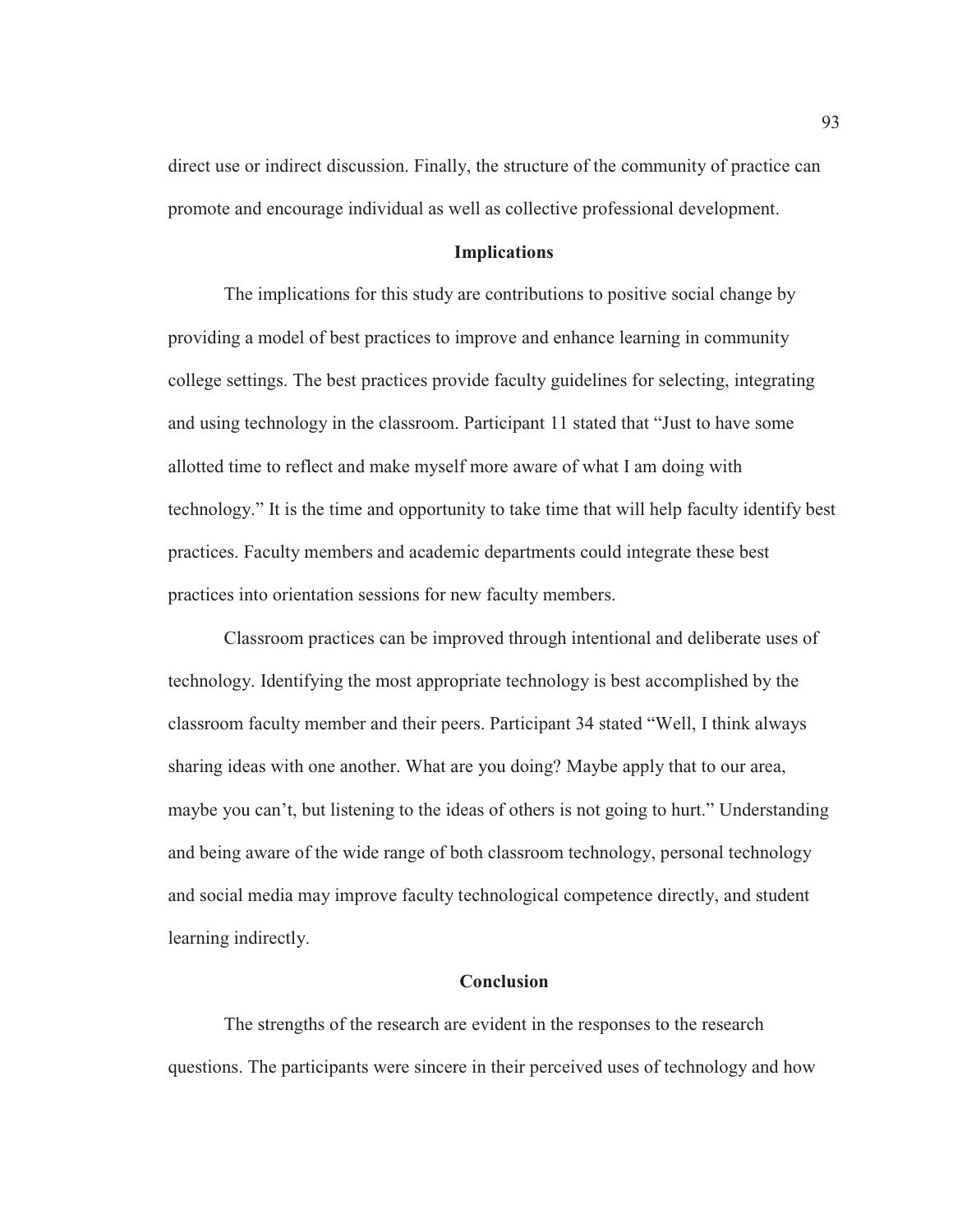direct use or indirect discussion. Finally, the structure of the community of practice can promote and encourage individual as well as collective professional development.

### **Implications**

The implications for this study are contributions to positive social change by providing a model of best practices to improve and enhance learning in community college settings. The best practices provide faculty guidelines for selecting, integrating and using technology in the classroom. Participant 11 stated that "Just to have some allotted time to reflect and make myself more aware of what I am doing with technology." It is the time and opportunity to take time that will help faculty identify best practices. Faculty members and academic departments could integrate these best practices into orientation sessions for new faculty members.

 Classroom practices can be improved through intentional and deliberate uses of technology. Identifying the most appropriate technology is best accomplished by the classroom faculty member and their peers. Participant 34 stated "Well, I think always sharing ideas with one another. What are you doing? Maybe apply that to our area, maybe you can't, but listening to the ideas of others is not going to hurt." Understanding and being aware of the wide range of both classroom technology, personal technology and social media may improve faculty technological competence directly, and student learning indirectly.

#### **Conclusion**

The strengths of the research are evident in the responses to the research questions. The participants were sincere in their perceived uses of technology and how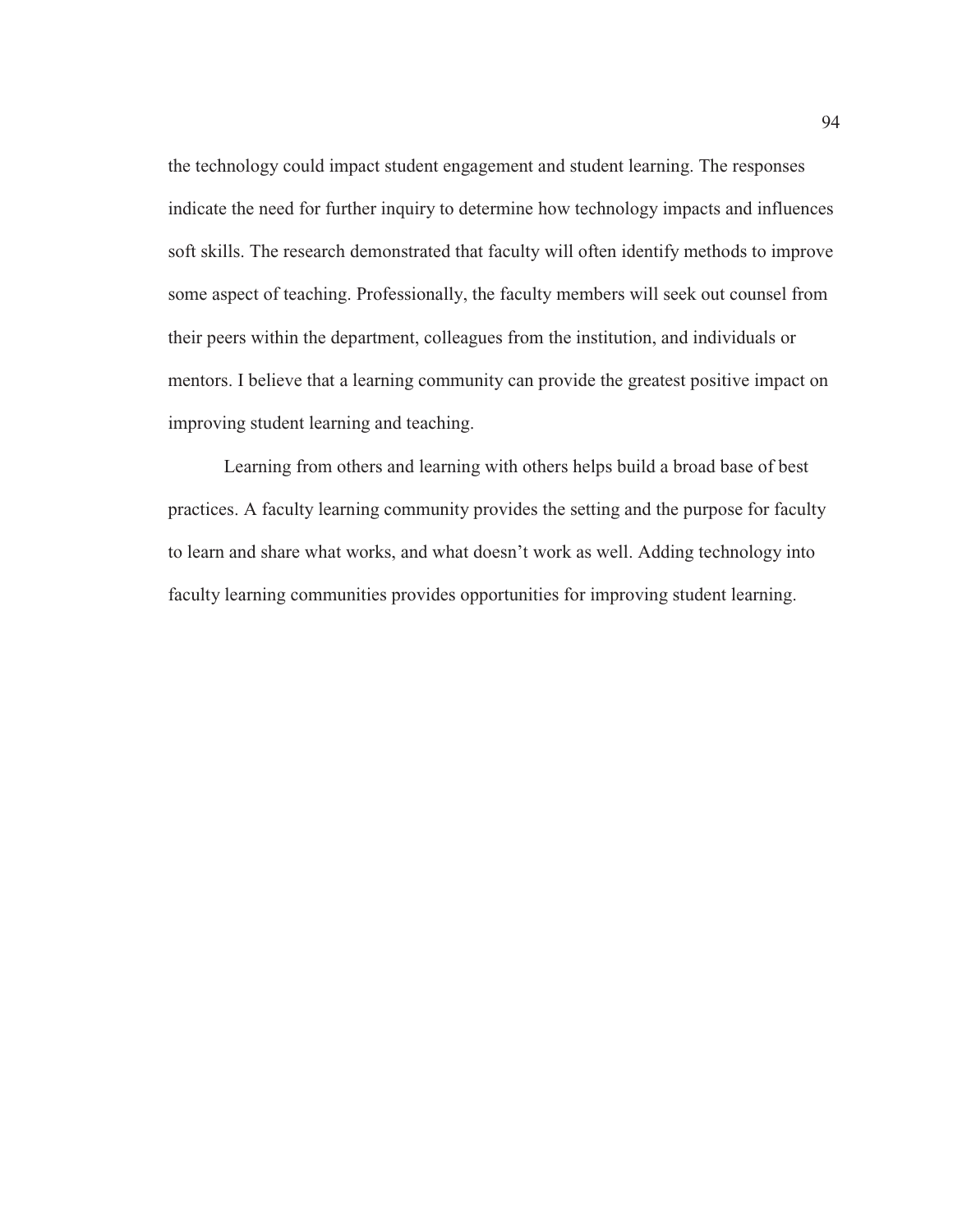the technology could impact student engagement and student learning. The responses indicate the need for further inquiry to determine how technology impacts and influences soft skills. The research demonstrated that faculty will often identify methods to improve some aspect of teaching. Professionally, the faculty members will seek out counsel from their peers within the department, colleagues from the institution, and individuals or mentors. I believe that a learning community can provide the greatest positive impact on improving student learning and teaching.

Learning from others and learning with others helps build a broad base of best practices. A faculty learning community provides the setting and the purpose for faculty to learn and share what works, and what doesn't work as well. Adding technology into faculty learning communities provides opportunities for improving student learning.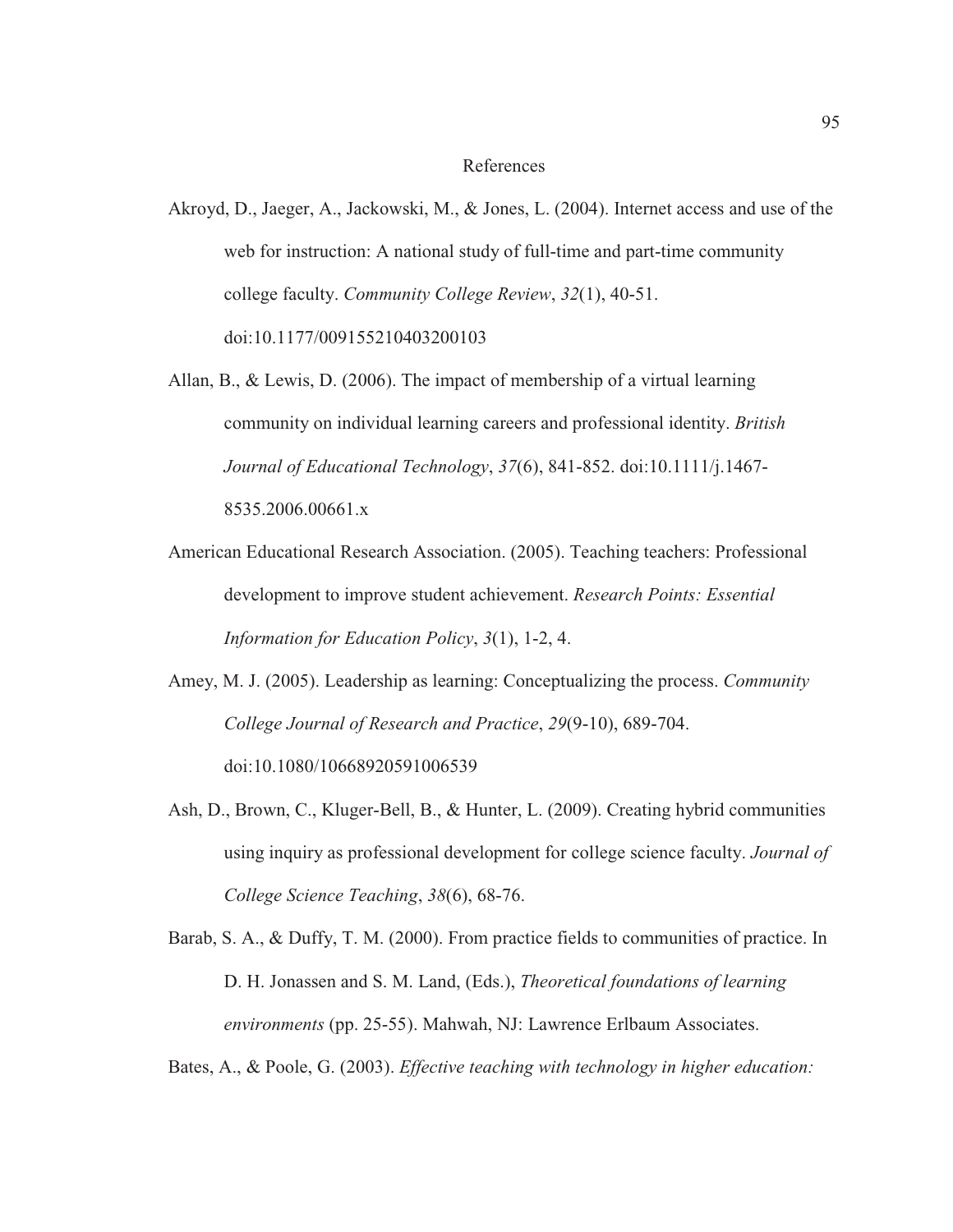#### References

- Akroyd, D., Jaeger, A., Jackowski, M., & Jones, L. (2004). Internet access and use of the web for instruction: A national study of full-time and part-time community college faculty. *Community College Review*, *32*(1), 40-51. doi:10.1177/009155210403200103
- Allan, B., & Lewis, D. (2006). The impact of membership of a virtual learning community on individual learning careers and professional identity. *British Journal of Educational Technology*, *37*(6), 841-852. doi:10.1111/j.1467- 8535.2006.00661.x
- American Educational Research Association. (2005). Teaching teachers: Professional development to improve student achievement. *Research Points: Essential Information for Education Policy*, *3*(1), 1-2, 4.
- Amey, M. J. (2005). Leadership as learning: Conceptualizing the process. *Community College Journal of Research and Practice*, *29*(9-10), 689-704. doi:10.1080/10668920591006539
- Ash, D., Brown, C., Kluger-Bell, B., & Hunter, L. (2009). Creating hybrid communities using inquiry as professional development for college science faculty. *Journal of College Science Teaching*, *38*(6), 68-76.
- Barab, S. A., & Duffy, T. M. (2000). From practice fields to communities of practice. In D. H. Jonassen and S. M. Land, (Eds.), *Theoretical foundations of learning environments* (pp. 25-55). Mahwah, NJ: Lawrence Erlbaum Associates.

Bates, A., & Poole, G. (2003). *Effective teaching with technology in higher education:*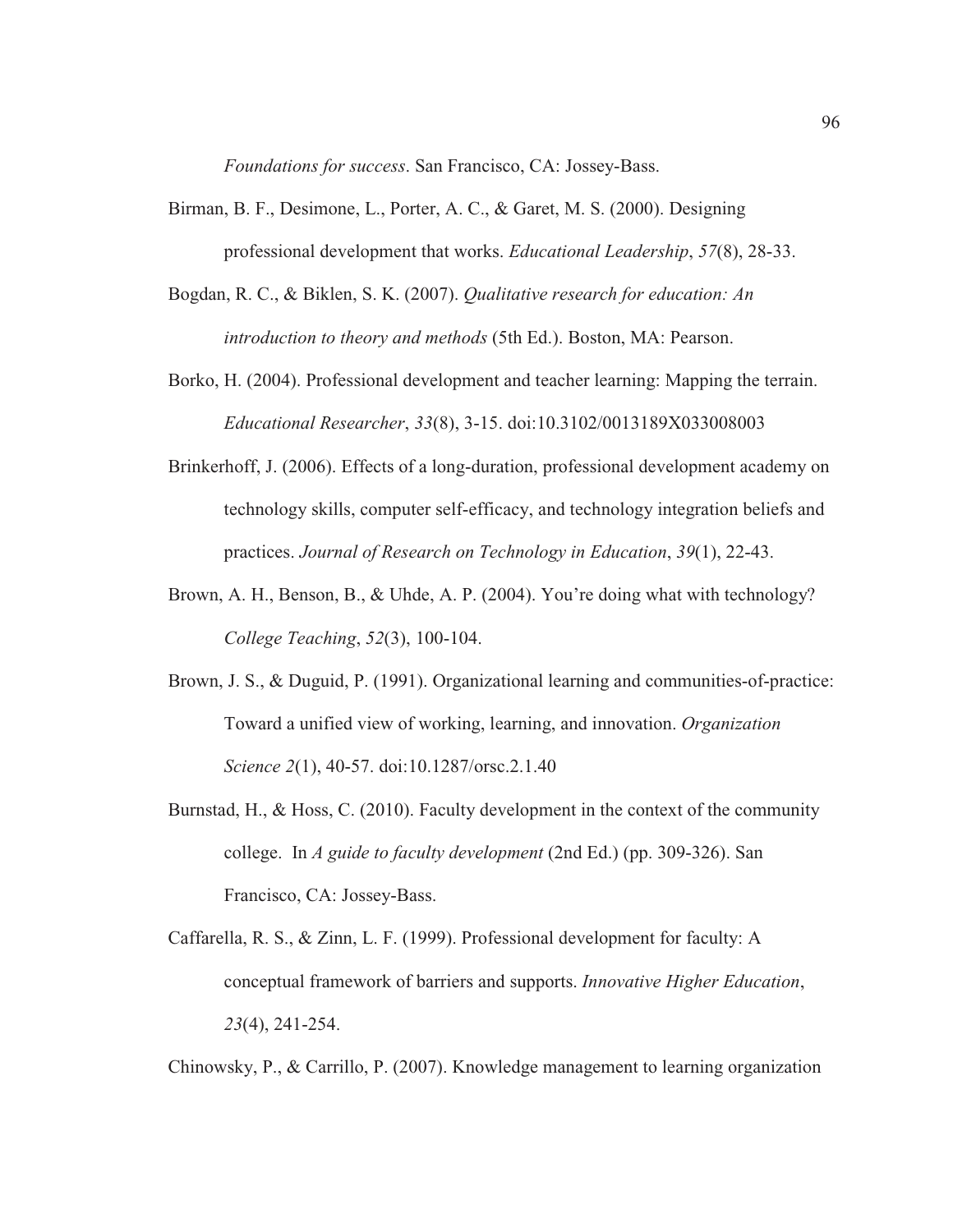*Foundations for success*. San Francisco, CA: Jossey-Bass.

- Birman, B. F., Desimone, L., Porter, A. C., & Garet, M. S. (2000). Designing professional development that works. *Educational Leadership*, *57*(8), 28-33.
- Bogdan, R. C., & Biklen, S. K. (2007). *Qualitative research for education: An introduction to theory and methods* (5th Ed.). Boston, MA: Pearson.
- Borko, H. (2004). Professional development and teacher learning: Mapping the terrain. *Educational Researcher*, *33*(8), 3-15. doi:10.3102/0013189X033008003
- Brinkerhoff, J. (2006). Effects of a long-duration, professional development academy on technology skills, computer self-efficacy, and technology integration beliefs and practices. *Journal of Research on Technology in Education*, *39*(1), 22-43.
- Brown, A. H., Benson, B., & Uhde, A. P. (2004). You're doing what with technology? *College Teaching*, *52*(3), 100-104.
- Brown, J. S., & Duguid, P. (1991). Organizational learning and communities-of-practice: Toward a unified view of working, learning, and innovation. *Organization Science 2*(1), 40-57. doi:10.1287/orsc.2.1.40
- Burnstad, H., & Hoss, C. (2010). Faculty development in the context of the community college. In *A guide to faculty development* (2nd Ed.) (pp. 309-326). San Francisco, CA: Jossey-Bass.
- Caffarella, R. S., & Zinn, L. F. (1999). Professional development for faculty: A conceptual framework of barriers and supports. *Innovative Higher Education*, *23*(4), 241-254.

Chinowsky, P., & Carrillo, P. (2007). Knowledge management to learning organization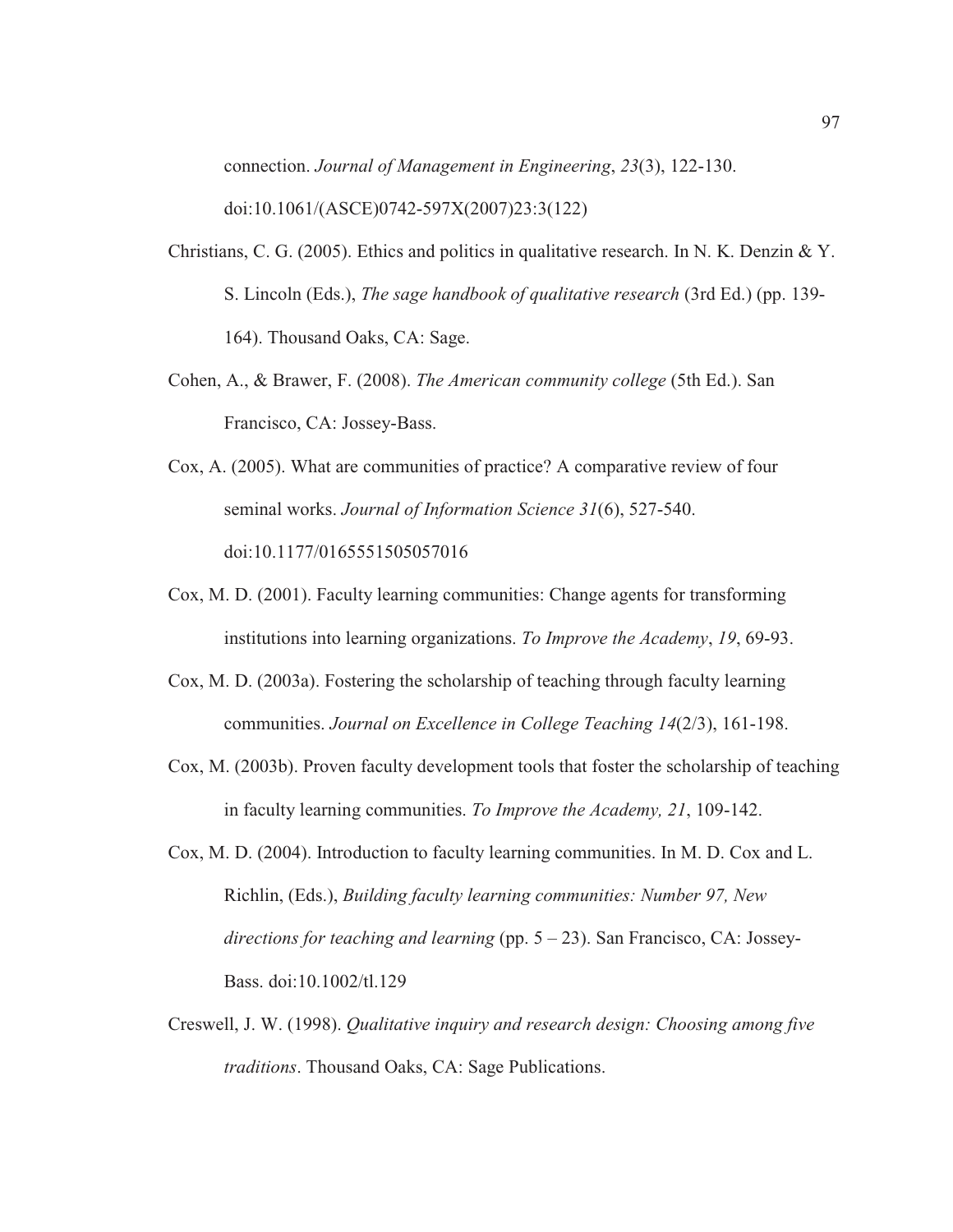connection. *Journal of Management in Engineering*, *23*(3), 122-130. doi:10.1061/(ASCE)0742-597X(2007)23:3(122)

- Christians, C. G. (2005). Ethics and politics in qualitative research. In N. K. Denzin & Y. S. Lincoln (Eds.), *The sage handbook of qualitative research* (3rd Ed.) (pp. 139- 164). Thousand Oaks, CA: Sage.
- Cohen, A., & Brawer, F. (2008). *The American community college* (5th Ed.). San Francisco, CA: Jossey-Bass.
- Cox, A. (2005). What are communities of practice? A comparative review of four seminal works. *Journal of Information Science 31*(6), 527-540. doi:10.1177/0165551505057016
- Cox, M. D. (2001). Faculty learning communities: Change agents for transforming institutions into learning organizations. *To Improve the Academy*, *19*, 69-93.
- Cox, M. D. (2003a). Fostering the scholarship of teaching through faculty learning communities. *Journal on Excellence in College Teaching 14*(2/3), 161-198.
- Cox, M. (2003b). Proven faculty development tools that foster the scholarship of teaching in faculty learning communities. *To Improve the Academy, 21*, 109-142.
- Cox, M. D. (2004). Introduction to faculty learning communities. In M. D. Cox and L. Richlin, (Eds.), *Building faculty learning communities: Number 97, New directions for teaching and learning* (pp. 5 – 23). San Francisco, CA: Jossey-Bass. doi:10.1002/tl.129
- Creswell, J. W. (1998). *Qualitative inquiry and research design: Choosing among five traditions*. Thousand Oaks, CA: Sage Publications.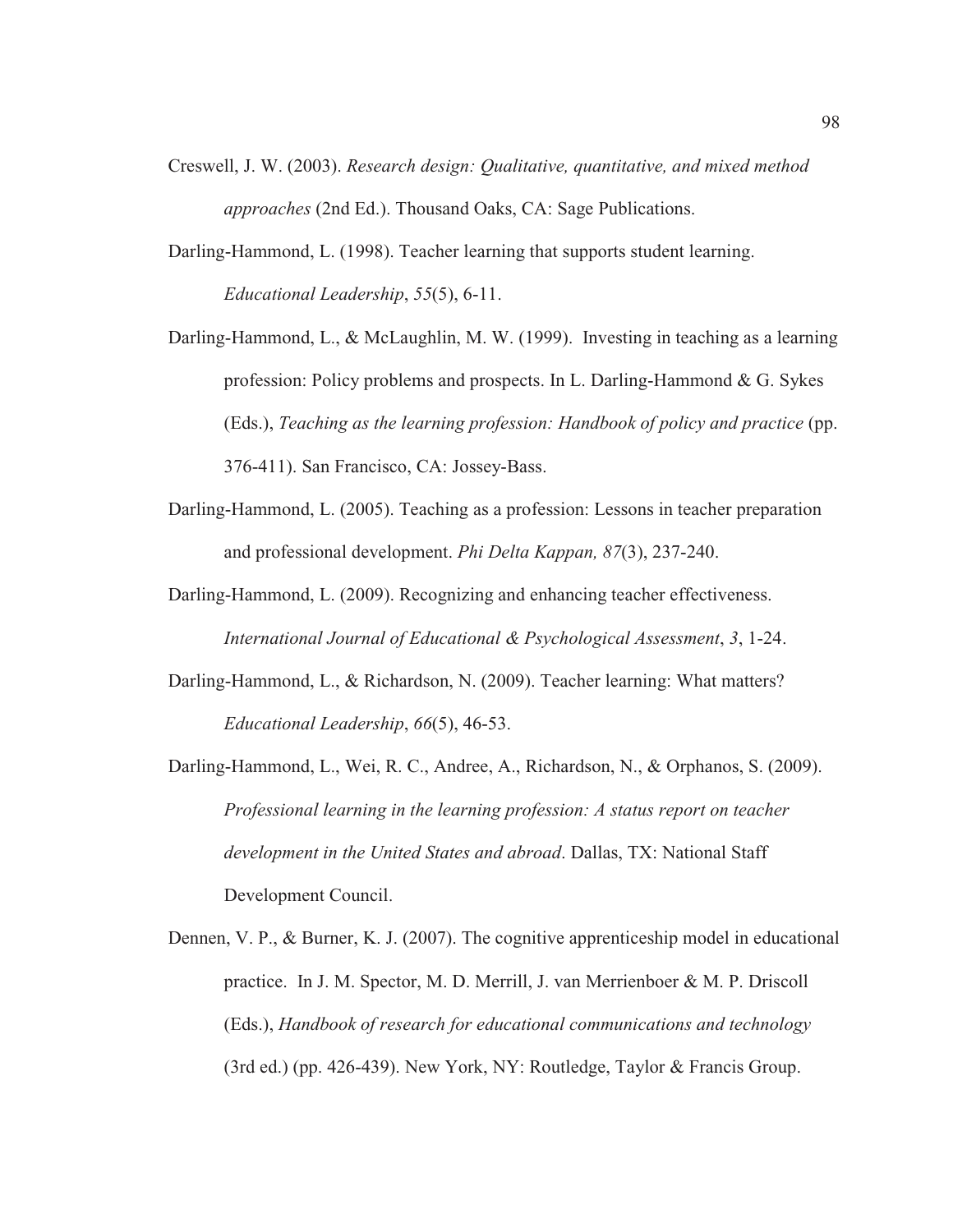- Creswell, J. W. (2003). *Research design: Qualitative, quantitative, and mixed method approaches* (2nd Ed.). Thousand Oaks, CA: Sage Publications.
- Darling-Hammond, L. (1998). Teacher learning that supports student learning. *Educational Leadership*, *55*(5), 6-11.
- Darling-Hammond, L., & McLaughlin, M. W. (1999). Investing in teaching as a learning profession: Policy problems and prospects. In L. Darling-Hammond & G. Sykes (Eds.), *Teaching as the learning profession: Handbook of policy and practice* (pp. 376-411). San Francisco, CA: Jossey-Bass.
- Darling-Hammond, L. (2005). Teaching as a profession: Lessons in teacher preparation and professional development. *Phi Delta Kappan, 87*(3), 237-240.
- Darling-Hammond, L. (2009). Recognizing and enhancing teacher effectiveness. *International Journal of Educational & Psychological Assessment*, *3*, 1-24.
- Darling-Hammond, L., & Richardson, N. (2009). Teacher learning: What matters? *Educational Leadership*, *66*(5), 46-53.
- Darling-Hammond, L., Wei, R. C., Andree, A., Richardson, N., & Orphanos, S. (2009). *Professional learning in the learning profession: A status report on teacher development in the United States and abroad*. Dallas, TX: National Staff Development Council.
- Dennen, V. P., & Burner, K. J. (2007). The cognitive apprenticeship model in educational practice. In J. M. Spector, M. D. Merrill, J. van Merrienboer & M. P. Driscoll (Eds.), *Handbook of research for educational communications and technology* (3rd ed.) (pp. 426-439). New York, NY: Routledge, Taylor & Francis Group.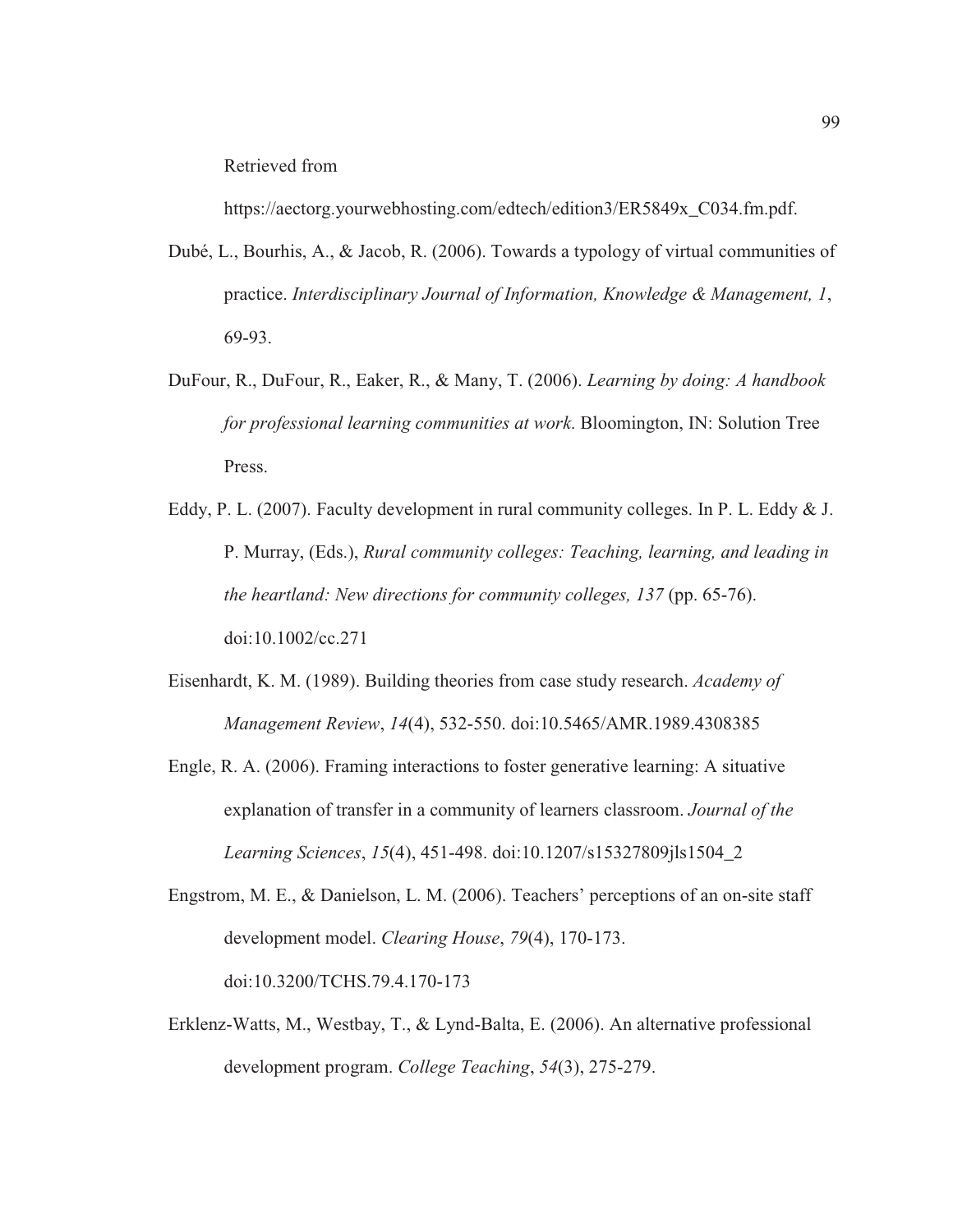Retrieved from

https://aectorg.yourwebhosting.com/edtech/edition3/ER5849x\_C034.fm.pdf.

- Dubé, L., Bourhis, A., & Jacob, R. (2006). Towards a typology of virtual communities of practice. *Interdisciplinary Journal of Information, Knowledge & Management, 1*, 69-93.
- DuFour, R., DuFour, R., Eaker, R., & Many, T. (2006). *Learning by doing: A handbook for professional learning communities at work*. Bloomington, IN: Solution Tree Press.
- Eddy, P. L. (2007). Faculty development in rural community colleges. In P. L. Eddy  $& J.$ P. Murray, (Eds.), *Rural community colleges: Teaching, learning, and leading in the heartland: New directions for community colleges, 137* (pp. 65-76). doi:10.1002/cc.271
- Eisenhardt, K. M. (1989). Building theories from case study research. *Academy of Management Review*, *14*(4), 532-550. doi:10.5465/AMR.1989.4308385
- Engle, R. A. (2006). Framing interactions to foster generative learning: A situative explanation of transfer in a community of learners classroom. *Journal of the Learning Sciences*, *15*(4), 451-498. doi:10.1207/s15327809jls1504\_2
- Engstrom, M. E., & Danielson, L. M. (2006). Teachers' perceptions of an on-site staff development model. *Clearing House*, *79*(4), 170-173. doi:10.3200/TCHS.79.4.170-173
- Erklenz-Watts, M., Westbay, T., & Lynd-Balta, E. (2006). An alternative professional development program. *College Teaching*, *54*(3), 275-279.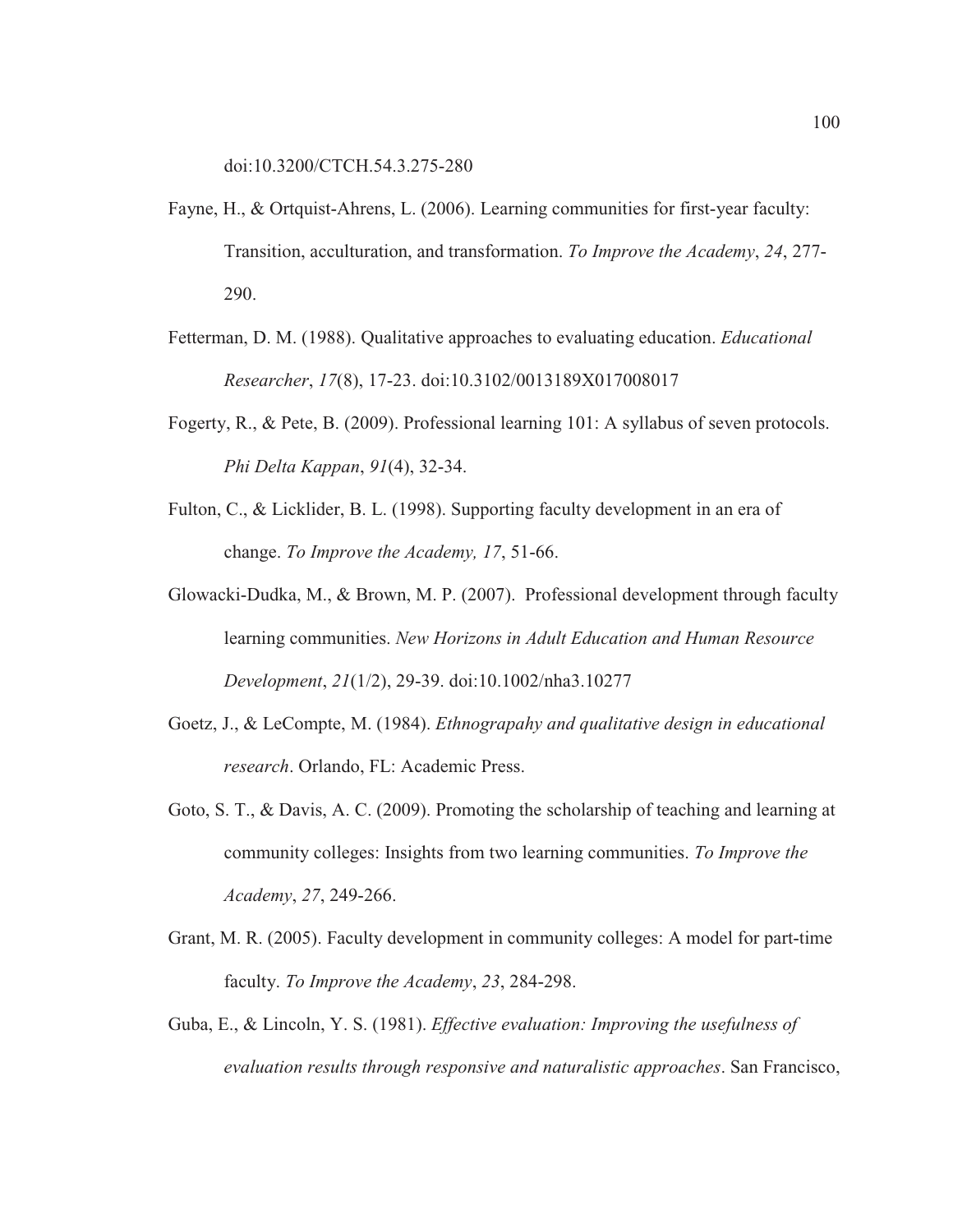doi:10.3200/CTCH.54.3.275-280

- Fayne, H., & Ortquist-Ahrens, L. (2006). Learning communities for first-year faculty: Transition, acculturation, and transformation. *To Improve the Academy*, *24*, 277- 290.
- Fetterman, D. M. (1988). Qualitative approaches to evaluating education. *Educational Researcher*, *17*(8), 17-23. doi:10.3102/0013189X017008017
- Fogerty, R., & Pete, B. (2009). Professional learning 101: A syllabus of seven protocols. *Phi Delta Kappan*, *91*(4), 32-34.
- Fulton, C., & Licklider, B. L. (1998). Supporting faculty development in an era of change. *To Improve the Academy, 17*, 51-66.
- Glowacki-Dudka, M., & Brown, M. P. (2007). Professional development through faculty learning communities. *New Horizons in Adult Education and Human Resource Development*, *21*(1/2), 29-39. doi:10.1002/nha3.10277
- Goetz, J., & LeCompte, M. (1984). *Ethnograpahy and qualitative design in educational research*. Orlando, FL: Academic Press.
- Goto, S. T., & Davis, A. C. (2009). Promoting the scholarship of teaching and learning at community colleges: Insights from two learning communities. *To Improve the Academy*, *27*, 249-266.
- Grant, M. R. (2005). Faculty development in community colleges: A model for part-time faculty. *To Improve the Academy*, *23*, 284-298.
- Guba, E., & Lincoln, Y. S. (1981). *Effective evaluation: Improving the usefulness of evaluation results through responsive and naturalistic approaches*. San Francisco,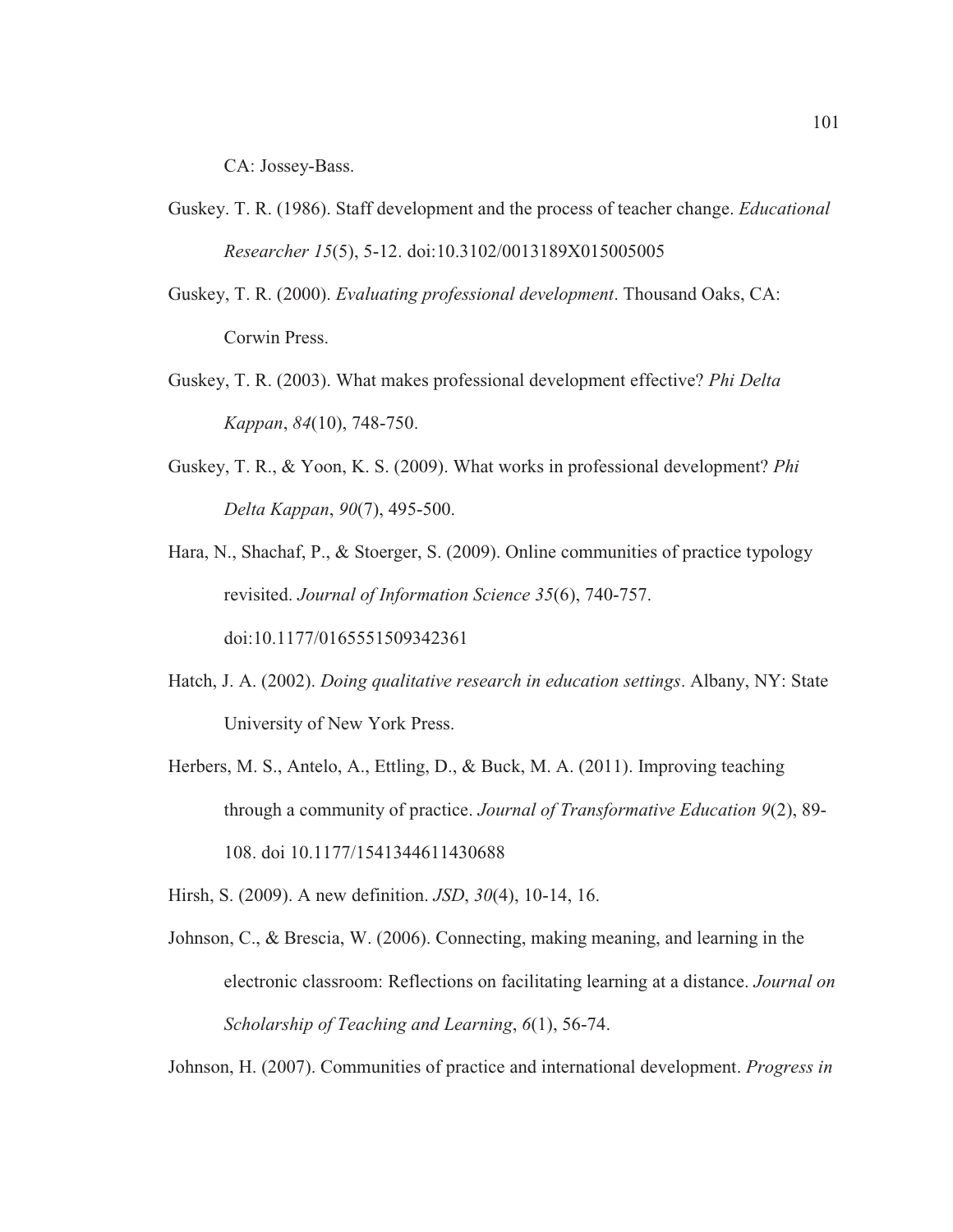CA: Jossey-Bass.

- Guskey. T. R. (1986). Staff development and the process of teacher change. *Educational Researcher 15*(5), 5-12. doi:10.3102/0013189X015005005
- Guskey, T. R. (2000). *Evaluating professional development*. Thousand Oaks, CA: Corwin Press.
- Guskey, T. R. (2003). What makes professional development effective? *Phi Delta Kappan*, *84*(10), 748-750.
- Guskey, T. R., & Yoon, K. S. (2009). What works in professional development? *Phi Delta Kappan*, *90*(7), 495-500.
- Hara, N., Shachaf, P., & Stoerger, S. (2009). Online communities of practice typology revisited. *Journal of Information Science 35*(6), 740-757. doi:10.1177/0165551509342361
- Hatch, J. A. (2002). *Doing qualitative research in education settings*. Albany, NY: State University of New York Press.
- Herbers, M. S., Antelo, A., Ettling, D., & Buck, M. A. (2011). Improving teaching through a community of practice. *Journal of Transformative Education 9*(2), 89- 108. doi 10.1177/1541344611430688

Hirsh, S. (2009). A new definition. *JSD*, *30*(4), 10-14, 16.

Johnson, C., & Brescia, W. (2006). Connecting, making meaning, and learning in the electronic classroom: Reflections on facilitating learning at a distance. *Journal on Scholarship of Teaching and Learning*, *6*(1), 56-74.

Johnson, H. (2007). Communities of practice and international development. *Progress in*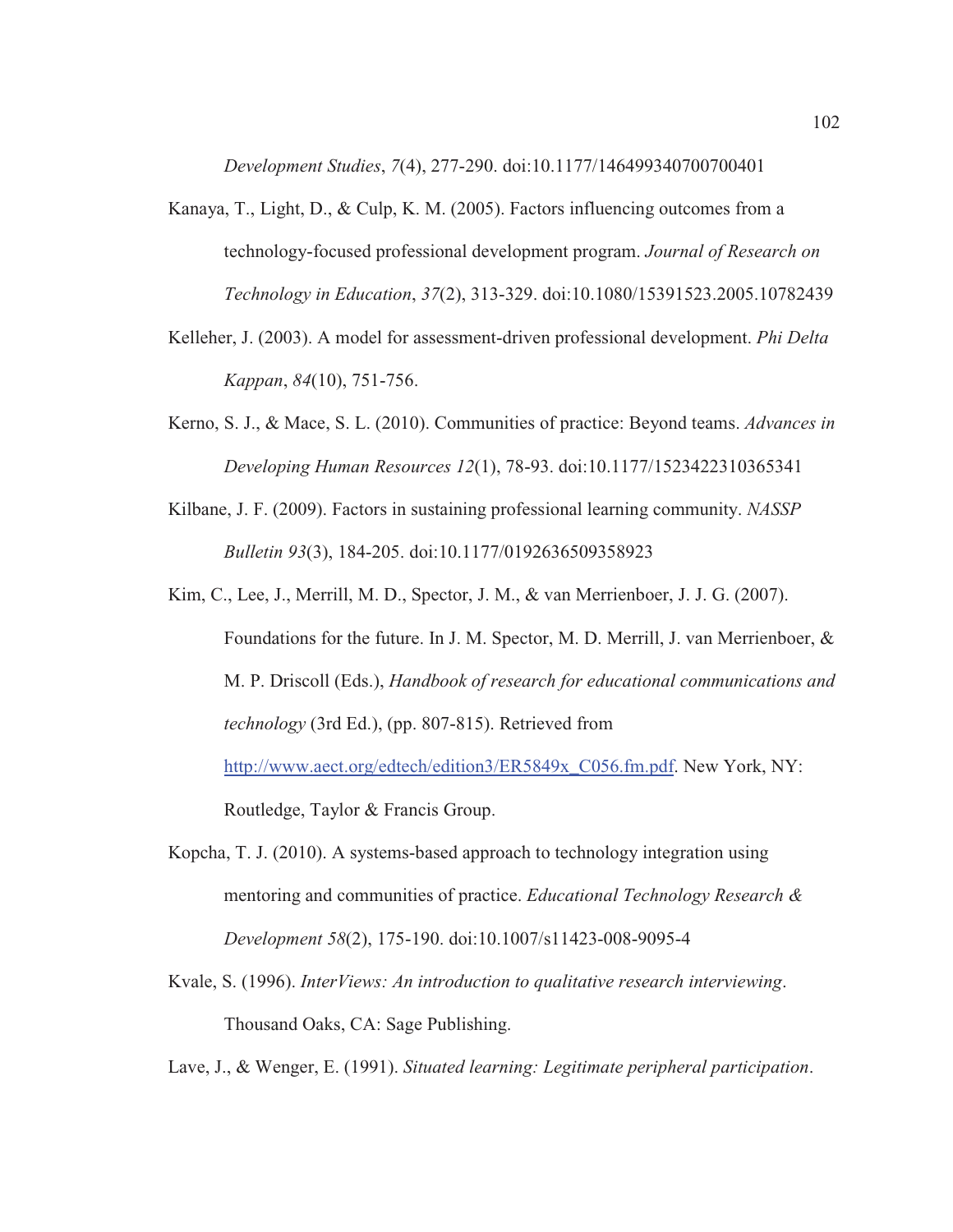*Development Studies*, *7*(4), 277-290. doi:10.1177/146499340700700401

- Kanaya, T., Light, D., & Culp, K. M. (2005). Factors influencing outcomes from a technology-focused professional development program. *Journal of Research on Technology in Education*, *37*(2), 313-329. doi:10.1080/15391523.2005.10782439
- Kelleher, J. (2003). A model for assessment-driven professional development. *Phi Delta Kappan*, *84*(10), 751-756.
- Kerno, S. J., & Mace, S. L. (2010). Communities of practice: Beyond teams. *Advances in Developing Human Resources 12*(1), 78-93. doi:10.1177/1523422310365341
- Kilbane, J. F. (2009). Factors in sustaining professional learning community. *NASSP Bulletin 93*(3), 184-205. doi:10.1177/0192636509358923
- Kim, C., Lee, J., Merrill, M. D., Spector, J. M., & van Merrienboer, J. J. G. (2007). Foundations for the future. In J. M. Spector, M. D. Merrill, J. van Merrienboer, & M. P. Driscoll (Eds.), *Handbook of research for educational communications and technology* (3rd Ed.), (pp. 807-815). Retrieved from http://www.aect.org/edtech/edition3/ER5849x\_C056.fm.pdf. New York, NY: Routledge, Taylor & Francis Group.
- Kopcha, T. J. (2010). A systems-based approach to technology integration using mentoring and communities of practice. *Educational Technology Research & Development 58*(2), 175-190. doi:10.1007/s11423-008-9095-4
- Kvale, S. (1996). *InterViews: An introduction to qualitative research interviewing*. Thousand Oaks, CA: Sage Publishing.

Lave, J., & Wenger, E. (1991). *Situated learning: Legitimate peripheral participation*.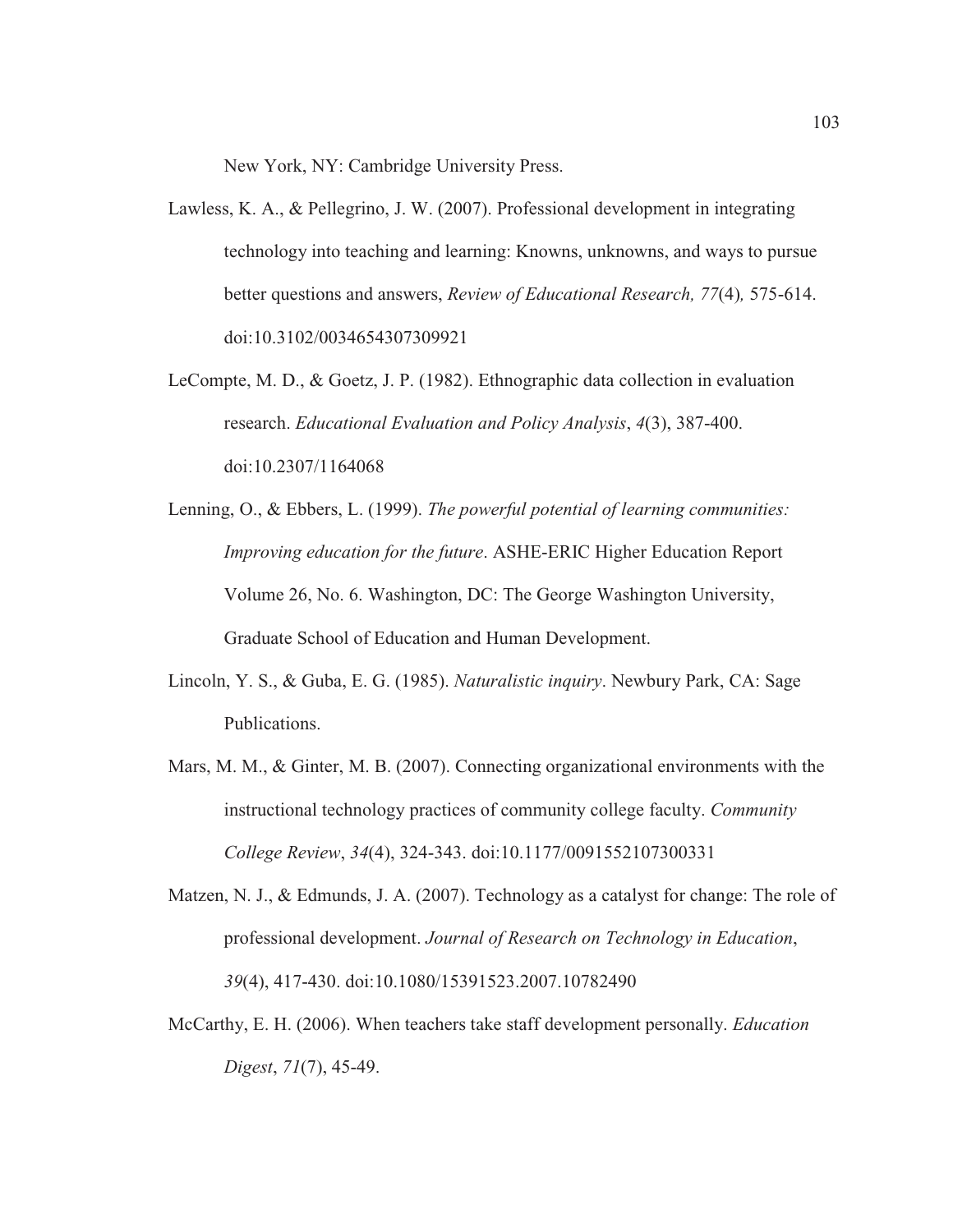New York, NY: Cambridge University Press.

- Lawless, K. A., & Pellegrino, J. W. (2007). Professional development in integrating technology into teaching and learning: Knowns, unknowns, and ways to pursue better questions and answers, *Review of Educational Research, 77*(4)*,* 575-614. doi:10.3102/0034654307309921
- LeCompte, M. D., & Goetz, J. P. (1982). Ethnographic data collection in evaluation research. *Educational Evaluation and Policy Analysis*, *4*(3), 387-400. doi:10.2307/1164068
- Lenning, O., & Ebbers, L. (1999). *The powerful potential of learning communities: Improving education for the future*. ASHE-ERIC Higher Education Report Volume 26, No. 6. Washington, DC: The George Washington University, Graduate School of Education and Human Development.
- Lincoln, Y. S., & Guba, E. G. (1985). *Naturalistic inquiry*. Newbury Park, CA: Sage Publications.
- Mars, M. M., & Ginter, M. B. (2007). Connecting organizational environments with the instructional technology practices of community college faculty. *Community College Review*, *34*(4), 324-343. doi:10.1177/0091552107300331
- Matzen, N. J., & Edmunds, J. A. (2007). Technology as a catalyst for change: The role of professional development. *Journal of Research on Technology in Education*, *39*(4), 417-430. doi:10.1080/15391523.2007.10782490
- McCarthy, E. H. (2006). When teachers take staff development personally. *Education Digest*, *71*(7), 45-49.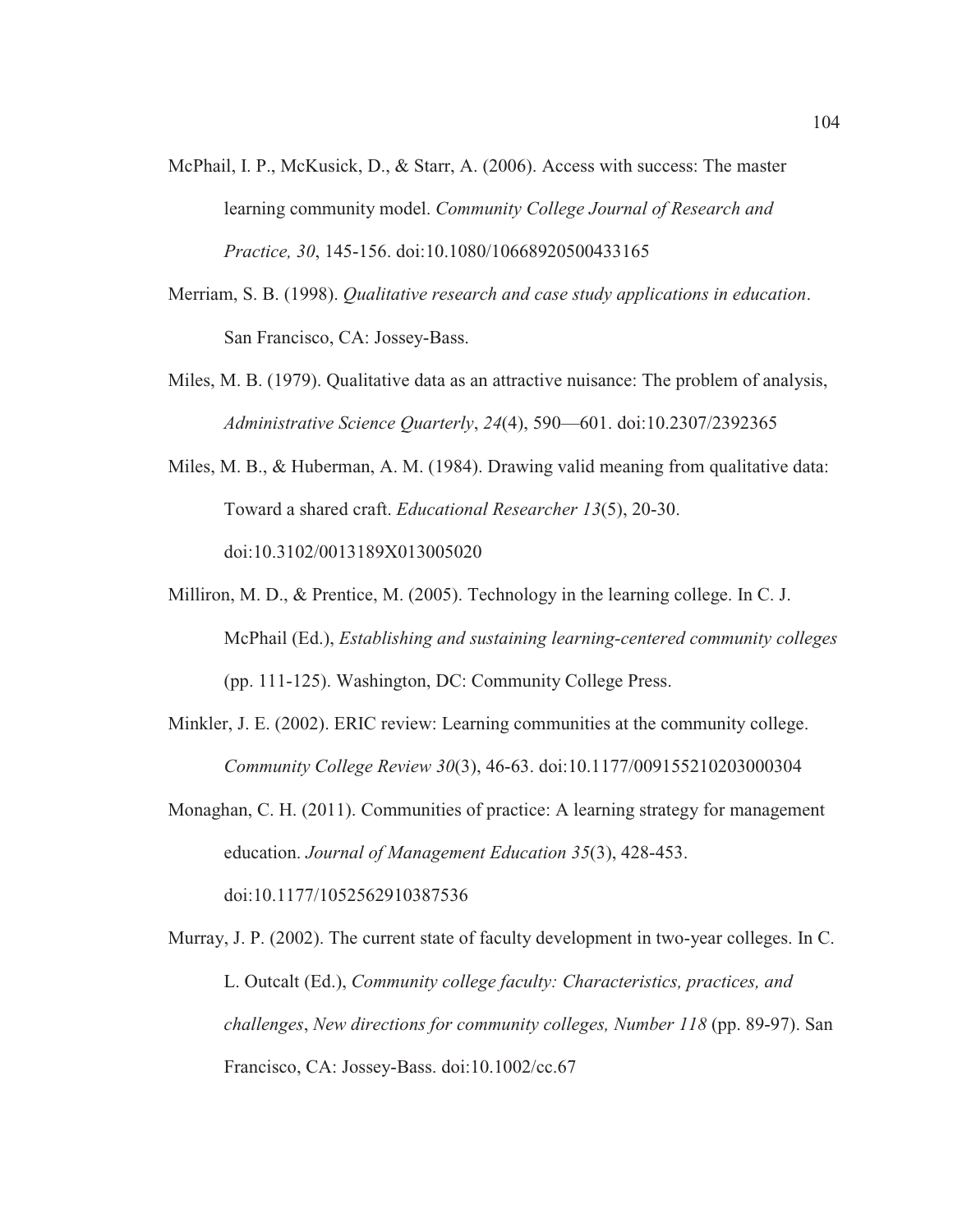- McPhail, I. P., McKusick, D., & Starr, A. (2006). Access with success: The master learning community model. *Community College Journal of Research and Practice, 30*, 145-156. doi:10.1080/10668920500433165
- Merriam, S. B. (1998). *Qualitative research and case study applications in education*. San Francisco, CA: Jossey-Bass.
- Miles, M. B. (1979). Qualitative data as an attractive nuisance: The problem of analysis, *Administrative Science Quarterly*, *24*(4), 590—601. doi:10.2307/2392365
- Miles, M. B., & Huberman, A. M. (1984). Drawing valid meaning from qualitative data: Toward a shared craft. *Educational Researcher 13*(5), 20-30. doi:10.3102/0013189X013005020
- Milliron, M. D., & Prentice, M. (2005). Technology in the learning college. In C. J. McPhail (Ed.), *Establishing and sustaining learning-centered community colleges* (pp. 111-125). Washington, DC: Community College Press.
- Minkler, J. E. (2002). ERIC review: Learning communities at the community college. *Community College Review 30*(3), 46-63. doi:10.1177/009155210203000304

Monaghan, C. H. (2011). Communities of practice: A learning strategy for management education. *Journal of Management Education 35*(3), 428-453. doi:10.1177/1052562910387536

Murray, J. P. (2002). The current state of faculty development in two-year colleges. In C. L. Outcalt (Ed.), *Community college faculty: Characteristics, practices, and challenges*, *New directions for community colleges, Number 118* (pp. 89-97). San Francisco, CA: Jossey-Bass. doi:10.1002/cc.67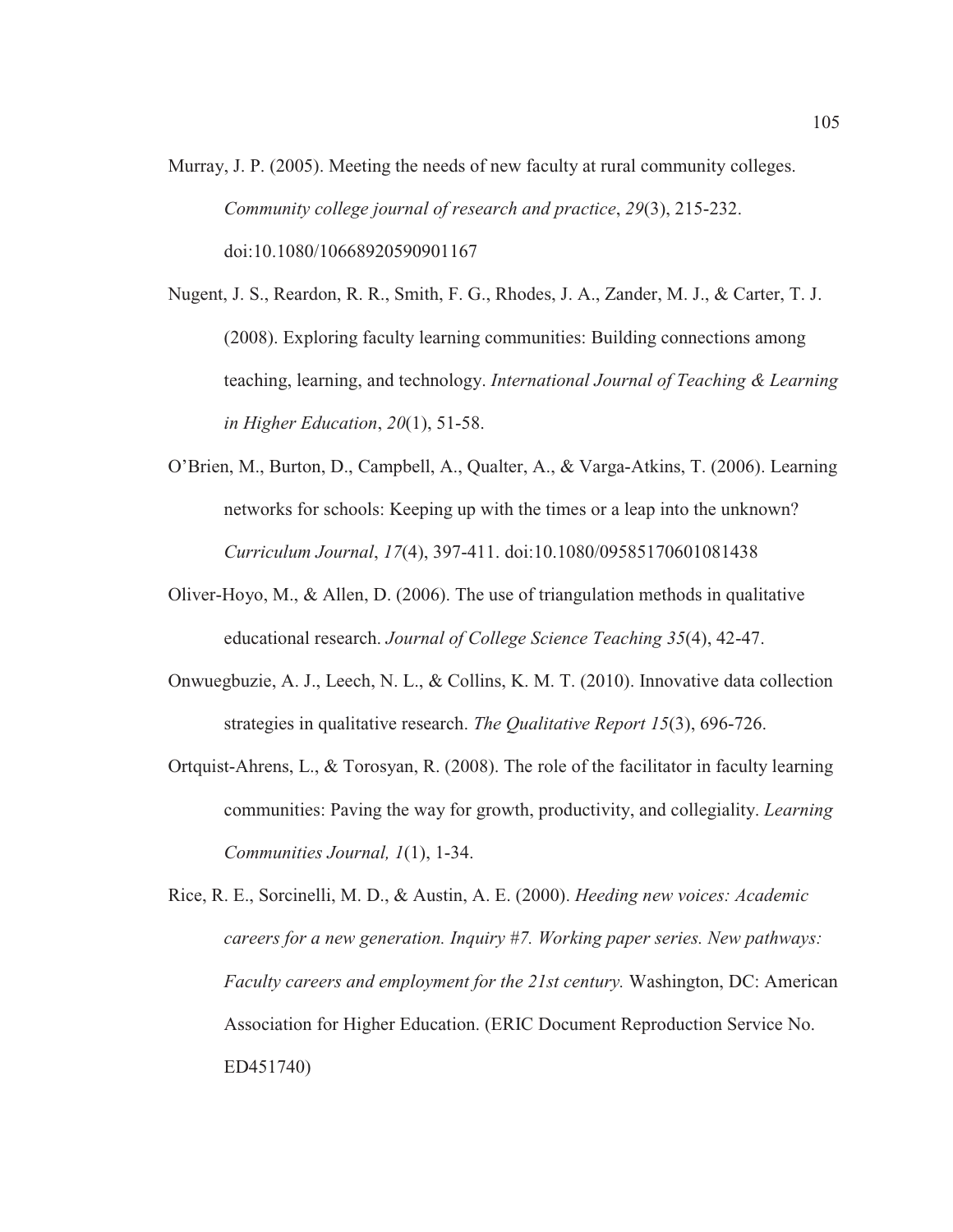- Murray, J. P. (2005). Meeting the needs of new faculty at rural community colleges. *Community college journal of research and practice*, *29*(3), 215-232. doi:10.1080/10668920590901167
- Nugent, J. S., Reardon, R. R., Smith, F. G., Rhodes, J. A., Zander, M. J., & Carter, T. J. (2008). Exploring faculty learning communities: Building connections among teaching, learning, and technology. *International Journal of Teaching & Learning in Higher Education*, *20*(1), 51-58.
- O'Brien, M., Burton, D., Campbell, A., Qualter, A., & Varga-Atkins, T. (2006). Learning networks for schools: Keeping up with the times or a leap into the unknown? *Curriculum Journal*, *17*(4), 397-411. doi:10.1080/09585170601081438
- Oliver-Hoyo, M., & Allen, D. (2006). The use of triangulation methods in qualitative educational research. *Journal of College Science Teaching 35*(4), 42-47.
- Onwuegbuzie, A. J., Leech, N. L., & Collins, K. M. T. (2010). Innovative data collection strategies in qualitative research. *The Qualitative Report 15*(3), 696-726.
- Ortquist-Ahrens, L., & Torosyan, R. (2008). The role of the facilitator in faculty learning communities: Paving the way for growth, productivity, and collegiality. *Learning Communities Journal, 1*(1), 1-34.

Rice, R. E., Sorcinelli, M. D., & Austin, A. E. (2000). *Heeding new voices: Academic careers for a new generation. Inquiry #7. Working paper series. New pathways: Faculty careers and employment for the 21st century.* Washington, DC: American Association for Higher Education. (ERIC Document Reproduction Service No. ED451740)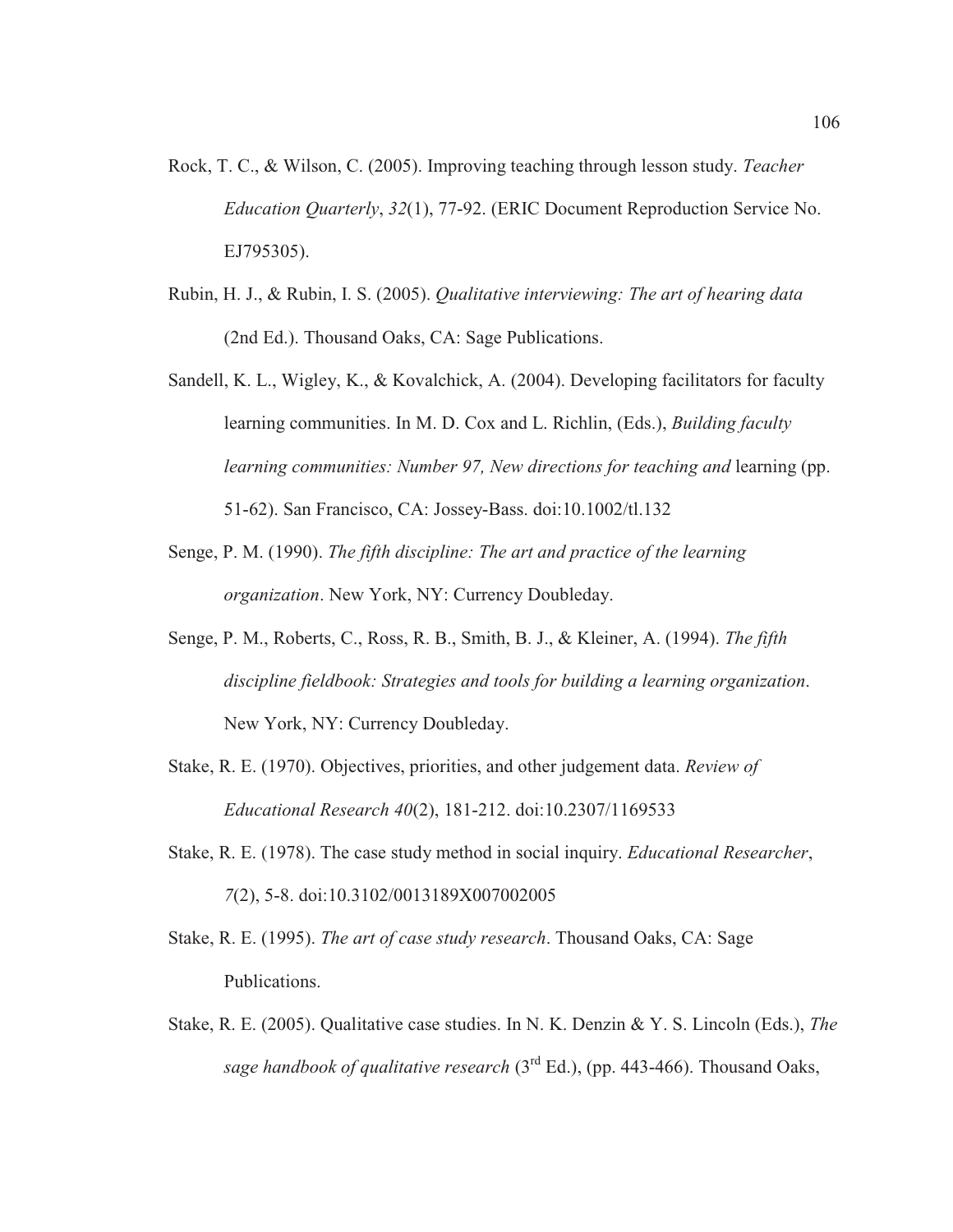- Rock, T. C., & Wilson, C. (2005). Improving teaching through lesson study. *Teacher Education Quarterly*, *32*(1), 77-92. (ERIC Document Reproduction Service No. EJ795305).
- Rubin, H. J., & Rubin, I. S. (2005). *Qualitative interviewing: The art of hearing data* (2nd Ed.). Thousand Oaks, CA: Sage Publications.
- Sandell, K. L., Wigley, K., & Kovalchick, A. (2004). Developing facilitators for faculty learning communities. In M. D. Cox and L. Richlin, (Eds.), *Building faculty learning communities: Number 97, New directions for teaching and learning (pp.* 51-62). San Francisco, CA: Jossey-Bass. doi:10.1002/tl.132
- Senge, P. M. (1990). *The fifth discipline: The art and practice of the learning organization*. New York, NY: Currency Doubleday.
- Senge, P. M., Roberts, C., Ross, R. B., Smith, B. J., & Kleiner, A. (1994). *The fifth discipline fieldbook: Strategies and tools for building a learning organization*. New York, NY: Currency Doubleday.
- Stake, R. E. (1970). Objectives, priorities, and other judgement data. *Review of Educational Research 40*(2), 181-212. doi:10.2307/1169533
- Stake, R. E. (1978). The case study method in social inquiry. *Educational Researcher*, *7*(2), 5-8. doi:10.3102/0013189X007002005
- Stake, R. E. (1995). *The art of case study research*. Thousand Oaks, CA: Sage Publications.
- Stake, R. E. (2005). Qualitative case studies. In N. K. Denzin & Y. S. Lincoln (Eds.), *The sage handbook of qualitative research* (3rd Ed.), (pp. 443-466). Thousand Oaks,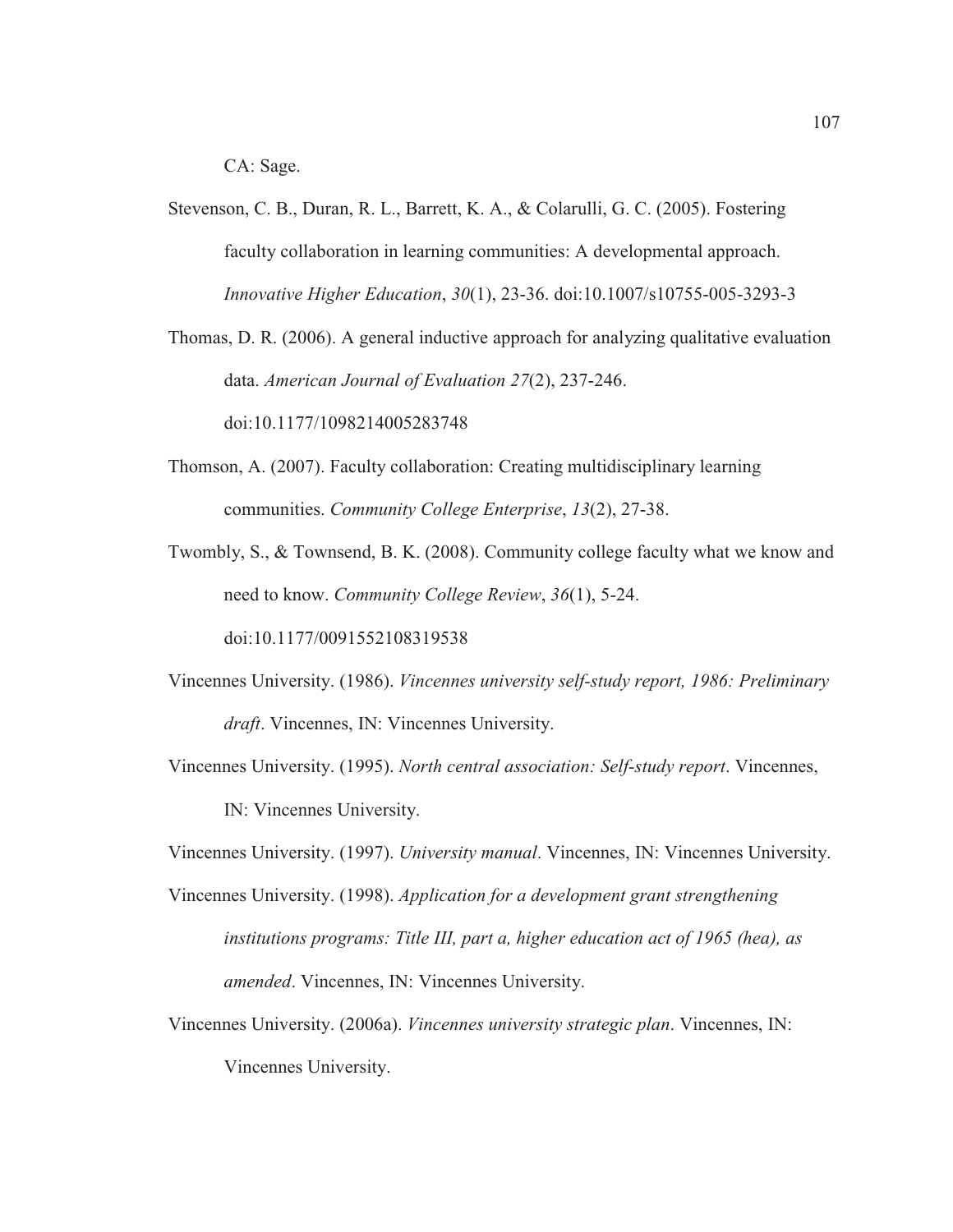CA: Sage.

Stevenson, C. B., Duran, R. L., Barrett, K. A., & Colarulli, G. C. (2005). Fostering faculty collaboration in learning communities: A developmental approach. *Innovative Higher Education*, *30*(1), 23-36. doi:10.1007/s10755-005-3293-3

Thomas, D. R. (2006). A general inductive approach for analyzing qualitative evaluation data. *American Journal of Evaluation 27*(2), 237-246.

doi:10.1177/1098214005283748

Thomson, A. (2007). Faculty collaboration: Creating multidisciplinary learning communities. *Community College Enterprise*, *13*(2), 27-38.

Twombly, S., & Townsend, B. K. (2008). Community college faculty what we know and need to know. *Community College Review*, *36*(1), 5-24. doi:10.1177/0091552108319538

- Vincennes University. (1986). *Vincennes university self-study report, 1986: Preliminary draft*. Vincennes, IN: Vincennes University.
- Vincennes University. (1995). *North central association: Self-study report*. Vincennes, IN: Vincennes University.

Vincennes University. (1997). *University manual*. Vincennes, IN: Vincennes University.

- Vincennes University. (1998). *Application for a development grant strengthening institutions programs: Title III, part a, higher education act of 1965 (hea), as amended*. Vincennes, IN: Vincennes University.
- Vincennes University. (2006a). *Vincennes university strategic plan*. Vincennes, IN: Vincennes University.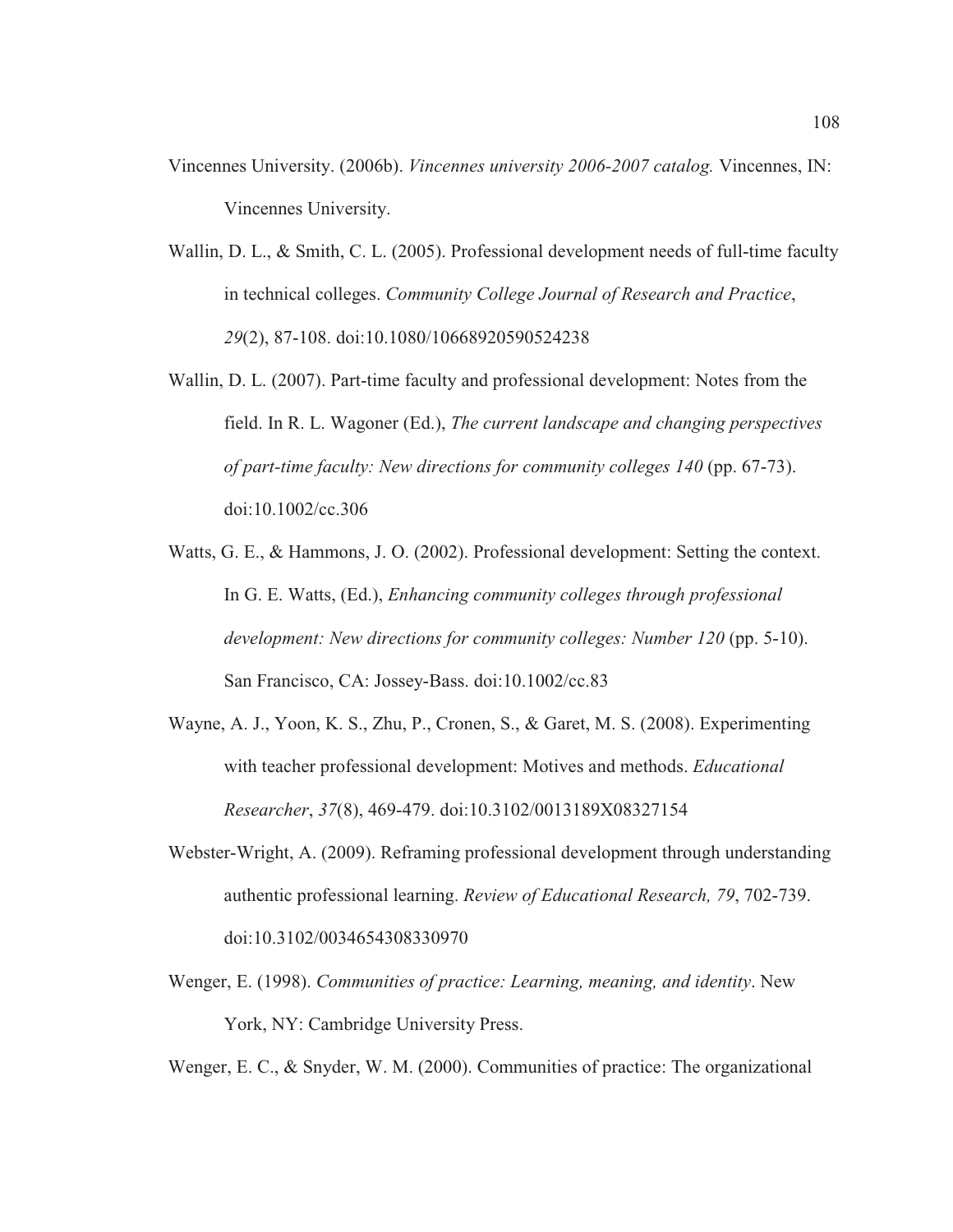- Vincennes University. (2006b). *Vincennes university 2006-2007 catalog.* Vincennes, IN: Vincennes University.
- Wallin, D. L., & Smith, C. L. (2005). Professional development needs of full-time faculty in technical colleges. *Community College Journal of Research and Practice*, *29*(2), 87-108. doi:10.1080/10668920590524238
- Wallin, D. L. (2007). Part-time faculty and professional development: Notes from the field. In R. L. Wagoner (Ed.), *The current landscape and changing perspectives of part-time faculty: New directions for community colleges 140* (pp. 67-73). doi:10.1002/cc.306
- Watts, G. E., & Hammons, J. O. (2002). Professional development: Setting the context. In G. E. Watts, (Ed.), *Enhancing community colleges through professional development: New directions for community colleges: Number 120* (pp. 5-10). San Francisco, CA: Jossey-Bass. doi:10.1002/cc.83
- Wayne, A. J., Yoon, K. S., Zhu, P., Cronen, S., & Garet, M. S. (2008). Experimenting with teacher professional development: Motives and methods. *Educational Researcher*, *37*(8), 469-479. doi:10.3102/0013189X08327154
- Webster-Wright, A. (2009). Reframing professional development through understanding authentic professional learning. *Review of Educational Research, 79*, 702-739. doi:10.3102/0034654308330970
- Wenger, E. (1998). *Communities of practice: Learning, meaning, and identity*. New York, NY: Cambridge University Press.

Wenger, E. C., & Snyder, W. M. (2000). Communities of practice: The organizational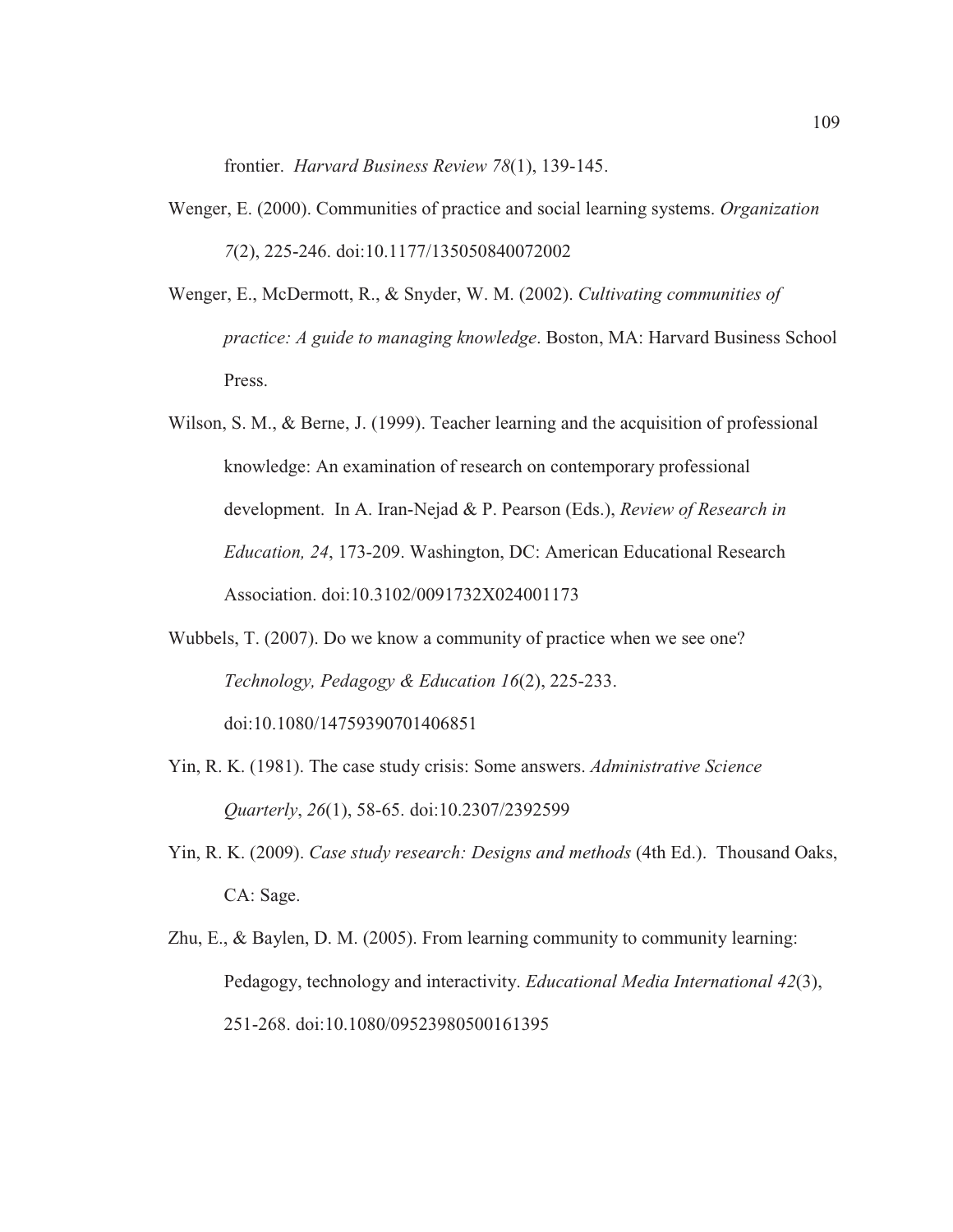frontier. *Harvard Business Review 78*(1), 139-145.

- Wenger, E. (2000). Communities of practice and social learning systems. *Organization 7*(2), 225-246. doi:10.1177/135050840072002
- Wenger, E., McDermott, R., & Snyder, W. M. (2002). *Cultivating communities of practice: A guide to managing knowledge*. Boston, MA: Harvard Business School Press.
- Wilson, S. M., & Berne, J. (1999). Teacher learning and the acquisition of professional knowledge: An examination of research on contemporary professional development. In A. Iran-Nejad & P. Pearson (Eds.), *Review of Research in Education, 24*, 173-209. Washington, DC: American Educational Research Association. doi:10.3102/0091732X024001173
- Wubbels, T. (2007). Do we know a community of practice when we see one? *Technology, Pedagogy & Education 16*(2), 225-233. doi:10.1080/14759390701406851
- Yin, R. K. (1981). The case study crisis: Some answers. *Administrative Science Quarterly*, *26*(1), 58-65. doi:10.2307/2392599
- Yin, R. K. (2009). *Case study research: Designs and methods* (4th Ed.). Thousand Oaks, CA: Sage.
- Zhu, E., & Baylen, D. M. (2005). From learning community to community learning: Pedagogy, technology and interactivity. *Educational Media International 42*(3), 251-268. doi:10.1080/09523980500161395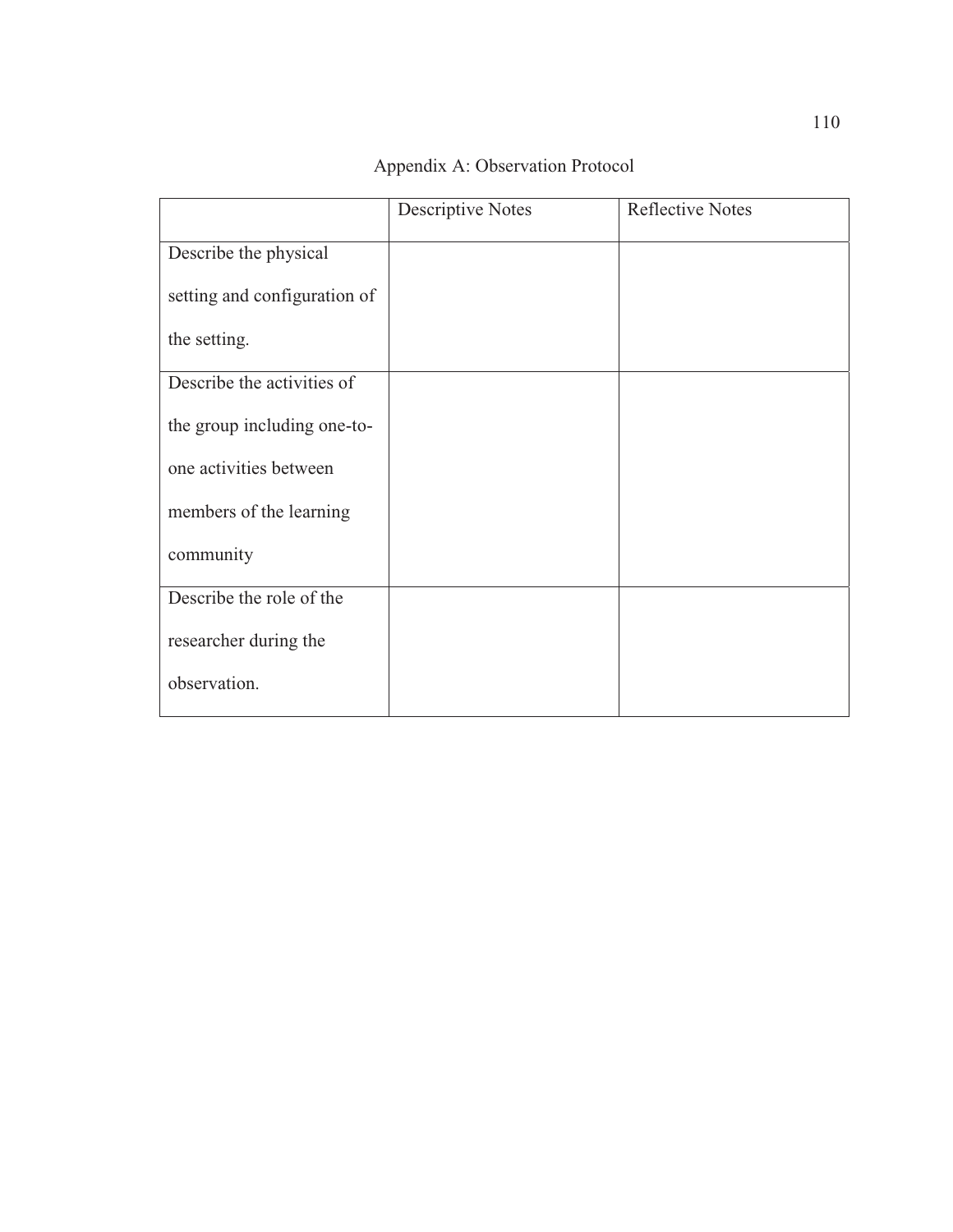|                              | <b>Descriptive Notes</b> | <b>Reflective Notes</b> |
|------------------------------|--------------------------|-------------------------|
| Describe the physical        |                          |                         |
| setting and configuration of |                          |                         |
| the setting.                 |                          |                         |
| Describe the activities of   |                          |                         |
| the group including one-to-  |                          |                         |
| one activities between       |                          |                         |
| members of the learning      |                          |                         |
| community                    |                          |                         |
| Describe the role of the     |                          |                         |
| researcher during the        |                          |                         |
| observation.                 |                          |                         |

Appendix A: Observation Protocol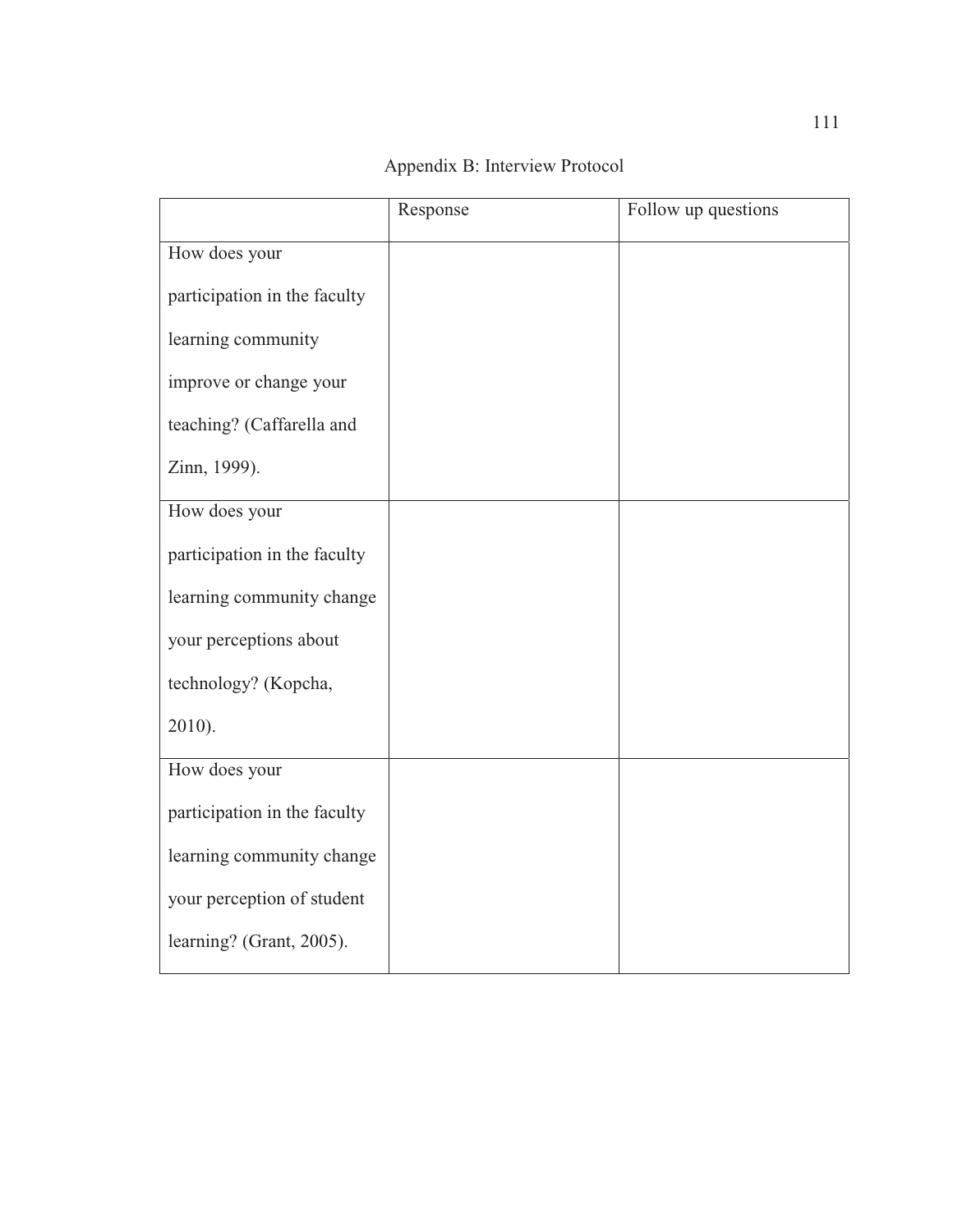|                              | Response | Follow up questions |
|------------------------------|----------|---------------------|
| How does your                |          |                     |
| participation in the faculty |          |                     |
| learning community           |          |                     |
| improve or change your       |          |                     |
| teaching? (Caffarella and    |          |                     |
| Zinn, 1999).                 |          |                     |
| How does your                |          |                     |
| participation in the faculty |          |                     |
| learning community change    |          |                     |
| your perceptions about       |          |                     |
| technology? (Kopcha,         |          |                     |
| 2010).                       |          |                     |
| How does your                |          |                     |
| participation in the faculty |          |                     |
| learning community change    |          |                     |
| your perception of student   |          |                     |
| learning? (Grant, 2005).     |          |                     |

Appendix B: Interview Protocol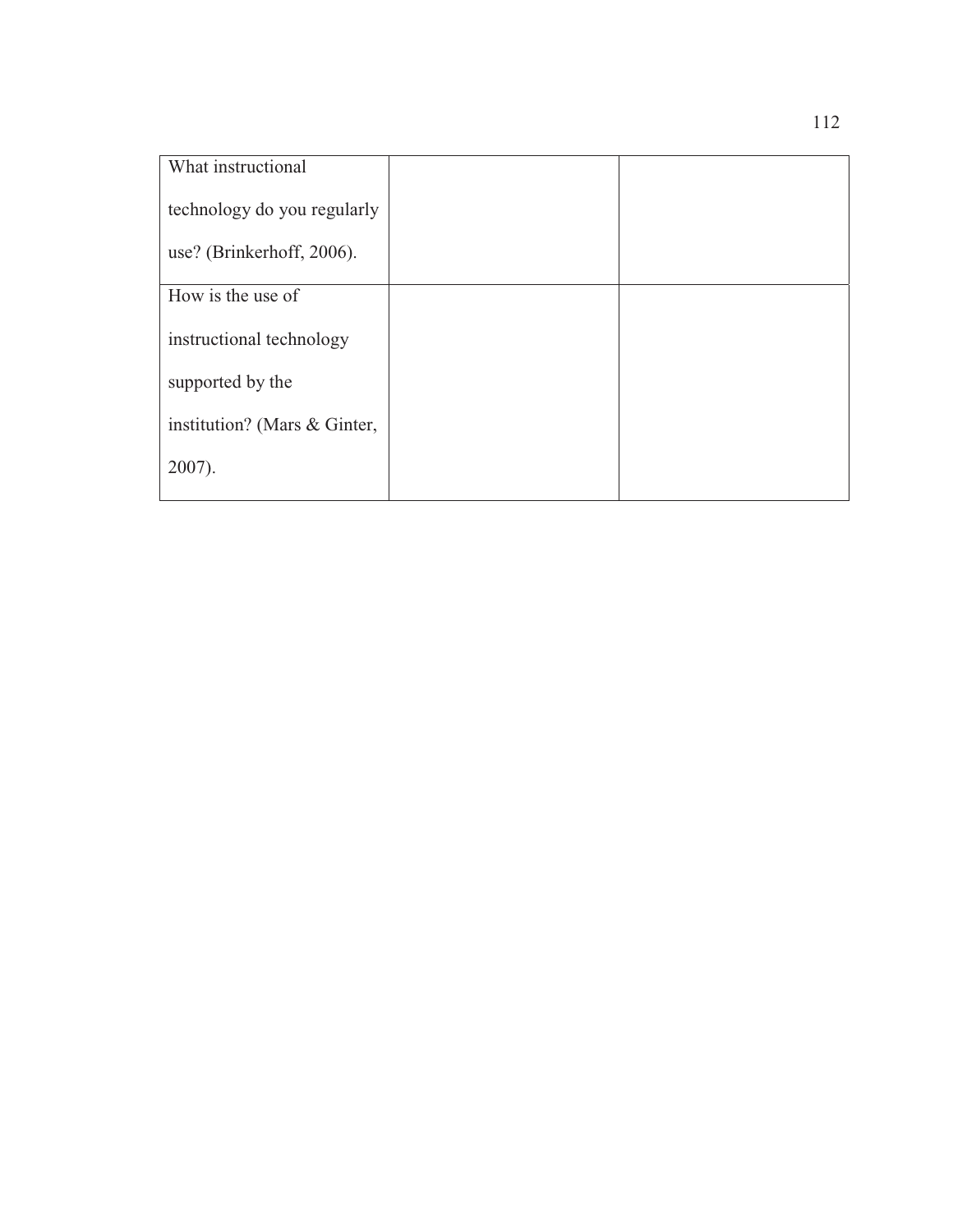| What instructional           |  |
|------------------------------|--|
| technology do you regularly  |  |
| use? (Brinkerhoff, 2006).    |  |
| How is the use of            |  |
| instructional technology     |  |
| supported by the             |  |
| institution? (Mars & Ginter, |  |
| $2007$ ).                    |  |
|                              |  |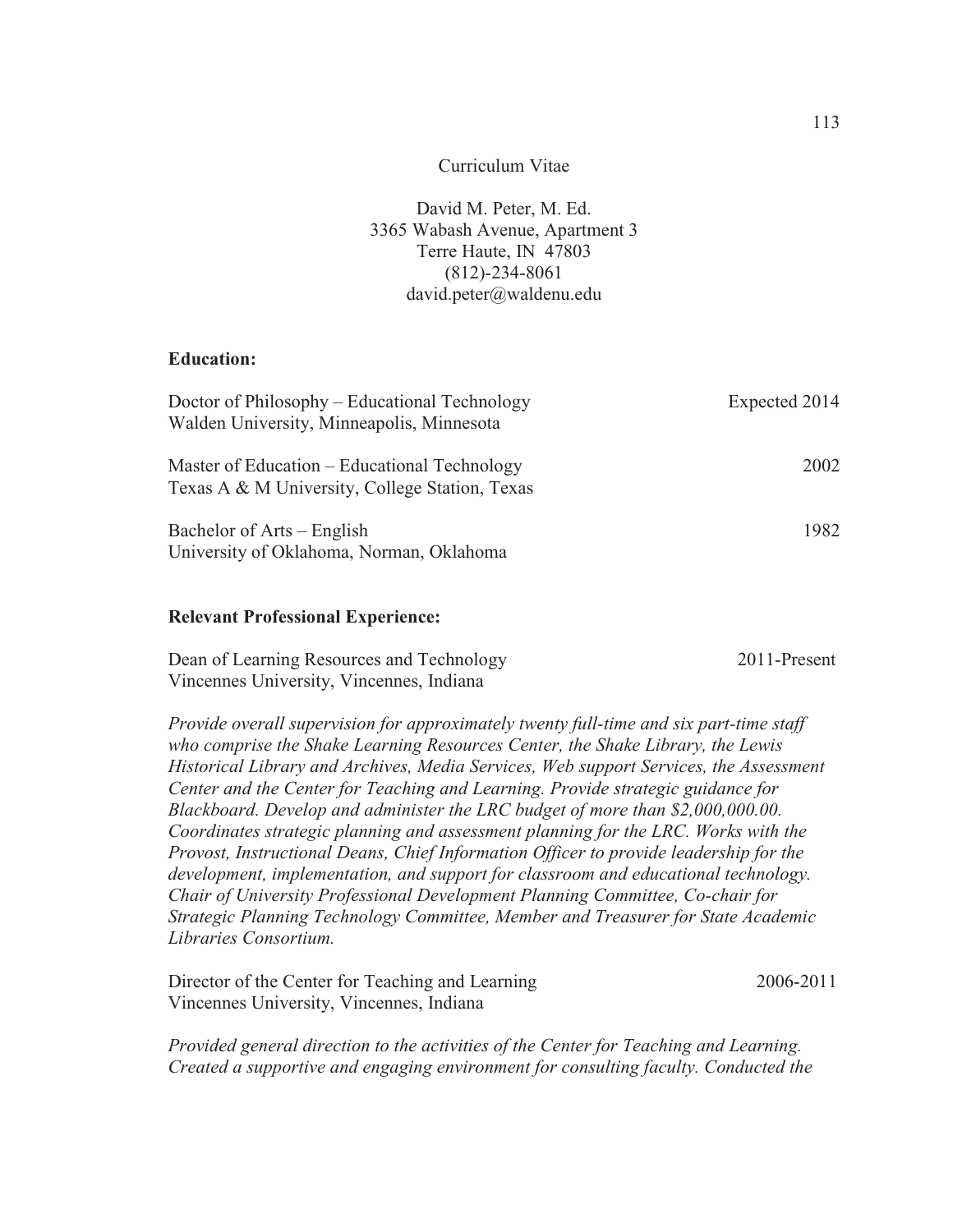#### Curriculum Vitae

David M. Peter, M. Ed. 3365 Wabash Avenue, Apartment 3 Terre Haute, IN 47803 (812)-234-8061 david.peter@waldenu.edu

# **Education:**

| Doctor of Philosophy – Educational Technology<br>Walden University, Minneapolis, Minnesota     | Expected 2014 |
|------------------------------------------------------------------------------------------------|---------------|
| Master of Education – Educational Technology<br>Texas A & M University, College Station, Texas | 2002          |
| Bachelor of Arts – English<br>University of Oklahoma, Norman, Oklahoma                         | 1982          |

### **Relevant Professional Experience:**

| Dean of Learning Resources and Technology | 2011-Present |
|-------------------------------------------|--------------|
| Vincennes University, Vincennes, Indiana  |              |

*Provide overall supervision for approximately twenty full-time and six part-time staff who comprise the Shake Learning Resources Center, the Shake Library, the Lewis Historical Library and Archives, Media Services, Web support Services, the Assessment Center and the Center for Teaching and Learning. Provide strategic guidance for Blackboard. Develop and administer the LRC budget of more than \$2,000,000.00. Coordinates strategic planning and assessment planning for the LRC. Works with the Provost, Instructional Deans, Chief Information Officer to provide leadership for the development, implementation, and support for classroom and educational technology. Chair of University Professional Development Planning Committee, Co-chair for Strategic Planning Technology Committee, Member and Treasurer for State Academic Libraries Consortium.* 

Director of the Center for Teaching and Learning 2006-2011 Vincennes University, Vincennes, Indiana

*Provided general direction to the activities of the Center for Teaching and Learning. Created a supportive and engaging environment for consulting faculty. Conducted the*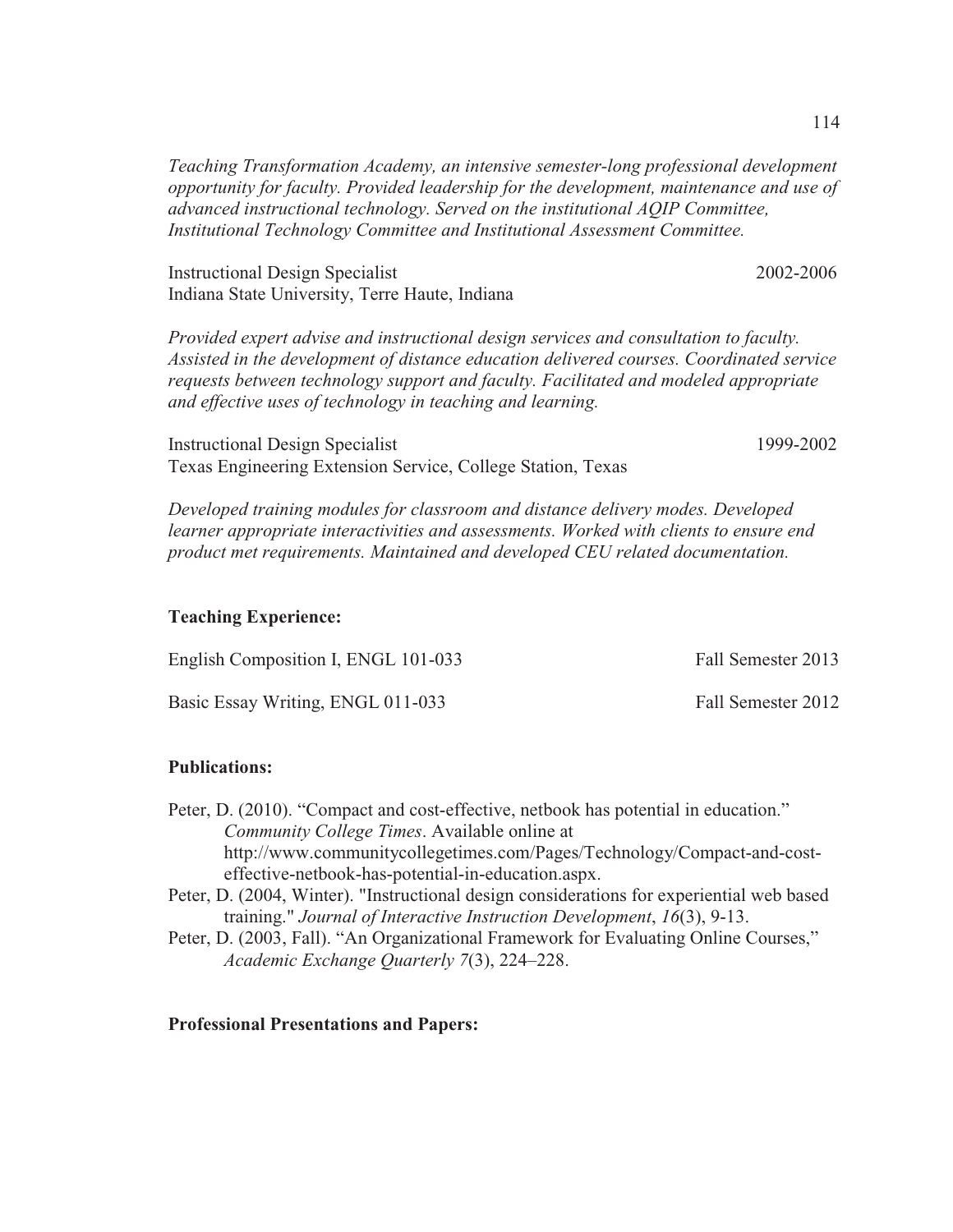*Teaching Transformation Academy, an intensive semester-long professional development opportunity for faculty. Provided leadership for the development, maintenance and use of advanced instructional technology. Served on the institutional AQIP Committee, Institutional Technology Committee and Institutional Assessment Committee.* 

Instructional Design Specialist 2002-2006 Indiana State University, Terre Haute, Indiana

*Provided expert advise and instructional design services and consultation to faculty. Assisted in the development of distance education delivered courses. Coordinated service requests between technology support and faculty. Facilitated and modeled appropriate and effective uses of technology in teaching and learning.* 

Instructional Design Specialist 1999-2002 Texas Engineering Extension Service, College Station, Texas

*Developed training modules for classroom and distance delivery modes. Developed learner appropriate interactivities and assessments. Worked with clients to ensure end product met requirements. Maintained and developed CEU related documentation.* 

### **Teaching Experience:**

| English Composition I, ENGL 101-033 | Fall Semester 2013 |
|-------------------------------------|--------------------|
| Basic Essay Writing, ENGL 011-033   | Fall Semester 2012 |

#### **Publications:**

- Peter, D. (2010). "Compact and cost-effective, netbook has potential in education." *Community College Times*. Available online at http://www.communitycollegetimes.com/Pages/Technology/Compact-and-costeffective-netbook-has-potential-in-education.aspx.
- Peter, D. (2004, Winter). "Instructional design considerations for experiential web based training." *Journal of Interactive Instruction Development*, *16*(3), 9-13.
- Peter, D. (2003, Fall). "An Organizational Framework for Evaluating Online Courses," *Academic Exchange Quarterly 7*(3), 224–228.

## **Professional Presentations and Papers:**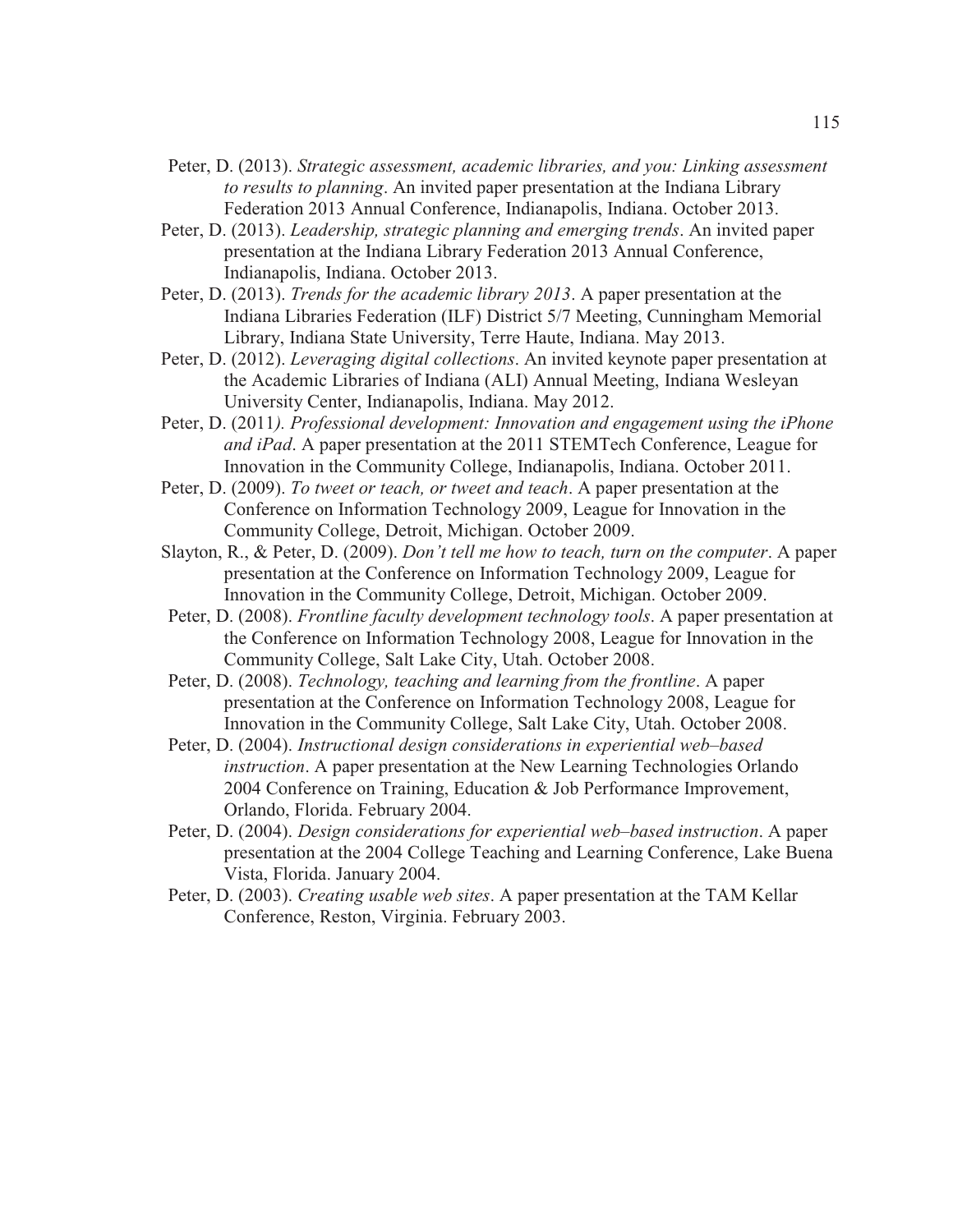- Peter, D. (2013). *Strategic assessment, academic libraries, and you: Linking assessment to results to planning*. An invited paper presentation at the Indiana Library Federation 2013 Annual Conference, Indianapolis, Indiana. October 2013.
- Peter, D. (2013). *Leadership, strategic planning and emerging trends*. An invited paper presentation at the Indiana Library Federation 2013 Annual Conference, Indianapolis, Indiana. October 2013.
- Peter, D. (2013). *Trends for the academic library 2013*. A paper presentation at the Indiana Libraries Federation (ILF) District 5/7 Meeting, Cunningham Memorial Library, Indiana State University, Terre Haute, Indiana. May 2013.
- Peter, D. (2012). *Leveraging digital collections*. An invited keynote paper presentation at the Academic Libraries of Indiana (ALI) Annual Meeting, Indiana Wesleyan University Center, Indianapolis, Indiana. May 2012.
- Peter, D. (2011*). Professional development: Innovation and engagement using the iPhone and iPad*. A paper presentation at the 2011 STEMTech Conference, League for Innovation in the Community College, Indianapolis, Indiana. October 2011.
- Peter, D. (2009). *To tweet or teach, or tweet and teach*. A paper presentation at the Conference on Information Technology 2009, League for Innovation in the Community College, Detroit, Michigan. October 2009.
- Slayton, R., & Peter, D. (2009). *Don't tell me how to teach, turn on the computer*. A paper presentation at the Conference on Information Technology 2009, League for Innovation in the Community College, Detroit, Michigan. October 2009.
- Peter, D. (2008). *Frontline faculty development technology tools*. A paper presentation at the Conference on Information Technology 2008, League for Innovation in the Community College, Salt Lake City, Utah. October 2008.
- Peter, D. (2008). *Technology, teaching and learning from the frontline*. A paper presentation at the Conference on Information Technology 2008, League for Innovation in the Community College, Salt Lake City, Utah. October 2008.
- Peter, D. (2004). *Instructional design considerations in experiential web–based instruction*. A paper presentation at the New Learning Technologies Orlando 2004 Conference on Training, Education & Job Performance Improvement, Orlando, Florida. February 2004.
- Peter, D. (2004). *Design considerations for experiential web–based instruction*. A paper presentation at the 2004 College Teaching and Learning Conference, Lake Buena Vista, Florida. January 2004.
- Peter, D. (2003). *Creating usable web sites*. A paper presentation at the TAM Kellar Conference, Reston, Virginia. February 2003.